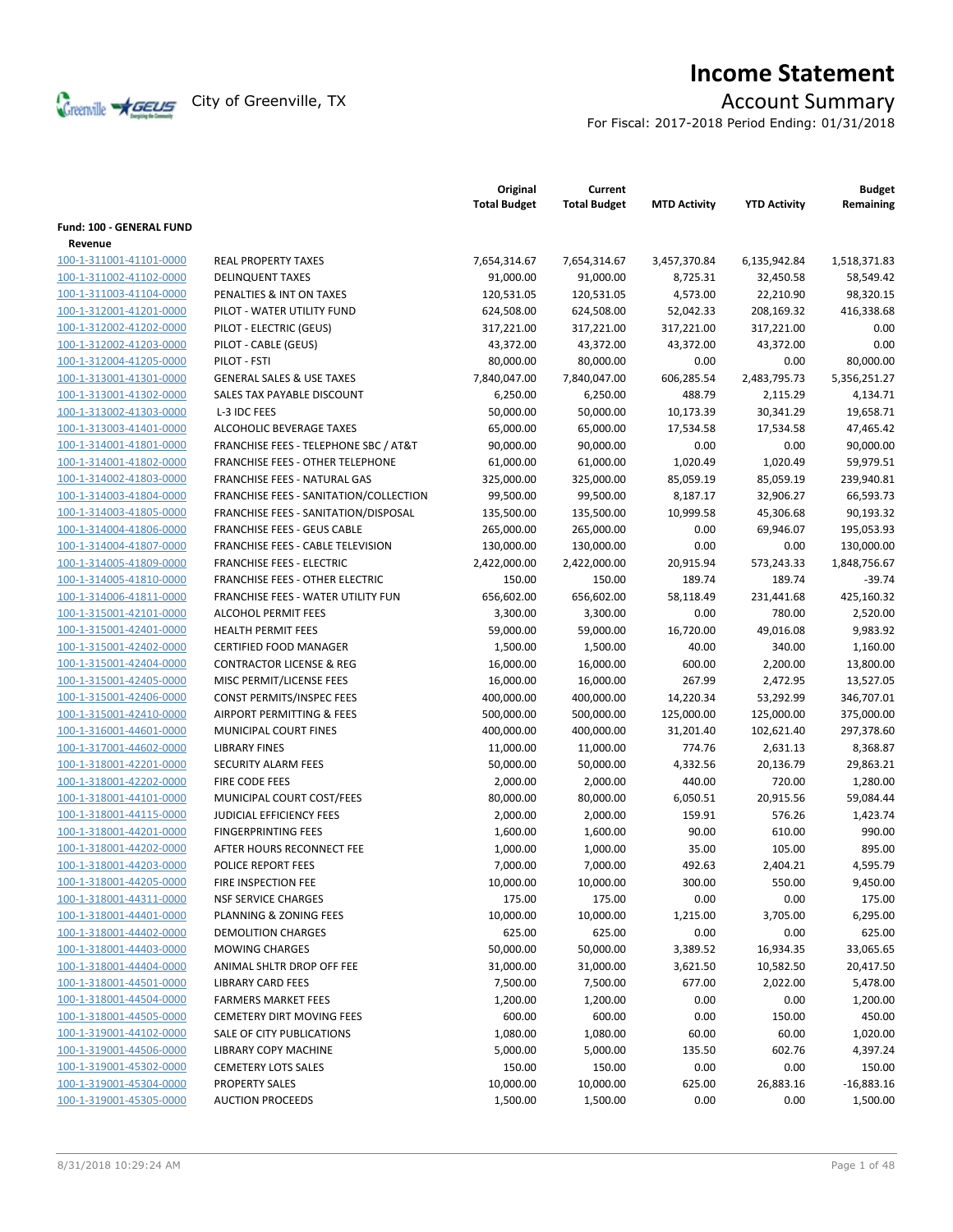

# **Income Statement**

For Fiscal: 2017-2018 Period Ending: 01/31/2018

|                                            |                                         | Original<br><b>Total Budget</b> | Current<br><b>Total Budget</b> | <b>MTD Activity</b> | <b>YTD Activity</b> | <b>Budget</b><br>Remaining |
|--------------------------------------------|-----------------------------------------|---------------------------------|--------------------------------|---------------------|---------------------|----------------------------|
| <b>Fund: 100 - GENERAL FUND</b><br>Revenue |                                         |                                 |                                |                     |                     |                            |
| 100-1-311001-41101-0000                    | <b>REAL PROPERTY TAXES</b>              | 7,654,314.67                    | 7,654,314.67                   | 3,457,370.84        | 6,135,942.84        | 1,518,371.83               |
| 100-1-311002-41102-0000                    | <b>DELINQUENT TAXES</b>                 | 91,000.00                       | 91,000.00                      | 8,725.31            | 32,450.58           | 58,549.42                  |
| 100-1-311003-41104-0000                    | PENALTIES & INT ON TAXES                | 120,531.05                      | 120,531.05                     | 4,573.00            | 22,210.90           | 98,320.15                  |
| 100-1-312001-41201-0000                    | PILOT - WATER UTILITY FUND              | 624,508.00                      | 624,508.00                     | 52,042.33           | 208,169.32          | 416,338.68                 |
| 100-1-312002-41202-0000                    | PILOT - ELECTRIC (GEUS)                 | 317,221.00                      | 317,221.00                     | 317,221.00          | 317,221.00          | 0.00                       |
| 100-1-312002-41203-0000                    |                                         |                                 |                                |                     |                     | 0.00                       |
| 100-1-312004-41205-0000                    | PILOT - CABLE (GEUS)<br>PILOT - FSTI    | 43,372.00                       | 43,372.00                      | 43,372.00<br>0.00   | 43,372.00<br>0.00   |                            |
|                                            |                                         | 80,000.00                       | 80,000.00                      |                     |                     | 80,000.00                  |
| 100-1-313001-41301-0000                    | <b>GENERAL SALES &amp; USE TAXES</b>    | 7,840,047.00                    | 7,840,047.00                   | 606,285.54          | 2,483,795.73        | 5,356,251.27               |
| 100-1-313001-41302-0000                    | SALES TAX PAYABLE DISCOUNT              | 6,250.00                        | 6,250.00                       | 488.79              | 2,115.29            | 4,134.71                   |
| 100-1-313002-41303-0000                    | L-3 IDC FEES                            | 50,000.00                       | 50,000.00                      | 10,173.39           | 30,341.29           | 19,658.71                  |
| 100-1-313003-41401-0000                    | ALCOHOLIC BEVERAGE TAXES                | 65,000.00                       | 65,000.00                      | 17,534.58           | 17,534.58           | 47,465.42                  |
| 100-1-314001-41801-0000                    | FRANCHISE FEES - TELEPHONE SBC / AT&T   | 90,000.00                       | 90,000.00                      | 0.00                | 0.00                | 90,000.00                  |
| 100-1-314001-41802-0000                    | <b>FRANCHISE FEES - OTHER TELEPHONE</b> | 61,000.00                       | 61,000.00                      | 1,020.49            | 1,020.49            | 59,979.51                  |
| 100-1-314002-41803-0000                    | <b>FRANCHISE FEES - NATURAL GAS</b>     | 325,000.00                      | 325,000.00                     | 85,059.19           | 85,059.19           | 239,940.81                 |
| 100-1-314003-41804-0000                    | FRANCHISE FEES - SANITATION/COLLECTION  | 99,500.00                       | 99,500.00                      | 8,187.17            | 32,906.27           | 66,593.73                  |
| 100-1-314003-41805-0000                    | FRANCHISE FEES - SANITATION/DISPOSAL    | 135,500.00                      | 135,500.00                     | 10,999.58           | 45,306.68           | 90,193.32                  |
| 100-1-314004-41806-0000                    | <b>FRANCHISE FEES - GEUS CABLE</b>      | 265,000.00                      | 265,000.00                     | 0.00                | 69,946.07           | 195,053.93                 |
| 100-1-314004-41807-0000                    | FRANCHISE FEES - CABLE TELEVISION       | 130,000.00                      | 130,000.00                     | 0.00                | 0.00                | 130,000.00                 |
| 100-1-314005-41809-0000                    | <b>FRANCHISE FEES - ELECTRIC</b>        | 2,422,000.00                    | 2,422,000.00                   | 20,915.94           | 573,243.33          | 1,848,756.67               |
| 100-1-314005-41810-0000                    | <b>FRANCHISE FEES - OTHER ELECTRIC</b>  | 150.00                          | 150.00                         | 189.74              | 189.74              | $-39.74$                   |
| 100-1-314006-41811-0000                    | FRANCHISE FEES - WATER UTILITY FUN      | 656,602.00                      | 656,602.00                     | 58,118.49           | 231,441.68          | 425,160.32                 |
| 100-1-315001-42101-0000                    | <b>ALCOHOL PERMIT FEES</b>              | 3,300.00                        | 3,300.00                       | 0.00                | 780.00              | 2,520.00                   |
| 100-1-315001-42401-0000                    | <b>HEALTH PERMIT FEES</b>               | 59,000.00                       | 59,000.00                      | 16,720.00           | 49,016.08           | 9,983.92                   |
| 100-1-315001-42402-0000                    | <b>CERTIFIED FOOD MANAGER</b>           | 1,500.00                        | 1,500.00                       | 40.00               | 340.00              | 1,160.00                   |
| 100-1-315001-42404-0000                    | <b>CONTRACTOR LICENSE &amp; REG</b>     | 16,000.00                       | 16,000.00                      | 600.00              | 2,200.00            | 13,800.00                  |
| 100-1-315001-42405-0000                    | MISC PERMIT/LICENSE FEES                | 16,000.00                       | 16,000.00                      | 267.99              | 2,472.95            | 13,527.05                  |
| 100-1-315001-42406-0000                    | <b>CONST PERMITS/INSPEC FEES</b>        | 400,000.00                      | 400,000.00                     | 14,220.34           | 53,292.99           | 346,707.01                 |
| 100-1-315001-42410-0000                    | <b>AIRPORT PERMITTING &amp; FEES</b>    | 500,000.00                      | 500,000.00                     | 125,000.00          | 125,000.00          | 375,000.00                 |
| 100-1-316001-44601-0000                    | MUNICIPAL COURT FINES                   | 400,000.00                      | 400,000.00                     | 31,201.40           | 102,621.40          | 297,378.60                 |
| 100-1-317001-44602-0000                    | <b>LIBRARY FINES</b>                    | 11,000.00                       | 11,000.00                      | 774.76              | 2,631.13            | 8,368.87                   |
| 100-1-318001-42201-0000                    | SECURITY ALARM FEES                     | 50,000.00                       | 50,000.00                      | 4,332.56            | 20,136.79           | 29,863.21                  |
| 100-1-318001-42202-0000                    | FIRE CODE FEES                          | 2,000.00                        | 2,000.00                       | 440.00              | 720.00              | 1,280.00                   |
| 100-1-318001-44101-0000                    | MUNICIPAL COURT COST/FEES               | 80,000.00                       | 80,000.00                      | 6,050.51            | 20,915.56           | 59,084.44                  |
| 100-1-318001-44115-0000                    | <b>JUDICIAL EFFICIENCY FEES</b>         | 2,000.00                        | 2,000.00                       | 159.91              | 576.26              | 1,423.74                   |
| 100-1-318001-44201-0000                    | <b>FINGERPRINTING FEES</b>              | 1,600.00                        | 1,600.00                       | 90.00               | 610.00              | 990.00                     |
| 100-1-318001-44202-0000                    | AFTER HOURS RECONNECT FEE               | 1,000.00                        | 1,000.00                       | 35.00               | 105.00              | 895.00                     |
| 100-1-318001-44203-0000                    | POLICE REPORT FEES                      | 7,000.00                        | 7,000.00                       | 492.63              | 2,404.21            | 4,595.79                   |
| 100-1-318001-44205-0000                    | FIRE INSPECTION FEE                     | 10,000.00                       | 10,000.00                      | 300.00              | 550.00              | 9,450.00                   |
| 100-1-318001-44311-0000                    | <b>NSF SERVICE CHARGES</b>              | 175.00                          | 175.00                         | 0.00                | 0.00                | 175.00                     |
| 100-1-318001-44401-0000                    | PLANNING & ZONING FEES                  | 10,000.00                       | 10,000.00                      | 1,215.00            | 3,705.00            | 6,295.00                   |
| 100-1-318001-44402-0000                    | <b>DEMOLITION CHARGES</b>               | 625.00                          | 625.00                         | 0.00                | 0.00                | 625.00                     |
| 100-1-318001-44403-0000                    | <b>MOWING CHARGES</b>                   | 50,000.00                       | 50,000.00                      | 3,389.52            | 16,934.35           | 33,065.65                  |
| 100-1-318001-44404-0000                    | ANIMAL SHLTR DROP OFF FEE               | 31,000.00                       | 31,000.00                      | 3,621.50            | 10,582.50           | 20,417.50                  |
| 100-1-318001-44501-0000                    | <b>LIBRARY CARD FEES</b>                | 7,500.00                        | 7,500.00                       | 677.00              | 2,022.00            | 5,478.00                   |
| 100-1-318001-44504-0000                    | <b>FARMERS MARKET FEES</b>              | 1,200.00                        | 1,200.00                       | 0.00                | 0.00                | 1,200.00                   |
| 100-1-318001-44505-0000                    | <b>CEMETERY DIRT MOVING FEES</b>        | 600.00                          | 600.00                         | 0.00                | 150.00              | 450.00                     |
| 100-1-319001-44102-0000                    | SALE OF CITY PUBLICATIONS               | 1,080.00                        | 1,080.00                       | 60.00               | 60.00               | 1,020.00                   |
| 100-1-319001-44506-0000                    | LIBRARY COPY MACHINE                    | 5,000.00                        | 5,000.00                       | 135.50              | 602.76              | 4,397.24                   |
| 100-1-319001-45302-0000                    | <b>CEMETERY LOTS SALES</b>              | 150.00                          | 150.00                         | 0.00                | 0.00                | 150.00                     |
| 100-1-319001-45304-0000                    | <b>PROPERTY SALES</b>                   | 10,000.00                       | 10,000.00                      | 625.00              | 26,883.16           | $-16,883.16$               |
| 100-1-319001-45305-0000                    | <b>AUCTION PROCEEDS</b>                 | 1,500.00                        | 1,500.00                       | 0.00                | 0.00                | 1,500.00                   |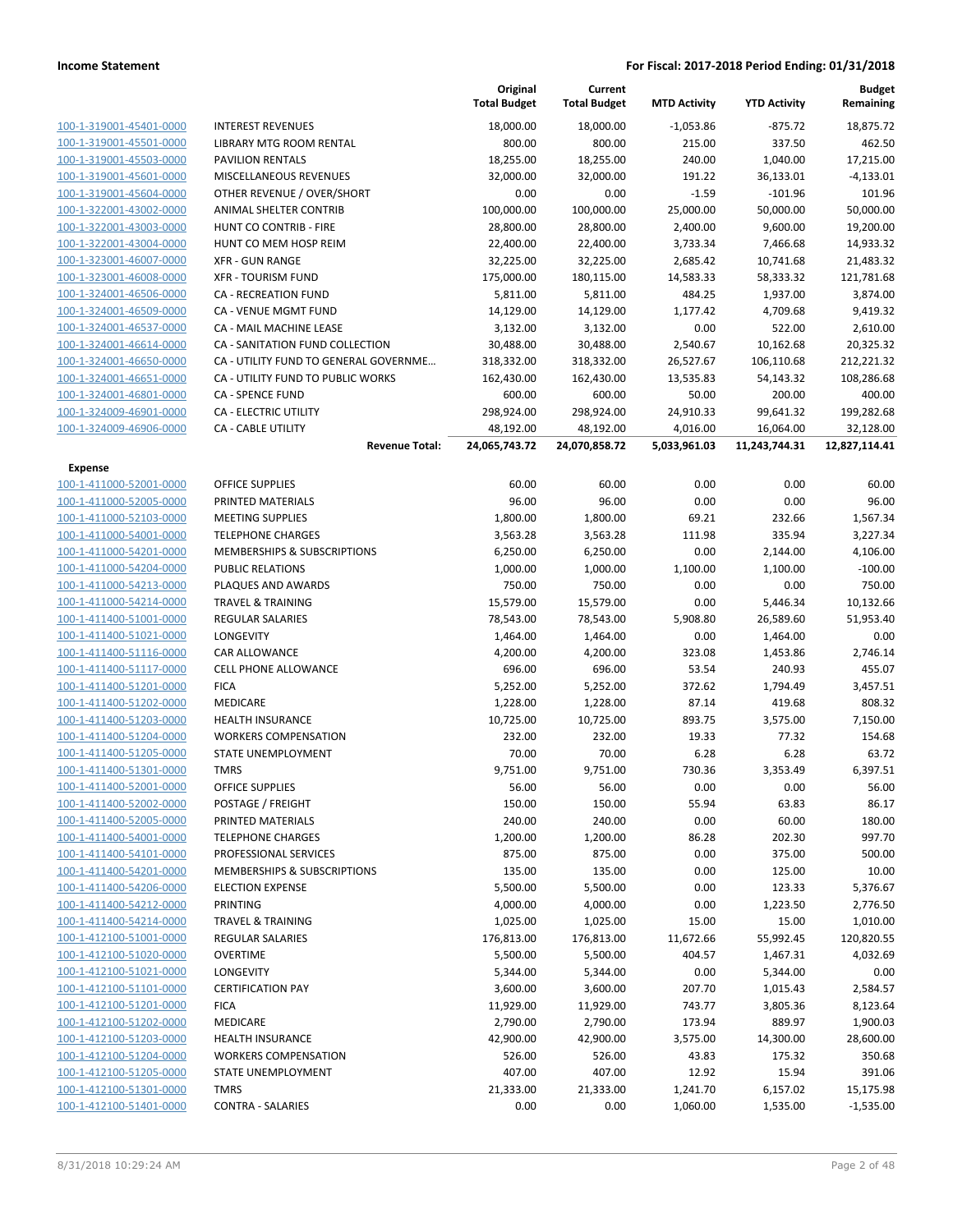|                         |                                       | Original<br><b>Total Budget</b> | Current<br><b>Total Budget</b> | <b>MTD Activity</b> | <b>YTD Activity</b> | <b>Budget</b><br>Remaining |
|-------------------------|---------------------------------------|---------------------------------|--------------------------------|---------------------|---------------------|----------------------------|
| 100-1-319001-45401-0000 | <b>INTEREST REVENUES</b>              | 18,000.00                       | 18,000.00                      | $-1,053.86$         | $-875.72$           | 18,875.72                  |
| 100-1-319001-45501-0000 | LIBRARY MTG ROOM RENTAL               | 800.00                          | 800.00                         | 215.00              | 337.50              | 462.50                     |
| 100-1-319001-45503-0000 | <b>PAVILION RENTALS</b>               | 18,255.00                       | 18,255.00                      | 240.00              | 1,040.00            | 17,215.00                  |
| 100-1-319001-45601-0000 | MISCELLANEOUS REVENUES                | 32,000.00                       | 32,000.00                      | 191.22              | 36,133.01           | $-4,133.01$                |
| 100-1-319001-45604-0000 | OTHER REVENUE / OVER/SHORT            | 0.00                            | 0.00                           | $-1.59$             | $-101.96$           | 101.96                     |
| 100-1-322001-43002-0000 | ANIMAL SHELTER CONTRIB                | 100,000.00                      | 100,000.00                     | 25,000.00           | 50,000.00           | 50,000.00                  |
| 100-1-322001-43003-0000 | HUNT CO CONTRIB - FIRE                | 28,800.00                       | 28,800.00                      | 2,400.00            | 9,600.00            | 19,200.00                  |
| 100-1-322001-43004-0000 | HUNT CO MEM HOSP REIM                 | 22,400.00                       | 22,400.00                      | 3,733.34            | 7,466.68            | 14,933.32                  |
| 100-1-323001-46007-0000 | <b>XFR - GUN RANGE</b>                | 32,225.00                       | 32,225.00                      | 2,685.42            | 10,741.68           | 21,483.32                  |
| 100-1-323001-46008-0000 | <b>XFR - TOURISM FUND</b>             | 175,000.00                      | 180,115.00                     | 14,583.33           | 58,333.32           | 121,781.68                 |
| 100-1-324001-46506-0000 | CA - RECREATION FUND                  | 5,811.00                        | 5,811.00                       | 484.25              | 1,937.00            | 3,874.00                   |
| 100-1-324001-46509-0000 | CA - VENUE MGMT FUND                  | 14,129.00                       | 14,129.00                      | 1,177.42            | 4,709.68            | 9,419.32                   |
| 100-1-324001-46537-0000 | CA - MAIL MACHINE LEASE               | 3,132.00                        | 3,132.00                       | 0.00                | 522.00              | 2,610.00                   |
| 100-1-324001-46614-0000 | CA - SANITATION FUND COLLECTION       | 30,488.00                       | 30,488.00                      | 2,540.67            | 10,162.68           | 20,325.32                  |
| 100-1-324001-46650-0000 | CA - UTILITY FUND TO GENERAL GOVERNME | 318,332.00                      | 318,332.00                     | 26,527.67           | 106,110.68          | 212,221.32                 |
| 100-1-324001-46651-0000 | CA - UTILITY FUND TO PUBLIC WORKS     | 162,430.00                      | 162,430.00                     | 13,535.83           | 54,143.32           | 108,286.68                 |
| 100-1-324001-46801-0000 | <b>CA - SPENCE FUND</b>               | 600.00                          | 600.00                         | 50.00               | 200.00              | 400.00                     |
| 100-1-324009-46901-0000 | <b>CA - ELECTRIC UTILITY</b>          | 298,924.00                      | 298,924.00                     | 24,910.33           | 99,641.32           | 199,282.68                 |
| 100-1-324009-46906-0000 | <b>CA - CABLE UTILITY</b>             | 48,192.00                       | 48,192.00                      | 4,016.00            | 16,064.00           | 32,128.00                  |
|                         | <b>Revenue Total:</b>                 | 24,065,743.72                   | 24,070,858.72                  | 5,033,961.03        | 11,243,744.31       | 12,827,114.41              |
| Expense                 |                                       |                                 |                                |                     |                     |                            |
| 100-1-411000-52001-0000 | <b>OFFICE SUPPLIES</b>                | 60.00                           | 60.00                          | 0.00                | 0.00                | 60.00                      |
| 100-1-411000-52005-0000 | PRINTED MATERIALS                     | 96.00                           | 96.00                          | 0.00                | 0.00                | 96.00                      |
| 100-1-411000-52103-0000 | <b>MEETING SUPPLIES</b>               | 1,800.00                        | 1,800.00                       | 69.21               | 232.66              | 1,567.34                   |
| 100-1-411000-54001-0000 | <b>TELEPHONE CHARGES</b>              | 3,563.28                        | 3,563.28                       | 111.98              | 335.94              | 3,227.34                   |
| 100-1-411000-54201-0000 | MEMBERSHIPS & SUBSCRIPTIONS           | 6,250.00                        | 6,250.00                       | 0.00                | 2,144.00            | 4,106.00                   |
| 100-1-411000-54204-0000 | <b>PUBLIC RELATIONS</b>               | 1,000.00                        | 1,000.00                       | 1,100.00            | 1,100.00            | $-100.00$                  |
| 100-1-411000-54213-0000 | PLAQUES AND AWARDS                    | 750.00                          | 750.00                         | 0.00                | 0.00                | 750.00                     |
| 100-1-411000-54214-0000 | <b>TRAVEL &amp; TRAINING</b>          | 15,579.00                       | 15,579.00                      | 0.00                | 5,446.34            | 10,132.66                  |
| 100-1-411400-51001-0000 | <b>REGULAR SALARIES</b>               | 78,543.00                       | 78,543.00                      | 5,908.80            | 26,589.60           | 51,953.40                  |
| 100-1-411400-51021-0000 | LONGEVITY                             | 1,464.00                        | 1,464.00                       | 0.00                | 1,464.00            | 0.00                       |
| 100-1-411400-51116-0000 | CAR ALLOWANCE                         | 4,200.00                        | 4,200.00                       | 323.08              | 1,453.86            | 2,746.14                   |
| 100-1-411400-51117-0000 | <b>CELL PHONE ALLOWANCE</b>           | 696.00                          | 696.00                         | 53.54               | 240.93              | 455.07                     |
| 100-1-411400-51201-0000 | <b>FICA</b>                           | 5,252.00                        | 5,252.00                       | 372.62              | 1,794.49            | 3,457.51                   |
| 100-1-411400-51202-0000 | <b>MEDICARE</b>                       | 1,228.00                        | 1,228.00                       | 87.14               | 419.68              | 808.32                     |
| 100-1-411400-51203-0000 | <b>HEALTH INSURANCE</b>               | 10,725.00                       | 10,725.00                      | 893.75              | 3,575.00            | 7,150.00                   |
| 100-1-411400-51204-0000 | <b>WORKERS COMPENSATION</b>           | 232.00                          | 232.00                         | 19.33               | 77.32               | 154.68                     |
| 100-1-411400-51205-0000 | STATE UNEMPLOYMENT                    | 70.00                           | 70.00                          | 6.28                | 6.28                | 63.72                      |
| 100-1-411400-51301-0000 | <b>TMRS</b>                           | 9,751.00                        | 9,751.00                       | 730.36              | 3,353.49            | 6,397.51                   |
| 100-1-411400-52001-0000 | <b>OFFICE SUPPLIES</b>                | 56.00                           | 56.00                          | 0.00                | 0.00                | 56.00                      |
| 100-1-411400-52002-0000 | POSTAGE / FREIGHT                     | 150.00                          | 150.00                         | 55.94               | 63.83               | 86.17                      |
| 100-1-411400-52005-0000 | PRINTED MATERIALS                     | 240.00                          | 240.00                         | 0.00                | 60.00               | 180.00                     |
| 100-1-411400-54001-0000 | <b>TELEPHONE CHARGES</b>              | 1,200.00                        | 1,200.00                       | 86.28               | 202.30              | 997.70                     |
| 100-1-411400-54101-0000 | PROFESSIONAL SERVICES                 | 875.00                          | 875.00                         | 0.00                | 375.00              | 500.00                     |
| 100-1-411400-54201-0000 | MEMBERSHIPS & SUBSCRIPTIONS           | 135.00                          | 135.00                         | 0.00                | 125.00              | 10.00                      |
| 100-1-411400-54206-0000 | <b>ELECTION EXPENSE</b>               | 5,500.00                        | 5,500.00                       | 0.00                | 123.33              | 5,376.67                   |
| 100-1-411400-54212-0000 | <b>PRINTING</b>                       | 4,000.00                        | 4,000.00                       | 0.00                | 1,223.50            | 2,776.50                   |
| 100-1-411400-54214-0000 | <b>TRAVEL &amp; TRAINING</b>          | 1,025.00                        | 1,025.00                       | 15.00               | 15.00               | 1,010.00                   |
| 100-1-412100-51001-0000 | <b>REGULAR SALARIES</b>               | 176,813.00                      | 176,813.00                     | 11,672.66           | 55,992.45           | 120,820.55                 |
| 100-1-412100-51020-0000 | <b>OVERTIME</b>                       | 5,500.00                        | 5,500.00                       | 404.57              | 1,467.31            | 4,032.69                   |
| 100-1-412100-51021-0000 | <b>LONGEVITY</b>                      | 5,344.00                        | 5,344.00                       | 0.00                | 5,344.00            | 0.00                       |
| 100-1-412100-51101-0000 | <b>CERTIFICATION PAY</b>              | 3,600.00                        | 3,600.00                       | 207.70              | 1,015.43            | 2,584.57                   |
| 100-1-412100-51201-0000 | <b>FICA</b>                           | 11,929.00                       | 11,929.00                      | 743.77              | 3,805.36            | 8,123.64                   |
| 100-1-412100-51202-0000 | MEDICARE                              | 2,790.00                        | 2,790.00                       | 173.94              | 889.97              | 1,900.03                   |
| 100-1-412100-51203-0000 | <b>HEALTH INSURANCE</b>               | 42,900.00                       | 42,900.00                      | 3,575.00            | 14,300.00           | 28,600.00                  |
| 100-1-412100-51204-0000 | <b>WORKERS COMPENSATION</b>           | 526.00                          | 526.00                         | 43.83               | 175.32              | 350.68                     |
| 100-1-412100-51205-0000 | STATE UNEMPLOYMENT                    | 407.00                          | 407.00                         | 12.92               | 15.94               | 391.06                     |
| 100-1-412100-51301-0000 | <b>TMRS</b>                           | 21,333.00                       | 21,333.00                      | 1,241.70            | 6,157.02            | 15,175.98                  |
| 100-1-412100-51401-0000 | <b>CONTRA - SALARIES</b>              | 0.00                            | 0.00                           | 1,060.00            | 1,535.00            | $-1,535.00$                |
|                         |                                       |                                 |                                |                     |                     |                            |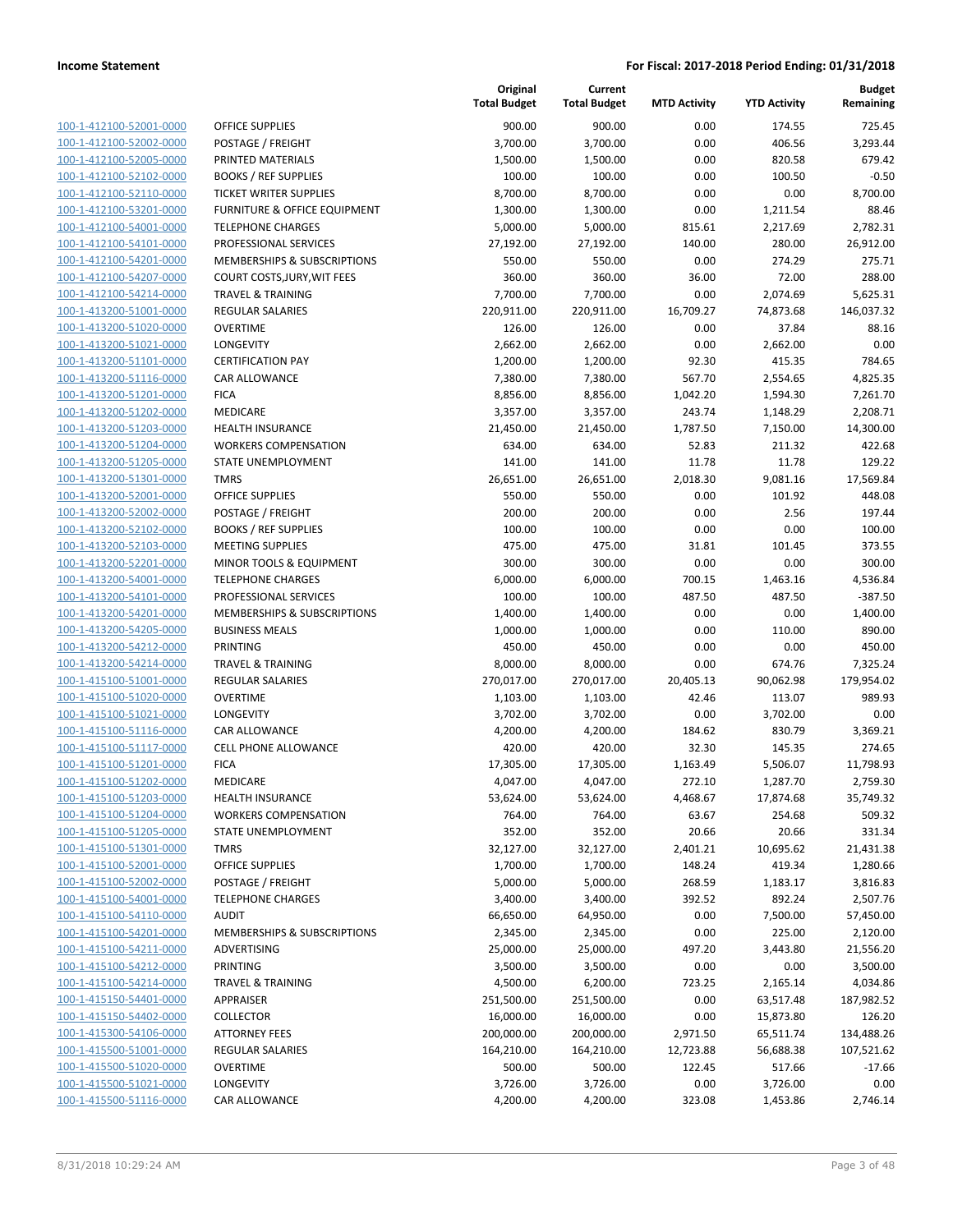**Budget Remaining**

**Current**

**Original**

| 100-1-412100-52001-0000                            | <b>OFFICE SUPPLIES</b>                   | 900.00                | 900.00                | 0.00            | 174.55               | 725.45                |
|----------------------------------------------------|------------------------------------------|-----------------------|-----------------------|-----------------|----------------------|-----------------------|
| 100-1-412100-52002-0000                            | POSTAGE / FREIGHT                        | 3,700.00              | 3,700.00              | 0.00            | 406.56               | 3,293.44              |
| 100-1-412100-52005-0000                            | PRINTED MATERIALS                        | 1,500.00              | 1,500.00              | 0.00            | 820.58               | 679.42                |
| 100-1-412100-52102-0000                            | <b>BOOKS / REF SUPPLIES</b>              | 100.00                | 100.00                | 0.00            | 100.50               | $-0.50$               |
| 100-1-412100-52110-0000                            | <b>TICKET WRITER SUPPLIES</b>            | 8,700.00              | 8,700.00              | 0.00            | 0.00                 | 8,700.00              |
| 100-1-412100-53201-0000                            | <b>FURNITURE &amp; OFFICE EQUIPMENT</b>  | 1,300.00              | 1,300.00              | 0.00            | 1,211.54             | 88.46                 |
| 100-1-412100-54001-0000                            | <b>TELEPHONE CHARGES</b>                 | 5,000.00              | 5,000.00              | 815.61          | 2,217.69             | 2,782.31              |
| 100-1-412100-54101-0000                            | PROFESSIONAL SERVICES                    | 27,192.00             | 27,192.00             | 140.00          | 280.00               | 26,912.00             |
| 100-1-412100-54201-0000                            | MEMBERSHIPS & SUBSCRIPTIONS              | 550.00                | 550.00                | 0.00            | 274.29               | 275.71                |
| 100-1-412100-54207-0000                            | COURT COSTS, JURY, WIT FEES              | 360.00                | 360.00                | 36.00           | 72.00                | 288.00                |
| 100-1-412100-54214-0000                            | <b>TRAVEL &amp; TRAINING</b>             | 7,700.00              | 7,700.00              | 0.00            | 2,074.69             | 5,625.31              |
| 100-1-413200-51001-0000                            | <b>REGULAR SALARIES</b>                  | 220,911.00            | 220,911.00            | 16,709.27       | 74,873.68            | 146,037.32            |
| 100-1-413200-51020-0000                            | <b>OVERTIME</b>                          | 126.00                | 126.00                | 0.00            | 37.84                | 88.16                 |
| 100-1-413200-51021-0000                            | <b>LONGEVITY</b>                         | 2,662.00              | 2,662.00              | 0.00            | 2,662.00             | 0.00                  |
| 100-1-413200-51101-0000                            | <b>CERTIFICATION PAY</b>                 | 1,200.00              | 1,200.00              | 92.30           | 415.35               | 784.65                |
| 100-1-413200-51116-0000                            | <b>CAR ALLOWANCE</b>                     | 7,380.00              | 7,380.00              | 567.70          | 2,554.65             | 4,825.35              |
| 100-1-413200-51201-0000                            | <b>FICA</b>                              | 8,856.00              | 8,856.00              | 1,042.20        | 1,594.30             | 7,261.70              |
| 100-1-413200-51202-0000                            | <b>MEDICARE</b>                          | 3,357.00              | 3,357.00              | 243.74          | 1,148.29             | 2,208.71              |
| 100-1-413200-51203-0000                            | HEALTH INSURANCE                         | 21,450.00             | 21,450.00             | 1,787.50        | 7,150.00             | 14,300.00             |
| 100-1-413200-51204-0000                            | <b>WORKERS COMPENSATION</b>              | 634.00                | 634.00                | 52.83           | 211.32               | 422.68                |
| 100-1-413200-51205-0000                            | STATE UNEMPLOYMENT                       | 141.00                | 141.00                | 11.78           | 11.78                | 129.22                |
| 100-1-413200-51301-0000                            | <b>TMRS</b>                              | 26,651.00             | 26,651.00             | 2,018.30        | 9,081.16             | 17,569.84             |
| 100-1-413200-52001-0000                            | <b>OFFICE SUPPLIES</b>                   | 550.00                | 550.00                | 0.00            | 101.92               | 448.08                |
| 100-1-413200-52002-0000                            | POSTAGE / FREIGHT                        | 200.00                | 200.00                | 0.00            | 2.56                 | 197.44                |
| 100-1-413200-52102-0000                            | <b>BOOKS / REF SUPPLIES</b>              | 100.00                | 100.00                | 0.00            | 0.00                 | 100.00                |
| 100-1-413200-52103-0000                            | <b>MEETING SUPPLIES</b>                  | 475.00                | 475.00                | 31.81           | 101.45               | 373.55                |
| 100-1-413200-52201-0000                            | MINOR TOOLS & EQUIPMENT                  | 300.00                | 300.00                | 0.00            | 0.00                 | 300.00                |
| 100-1-413200-54001-0000                            | <b>TELEPHONE CHARGES</b>                 | 6,000.00              | 6,000.00              | 700.15          | 1,463.16             | 4,536.84              |
| 100-1-413200-54101-0000                            | PROFESSIONAL SERVICES                    | 100.00                | 100.00                | 487.50          | 487.50               | $-387.50$             |
| 100-1-413200-54201-0000                            | MEMBERSHIPS & SUBSCRIPTIONS              | 1,400.00              | 1,400.00              | 0.00            | 0.00                 | 1,400.00              |
| 100-1-413200-54205-0000                            | <b>BUSINESS MEALS</b>                    | 1,000.00              | 1,000.00              | 0.00            | 110.00               | 890.00                |
| 100-1-413200-54212-0000                            | PRINTING                                 | 450.00                | 450.00                | 0.00            | 0.00                 | 450.00                |
| 100-1-413200-54214-0000                            | <b>TRAVEL &amp; TRAINING</b>             | 8,000.00              | 8,000.00              | 0.00            | 674.76               | 7,325.24              |
| 100-1-415100-51001-0000                            | REGULAR SALARIES                         | 270,017.00            | 270,017.00            | 20,405.13       | 90,062.98            | 179,954.02            |
| 100-1-415100-51020-0000                            | <b>OVERTIME</b>                          | 1,103.00              | 1,103.00<br>3,702.00  | 42.46           | 113.07               | 989.93                |
| 100-1-415100-51021-0000                            | <b>LONGEVITY</b><br><b>CAR ALLOWANCE</b> | 3,702.00              |                       | 0.00            | 3,702.00<br>830.79   | 0.00                  |
| 100-1-415100-51116-0000                            | <b>CELL PHONE ALLOWANCE</b>              | 4,200.00              | 4,200.00<br>420.00    | 184.62<br>32.30 | 145.35               | 3,369.21<br>274.65    |
| 100-1-415100-51117-0000<br>100-1-415100-51201-0000 |                                          | 420.00                |                       | 1,163.49        |                      |                       |
| 100-1-415100-51202-0000                            | <b>FICA</b><br><b>MEDICARE</b>           | 17,305.00<br>4,047.00 | 17,305.00<br>4,047.00 | 272.10          | 5,506.07<br>1,287.70 | 11,798.93<br>2,759.30 |
| 100-1-415100-51203-0000                            | <b>HEALTH INSURANCE</b>                  | 53,624.00             | 53,624.00             | 4,468.67        | 17,874.68            | 35,749.32             |
| 100-1-415100-51204-0000                            | <b>WORKERS COMPENSATION</b>              | 764.00                | 764.00                | 63.67           | 254.68               | 509.32                |
| 100-1-415100-51205-0000                            | STATE UNEMPLOYMENT                       | 352.00                | 352.00                | 20.66           | 20.66                | 331.34                |
| 100-1-415100-51301-0000                            | <b>TMRS</b>                              | 32,127.00             | 32,127.00             | 2,401.21        | 10,695.62            | 21,431.38             |
| 100-1-415100-52001-0000                            | OFFICE SUPPLIES                          | 1,700.00              | 1,700.00              | 148.24          | 419.34               | 1,280.66              |
| 100-1-415100-52002-0000                            | POSTAGE / FREIGHT                        | 5,000.00              | 5,000.00              | 268.59          | 1,183.17             | 3,816.83              |
| 100-1-415100-54001-0000                            | <b>TELEPHONE CHARGES</b>                 | 3,400.00              | 3,400.00              | 392.52          | 892.24               | 2,507.76              |
| 100-1-415100-54110-0000                            | <b>AUDIT</b>                             | 66,650.00             | 64,950.00             | 0.00            | 7,500.00             | 57,450.00             |
| 100-1-415100-54201-0000                            | MEMBERSHIPS & SUBSCRIPTIONS              | 2,345.00              | 2,345.00              | 0.00            | 225.00               | 2,120.00              |
| 100-1-415100-54211-0000                            | ADVERTISING                              | 25,000.00             | 25,000.00             | 497.20          | 3,443.80             | 21,556.20             |
| 100-1-415100-54212-0000                            | PRINTING                                 | 3,500.00              | 3,500.00              | 0.00            | 0.00                 | 3,500.00              |
| 100-1-415100-54214-0000                            | <b>TRAVEL &amp; TRAINING</b>             | 4,500.00              | 6,200.00              | 723.25          | 2,165.14             | 4,034.86              |
| 100-1-415150-54401-0000                            | APPRAISER                                | 251,500.00            | 251,500.00            | 0.00            | 63,517.48            | 187,982.52            |
| 100-1-415150-54402-0000                            | <b>COLLECTOR</b>                         | 16,000.00             | 16,000.00             | 0.00            | 15,873.80            | 126.20                |
| 100-1-415300-54106-0000                            | <b>ATTORNEY FEES</b>                     | 200,000.00            | 200,000.00            | 2,971.50        | 65,511.74            | 134,488.26            |
| 100-1-415500-51001-0000                            | <b>REGULAR SALARIES</b>                  | 164,210.00            | 164,210.00            | 12,723.88       | 56,688.38            | 107,521.62            |
| 100-1-415500-51020-0000                            | <b>OVERTIME</b>                          | 500.00                | 500.00                | 122.45          | 517.66               | $-17.66$              |
| 100-1-415500-51021-0000                            | <b>LONGEVITY</b>                         | 3,726.00              | 3,726.00              | 0.00            | 3,726.00             | 0.00                  |
| 100-1-415500-51116-0000                            | CAR ALLOWANCE                            | 4,200.00              | 4,200.00              | 323.08          | 1,453.86             | 2,746.14              |
|                                                    |                                          |                       |                       |                 |                      |                       |

|                         |                               | <b>Total Budget</b> | <b>Total Budget</b> | <b>MTD Activity</b> | <b>YTD Activity</b> | Remaining  |
|-------------------------|-------------------------------|---------------------|---------------------|---------------------|---------------------|------------|
| 100-1-412100-52001-0000 | <b>OFFICE SUPPLIES</b>        | 900.00              | 900.00              | 0.00                | 174.55              | 725.45     |
| 100-1-412100-52002-0000 | POSTAGE / FREIGHT             | 3,700.00            | 3,700.00            | 0.00                | 406.56              | 3,293.44   |
| 100-1-412100-52005-0000 | PRINTED MATERIALS             | 1,500.00            | 1,500.00            | 0.00                | 820.58              | 679.42     |
| 100-1-412100-52102-0000 | <b>BOOKS / REF SUPPLIES</b>   | 100.00              | 100.00              | 0.00                | 100.50              | $-0.50$    |
| 100-1-412100-52110-0000 | <b>TICKET WRITER SUPPLIES</b> | 8,700.00            | 8,700.00            | 0.00                | 0.00                | 8,700.00   |
| 100-1-412100-53201-0000 | FURNITURE & OFFICE EQUIPMENT  | 1,300.00            | 1,300.00            | 0.00                | 1,211.54            | 88.46      |
| 100-1-412100-54001-0000 | <b>TELEPHONE CHARGES</b>      | 5,000.00            | 5,000.00            | 815.61              | 2,217.69            | 2,782.31   |
| 100-1-412100-54101-0000 | PROFESSIONAL SERVICES         | 27,192.00           | 27,192.00           | 140.00              | 280.00              | 26,912.00  |
| 100-1-412100-54201-0000 | MEMBERSHIPS & SUBSCRIPTIONS   | 550.00              | 550.00              | 0.00                | 274.29              | 275.71     |
| 100-1-412100-54207-0000 | COURT COSTS, JURY, WIT FEES   | 360.00              | 360.00              | 36.00               | 72.00               | 288.00     |
| 100-1-412100-54214-0000 | <b>TRAVEL &amp; TRAINING</b>  | 7,700.00            | 7,700.00            | 0.00                | 2,074.69            | 5,625.31   |
| 100-1-413200-51001-0000 | <b>REGULAR SALARIES</b>       | 220,911.00          | 220,911.00          | 16,709.27           | 74,873.68           | 146,037.32 |
| 100-1-413200-51020-0000 | <b>OVERTIME</b>               | 126.00              | 126.00              | 0.00                | 37.84               | 88.16      |
| 100-1-413200-51021-0000 | LONGEVITY                     | 2,662.00            | 2,662.00            | 0.00                | 2,662.00            | 0.00       |
| 100-1-413200-51101-0000 | <b>CERTIFICATION PAY</b>      | 1,200.00            | 1,200.00            | 92.30               | 415.35              | 784.65     |
| 100-1-413200-51116-0000 | CAR ALLOWANCE                 | 7,380.00            | 7,380.00            | 567.70              | 2,554.65            | 4,825.35   |
| 100-1-413200-51201-0000 | <b>FICA</b>                   | 8,856.00            | 8,856.00            | 1,042.20            | 1,594.30            | 7,261.70   |
| 100-1-413200-51202-0000 | MEDICARE                      | 3,357.00            | 3,357.00            | 243.74              | 1,148.29            | 2,208.71   |
| 100-1-413200-51203-0000 | <b>HEALTH INSURANCE</b>       | 21,450.00           | 21,450.00           | 1,787.50            | 7,150.00            | 14,300.00  |
| 100-1-413200-51204-0000 | <b>WORKERS COMPENSATION</b>   | 634.00              | 634.00              | 52.83               | 211.32              | 422.68     |
| 100-1-413200-51205-0000 | <b>STATE UNEMPLOYMENT</b>     | 141.00              | 141.00              | 11.78               | 11.78               | 129.22     |
| 100-1-413200-51301-0000 | <b>TMRS</b>                   | 26,651.00           | 26,651.00           | 2,018.30            | 9,081.16            | 17,569.84  |
| 100-1-413200-52001-0000 | <b>OFFICE SUPPLIES</b>        | 550.00              | 550.00              | 0.00                | 101.92              | 448.08     |
| 100-1-413200-52002-0000 | POSTAGE / FREIGHT             | 200.00              | 200.00              | 0.00                | 2.56                | 197.44     |
| 100-1-413200-52102-0000 | <b>BOOKS / REF SUPPLIES</b>   | 100.00              | 100.00              | 0.00                | 0.00                | 100.00     |
| 100-1-413200-52103-0000 | <b>MEETING SUPPLIES</b>       | 475.00              | 475.00              | 31.81               | 101.45              | 373.55     |
| 100-1-413200-52201-0000 | MINOR TOOLS & EQUIPMENT       | 300.00              | 300.00              | 0.00                | 0.00                | 300.00     |
| 100-1-413200-54001-0000 | <b>TELEPHONE CHARGES</b>      | 6,000.00            | 6,000.00            | 700.15              | 1,463.16            | 4,536.84   |
| 100-1-413200-54101-0000 | PROFESSIONAL SERVICES         | 100.00              | 100.00              | 487.50              | 487.50              | $-387.50$  |
| 100-1-413200-54201-0000 | MEMBERSHIPS & SUBSCRIPTIONS   | 1,400.00            | 1,400.00            | 0.00                | 0.00                | 1,400.00   |
| 100-1-413200-54205-0000 | <b>BUSINESS MEALS</b>         | 1,000.00            | 1,000.00            | 0.00                | 110.00              | 890.00     |
| 100-1-413200-54212-0000 | PRINTING                      | 450.00              | 450.00              | 0.00                | 0.00                | 450.00     |
| 100-1-413200-54214-0000 | <b>TRAVEL &amp; TRAINING</b>  | 8,000.00            | 8,000.00            | 0.00                | 674.76              | 7,325.24   |
| 100-1-415100-51001-0000 | <b>REGULAR SALARIES</b>       | 270,017.00          | 270,017.00          | 20,405.13           | 90,062.98           | 179,954.02 |
| 100-1-415100-51020-0000 | <b>OVERTIME</b>               | 1,103.00            | 1,103.00            | 42.46               | 113.07              | 989.93     |
| 100-1-415100-51021-0000 | LONGEVITY                     | 3,702.00            | 3,702.00            | 0.00                | 3,702.00            | 0.00       |
| 100-1-415100-51116-0000 | CAR ALLOWANCE                 | 4,200.00            | 4,200.00            | 184.62              | 830.79              | 3,369.21   |
| 100-1-415100-51117-0000 | <b>CELL PHONE ALLOWANCE</b>   | 420.00              | 420.00              | 32.30               | 145.35              | 274.65     |
| 100-1-415100-51201-0000 | <b>FICA</b>                   | 17,305.00           | 17,305.00           | 1,163.49            | 5,506.07            | 11,798.93  |
| 100-1-415100-51202-0000 | MEDICARE                      | 4,047.00            | 4,047.00            | 272.10              | 1,287.70            | 2,759.30   |
| 100-1-415100-51203-0000 | HEALTH INSURANCE              | 53,624.00           | 53,624.00           | 4,468.67            | 17,874.68           | 35,749.32  |
| 100-1-415100-51204-0000 | <b>WORKERS COMPENSATION</b>   | 764.00              | 764.00              | 63.67               | 254.68              | 509.32     |
| 100-1-415100-51205-0000 | STATE UNEMPLOYMENT            | 352.00              | 352.00              | 20.66               | 20.66               | 331.34     |
| 100-1-415100-51301-0000 | <b>TMRS</b>                   | 32,127.00           | 32,127.00           | 2,401.21            | 10,695.62           | 21,431.38  |
| 100-1-415100-52001-0000 | <b>OFFICE SUPPLIES</b>        | 1,700.00            | 1,700.00            | 148.24              | 419.34              | 1,280.66   |
| 100-1-415100-52002-0000 | POSTAGE / FREIGHT             | 5,000.00            | 5,000.00            | 268.59              | 1,183.17            | 3,816.83   |
| 100-1-415100-54001-0000 | <b>TELEPHONE CHARGES</b>      | 3,400.00            | 3,400.00            | 392.52              | 892.24              | 2,507.76   |
| 100-1-415100-54110-0000 | <b>AUDIT</b>                  | 66,650.00           | 64,950.00           | 0.00                | 7,500.00            | 57,450.00  |
| 100-1-415100-54201-0000 | MEMBERSHIPS & SUBSCRIPTIONS   | 2,345.00            | 2,345.00            | 0.00                | 225.00              | 2,120.00   |
| 100-1-415100-54211-0000 | ADVERTISING                   | 25,000.00           | 25,000.00           | 497.20              | 3,443.80            | 21,556.20  |
| 100-1-415100-54212-0000 | PRINTING                      | 3,500.00            | 3,500.00            | 0.00                | 0.00                | 3,500.00   |
| 100-1-415100-54214-0000 | <b>TRAVEL &amp; TRAINING</b>  | 4,500.00            | 6,200.00            | 723.25              | 2,165.14            | 4,034.86   |
| 100-1-415150-54401-0000 | APPRAISER                     | 251,500.00          | 251,500.00          | 0.00                | 63,517.48           | 187,982.52 |
| 100-1-415150-54402-0000 | <b>COLLECTOR</b>              | 16,000.00           | 16,000.00           | 0.00                | 15,873.80           | 126.20     |
| 100-1-415300-54106-0000 | <b>ATTORNEY FEES</b>          | 200,000.00          | 200,000.00          | 2,971.50            | 65,511.74           | 134,488.26 |
| 100-1-415500-51001-0000 | <b>REGULAR SALARIES</b>       | 164,210.00          | 164,210.00          | 12,723.88           |                     | 107,521.62 |
| 100-1-415500-51020-0000 | <b>OVERTIME</b>               | 500.00              | 500.00              | 122.45              | 56,688.38<br>517.66 | $-17.66$   |
|                         |                               |                     |                     |                     |                     |            |
| 100-1-415500-51021-0000 | LONGEVITY                     | 3,726.00            | 3,726.00            | 0.00                | 3,726.00            | 0.00       |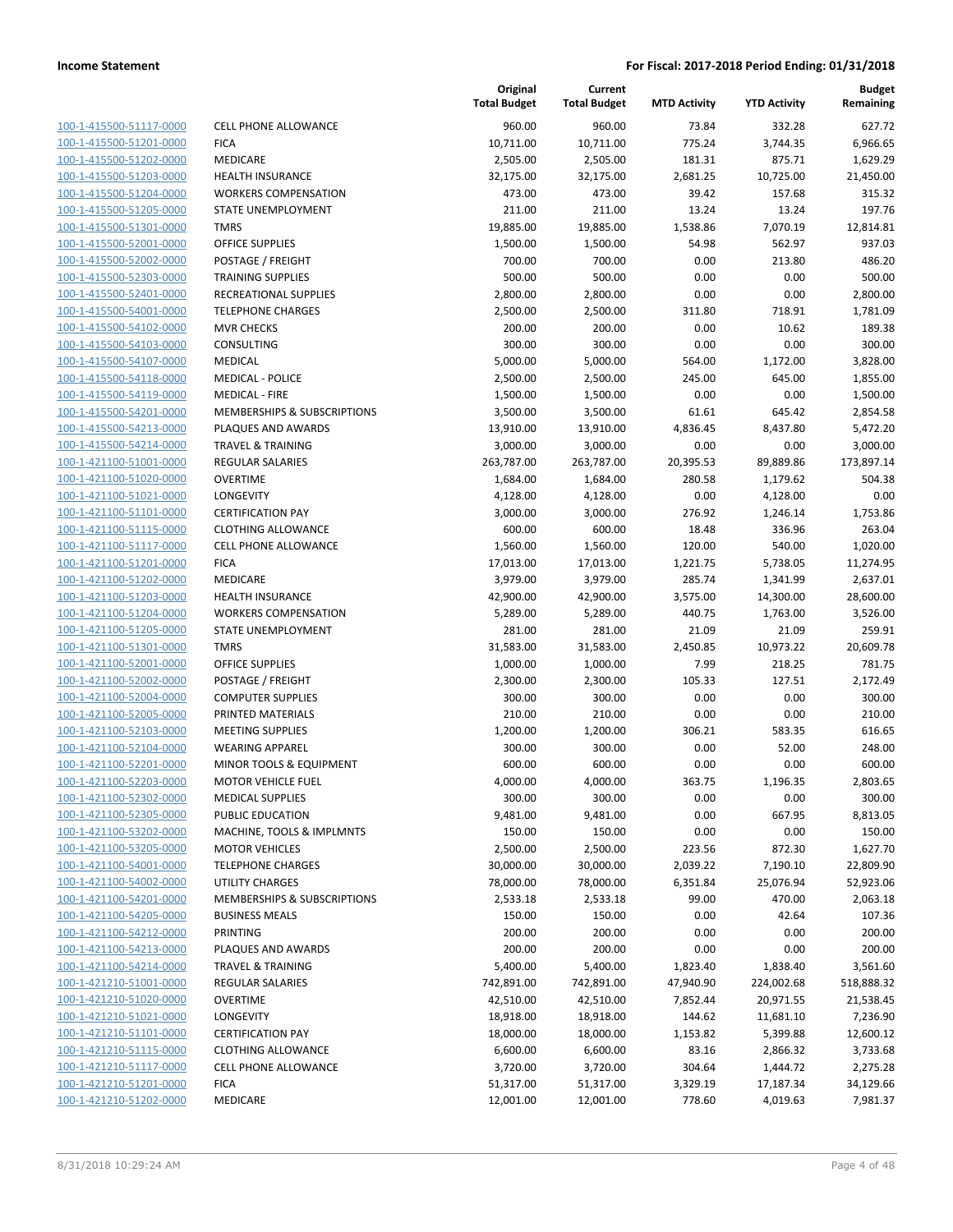| 100-1-415500-51117-0000        |
|--------------------------------|
| 100-1-415500-51201-0000        |
| 100-1-415500-51202-0000        |
| 100-1-415500-51203-0000        |
| 100-1-415500-51204-0000        |
| 100-1-415500-51205-0000        |
| 100-1-415500-51301-0000        |
| 100-1-415500-52001-0000        |
| 100-1-415500-52002-0000        |
| 100-1-415500-52303-0000        |
| 100-1-415500-52401-0000        |
| 100-1-415500-54001-0000        |
| 100-1-415500-54102-0000        |
| 100-1-415500-54103-0000        |
|                                |
| <u>100-1-415500-54107-0000</u> |
| 100-1-415500-54118-0000        |
| 100-1-415500-54119-0000        |
| 100-1-415500-54201-0000        |
| 100-1-415500-54213-0000        |
| 100-1-415500-54214-0000        |
| 100-1-421100-51001-0000        |
| 100-1-421100-51020-0000        |
| 100-1-421100-51021-0000        |
| 100-1-421100-51101-0000        |
| <u>100-1-421100-51115-0000</u> |
| 100-1-421100-51117-0000        |
| 100-1-421100-51201-0000        |
| 100-1-421100-51202-0000        |
| 100-1-421100-51203-0000        |
| 100-1-421100-51204-0000        |
| 100-1-421100-51205-0000        |
| 100-1-421100-51301-0000        |
|                                |
| 100-1-421100-52001-0000        |
| 100-1-421100-52002-0000        |
| 100-1-421100-52004-0000        |
| 100-1-421100-52005-0000        |
| 100-1-421100-52103-0000        |
| 100-1-421100-52104-0000        |
| 100-1-421100-52201-0000        |
| 100-1-421100-52203-0000        |
| 100-1-421100-52302-0000        |
| <u>100-1-421100-52305-0000</u> |
| 100-1-421100-53202-0000        |
| <u>100-1-421100-53205-0000</u> |
| 100-1-421100-54001-0000        |
| <u>100-1-421100-54002-0000</u> |
| 100-1-421100-54201-0000        |
| 100-1-421100-54205-0000        |
| <u>100-1-421100-54212-0000</u> |
|                                |
| 100-1-421100-54213-0000        |
| 100-1-421100-54214-0000        |
| 100-1-421210-51001-0000        |
| 100-1-421210-51020-0000        |
| <u>100-1-421210-51021-0000</u> |
| 100-1-421210-51101-0000        |
| <u>100-1-421210-51115-0000</u> |
| 100-1-421210-51117-0000        |
| 100-1-421210-51201-0000        |
| 100-1-421210-51202-0000        |
|                                |

| CELL PHONE ALLOWANCE                       |
|--------------------------------------------|
| <b>ICA</b>                                 |
| MEDICARE                                   |
| <b>IEALTH INSURANCE</b>                    |
| <b>NORKERS COMPENSATION</b>                |
| TATE UNEMPLOYMENT                          |
| <b>MRS</b>                                 |
| <b>DFFICE SUPPLIES</b>                     |
| POSTAGE / FREIGHT                          |
| <b>RAINING SUPPLIES</b>                    |
| RECREATIONAL SUPPLIES                      |
| <b>ELEPHONE CHARGES</b>                    |
| MVR CHECKS                                 |
| Consulting                                 |
| MEDICAL                                    |
| <b>MEDICAL - POLICE</b>                    |
| <b>MEDICAL - FIRE</b>                      |
| MEMBERSHIPS & SUBSCRIPTIONS                |
| <b>LAQUES AND AWARDS</b>                   |
| <b>RAVEL &amp; TRAINING</b>                |
| REGULAR SALARIES                           |
| <b>DVERTIME</b>                            |
| ONGEVITY.                                  |
| <b>CERTIFICATION PAY</b>                   |
| CLOTHING ALLOWANCE<br>CELL PHONE ALLOWANCE |
| <b>ICA</b>                                 |
| MEDICARE                                   |
| <b>IEALTH INSURANCE</b>                    |
| <b>NORKERS COMPENSATION</b>                |
| TATE UNEMPLOYMENT                          |
| MRS <sup>.</sup>                           |
| <b>DFFICE SUPPLIES</b>                     |
| POSTAGE / FREIGHT                          |
| COMPUTER SUPPLIES                          |
| <b>PRINTED MATERIALS</b>                   |
| <b>MEETING SUPPLIES</b>                    |
| VEARING APPAREL                            |
| MINOR TOOLS & EQUIPMENT                    |
| MOTOR VEHICLE FUEL                         |
| <b>MEDICAL SUPPLIES</b>                    |
| <b>UBLIC EDUCATION</b>                     |
| <b>MACHINE, TOOLS &amp; IMPLMNTS</b>       |
| <b>MOTOR VEHICLES</b>                      |
| <b>ELEPHONE CHARGES</b>                    |
| <b>JTILITY CHARGES</b>                     |
| <b>MEMBERSHIPS &amp; SUBSCRIPTIONS</b>     |
| <b>BUSINESS MEALS</b>                      |
| <b>PRINTING</b>                            |
| <b>LAQUES AND AWARDS</b>                   |
| <b>RAVEL &amp; TRAINING</b>                |
| <b>REGULAR SALARIES</b>                    |
| <b>DVERTIME</b>                            |
| ONGEVITY.                                  |
| <b>CERTIFICATION PAY</b>                   |
| <b>LOTHING ALLOWANCE</b>                   |
| CELL PHONE ALLOWANCE                       |
| <b>ICA</b>                                 |
| <b>AFDICARE</b>                            |

|                                                    |                                                   | Original<br><b>Total Budget</b> | Current<br><b>Total Budget</b> | <b>MTD Activity</b> | <b>YTD Activity</b>   | <b>Budget</b><br>Remaining |
|----------------------------------------------------|---------------------------------------------------|---------------------------------|--------------------------------|---------------------|-----------------------|----------------------------|
| 100-1-415500-51117-0000                            | <b>CELL PHONE ALLOWANCE</b>                       | 960.00                          | 960.00                         | 73.84               | 332.28                | 627.72                     |
| 100-1-415500-51201-0000                            | <b>FICA</b>                                       | 10,711.00                       | 10,711.00                      | 775.24              | 3,744.35              | 6,966.65                   |
| 100-1-415500-51202-0000                            | <b>MEDICARE</b>                                   | 2,505.00                        | 2,505.00                       | 181.31              | 875.71                | 1,629.29                   |
| 100-1-415500-51203-0000                            | <b>HEALTH INSURANCE</b>                           | 32,175.00                       | 32,175.00                      | 2,681.25            | 10,725.00             | 21,450.00                  |
| 100-1-415500-51204-0000                            | <b>WORKERS COMPENSATION</b>                       | 473.00                          | 473.00                         | 39.42               | 157.68                | 315.32                     |
| 100-1-415500-51205-0000                            | STATE UNEMPLOYMENT                                | 211.00                          | 211.00                         | 13.24               | 13.24                 | 197.76                     |
| 100-1-415500-51301-0000                            | <b>TMRS</b>                                       | 19,885.00                       | 19,885.00                      | 1,538.86            | 7,070.19              | 12,814.81                  |
| 100-1-415500-52001-0000                            | <b>OFFICE SUPPLIES</b>                            | 1,500.00                        | 1,500.00                       | 54.98               | 562.97                | 937.03                     |
| 100-1-415500-52002-0000                            | POSTAGE / FREIGHT                                 | 700.00                          | 700.00                         | 0.00                | 213.80                | 486.20                     |
| 100-1-415500-52303-0000                            | <b>TRAINING SUPPLIES</b>                          | 500.00                          | 500.00                         | 0.00                | 0.00                  | 500.00                     |
| 100-1-415500-52401-0000                            | <b>RECREATIONAL SUPPLIES</b>                      | 2,800.00                        | 2,800.00                       | 0.00                | 0.00                  | 2,800.00                   |
| 100-1-415500-54001-0000                            | <b>TELEPHONE CHARGES</b>                          | 2,500.00                        | 2,500.00                       | 311.80              | 718.91                | 1,781.09                   |
| 100-1-415500-54102-0000                            | <b>MVR CHECKS</b>                                 | 200.00                          | 200.00                         | 0.00                | 10.62                 | 189.38                     |
| 100-1-415500-54103-0000                            | CONSULTING                                        | 300.00                          | 300.00                         | 0.00                | 0.00                  | 300.00                     |
| 100-1-415500-54107-0000                            | <b>MEDICAL</b>                                    | 5,000.00                        | 5,000.00                       | 564.00              | 1,172.00              | 3,828.00                   |
| 100-1-415500-54118-0000                            | <b>MEDICAL - POLICE</b>                           | 2,500.00                        | 2,500.00                       | 245.00              | 645.00                | 1,855.00                   |
| 100-1-415500-54119-0000                            | <b>MEDICAL - FIRE</b>                             | 1,500.00                        | 1,500.00                       | 0.00                | 0.00                  | 1,500.00                   |
| 100-1-415500-54201-0000<br>100-1-415500-54213-0000 | MEMBERSHIPS & SUBSCRIPTIONS<br>PLAQUES AND AWARDS | 3,500.00                        | 3,500.00                       | 61.61               | 645.42                | 2,854.58                   |
|                                                    | <b>TRAVEL &amp; TRAINING</b>                      | 13,910.00                       | 13,910.00                      | 4,836.45            | 8,437.80              | 5,472.20                   |
| 100-1-415500-54214-0000                            |                                                   | 3,000.00                        | 3,000.00                       | 0.00                | 0.00                  | 3,000.00<br>173,897.14     |
| 100-1-421100-51001-0000<br>100-1-421100-51020-0000 | <b>REGULAR SALARIES</b><br><b>OVERTIME</b>        | 263,787.00                      | 263,787.00<br>1,684.00         | 20,395.53<br>280.58 | 89,889.86<br>1,179.62 | 504.38                     |
| 100-1-421100-51021-0000                            | LONGEVITY                                         | 1,684.00                        |                                | 0.00                | 4,128.00              | 0.00                       |
| 100-1-421100-51101-0000                            | <b>CERTIFICATION PAY</b>                          | 4,128.00<br>3,000.00            | 4,128.00<br>3,000.00           | 276.92              | 1,246.14              | 1,753.86                   |
| 100-1-421100-51115-0000                            | <b>CLOTHING ALLOWANCE</b>                         | 600.00                          | 600.00                         | 18.48               | 336.96                | 263.04                     |
| 100-1-421100-51117-0000                            | <b>CELL PHONE ALLOWANCE</b>                       | 1,560.00                        | 1,560.00                       | 120.00              | 540.00                | 1,020.00                   |
| 100-1-421100-51201-0000                            | <b>FICA</b>                                       | 17,013.00                       | 17,013.00                      | 1,221.75            | 5,738.05              | 11,274.95                  |
| 100-1-421100-51202-0000                            | MEDICARE                                          | 3,979.00                        | 3,979.00                       | 285.74              | 1,341.99              | 2,637.01                   |
| 100-1-421100-51203-0000                            | <b>HEALTH INSURANCE</b>                           | 42,900.00                       | 42,900.00                      | 3,575.00            | 14,300.00             | 28,600.00                  |
| 100-1-421100-51204-0000                            | <b>WORKERS COMPENSATION</b>                       | 5,289.00                        | 5,289.00                       | 440.75              | 1,763.00              | 3,526.00                   |
| 100-1-421100-51205-0000                            | STATE UNEMPLOYMENT                                | 281.00                          | 281.00                         | 21.09               | 21.09                 | 259.91                     |
| 100-1-421100-51301-0000                            | <b>TMRS</b>                                       | 31,583.00                       | 31,583.00                      | 2,450.85            | 10,973.22             | 20,609.78                  |
| 100-1-421100-52001-0000                            | <b>OFFICE SUPPLIES</b>                            | 1,000.00                        | 1,000.00                       | 7.99                | 218.25                | 781.75                     |
| 100-1-421100-52002-0000                            | POSTAGE / FREIGHT                                 | 2,300.00                        | 2,300.00                       | 105.33              | 127.51                | 2,172.49                   |
| 100-1-421100-52004-0000                            | <b>COMPUTER SUPPLIES</b>                          | 300.00                          | 300.00                         | 0.00                | 0.00                  | 300.00                     |
| 100-1-421100-52005-0000                            | PRINTED MATERIALS                                 | 210.00                          | 210.00                         | 0.00                | 0.00                  | 210.00                     |
| 100-1-421100-52103-0000                            | <b>MEETING SUPPLIES</b>                           | 1,200.00                        | 1,200.00                       | 306.21              | 583.35                | 616.65                     |
| 100-1-421100-52104-0000                            | <b>WEARING APPAREL</b>                            | 300.00                          | 300.00                         | 0.00                | 52.00                 | 248.00                     |
| 100-1-421100-52201-0000                            | MINOR TOOLS & EQUIPMENT                           | 600.00                          | 600.00                         | 0.00                | 0.00                  | 600.00                     |
| 100-1-421100-52203-0000                            | <b>MOTOR VEHICLE FUEL</b>                         | 4,000.00                        | 4,000.00                       | 363.75              | 1,196.35              | 2,803.65                   |
| 100-1-421100-52302-0000                            | <b>MEDICAL SUPPLIES</b>                           | 300.00                          | 300.00                         | 0.00                | 0.00                  | 300.00                     |
| 100-1-421100-52305-0000                            | PUBLIC EDUCATION                                  | 9,481.00                        | 9,481.00                       | 0.00                | 667.95                | 8,813.05                   |
| 100-1-421100-53202-0000                            | MACHINE, TOOLS & IMPLMNTS                         | 150.00                          | 150.00                         | 0.00                | 0.00                  | 150.00                     |
| 100-1-421100-53205-0000                            | <b>MOTOR VEHICLES</b>                             | 2,500.00                        | 2,500.00                       | 223.56              | 872.30                | 1,627.70                   |
| 100-1-421100-54001-0000                            | <b>TELEPHONE CHARGES</b>                          | 30,000.00                       | 30,000.00                      | 2,039.22            | 7,190.10              | 22,809.90                  |
| 100-1-421100-54002-0000                            | UTILITY CHARGES                                   | 78,000.00                       | 78,000.00                      | 6,351.84            | 25,076.94             | 52,923.06                  |
| 100-1-421100-54201-0000                            | MEMBERSHIPS & SUBSCRIPTIONS                       | 2,533.18                        | 2,533.18                       | 99.00               | 470.00                | 2,063.18                   |
| 100-1-421100-54205-0000                            | <b>BUSINESS MEALS</b>                             | 150.00                          | 150.00                         | 0.00                | 42.64                 | 107.36                     |
| 100-1-421100-54212-0000                            | <b>PRINTING</b>                                   | 200.00                          | 200.00                         | 0.00                | 0.00                  | 200.00                     |
| 100-1-421100-54213-0000                            | PLAQUES AND AWARDS                                | 200.00                          | 200.00                         | 0.00                | 0.00                  | 200.00                     |
| 100-1-421100-54214-0000                            | <b>TRAVEL &amp; TRAINING</b>                      | 5,400.00                        | 5,400.00                       | 1,823.40            | 1,838.40              | 3,561.60                   |
| 100-1-421210-51001-0000                            | <b>REGULAR SALARIES</b>                           | 742,891.00                      | 742,891.00                     | 47,940.90           | 224,002.68            | 518,888.32                 |
| 100-1-421210-51020-0000                            | <b>OVERTIME</b>                                   | 42,510.00                       | 42,510.00                      | 7,852.44            | 20,971.55             | 21,538.45                  |
| 100-1-421210-51021-0000                            | LONGEVITY                                         | 18,918.00                       | 18,918.00                      | 144.62              | 11,681.10             | 7,236.90                   |
| 100-1-421210-51101-0000                            | <b>CERTIFICATION PAY</b>                          | 18,000.00                       | 18,000.00                      | 1,153.82            | 5,399.88              | 12,600.12                  |
| 100-1-421210-51115-0000                            | <b>CLOTHING ALLOWANCE</b>                         | 6,600.00                        | 6,600.00                       | 83.16               | 2,866.32              | 3,733.68                   |
| 100-1-421210-51117-0000                            | <b>CELL PHONE ALLOWANCE</b>                       | 3,720.00                        | 3,720.00                       | 304.64              | 1,444.72              | 2,275.28                   |
| 100-1-421210-51201-0000                            | <b>FICA</b>                                       | 51,317.00                       | 51,317.00                      | 3,329.19            | 17,187.34             | 34,129.66                  |
| 100-1-421210-51202-0000                            | MEDICARE                                          | 12,001.00                       | 12,001.00                      | 778.60              | 4,019.63              | 7,981.37                   |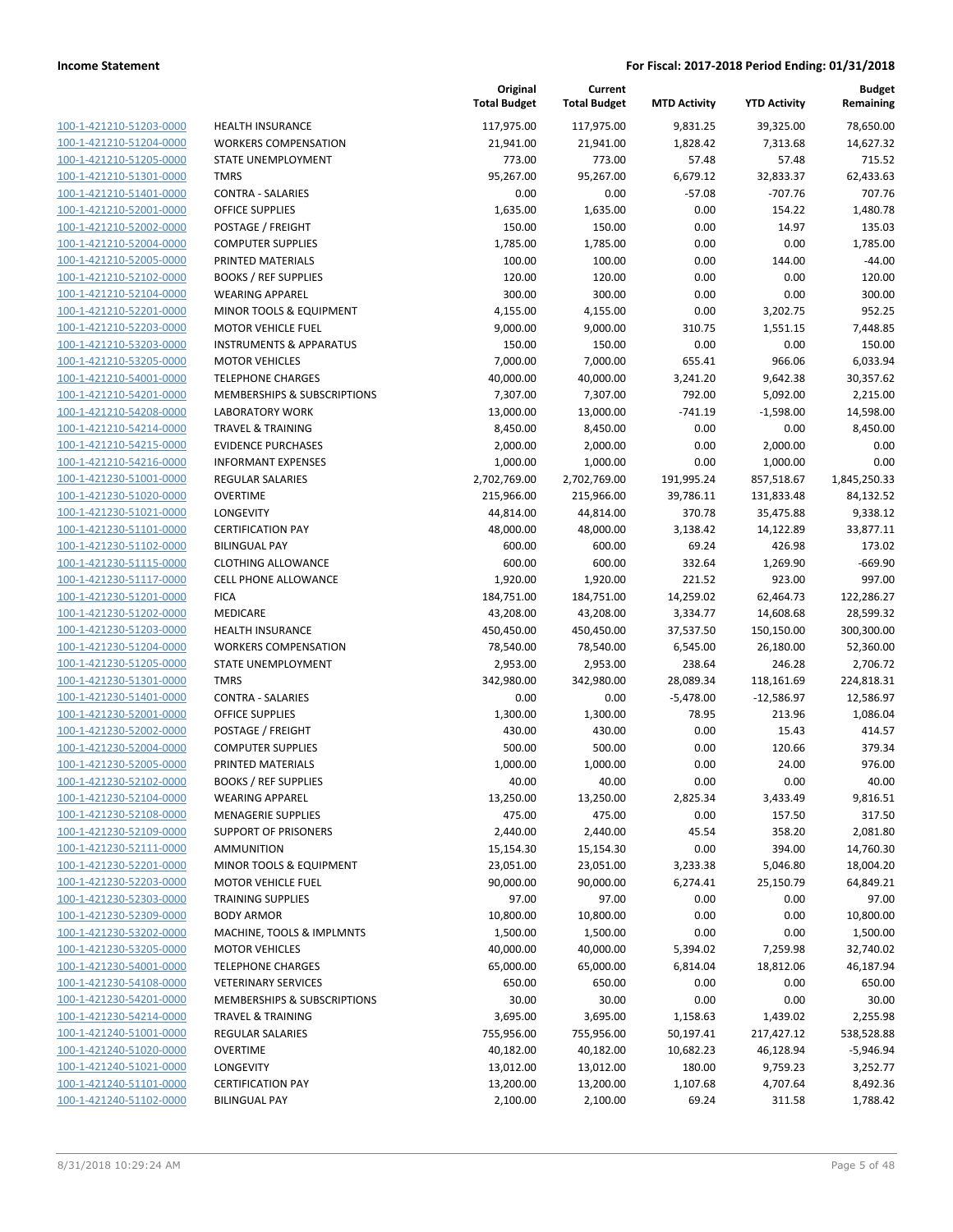| 100-1-421210-51203-0000        |
|--------------------------------|
| 100-1-421210-51204-0000        |
| 100-1-421210-51205-0000        |
| 100-1-421210-51301-0000        |
| <u>100-1-421210-51401-0000</u> |
| 100-1-421210-52001-0000        |
| 100-1-421210-52002-0000        |
| 100-1-421210-52004-0000        |
|                                |
| 100-1-421210-52005-0000        |
| 100-1-421210-52102-0000        |
| 100-1-421210-52104-0000        |
| 100-1-421210-52201-0000        |
| 100-1-421210-52203-0000        |
| 100-1-421210-53203-0000        |
| <u>100-1-421210-53205-0000</u> |
| 100-1-421210-54001-0000        |
| 100-1-421210-54201-0000        |
| 100-1-421210-54208-0000        |
| 100-1-421210-54214-0000        |
|                                |
| 100-1-421210-54215-0000        |
| 100-1-421210-54216-0000        |
| 100-1-421230-51001-0000        |
| 100-1-421230-51020-0000        |
| 100-1-421230-51021-0000        |
| 100-1-421230-51101-0000        |
| 100-1-421230-51102-0000        |
| 100-1-421230-51115-0000        |
| 100-1-421230-51117-0000        |
| 100-1-421230-51201-0000        |
| 100-1-421230-51202-0000        |
| 100-1-421230-51203-0000        |
| 100-1-421230-51204-0000        |
| 100-1-421230-51205-0000        |
|                                |
| 100-1-421230-51301-0000        |
| <u>100-1-421230-51401-0000</u> |
| 100-1-421230-52001-0000        |
| 100-1-421230-52002-0000        |
| 100-1-421230-52004-0000        |
| 100-1-421230-52005-0000        |
| 100-1-421230-52102-0000        |
| 100-1-421230-52104-0000        |
| 100-1-421230-52108-0000        |
| 100-1-421230-52109-0000        |
| <u>100-1-421230-52111-0000</u> |
| 100-1-421230-52201-0000        |
|                                |
| 100-1-421230-52203-0000        |
| 100-1-421230-52303-0000        |
| 100-1-421230-52309-0000        |
| 100-1-421230-53202-0000        |
| 100-1-421230-53205-0000        |
| <u>100-1-421230-54001-0000</u> |
| 100-1-421230-54108-0000        |
| 100-1-421230-54201-0000        |
| 100-1-421230-54214-0000        |
| <u>100-1-421240-51001-0000</u> |
| <u>100-1-421240-51020-0000</u> |
| 100-1-421240-51021-0000        |
| 100-1-421240-51101-0000        |
|                                |
| 100-1-421240-51102-0000        |

|                                                    |                                     | Original<br><b>Total Budget</b> | Current<br><b>Total Budget</b> | <b>MTD Activity</b>   | <b>YTD Activity</b>     | <b>Budget</b><br>Remaining |
|----------------------------------------------------|-------------------------------------|---------------------------------|--------------------------------|-----------------------|-------------------------|----------------------------|
| 100-1-421210-51203-0000                            | <b>HEALTH INSURANCE</b>             | 117,975.00                      | 117,975.00                     | 9,831.25              | 39,325.00               | 78,650.00                  |
| 100-1-421210-51204-0000                            | <b>WORKERS COMPENSATION</b>         | 21,941.00                       | 21,941.00                      | 1,828.42              | 7,313.68                | 14,627.32                  |
| 100-1-421210-51205-0000                            | STATE UNEMPLOYMENT                  | 773.00                          | 773.00                         | 57.48                 | 57.48                   | 715.52                     |
| 100-1-421210-51301-0000                            | <b>TMRS</b>                         | 95,267.00                       | 95,267.00                      | 6,679.12              | 32,833.37               | 62,433.63                  |
| 100-1-421210-51401-0000                            | <b>CONTRA - SALARIES</b>            | 0.00                            | 0.00                           | $-57.08$              | $-707.76$               | 707.76                     |
| 100-1-421210-52001-0000                            | <b>OFFICE SUPPLIES</b>              | 1,635.00                        | 1,635.00                       | 0.00                  | 154.22                  | 1,480.78                   |
| 100-1-421210-52002-0000                            | POSTAGE / FREIGHT                   | 150.00                          | 150.00                         | 0.00                  | 14.97                   | 135.03                     |
| 100-1-421210-52004-0000                            | <b>COMPUTER SUPPLIES</b>            | 1,785.00                        | 1,785.00                       | 0.00                  | 0.00                    | 1,785.00                   |
| 100-1-421210-52005-0000                            | PRINTED MATERIALS                   | 100.00                          | 100.00                         | 0.00                  | 144.00                  | -44.00                     |
| 100-1-421210-52102-0000                            | <b>BOOKS / REF SUPPLIES</b>         | 120.00                          | 120.00                         | 0.00                  | 0.00                    | 120.00                     |
| 100-1-421210-52104-0000                            | <b>WEARING APPAREL</b>              | 300.00                          | 300.00                         | 0.00                  | 0.00                    | 300.00                     |
| 100-1-421210-52201-0000                            | MINOR TOOLS & EQUIPMENT             | 4,155.00                        | 4,155.00                       | 0.00                  | 3,202.75                | 952.25                     |
| 100-1-421210-52203-0000                            | <b>MOTOR VEHICLE FUEL</b>           | 9,000.00                        | 9,000.00                       | 310.75                | 1,551.15                | 7,448.85                   |
| 100-1-421210-53203-0000                            | <b>INSTRUMENTS &amp; APPARATUS</b>  | 150.00                          | 150.00                         | 0.00                  | 0.00                    | 150.00                     |
| 100-1-421210-53205-0000                            | <b>MOTOR VEHICLES</b>               | 7,000.00                        | 7,000.00                       | 655.41                | 966.06                  | 6,033.94                   |
| 100-1-421210-54001-0000                            | <b>TELEPHONE CHARGES</b>            | 40,000.00                       | 40,000.00                      | 3,241.20              | 9,642.38                | 30,357.62                  |
| 100-1-421210-54201-0000                            | MEMBERSHIPS & SUBSCRIPTIONS         | 7,307.00                        | 7,307.00                       | 792.00                | 5,092.00                | 2,215.00                   |
| 100-1-421210-54208-0000                            | <b>LABORATORY WORK</b>              | 13,000.00                       | 13,000.00                      | $-741.19$             | $-1,598.00$             | 14,598.00                  |
| 100-1-421210-54214-0000                            | <b>TRAVEL &amp; TRAINING</b>        | 8,450.00                        | 8,450.00                       | 0.00                  | 0.00                    | 8,450.00                   |
| 100-1-421210-54215-0000                            | <b>EVIDENCE PURCHASES</b>           | 2,000.00                        | 2,000.00                       | 0.00                  | 2,000.00                | 0.00                       |
| 100-1-421210-54216-0000                            | <b>INFORMANT EXPENSES</b>           | 1,000.00                        | 1,000.00                       | 0.00                  | 1,000.00                | 0.00                       |
| 100-1-421230-51001-0000                            | <b>REGULAR SALARIES</b>             | 2,702,769.00                    | 2,702,769.00                   | 191,995.24            | 857,518.67              | 1,845,250.33               |
| 100-1-421230-51020-0000                            | <b>OVERTIME</b>                     | 215,966.00                      | 215,966.00                     | 39,786.11             | 131,833.48              | 84,132.52                  |
| 100-1-421230-51021-0000                            | LONGEVITY                           | 44,814.00                       | 44,814.00                      | 370.78                | 35,475.88               | 9,338.12                   |
| 100-1-421230-51101-0000                            | <b>CERTIFICATION PAY</b>            | 48,000.00                       | 48,000.00                      | 3,138.42              | 14,122.89               | 33,877.11                  |
| 100-1-421230-51102-0000                            | <b>BILINGUAL PAY</b>                | 600.00                          | 600.00                         | 69.24                 | 426.98                  | 173.02                     |
| 100-1-421230-51115-0000                            | <b>CLOTHING ALLOWANCE</b>           | 600.00                          | 600.00                         | 332.64                | 1,269.90                | $-669.90$                  |
| 100-1-421230-51117-0000                            | <b>CELL PHONE ALLOWANCE</b>         | 1,920.00                        | 1,920.00                       | 221.52                | 923.00                  | 997.00                     |
| 100-1-421230-51201-0000                            | <b>FICA</b>                         | 184,751.00                      | 184,751.00                     | 14,259.02             | 62,464.73               | 122,286.27                 |
| 100-1-421230-51202-0000<br>100-1-421230-51203-0000 | MEDICARE<br><b>HEALTH INSURANCE</b> | 43,208.00<br>450,450.00         | 43,208.00<br>450,450.00        | 3,334.77<br>37,537.50 | 14,608.68<br>150,150.00 | 28,599.32<br>300,300.00    |
| 100-1-421230-51204-0000                            | <b>WORKERS COMPENSATION</b>         | 78,540.00                       | 78,540.00                      | 6,545.00              | 26,180.00               | 52,360.00                  |
| 100-1-421230-51205-0000                            | STATE UNEMPLOYMENT                  | 2,953.00                        | 2,953.00                       | 238.64                | 246.28                  | 2,706.72                   |
| 100-1-421230-51301-0000                            | <b>TMRS</b>                         | 342,980.00                      | 342,980.00                     | 28,089.34             | 118,161.69              | 224,818.31                 |
| 100-1-421230-51401-0000                            | <b>CONTRA - SALARIES</b>            | 0.00                            | 0.00                           | $-5,478.00$           | $-12,586.97$            | 12,586.97                  |
| 100-1-421230-52001-0000                            | <b>OFFICE SUPPLIES</b>              | 1,300.00                        | 1,300.00                       | 78.95                 | 213.96                  | 1,086.04                   |
| 100-1-421230-52002-0000                            | POSTAGE / FREIGHT                   | 430.00                          | 430.00                         | 0.00                  | 15.43                   | 414.57                     |
| 100-1-421230-52004-0000                            | <b>COMPUTER SUPPLIES</b>            | 500.00                          | 500.00                         | 0.00                  | 120.66                  | 379.34                     |
| 100-1-421230-52005-0000                            | PRINTED MATERIALS                   | 1,000.00                        | 1,000.00                       | 0.00                  | 24.00                   | 976.00                     |
| 100-1-421230-52102-0000                            | <b>BOOKS / REF SUPPLIES</b>         | 40.00                           | 40.00                          | 0.00                  | 0.00                    | 40.00                      |
| 100-1-421230-52104-0000                            | <b>WEARING APPAREL</b>              | 13,250.00                       | 13,250.00                      | 2,825.34              | 3,433.49                | 9,816.51                   |
| 100-1-421230-52108-0000                            | <b>MENAGERIE SUPPLIES</b>           | 475.00                          | 475.00                         | 0.00                  | 157.50                  | 317.50                     |
| 100-1-421230-52109-0000                            | <b>SUPPORT OF PRISONERS</b>         | 2,440.00                        | 2,440.00                       | 45.54                 | 358.20                  | 2,081.80                   |
| 100-1-421230-52111-0000                            | <b>AMMUNITION</b>                   | 15,154.30                       | 15,154.30                      | 0.00                  | 394.00                  | 14,760.30                  |
| 100-1-421230-52201-0000                            | MINOR TOOLS & EQUIPMENT             | 23,051.00                       | 23,051.00                      | 3,233.38              | 5,046.80                | 18,004.20                  |
| 100-1-421230-52203-0000                            | <b>MOTOR VEHICLE FUEL</b>           | 90,000.00                       | 90,000.00                      | 6,274.41              | 25,150.79               | 64,849.21                  |
| 100-1-421230-52303-0000                            | <b>TRAINING SUPPLIES</b>            | 97.00                           | 97.00                          | 0.00                  | 0.00                    | 97.00                      |
| 100-1-421230-52309-0000                            | <b>BODY ARMOR</b>                   | 10,800.00                       | 10,800.00                      | 0.00                  | 0.00                    | 10,800.00                  |
| 100-1-421230-53202-0000                            | MACHINE, TOOLS & IMPLMNTS           | 1,500.00                        | 1,500.00                       | 0.00                  | 0.00                    | 1,500.00                   |
| 100-1-421230-53205-0000                            | <b>MOTOR VEHICLES</b>               | 40,000.00                       | 40,000.00                      | 5,394.02              | 7,259.98                | 32,740.02                  |
| 100-1-421230-54001-0000                            | <b>TELEPHONE CHARGES</b>            | 65,000.00                       | 65,000.00                      | 6,814.04              | 18,812.06               | 46,187.94                  |
| 100-1-421230-54108-0000                            | <b>VETERINARY SERVICES</b>          | 650.00                          | 650.00                         | 0.00                  | 0.00                    | 650.00                     |
| 100-1-421230-54201-0000                            | MEMBERSHIPS & SUBSCRIPTIONS         | 30.00                           | 30.00                          | 0.00                  | 0.00                    | 30.00                      |
| 100-1-421230-54214-0000                            | <b>TRAVEL &amp; TRAINING</b>        | 3,695.00                        | 3,695.00                       | 1,158.63              | 1,439.02                | 2,255.98                   |
| 100-1-421240-51001-0000                            | <b>REGULAR SALARIES</b>             | 755,956.00                      | 755,956.00                     | 50,197.41             | 217,427.12              | 538,528.88                 |
| 100-1-421240-51020-0000                            | <b>OVERTIME</b>                     | 40,182.00                       | 40,182.00                      | 10,682.23             | 46,128.94               | $-5,946.94$                |
| 100-1-421240-51021-0000                            | LONGEVITY                           | 13,012.00                       | 13,012.00                      | 180.00                | 9,759.23                | 3,252.77                   |
| 100-1-421240-51101-0000                            | <b>CERTIFICATION PAY</b>            | 13,200.00                       | 13,200.00                      | 1,107.68              | 4,707.64                | 8,492.36                   |
| 100-1-421240-51102-0000                            | <b>BILINGUAL PAY</b>                | 2,100.00                        | 2,100.00                       | 69.24                 | 311.58                  | 1,788.42                   |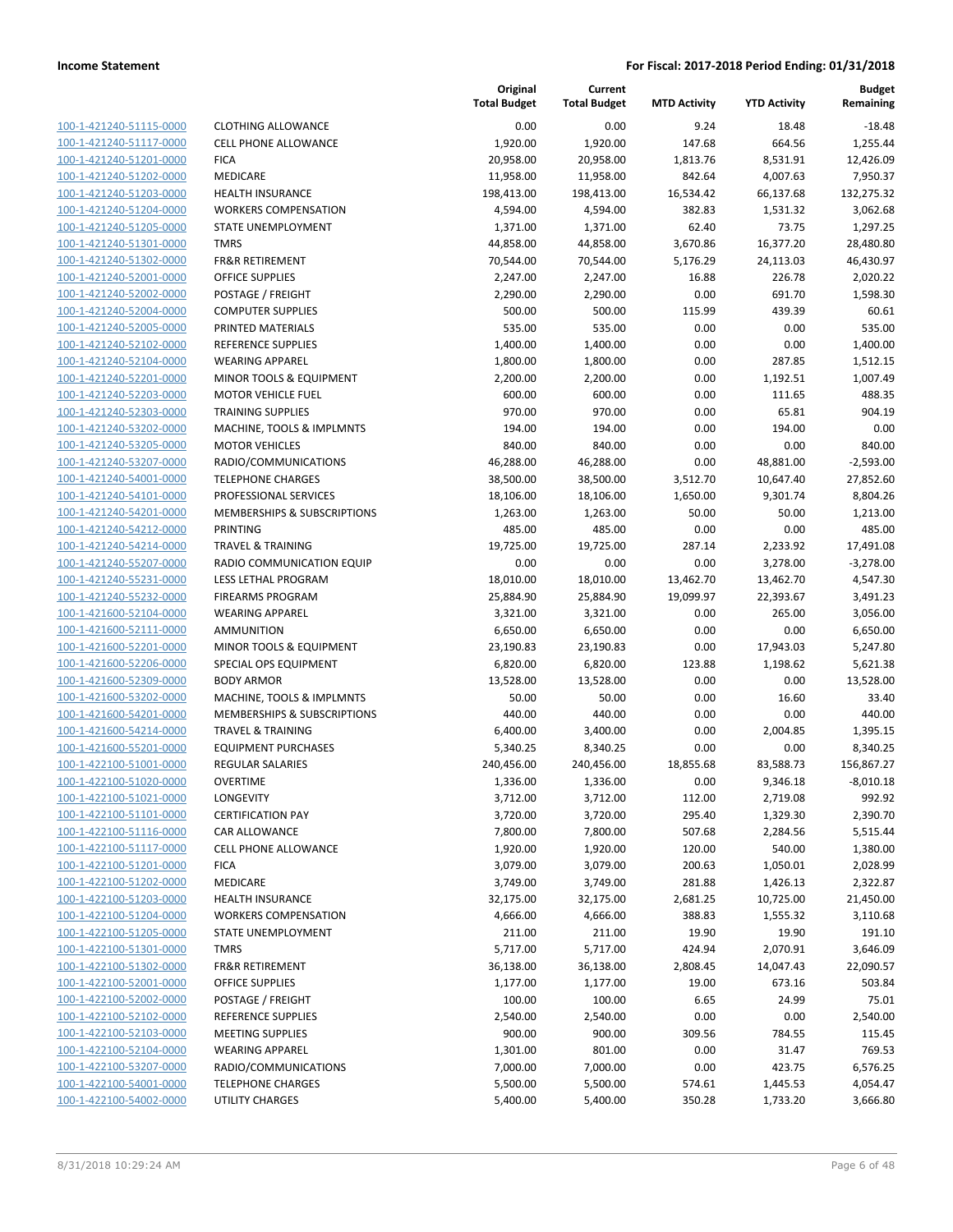|                         |                              | Original<br><b>Total Budget</b> | Current<br><b>Total Budget</b> | <b>MTD Activity</b> | <b>YTD Activity</b> | <b>Budget</b><br>Remaining |
|-------------------------|------------------------------|---------------------------------|--------------------------------|---------------------|---------------------|----------------------------|
| 100-1-421240-51115-0000 | <b>CLOTHING ALLOWANCE</b>    | 0.00                            | 0.00                           | 9.24                | 18.48               | $-18.48$                   |
| 100-1-421240-51117-0000 | <b>CELL PHONE ALLOWANCE</b>  | 1,920.00                        | 1,920.00                       | 147.68              | 664.56              | 1,255.44                   |
| 100-1-421240-51201-0000 | <b>FICA</b>                  | 20,958.00                       | 20,958.00                      | 1,813.76            | 8,531.91            | 12,426.09                  |
| 100-1-421240-51202-0000 | <b>MEDICARE</b>              | 11,958.00                       | 11,958.00                      | 842.64              | 4,007.63            | 7,950.37                   |
| 100-1-421240-51203-0000 | <b>HEALTH INSURANCE</b>      | 198,413.00                      | 198,413.00                     | 16,534.42           | 66,137.68           | 132,275.32                 |
| 100-1-421240-51204-0000 | <b>WORKERS COMPENSATION</b>  | 4,594.00                        | 4,594.00                       | 382.83              | 1,531.32            | 3,062.68                   |
| 100-1-421240-51205-0000 | STATE UNEMPLOYMENT           | 1,371.00                        | 1,371.00                       | 62.40               | 73.75               | 1,297.25                   |
| 100-1-421240-51301-0000 | <b>TMRS</b>                  | 44,858.00                       | 44,858.00                      | 3,670.86            | 16,377.20           | 28,480.80                  |
| 100-1-421240-51302-0000 | <b>FR&amp;R RETIREMENT</b>   | 70,544.00                       | 70,544.00                      | 5,176.29            | 24,113.03           | 46,430.97                  |
| 100-1-421240-52001-0000 | <b>OFFICE SUPPLIES</b>       | 2,247.00                        | 2,247.00                       | 16.88               | 226.78              | 2,020.22                   |
| 100-1-421240-52002-0000 | POSTAGE / FREIGHT            | 2,290.00                        | 2,290.00                       | 0.00                | 691.70              | 1,598.30                   |
| 100-1-421240-52004-0000 | <b>COMPUTER SUPPLIES</b>     | 500.00                          | 500.00                         | 115.99              | 439.39              | 60.61                      |
| 100-1-421240-52005-0000 | PRINTED MATERIALS            | 535.00                          | 535.00                         | 0.00                | 0.00                | 535.00                     |
| 100-1-421240-52102-0000 | <b>REFERENCE SUPPLIES</b>    | 1,400.00                        | 1,400.00                       | 0.00                | 0.00                | 1,400.00                   |
| 100-1-421240-52104-0000 | <b>WEARING APPAREL</b>       | 1,800.00                        | 1,800.00                       | 0.00                | 287.85              | 1,512.15                   |
| 100-1-421240-52201-0000 | MINOR TOOLS & EQUIPMENT      | 2,200.00                        | 2,200.00                       | 0.00                | 1,192.51            | 1,007.49                   |
| 100-1-421240-52203-0000 | <b>MOTOR VEHICLE FUEL</b>    | 600.00                          | 600.00                         | 0.00                | 111.65              | 488.35                     |
| 100-1-421240-52303-0000 | <b>TRAINING SUPPLIES</b>     | 970.00                          | 970.00                         | 0.00                | 65.81               | 904.19                     |
| 100-1-421240-53202-0000 | MACHINE, TOOLS & IMPLMNTS    | 194.00                          | 194.00                         | 0.00                | 194.00              | 0.00                       |
| 100-1-421240-53205-0000 | <b>MOTOR VEHICLES</b>        | 840.00                          | 840.00                         | 0.00                | 0.00                | 840.00                     |
| 100-1-421240-53207-0000 | RADIO/COMMUNICATIONS         | 46,288.00                       | 46,288.00                      | 0.00                | 48,881.00           | $-2,593.00$                |
| 100-1-421240-54001-0000 | <b>TELEPHONE CHARGES</b>     | 38,500.00                       | 38,500.00                      | 3,512.70            | 10,647.40           | 27,852.60                  |
| 100-1-421240-54101-0000 | PROFESSIONAL SERVICES        | 18,106.00                       | 18,106.00                      | 1,650.00            | 9,301.74            | 8,804.26                   |
| 100-1-421240-54201-0000 | MEMBERSHIPS & SUBSCRIPTIONS  | 1,263.00                        | 1,263.00                       | 50.00               | 50.00               | 1,213.00                   |
| 100-1-421240-54212-0000 | PRINTING                     | 485.00                          | 485.00                         | 0.00                | 0.00                | 485.00                     |
| 100-1-421240-54214-0000 | <b>TRAVEL &amp; TRAINING</b> | 19,725.00                       | 19,725.00                      | 287.14              | 2,233.92            | 17,491.08                  |
| 100-1-421240-55207-0000 | RADIO COMMUNICATION EQUIP    | 0.00                            | 0.00                           | 0.00                | 3,278.00            | $-3,278.00$                |
| 100-1-421240-55231-0000 | LESS LETHAL PROGRAM          | 18,010.00                       | 18,010.00                      | 13,462.70           | 13,462.70           | 4,547.30                   |
| 100-1-421240-55232-0000 | <b>FIREARMS PROGRAM</b>      | 25,884.90                       | 25,884.90                      | 19,099.97           | 22,393.67           | 3,491.23                   |
| 100-1-421600-52104-0000 | <b>WEARING APPAREL</b>       | 3,321.00                        | 3,321.00                       | 0.00                | 265.00              | 3,056.00                   |
| 100-1-421600-52111-0000 | <b>AMMUNITION</b>            | 6,650.00                        | 6,650.00                       | 0.00                | 0.00                | 6,650.00                   |
| 100-1-421600-52201-0000 | MINOR TOOLS & EQUIPMENT      | 23,190.83                       | 23,190.83                      | 0.00                | 17,943.03           | 5,247.80                   |
| 100-1-421600-52206-0000 | SPECIAL OPS EQUIPMENT        | 6,820.00                        | 6,820.00                       | 123.88              | 1,198.62            | 5,621.38                   |
| 100-1-421600-52309-0000 | <b>BODY ARMOR</b>            | 13,528.00                       | 13,528.00                      | 0.00                | 0.00                | 13,528.00                  |
| 100-1-421600-53202-0000 | MACHINE, TOOLS & IMPLMNTS    | 50.00                           | 50.00                          | 0.00                | 16.60               | 33.40                      |
| 100-1-421600-54201-0000 | MEMBERSHIPS & SUBSCRIPTIONS  | 440.00                          | 440.00                         | 0.00                | 0.00                | 440.00                     |
| 100-1-421600-54214-0000 | <b>TRAVEL &amp; TRAINING</b> | 6,400.00                        | 3,400.00                       | 0.00                | 2,004.85            | 1,395.15                   |
| 100-1-421600-55201-0000 | <b>EQUIPMENT PURCHASES</b>   | 5,340.25                        | 8,340.25                       | 0.00                | 0.00                | 8,340.25                   |
| 100-1-422100-51001-0000 | <b>REGULAR SALARIES</b>      | 240,456.00                      | 240,456.00                     | 18,855.68           | 83,588.73           | 156,867.27                 |
| 100-1-422100-51020-0000 | OVERTIME                     | 1,336.00                        | 1,336.00                       | 0.00                | 9,346.18            | $-8,010.18$                |
| 100-1-422100-51021-0000 | LONGEVITY                    | 3,712.00                        | 3,712.00                       | 112.00              | 2,719.08            | 992.92                     |
| 100-1-422100-51101-0000 | <b>CERTIFICATION PAY</b>     | 3,720.00                        | 3,720.00                       | 295.40              | 1,329.30            | 2,390.70                   |
| 100-1-422100-51116-0000 | CAR ALLOWANCE                | 7,800.00                        | 7,800.00                       | 507.68              | 2,284.56            | 5,515.44                   |
| 100-1-422100-51117-0000 | <b>CELL PHONE ALLOWANCE</b>  | 1,920.00                        | 1,920.00                       | 120.00              | 540.00              | 1,380.00                   |
| 100-1-422100-51201-0000 | <b>FICA</b>                  | 3,079.00                        | 3,079.00                       | 200.63              | 1,050.01            | 2,028.99                   |
| 100-1-422100-51202-0000 | MEDICARE                     | 3,749.00                        | 3,749.00                       | 281.88              | 1,426.13            | 2,322.87                   |
| 100-1-422100-51203-0000 | <b>HEALTH INSURANCE</b>      | 32,175.00                       | 32,175.00                      | 2,681.25            | 10,725.00           | 21,450.00                  |
| 100-1-422100-51204-0000 | <b>WORKERS COMPENSATION</b>  | 4,666.00                        | 4,666.00                       | 388.83              | 1,555.32            | 3,110.68                   |
| 100-1-422100-51205-0000 | STATE UNEMPLOYMENT           | 211.00                          | 211.00                         | 19.90               | 19.90               | 191.10                     |
| 100-1-422100-51301-0000 | <b>TMRS</b>                  | 5,717.00                        | 5,717.00                       | 424.94              | 2,070.91            | 3,646.09                   |
| 100-1-422100-51302-0000 | <b>FR&amp;R RETIREMENT</b>   | 36,138.00                       | 36,138.00                      | 2,808.45            | 14,047.43           | 22,090.57                  |
| 100-1-422100-52001-0000 | OFFICE SUPPLIES              | 1,177.00                        | 1,177.00                       | 19.00               | 673.16              | 503.84                     |
| 100-1-422100-52002-0000 | POSTAGE / FREIGHT            | 100.00                          | 100.00                         | 6.65                | 24.99               | 75.01                      |
| 100-1-422100-52102-0000 | REFERENCE SUPPLIES           | 2,540.00                        | 2,540.00                       | 0.00                | 0.00                | 2,540.00                   |
| 100-1-422100-52103-0000 | <b>MEETING SUPPLIES</b>      | 900.00                          | 900.00                         | 309.56              | 784.55              | 115.45                     |
| 100-1-422100-52104-0000 | <b>WEARING APPAREL</b>       | 1,301.00                        | 801.00                         | 0.00                | 31.47               | 769.53                     |
| 100-1-422100-53207-0000 | RADIO/COMMUNICATIONS         | 7,000.00                        | 7,000.00                       | 0.00                | 423.75              | 6,576.25                   |
| 100-1-422100-54001-0000 | <b>TELEPHONE CHARGES</b>     | 5,500.00                        | 5,500.00                       |                     |                     | 4,054.47                   |
| 100-1-422100-54002-0000 | UTILITY CHARGES              | 5,400.00                        | 5,400.00                       | 574.61<br>350.28    | 1,445.53            |                            |
|                         |                              |                                 |                                |                     | 1,733.20            | 3,666.80                   |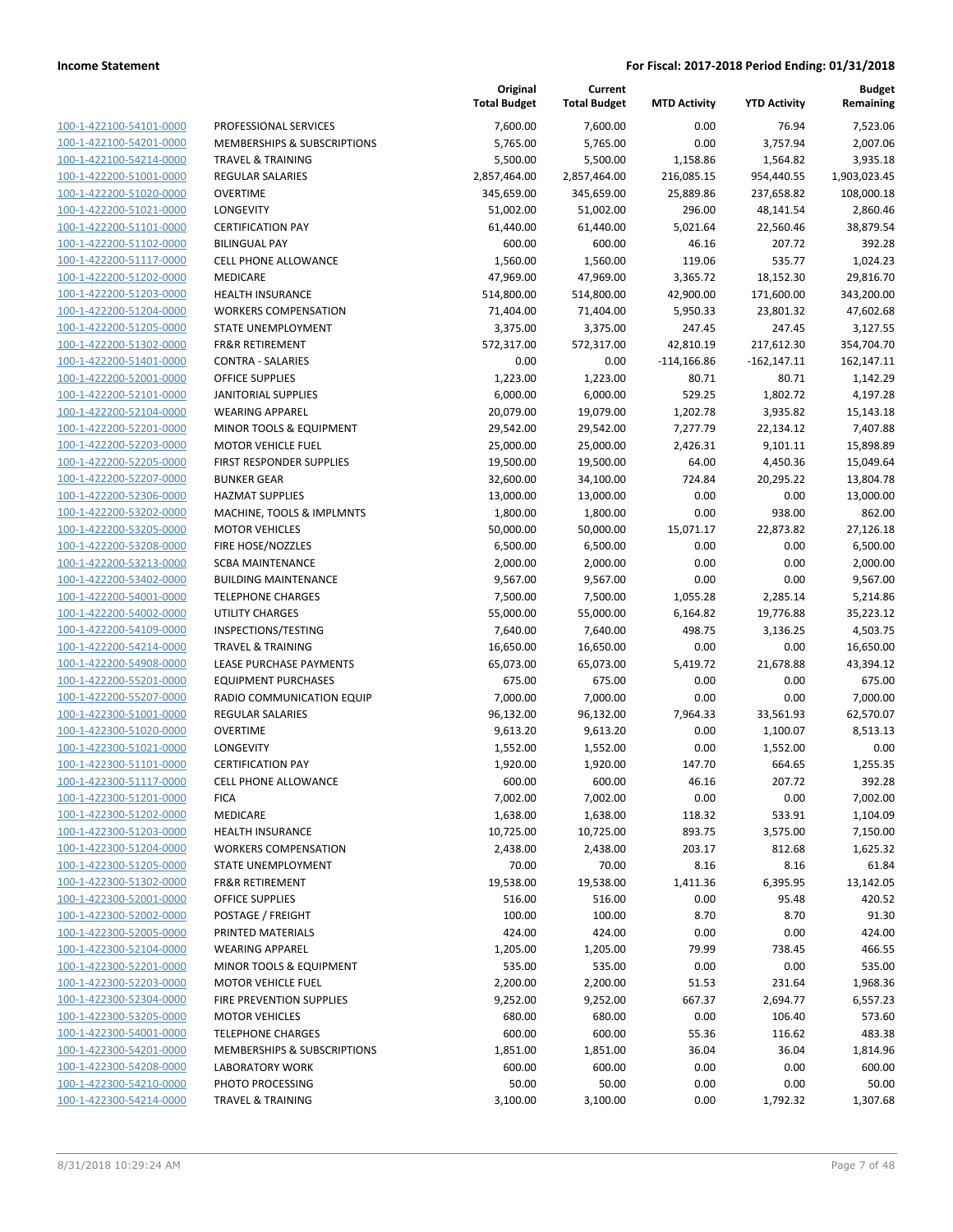|                         |                                    | Original<br><b>Total Budget</b> | Current<br><b>Total Budget</b> | <b>MTD Activity</b> | <b>YTD Activity</b> | Budget<br>Remaining |
|-------------------------|------------------------------------|---------------------------------|--------------------------------|---------------------|---------------------|---------------------|
| 100-1-422100-54101-0000 | PROFESSIONAL SERVICES              | 7,600.00                        | 7,600.00                       | 0.00                | 76.94               | 7,523.06            |
| 100-1-422100-54201-0000 | MEMBERSHIPS & SUBSCRIPTIONS        | 5,765.00                        | 5,765.00                       | 0.00                | 3,757.94            | 2,007.06            |
| 100-1-422100-54214-0000 | <b>TRAVEL &amp; TRAINING</b>       | 5,500.00                        | 5,500.00                       | 1,158.86            | 1,564.82            | 3,935.18            |
| 100-1-422200-51001-0000 | <b>REGULAR SALARIES</b>            | 2,857,464.00                    | 2,857,464.00                   | 216,085.15          | 954,440.55          | 1,903,023.45        |
| 100-1-422200-51020-0000 | <b>OVERTIME</b>                    | 345,659.00                      | 345,659.00                     | 25,889.86           | 237,658.82          | 108,000.18          |
| 100-1-422200-51021-0000 | LONGEVITY                          | 51,002.00                       | 51,002.00                      | 296.00              | 48,141.54           | 2,860.46            |
| 100-1-422200-51101-0000 | <b>CERTIFICATION PAY</b>           | 61,440.00                       | 61,440.00                      | 5,021.64            | 22,560.46           | 38,879.54           |
| 100-1-422200-51102-0000 | <b>BILINGUAL PAY</b>               | 600.00                          | 600.00                         | 46.16               | 207.72              | 392.28              |
| 100-1-422200-51117-0000 | <b>CELL PHONE ALLOWANCE</b>        | 1,560.00                        | 1,560.00                       | 119.06              | 535.77              | 1,024.23            |
| 100-1-422200-51202-0000 | <b>MEDICARE</b>                    | 47,969.00                       | 47,969.00                      | 3,365.72            | 18,152.30           | 29,816.70           |
| 100-1-422200-51203-0000 | <b>HEALTH INSURANCE</b>            | 514,800.00                      | 514,800.00                     | 42,900.00           | 171,600.00          | 343,200.00          |
| 100-1-422200-51204-0000 | <b>WORKERS COMPENSATION</b>        | 71,404.00                       | 71,404.00                      | 5,950.33            | 23,801.32           | 47,602.68           |
| 100-1-422200-51205-0000 | STATE UNEMPLOYMENT                 | 3,375.00                        | 3,375.00                       | 247.45              | 247.45              | 3,127.55            |
| 100-1-422200-51302-0000 | <b>FR&amp;R RETIREMENT</b>         | 572,317.00                      | 572,317.00                     | 42,810.19           | 217,612.30          | 354,704.70          |
| 100-1-422200-51401-0000 | <b>CONTRA - SALARIES</b>           | 0.00                            | 0.00                           | $-114,166.86$       | $-162, 147.11$      | 162,147.11          |
| 100-1-422200-52001-0000 | <b>OFFICE SUPPLIES</b>             | 1,223.00                        | 1,223.00                       | 80.71               | 80.71               | 1,142.29            |
| 100-1-422200-52101-0000 | <b>JANITORIAL SUPPLIES</b>         | 6,000.00                        | 6,000.00                       | 529.25              | 1,802.72            | 4,197.28            |
| 100-1-422200-52104-0000 | <b>WEARING APPAREL</b>             | 20,079.00                       | 19,079.00                      | 1,202.78            | 3,935.82            | 15,143.18           |
| 100-1-422200-52201-0000 | <b>MINOR TOOLS &amp; EQUIPMENT</b> | 29,542.00                       | 29,542.00                      | 7,277.79            | 22,134.12           | 7,407.88            |
| 100-1-422200-52203-0000 | <b>MOTOR VEHICLE FUEL</b>          | 25,000.00                       | 25,000.00                      | 2,426.31            | 9,101.11            | 15,898.89           |
| 100-1-422200-52205-0000 | FIRST RESPONDER SUPPLIES           | 19,500.00                       | 19,500.00                      | 64.00               | 4,450.36            | 15,049.64           |
| 100-1-422200-52207-0000 | <b>BUNKER GEAR</b>                 | 32,600.00                       | 34,100.00                      | 724.84              | 20,295.22           | 13,804.78           |
| 100-1-422200-52306-0000 | <b>HAZMAT SUPPLIES</b>             | 13,000.00                       | 13,000.00                      | 0.00                | 0.00                | 13,000.00           |
| 100-1-422200-53202-0000 | MACHINE, TOOLS & IMPLMNTS          | 1,800.00                        | 1,800.00                       | 0.00                | 938.00              | 862.00              |
| 100-1-422200-53205-0000 | <b>MOTOR VEHICLES</b>              | 50,000.00                       | 50,000.00                      | 15,071.17           | 22,873.82           | 27,126.18           |
| 100-1-422200-53208-0000 | FIRE HOSE/NOZZLES                  | 6,500.00                        | 6,500.00                       | 0.00                | 0.00                | 6,500.00            |
| 100-1-422200-53213-0000 | <b>SCBA MAINTENANCE</b>            | 2,000.00                        | 2,000.00                       | 0.00                | 0.00                | 2,000.00            |
| 100-1-422200-53402-0000 | <b>BUILDING MAINTENANCE</b>        | 9,567.00                        | 9,567.00                       | 0.00                | 0.00                | 9,567.00            |
| 100-1-422200-54001-0000 | <b>TELEPHONE CHARGES</b>           | 7,500.00                        | 7,500.00                       | 1,055.28            | 2,285.14            | 5,214.86            |
| 100-1-422200-54002-0000 | UTILITY CHARGES                    | 55,000.00                       | 55,000.00                      | 6,164.82            | 19,776.88           | 35,223.12           |
| 100-1-422200-54109-0000 | INSPECTIONS/TESTING                | 7,640.00                        | 7,640.00                       | 498.75              | 3,136.25            | 4,503.75            |
| 100-1-422200-54214-0000 | <b>TRAVEL &amp; TRAINING</b>       | 16,650.00                       | 16,650.00                      | 0.00                | 0.00                | 16,650.00           |
| 100-1-422200-54908-0000 | LEASE PURCHASE PAYMENTS            | 65,073.00                       | 65,073.00                      | 5,419.72            | 21,678.88           | 43,394.12           |
| 100-1-422200-55201-0000 | <b>EQUIPMENT PURCHASES</b>         | 675.00                          | 675.00                         | 0.00                | 0.00                | 675.00              |
| 100-1-422200-55207-0000 | RADIO COMMUNICATION EQUIP          | 7,000.00                        | 7,000.00                       | 0.00                | 0.00                | 7,000.00            |
| 100-1-422300-51001-0000 | <b>REGULAR SALARIES</b>            | 96,132.00                       | 96,132.00                      | 7,964.33            | 33,561.93           | 62,570.07           |
| 100-1-422300-51020-0000 | <b>OVERTIME</b>                    | 9,613.20                        | 9,613.20                       | 0.00                | 1,100.07            | 8,513.13            |
| 100-1-422300-51021-0000 | LONGEVITY                          | 1,552.00                        | 1,552.00                       | 0.00                | 1,552.00            | 0.00                |
| 100-1-422300-51101-0000 | <b>CERTIFICATION PAY</b>           | 1,920.00                        | 1,920.00                       | 147.70              | 664.65              | 1,255.35            |
| 100-1-422300-51117-0000 | <b>CELL PHONE ALLOWANCE</b>        | 600.00                          | 600.00                         | 46.16               | 207.72              | 392.28              |
| 100-1-422300-51201-0000 | <b>FICA</b>                        | 7,002.00                        | 7,002.00                       | 0.00                | 0.00                | 7,002.00            |
| 100-1-422300-51202-0000 | MEDICARE                           | 1,638.00                        | 1,638.00                       | 118.32              | 533.91              | 1,104.09            |
| 100-1-422300-51203-0000 | <b>HEALTH INSURANCE</b>            | 10,725.00                       | 10,725.00                      | 893.75              | 3,575.00            | 7,150.00            |
| 100-1-422300-51204-0000 | <b>WORKERS COMPENSATION</b>        | 2,438.00                        | 2,438.00                       | 203.17              | 812.68              | 1,625.32            |
| 100-1-422300-51205-0000 | STATE UNEMPLOYMENT                 | 70.00                           | 70.00                          | 8.16                | 8.16                | 61.84               |
| 100-1-422300-51302-0000 | <b>FR&amp;R RETIREMENT</b>         | 19,538.00                       | 19,538.00                      | 1,411.36            | 6,395.95            | 13,142.05           |
| 100-1-422300-52001-0000 | <b>OFFICE SUPPLIES</b>             | 516.00                          | 516.00                         | 0.00                | 95.48               | 420.52              |
| 100-1-422300-52002-0000 | POSTAGE / FREIGHT                  | 100.00                          | 100.00                         | 8.70                | 8.70                | 91.30               |
| 100-1-422300-52005-0000 | PRINTED MATERIALS                  | 424.00                          | 424.00                         | 0.00                | 0.00                | 424.00              |
| 100-1-422300-52104-0000 | <b>WEARING APPAREL</b>             | 1,205.00                        | 1,205.00                       | 79.99               | 738.45              | 466.55              |
| 100-1-422300-52201-0000 | <b>MINOR TOOLS &amp; EQUIPMENT</b> | 535.00                          | 535.00                         | 0.00                | 0.00                | 535.00              |
| 100-1-422300-52203-0000 | <b>MOTOR VEHICLE FUEL</b>          | 2,200.00                        | 2,200.00                       | 51.53               | 231.64              | 1,968.36            |
| 100-1-422300-52304-0000 | FIRE PREVENTION SUPPLIES           | 9,252.00                        | 9,252.00                       | 667.37              | 2,694.77            | 6,557.23            |
| 100-1-422300-53205-0000 | <b>MOTOR VEHICLES</b>              | 680.00                          | 680.00                         | 0.00                | 106.40              | 573.60              |
| 100-1-422300-54001-0000 | <b>TELEPHONE CHARGES</b>           | 600.00                          | 600.00                         | 55.36               | 116.62              | 483.38              |
| 100-1-422300-54201-0000 | MEMBERSHIPS & SUBSCRIPTIONS        | 1,851.00                        | 1,851.00                       | 36.04               | 36.04               | 1,814.96            |
| 100-1-422300-54208-0000 | <b>LABORATORY WORK</b>             | 600.00                          | 600.00                         | 0.00                | 0.00                | 600.00              |
| 100-1-422300-54210-0000 | PHOTO PROCESSING                   | 50.00                           | 50.00                          | 0.00                | 0.00                | 50.00               |
| 100-1-422300-54214-0000 | <b>TRAVEL &amp; TRAINING</b>       | 3,100.00                        | 3,100.00                       | 0.00                | 1,792.32            | 1,307.68            |
|                         |                                    |                                 |                                |                     |                     |                     |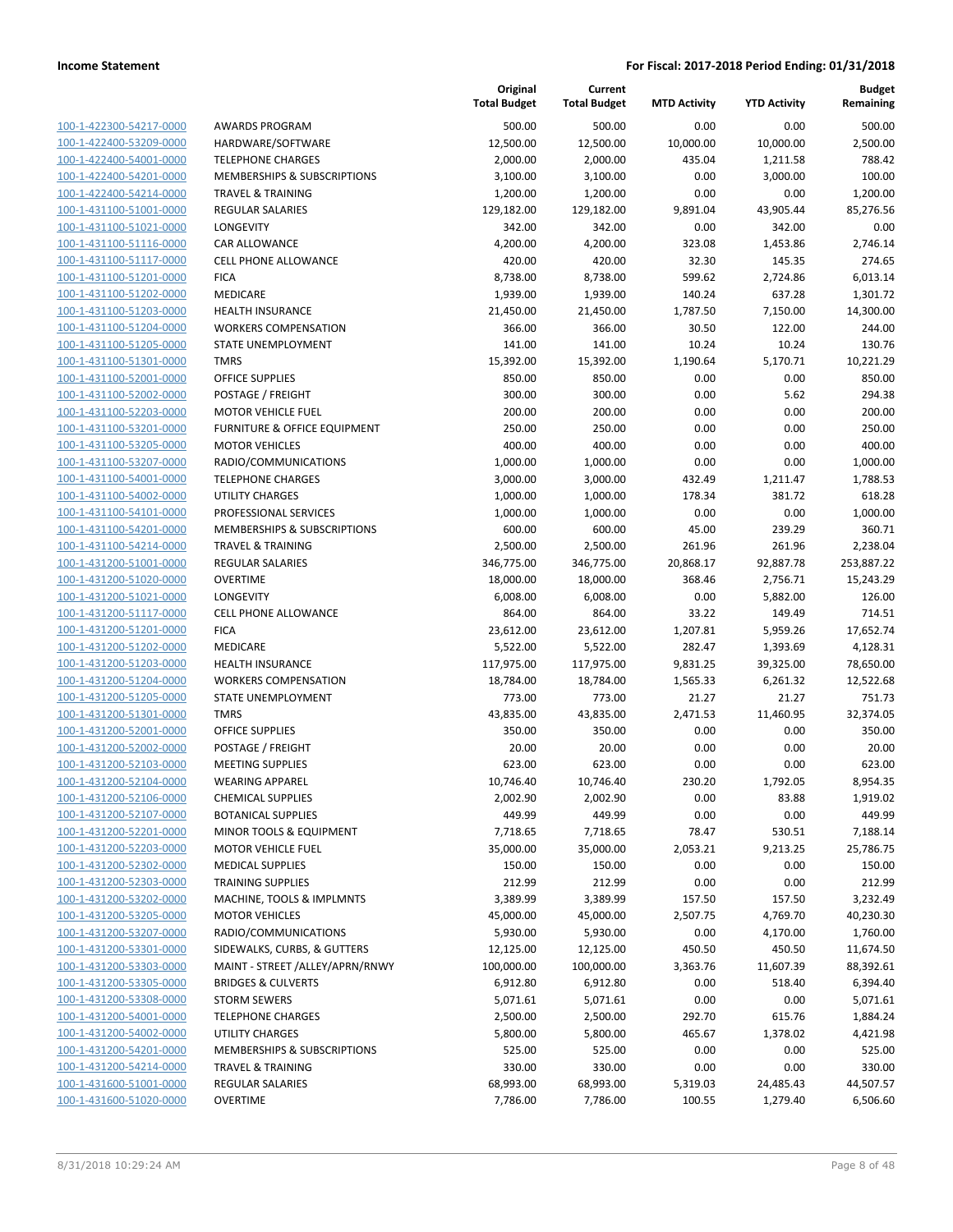| 100-1-422300-54217-0000         |
|---------------------------------|
| 100-1-422400-53209-0000         |
| 100-1-422400-54001-0000         |
| 100-1-422400-54201-0000         |
| 100-1-422400-54214-0000         |
| 100-1-431100-51001-0000         |
| 100-1-431100-51021-0000         |
| 100-1-431100-51116-0000         |
| 100-1-431100-51117-0000         |
| -431100-51201-0000<br>$100 - 1$ |
| 100-1-431100-51202-0000         |
|                                 |
| 100-1-431100-51203-0000         |
| 100-1-431100-51204-0000         |
| 100-1-431100-51205-0000         |
| -431100-51301-0000<br>$100 - 1$ |
| 100-1-431100-52001-0000         |
| 100-1-431100-52002-0000         |
| 100-1-431100-52203-0000         |
| 100-1-431100-53201-0000         |
| $100 - 1$<br>-431100-53205-0000 |
| 100-1-431100-53207-0000         |
| 100-1-431100-54001-0000         |
| 100-1-431100-54002-0000         |
| 100-1-431100-54101-0000         |
|                                 |
| -431100-54201-0000<br>$100 - 1$ |
| 100-1-431100-54214-0000         |
| 100-1-431200-51001-0000         |
| 100-1-431200-51020-0000         |
| 100-1-431200-51021-0000         |
| -431200-51117-0000<br>$100 - 1$ |
| 100-1-431200-51201-0000         |
| 100-1-431200-51202-0000         |
| 100-1-431200-51203-0000         |
| 100-1-431200-51204-0000         |
| -431200-51205-0000<br>$100 - 1$ |
| 100-1-431200-51301-0000         |
| 100-1-431200-52001-0000         |
| 100-1-431200-52002-0000         |
| 100-1-431200-52103-0000         |
| $100 - 1$<br>-431200-52104-0000 |
|                                 |
| 100-1-431200-52106-0000         |
| 100-1-431200-52107-0000         |
| <u>100-1-431200-52201-0000</u>  |
| 100-1-431200-52203-0000         |
| 100-1-431200-52302-0000         |
| 100-1-431200-52303-0000         |
| <u>100-1-431200-53202-0000</u>  |
| <u>100-1-431200-53205-0000</u>  |
| 100-1-431200-53207-0000         |
| 100-1-431200-53301-0000         |
| 100-1-431200-53303-0000         |
| 100-1-431200-53305-0000         |
| <u>100-1-431200-53308-0000</u>  |
| 100-1-431200-54001-0000         |
|                                 |
| 100-1-431200-54002-0000         |
| <u>100-1-431200-54201-0000</u>  |
| 100-1-431200-54214-0000         |
| <u>100-1-431600-51001-0000</u>  |
| <u>100-1-431600-51020-0000</u>  |

|                                                    |                                          | Original<br><b>Total Budget</b> | Current<br><b>Total Budget</b> | <b>MTD Activity</b> | <b>YTD Activity</b> | <b>Budget</b><br>Remaining |
|----------------------------------------------------|------------------------------------------|---------------------------------|--------------------------------|---------------------|---------------------|----------------------------|
| 100-1-422300-54217-0000                            | <b>AWARDS PROGRAM</b>                    | 500.00                          | 500.00                         | 0.00                | 0.00                | 500.00                     |
| 100-1-422400-53209-0000                            | HARDWARE/SOFTWARE                        | 12,500.00                       | 12,500.00                      | 10,000.00           | 10,000.00           | 2,500.00                   |
| 100-1-422400-54001-0000                            | <b>TELEPHONE CHARGES</b>                 | 2,000.00                        | 2,000.00                       | 435.04              | 1,211.58            | 788.42                     |
| 100-1-422400-54201-0000                            | MEMBERSHIPS & SUBSCRIPTIONS              | 3,100.00                        | 3,100.00                       | 0.00                | 3,000.00            | 100.00                     |
| 100-1-422400-54214-0000                            | <b>TRAVEL &amp; TRAINING</b>             | 1,200.00                        | 1,200.00                       | 0.00                | 0.00                | 1,200.00                   |
| 100-1-431100-51001-0000                            | <b>REGULAR SALARIES</b>                  | 129,182.00                      | 129,182.00                     | 9,891.04            | 43,905.44           | 85,276.56                  |
| 100-1-431100-51021-0000                            | LONGEVITY                                | 342.00                          | 342.00                         | 0.00                | 342.00              | 0.00                       |
| 100-1-431100-51116-0000                            | CAR ALLOWANCE                            | 4,200.00                        | 4,200.00                       | 323.08              | 1,453.86            | 2,746.14                   |
| 100-1-431100-51117-0000                            | <b>CELL PHONE ALLOWANCE</b>              | 420.00                          | 420.00                         | 32.30               | 145.35              | 274.65                     |
| 100-1-431100-51201-0000                            | <b>FICA</b>                              | 8,738.00                        | 8,738.00                       | 599.62              | 2,724.86            | 6,013.14                   |
| 100-1-431100-51202-0000                            | MEDICARE                                 | 1,939.00                        | 1,939.00                       | 140.24              | 637.28              | 1,301.72                   |
| 100-1-431100-51203-0000                            | <b>HEALTH INSURANCE</b>                  | 21,450.00                       | 21,450.00                      | 1,787.50            | 7,150.00            | 14,300.00                  |
| 100-1-431100-51204-0000                            | <b>WORKERS COMPENSATION</b>              | 366.00                          | 366.00                         | 30.50               | 122.00              | 244.00                     |
| 100-1-431100-51205-0000                            | STATE UNEMPLOYMENT                       | 141.00                          | 141.00                         | 10.24               | 10.24               | 130.76                     |
| 100-1-431100-51301-0000                            | <b>TMRS</b>                              | 15,392.00                       | 15,392.00                      | 1,190.64            | 5,170.71            | 10,221.29                  |
| 100-1-431100-52001-0000                            | <b>OFFICE SUPPLIES</b>                   | 850.00                          | 850.00                         | 0.00                | 0.00                | 850.00                     |
| 100-1-431100-52002-0000                            | POSTAGE / FREIGHT                        | 300.00                          | 300.00                         | 0.00                | 5.62                | 294.38                     |
| 100-1-431100-52203-0000                            | <b>MOTOR VEHICLE FUEL</b>                | 200.00                          | 200.00                         | 0.00                | 0.00                | 200.00                     |
| 100-1-431100-53201-0000                            | <b>FURNITURE &amp; OFFICE EQUIPMENT</b>  | 250.00                          | 250.00                         | 0.00                | 0.00                | 250.00                     |
| 100-1-431100-53205-0000                            | <b>MOTOR VEHICLES</b>                    | 400.00                          | 400.00                         | 0.00                | 0.00                | 400.00                     |
| 100-1-431100-53207-0000                            | RADIO/COMMUNICATIONS                     | 1,000.00                        | 1,000.00                       | 0.00                | 0.00                | 1,000.00                   |
| 100-1-431100-54001-0000                            | <b>TELEPHONE CHARGES</b>                 | 3,000.00                        | 3,000.00                       | 432.49              | 1,211.47            | 1,788.53                   |
| 100-1-431100-54002-0000                            | <b>UTILITY CHARGES</b>                   | 1,000.00                        | 1,000.00                       | 178.34              | 381.72              | 618.28                     |
| 100-1-431100-54101-0000                            | PROFESSIONAL SERVICES                    | 1,000.00                        | 1,000.00                       | 0.00                | 0.00                | 1,000.00                   |
| 100-1-431100-54201-0000                            | MEMBERSHIPS & SUBSCRIPTIONS              | 600.00                          | 600.00                         | 45.00               | 239.29              | 360.71                     |
| 100-1-431100-54214-0000                            | <b>TRAVEL &amp; TRAINING</b>             | 2,500.00                        | 2,500.00                       | 261.96              | 261.96              | 2,238.04                   |
| 100-1-431200-51001-0000                            | <b>REGULAR SALARIES</b>                  | 346,775.00                      | 346,775.00                     | 20,868.17           | 92,887.78           | 253,887.22                 |
| 100-1-431200-51020-0000                            | <b>OVERTIME</b>                          | 18,000.00                       | 18,000.00                      | 368.46              | 2,756.71            | 15,243.29                  |
| 100-1-431200-51021-0000                            | LONGEVITY<br><b>CELL PHONE ALLOWANCE</b> | 6,008.00                        | 6,008.00                       | 0.00                | 5,882.00            | 126.00                     |
| 100-1-431200-51117-0000<br>100-1-431200-51201-0000 | <b>FICA</b>                              | 864.00<br>23,612.00             | 864.00<br>23,612.00            | 33.22<br>1,207.81   | 149.49<br>5,959.26  | 714.51<br>17,652.74        |
| 100-1-431200-51202-0000                            | MEDICARE                                 | 5,522.00                        | 5,522.00                       | 282.47              | 1,393.69            | 4,128.31                   |
| 100-1-431200-51203-0000                            | <b>HEALTH INSURANCE</b>                  | 117,975.00                      | 117,975.00                     | 9,831.25            | 39,325.00           | 78,650.00                  |
| 100-1-431200-51204-0000                            | <b>WORKERS COMPENSATION</b>              | 18,784.00                       | 18,784.00                      | 1,565.33            | 6,261.32            | 12,522.68                  |
| 100-1-431200-51205-0000                            | STATE UNEMPLOYMENT                       | 773.00                          | 773.00                         | 21.27               | 21.27               | 751.73                     |
| 100-1-431200-51301-0000                            | <b>TMRS</b>                              | 43,835.00                       | 43,835.00                      | 2,471.53            | 11,460.95           | 32,374.05                  |
| 100-1-431200-52001-0000                            | <b>OFFICE SUPPLIES</b>                   | 350.00                          | 350.00                         | 0.00                | 0.00                | 350.00                     |
| 100-1-431200-52002-0000                            | POSTAGE / FREIGHT                        | 20.00                           | 20.00                          | 0.00                | 0.00                | 20.00                      |
| 100-1-431200-52103-0000                            | <b>MEETING SUPPLIES</b>                  | 623.00                          | 623.00                         | 0.00                | 0.00                | 623.00                     |
| 100-1-431200-52104-0000                            | <b>WEARING APPAREL</b>                   | 10,746.40                       | 10,746.40                      | 230.20              | 1,792.05            | 8,954.35                   |
| 100-1-431200-52106-0000                            | <b>CHEMICAL SUPPLIES</b>                 | 2,002.90                        | 2,002.90                       | 0.00                | 83.88               | 1,919.02                   |
| 100-1-431200-52107-0000                            | <b>BOTANICAL SUPPLIES</b>                | 449.99                          | 449.99                         | 0.00                | 0.00                | 449.99                     |
| 100-1-431200-52201-0000                            | MINOR TOOLS & EQUIPMENT                  | 7,718.65                        | 7,718.65                       | 78.47               | 530.51              | 7,188.14                   |
| 100-1-431200-52203-0000                            | <b>MOTOR VEHICLE FUEL</b>                | 35,000.00                       | 35,000.00                      | 2,053.21            | 9,213.25            | 25,786.75                  |
| 100-1-431200-52302-0000                            | <b>MEDICAL SUPPLIES</b>                  | 150.00                          | 150.00                         | 0.00                | 0.00                | 150.00                     |
| 100-1-431200-52303-0000                            | <b>TRAINING SUPPLIES</b>                 | 212.99                          | 212.99                         | 0.00                | 0.00                | 212.99                     |
| 100-1-431200-53202-0000                            | MACHINE, TOOLS & IMPLMNTS                | 3,389.99                        | 3,389.99                       | 157.50              | 157.50              | 3,232.49                   |
| 100-1-431200-53205-0000                            | <b>MOTOR VEHICLES</b>                    | 45,000.00                       | 45,000.00                      | 2,507.75            | 4,769.70            | 40,230.30                  |
| 100-1-431200-53207-0000                            | RADIO/COMMUNICATIONS                     | 5,930.00                        | 5,930.00                       | 0.00                | 4,170.00            | 1,760.00                   |
| 100-1-431200-53301-0000                            | SIDEWALKS, CURBS, & GUTTERS              | 12,125.00                       | 12,125.00                      | 450.50              | 450.50              | 11,674.50                  |
| 100-1-431200-53303-0000                            | MAINT - STREET /ALLEY/APRN/RNWY          | 100,000.00                      | 100,000.00                     | 3,363.76            | 11,607.39           | 88,392.61                  |
| 100-1-431200-53305-0000                            | <b>BRIDGES &amp; CULVERTS</b>            | 6,912.80                        | 6,912.80                       | 0.00                | 518.40              | 6,394.40                   |
| 100-1-431200-53308-0000                            | <b>STORM SEWERS</b>                      | 5,071.61                        | 5,071.61                       | 0.00                | 0.00                | 5,071.61                   |
| 100-1-431200-54001-0000                            | <b>TELEPHONE CHARGES</b>                 | 2,500.00                        | 2,500.00                       | 292.70              | 615.76              | 1,884.24                   |
| 100-1-431200-54002-0000                            | UTILITY CHARGES                          | 5,800.00                        | 5,800.00                       | 465.67              | 1,378.02            | 4,421.98                   |
| 100-1-431200-54201-0000                            | MEMBERSHIPS & SUBSCRIPTIONS              | 525.00                          | 525.00                         | 0.00                | 0.00                | 525.00                     |
| 100-1-431200-54214-0000                            | <b>TRAVEL &amp; TRAINING</b>             | 330.00                          | 330.00                         | 0.00                | 0.00                | 330.00                     |
| 100-1-431600-51001-0000                            | REGULAR SALARIES                         | 68,993.00                       | 68,993.00                      | 5,319.03            | 24,485.43           | 44,507.57                  |
| 100-1-431600-51020-0000                            | <b>OVERTIME</b>                          | 7,786.00                        | 7,786.00                       | 100.55              | 1,279.40            | 6,506.60                   |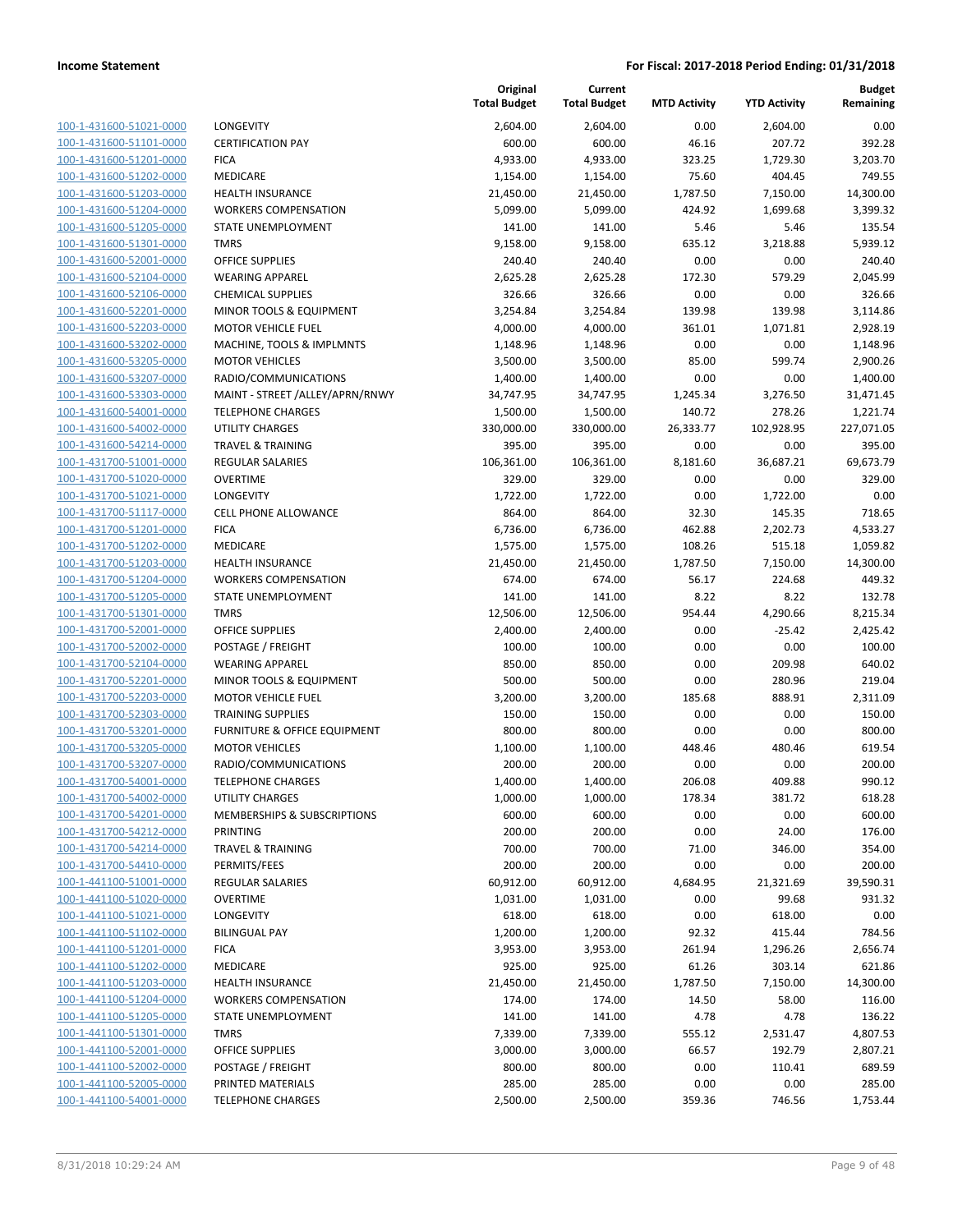100-1-431600-51021-0000 100-1-431600-51101-0000 100-1-431600-51201-0000 100-1-431600-51202-0000 100-1-431600-51203-0000 100-1-431600-51204-0000 100-1-431600-51205-0000 100-1-431600-51301-0000 100-1-431600-52001-0000 100-1-431600-52104-0000 100-1-431600-52106-0000 100-1-431600-52201-0000 100-1-431600-52203-0000 100-1-431600-53202-0000 100-1-431600-53205-0000 100-1-431600-53207-0000 100-1-431600-53303-0000 100-1-431600-54001-0000 100-1-431600-54002-0000 100-1-431600-54214-0000 100-1-431700-51001-0000 100-1-431700-51020-0000 100-1-431700-51021-0000 100-1-431700-51117-0000 100-1-431700-51201-0000 100-1-431700-51202-0000 100-1-431700-51203-0000 100-1-431700-51204-0000 100-1-431700-51205-0000 100-1-431700-51301-0000 100-1-431700-52001-0000 100-1-431700-52002-0000 POSTAGE / FREIGHT 100.00 100.00 0.00 0.00 100.00 100-1-431700-52104-0000 100-1-431700-52201-0000 100-1-431700-52203-0000 100-1-431700-52303-0000 100-1-431700-53201-0000 100-1-431700-53205-0000 100-1-431700-53207-0000 100-1-431700-54001-0000 100-1-431700-54002-0000 100-1-431700-54201-0000 100-1-431700-54212-0000 100-1-431700-54214-0000 100-1-431700-54410-0000 100-1-441100-51001-0000 100-1-441100-51020-0000 100-1-441100-51021-0000 100-1-441100-51102-0000 100-1-441100-51201-0000 100-1-441100-51202-0000 100-1-441100-51203-0000 100-1-441100-51204-0000 100-1-441100-51205-0000 100-1-441100-51301-0000 100-1-441100-52001-0000 100-1-441100-52002-0000 100-1-441100-52005-0000 PRINTED MATERIALS 285.00 285.00 0.00 0.00 285.00 100-1-441100-54001-0000

|                                                  | Original<br><b>Total Budget</b> | Current<br><b>Total Budget</b> | <b>MTD Activity</b> | <b>YTD Activity</b> | <b>Budget</b><br>Remaining |
|--------------------------------------------------|---------------------------------|--------------------------------|---------------------|---------------------|----------------------------|
| LONGEVITY                                        | 2,604.00                        | 2,604.00                       | 0.00                | 2,604.00            | 0.00                       |
| <b>CERTIFICATION PAY</b>                         | 600.00                          | 600.00                         | 46.16               | 207.72              | 392.28                     |
| <b>FICA</b>                                      | 4,933.00                        | 4,933.00                       | 323.25              | 1,729.30            | 3,203.70                   |
| MEDICARE                                         | 1,154.00                        | 1,154.00                       | 75.60               | 404.45              | 749.55                     |
| <b>HEALTH INSURANCE</b>                          | 21,450.00                       | 21,450.00                      | 1,787.50            | 7,150.00            | 14,300.00                  |
| <b>WORKERS COMPENSATION</b>                      | 5,099.00                        | 5,099.00                       | 424.92              | 1,699.68            | 3,399.32                   |
| STATE UNEMPLOYMENT                               | 141.00                          | 141.00                         | 5.46                | 5.46                | 135.54                     |
| <b>TMRS</b>                                      | 9,158.00                        | 9,158.00                       | 635.12              | 3,218.88            | 5,939.12                   |
| <b>OFFICE SUPPLIES</b>                           | 240.40                          | 240.40                         | 0.00                | 0.00                | 240.40                     |
| <b>WEARING APPAREL</b>                           | 2,625.28                        | 2,625.28                       | 172.30              | 579.29              | 2,045.99                   |
| <b>CHEMICAL SUPPLIES</b>                         | 326.66                          | 326.66                         | 0.00                | 0.00                | 326.66                     |
| MINOR TOOLS & EQUIPMENT                          | 3,254.84                        | 3,254.84                       | 139.98              | 139.98              | 3,114.86                   |
| <b>MOTOR VEHICLE FUEL</b>                        | 4,000.00                        | 4,000.00                       | 361.01              | 1,071.81            | 2,928.19                   |
| MACHINE, TOOLS & IMPLMNTS                        | 1,148.96                        | 1,148.96                       | 0.00                | 0.00                | 1,148.96                   |
| <b>MOTOR VEHICLES</b>                            | 3,500.00                        | 3,500.00                       | 85.00               | 599.74              | 2,900.26                   |
| RADIO/COMMUNICATIONS                             | 1,400.00                        | 1,400.00                       | 0.00                | 0.00                | 1,400.00                   |
| MAINT - STREET /ALLEY/APRN/RNWY                  | 34,747.95                       | 34,747.95                      | 1,245.34            | 3,276.50            | 31,471.45                  |
| <b>TELEPHONE CHARGES</b>                         | 1,500.00                        | 1,500.00                       | 140.72              | 278.26              | 1,221.74                   |
| <b>UTILITY CHARGES</b>                           | 330,000.00                      | 330,000.00                     | 26,333.77           | 102,928.95          | 227,071.05                 |
| <b>TRAVEL &amp; TRAINING</b>                     | 395.00                          | 395.00                         | 0.00                | 0.00                | 395.00                     |
| <b>REGULAR SALARIES</b>                          | 106,361.00                      | 106,361.00                     | 8,181.60            | 36,687.21           | 69,673.79                  |
| <b>OVERTIME</b>                                  | 329.00                          | 329.00                         | 0.00                | 0.00                | 329.00                     |
| LONGEVITY                                        | 1,722.00                        | 1,722.00                       | 0.00                | 1,722.00            | 0.00                       |
| <b>CELL PHONE ALLOWANCE</b>                      | 864.00                          | 864.00                         | 32.30               | 145.35              | 718.65                     |
| <b>FICA</b>                                      | 6,736.00                        | 6,736.00                       | 462.88              | 2,202.73            | 4,533.27                   |
| MEDICARE                                         | 1,575.00                        | 1,575.00                       | 108.26              | 515.18              | 1,059.82                   |
| <b>HEALTH INSURANCE</b>                          | 21,450.00                       | 21,450.00                      | 1,787.50            | 7,150.00            | 14,300.00                  |
| <b>WORKERS COMPENSATION</b>                      | 674.00                          | 674.00                         | 56.17               | 224.68              | 449.32                     |
| STATE UNEMPLOYMENT                               | 141.00                          | 141.00                         | 8.22                | 8.22                | 132.78                     |
| <b>TMRS</b>                                      | 12,506.00                       | 12,506.00                      | 954.44              | 4,290.66            | 8,215.34                   |
| <b>OFFICE SUPPLIES</b>                           | 2,400.00                        | 2,400.00                       | 0.00                | $-25.42$            | 2,425.42                   |
| POSTAGE / FREIGHT                                | 100.00                          | 100.00                         | 0.00                | 0.00                | 100.00                     |
| <b>WEARING APPAREL</b>                           | 850.00                          | 850.00                         | 0.00                | 209.98              | 640.02                     |
| MINOR TOOLS & EQUIPMENT                          | 500.00                          | 500.00                         | 0.00                | 280.96              | 219.04                     |
| <b>MOTOR VEHICLE FUEL</b>                        | 3,200.00                        | 3,200.00                       | 185.68              | 888.91              | 2,311.09                   |
| <b>TRAINING SUPPLIES</b>                         | 150.00                          | 150.00                         | 0.00                | 0.00                | 150.00                     |
| FURNITURE & OFFICE EQUIPMENT                     | 800.00                          | 800.00                         | 0.00                | 0.00                | 800.00                     |
| <b>MOTOR VEHICLES</b>                            | 1,100.00                        | 1,100.00                       | 448.46              | 480.46              | 619.54                     |
| RADIO/COMMUNICATIONS<br><b>TELEPHONE CHARGES</b> | 200.00<br>1,400.00              | 200.00<br>1,400.00             | 0.00<br>206.08      | 0.00<br>409.88      | 200.00<br>990.12           |
| UTILITY CHARGES                                  | 1,000.00                        | 1,000.00                       | 178.34              | 381.72              | 618.28                     |
| MEMBERSHIPS & SUBSCRIPTIONS                      | 600.00                          | 600.00                         | 0.00                | 0.00                | 600.00                     |
| <b>PRINTING</b>                                  | 200.00                          | 200.00                         | 0.00                | 24.00               | 176.00                     |
| <b>TRAVEL &amp; TRAINING</b>                     | 700.00                          | 700.00                         | 71.00               | 346.00              | 354.00                     |
| PERMITS/FEES                                     | 200.00                          | 200.00                         | 0.00                | 0.00                | 200.00                     |
| <b>REGULAR SALARIES</b>                          | 60,912.00                       | 60,912.00                      | 4,684.95            | 21,321.69           | 39,590.31                  |
| <b>OVERTIME</b>                                  | 1,031.00                        | 1,031.00                       | 0.00                | 99.68               | 931.32                     |
| <b>LONGEVITY</b>                                 | 618.00                          | 618.00                         | 0.00                | 618.00              | 0.00                       |
| <b>BILINGUAL PAY</b>                             | 1,200.00                        | 1,200.00                       | 92.32               | 415.44              | 784.56                     |
| <b>FICA</b>                                      | 3,953.00                        | 3,953.00                       | 261.94              | 1,296.26            | 2,656.74                   |
| MEDICARE                                         | 925.00                          | 925.00                         | 61.26               | 303.14              | 621.86                     |
| <b>HEALTH INSURANCE</b>                          | 21,450.00                       | 21,450.00                      | 1,787.50            | 7,150.00            | 14,300.00                  |
| <b>WORKERS COMPENSATION</b>                      | 174.00                          | 174.00                         | 14.50               | 58.00               | 116.00                     |
| STATE UNEMPLOYMENT                               | 141.00                          | 141.00                         | 4.78                | 4.78                | 136.22                     |
| <b>TMRS</b>                                      | 7,339.00                        | 7,339.00                       | 555.12              | 2,531.47            | 4,807.53                   |
| OFFICE SUPPLIES                                  | 3,000.00                        | 3,000.00                       | 66.57               | 192.79              | 2,807.21                   |
| POSTAGE / FREIGHT                                | 800.00                          | 800.00                         | 0.00                | 110.41              | 689.59                     |
| PRINTED MATERIALS                                | 285.00                          | 285.00                         | 0.00                | 0.00                | 285.00                     |
| <b>TELEPHONE CHARGES</b>                         | 2,500.00                        | 2,500.00                       | 359.36              | 746.56              | 1,753.44                   |
|                                                  |                                 |                                |                     |                     |                            |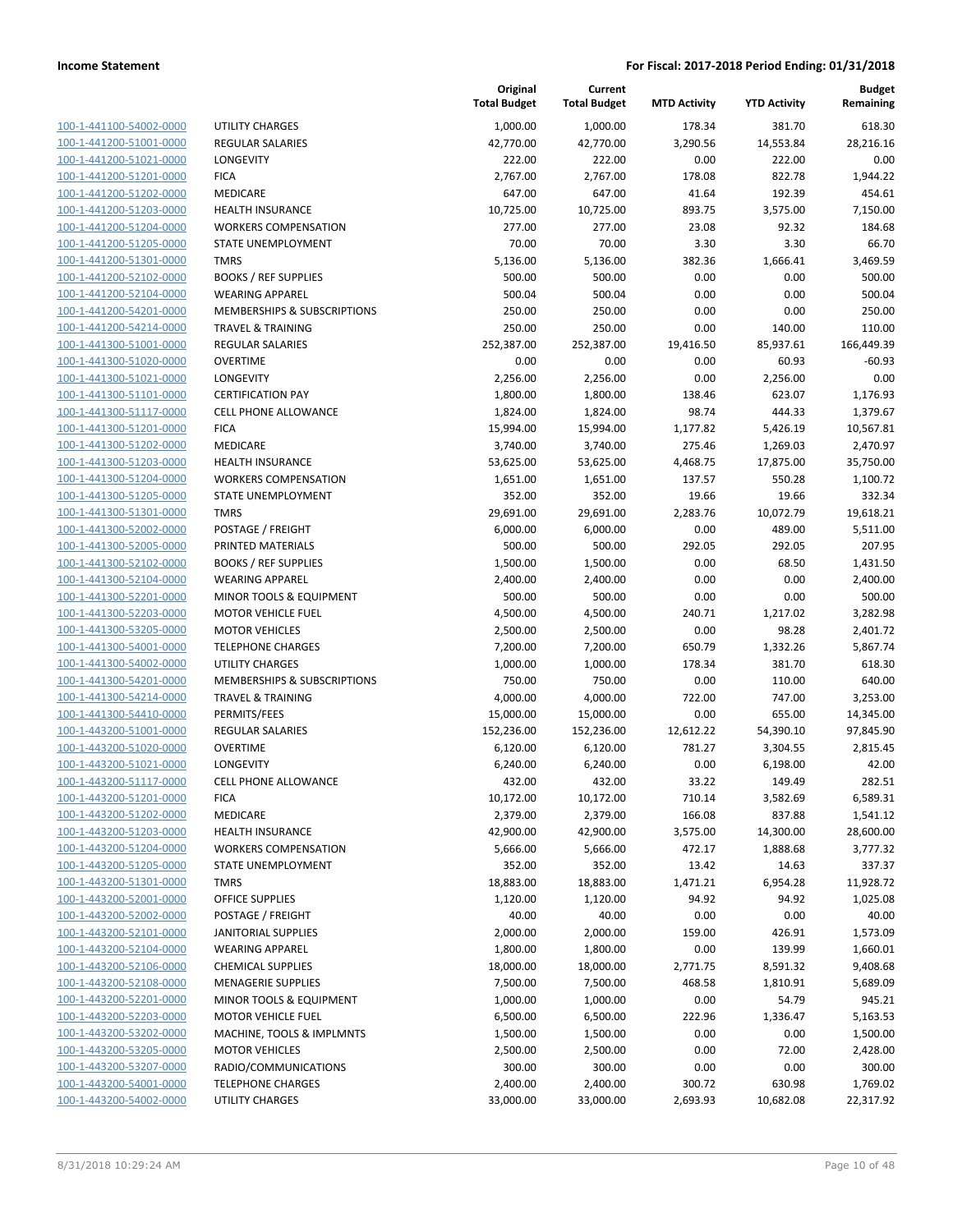| 100-1-441100-54002-0000                      |
|----------------------------------------------|
| 100-1-441200-51001-0000                      |
| 100-1-441200-51021-0000                      |
| <u>100-1-441200-51201-0000</u>               |
| 100-1-441200-51202-0000                      |
| -441200-51203-0000<br>$100 - 1$              |
| 100-1-441200-51204-0000                      |
| 100-1-441200-51205-0000                      |
| <u>100-1-441200-51301-0000</u>               |
| 100-1-441200-52102-0000                      |
|                                              |
| -441200-52104-0000<br>$100-$<br>$\mathbf{1}$ |
| 100-1-441200-54201-0000                      |
| 100-1-441200-54214-0000                      |
| <u>100-1-441300-51001-0000</u>               |
| 100-1-441300-51020-0000                      |
| $-441300 - 51021$<br>$100 - 1$<br>-0000      |
| 100-1-441300-51101-0000                      |
| 100-1-441300-51117-0000                      |
|                                              |
| <u>100-1-441300-51201-0000</u>               |
| 100-1-441300-51202-0000                      |
| -441300-51203-0000<br>$100-$<br>1            |
| 100-1-441300-51204-0000                      |
| 100-1-441300-51205-0000                      |
| <u>100-1-441300-51301-0000</u>               |
| 100-1-441300-52002-0000                      |
| -441300-52005-0000<br>$100 - 1$              |
| 100-1-441300-52102-0000                      |
| 100-1-441300-52104-0000                      |
|                                              |
| <u>100-1-441300-52201-0000</u>               |
| 100-1-441300-52203-0000                      |
| -441300-53205-0000<br>100-<br>1              |
| 100-1-441300-54001-0000                      |
| 100-1-441300-54002-0000                      |
| <u>100-1-441300-54201-0000</u>               |
| 100-1-441300-54214-0000                      |
| 100-1-441300-54410-0000                      |
| 100-1-443200-51001-0000                      |
| 100-1-443200-51020-0000                      |
| 100-1-443200-51021-0000                      |
|                                              |
| 100-1-443200-51117-0000                      |
| -443200-51201-0000<br>$100 - 1$              |
| 100-1-443200-51202-0000                      |
| 100-1-443200-51203-0000                      |
| <u>100-1-443200-51204-0000</u>               |
| 100-1-443200-51205-0000                      |
| 100-1-443200-51301-0000                      |
| 100-1-443200-52001-0000                      |
| 100-1-443200-52002-0000                      |
|                                              |
| <u>100-1-443200-52101-0000</u>               |
| 100-1-443200-52104-0000                      |
| 100-1-443200-52106-0000                      |
| 100-1-443200-52108-0000                      |
| 100-1-443200-52201-0000                      |
| <u>100-1-443200-52203-0000</u>               |
| <u>100-1-443200-53202-0000</u>               |
| <u>100-1-443200-53205-0000</u>               |
| 100-1-443200-53207-0000                      |
| 100-1-443200-54001-0000                      |
|                                              |
| <u>100-1-443200-54002-0000</u>               |

|                                                    |                                                    | Original<br><b>Total Budget</b> | Current<br><b>Total Budget</b> | <b>MTD Activity</b> | <b>YTD Activity</b> | <b>Budget</b><br>Remaining |
|----------------------------------------------------|----------------------------------------------------|---------------------------------|--------------------------------|---------------------|---------------------|----------------------------|
| 100-1-441100-54002-0000                            | <b>UTILITY CHARGES</b>                             | 1,000.00                        | 1,000.00                       | 178.34              | 381.70              | 618.30                     |
| 100-1-441200-51001-0000                            | <b>REGULAR SALARIES</b>                            | 42,770.00                       | 42,770.00                      | 3,290.56            | 14,553.84           | 28,216.16                  |
| 100-1-441200-51021-0000                            | <b>LONGEVITY</b>                                   | 222.00                          | 222.00                         | 0.00                | 222.00              | 0.00                       |
| 100-1-441200-51201-0000                            | <b>FICA</b>                                        | 2,767.00                        | 2,767.00                       | 178.08              | 822.78              | 1,944.22                   |
| 100-1-441200-51202-0000                            | <b>MEDICARE</b>                                    | 647.00                          | 647.00                         | 41.64               | 192.39              | 454.61                     |
| 100-1-441200-51203-0000                            | <b>HEALTH INSURANCE</b>                            | 10,725.00                       | 10,725.00                      | 893.75              | 3,575.00            | 7,150.00                   |
| 100-1-441200-51204-0000                            | <b>WORKERS COMPENSATION</b>                        | 277.00                          | 277.00                         | 23.08               | 92.32               | 184.68                     |
| 100-1-441200-51205-0000                            | STATE UNEMPLOYMENT                                 | 70.00                           | 70.00                          | 3.30                | 3.30                | 66.70                      |
| 100-1-441200-51301-0000                            | <b>TMRS</b>                                        | 5,136.00                        | 5,136.00                       | 382.36              | 1,666.41            | 3,469.59                   |
| 100-1-441200-52102-0000                            | <b>BOOKS / REF SUPPLIES</b>                        | 500.00                          | 500.00                         | 0.00                | 0.00                | 500.00                     |
| 100-1-441200-52104-0000                            | <b>WEARING APPAREL</b>                             | 500.04                          | 500.04                         | 0.00                | 0.00                | 500.04                     |
| 100-1-441200-54201-0000                            | MEMBERSHIPS & SUBSCRIPTIONS                        | 250.00                          | 250.00                         | 0.00                | 0.00                | 250.00                     |
| 100-1-441200-54214-0000                            | <b>TRAVEL &amp; TRAINING</b>                       | 250.00                          | 250.00                         | 0.00                | 140.00              | 110.00                     |
| 100-1-441300-51001-0000                            | <b>REGULAR SALARIES</b>                            | 252,387.00                      | 252,387.00                     | 19,416.50           | 85,937.61           | 166,449.39                 |
| 100-1-441300-51020-0000                            | <b>OVERTIME</b>                                    | 0.00                            | 0.00                           | 0.00                | 60.93               | $-60.93$                   |
| 100-1-441300-51021-0000                            | LONGEVITY                                          | 2,256.00                        | 2,256.00                       | 0.00                | 2,256.00            | 0.00                       |
| 100-1-441300-51101-0000                            | <b>CERTIFICATION PAY</b>                           | 1,800.00                        | 1,800.00                       | 138.46              | 623.07              | 1,176.93                   |
| 100-1-441300-51117-0000                            | <b>CELL PHONE ALLOWANCE</b>                        | 1,824.00                        | 1,824.00                       | 98.74               | 444.33              | 1,379.67                   |
| 100-1-441300-51201-0000                            | <b>FICA</b>                                        | 15,994.00                       | 15,994.00                      | 1,177.82            | 5,426.19            | 10,567.81                  |
| 100-1-441300-51202-0000                            | MEDICARE                                           | 3,740.00                        | 3,740.00                       | 275.46              | 1,269.03            | 2,470.97                   |
| 100-1-441300-51203-0000                            | <b>HEALTH INSURANCE</b>                            | 53,625.00                       | 53,625.00                      | 4,468.75            | 17,875.00           | 35,750.00                  |
| 100-1-441300-51204-0000                            | <b>WORKERS COMPENSATION</b>                        | 1,651.00                        | 1,651.00                       | 137.57              | 550.28              | 1,100.72                   |
| 100-1-441300-51205-0000                            | STATE UNEMPLOYMENT                                 | 352.00                          | 352.00                         | 19.66               | 19.66               | 332.34                     |
| 100-1-441300-51301-0000                            | <b>TMRS</b>                                        | 29,691.00                       | 29,691.00                      | 2,283.76            | 10,072.79           | 19,618.21                  |
| 100-1-441300-52002-0000                            | POSTAGE / FREIGHT                                  | 6,000.00                        | 6,000.00                       | 0.00                | 489.00              | 5,511.00                   |
| 100-1-441300-52005-0000                            | PRINTED MATERIALS                                  | 500.00                          | 500.00                         | 292.05              | 292.05              | 207.95                     |
| 100-1-441300-52102-0000                            | <b>BOOKS / REF SUPPLIES</b>                        | 1,500.00                        | 1,500.00                       | 0.00                | 68.50               | 1,431.50                   |
| 100-1-441300-52104-0000                            | <b>WEARING APPAREL</b>                             | 2,400.00                        | 2,400.00                       | 0.00                | 0.00                | 2,400.00                   |
| 100-1-441300-52201-0000                            | MINOR TOOLS & EQUIPMENT                            | 500.00                          | 500.00                         | 0.00                | 0.00                | 500.00                     |
| 100-1-441300-52203-0000                            | <b>MOTOR VEHICLE FUEL</b>                          | 4,500.00                        | 4,500.00                       | 240.71              | 1,217.02            | 3,282.98                   |
| 100-1-441300-53205-0000                            | <b>MOTOR VEHICLES</b>                              | 2,500.00                        | 2,500.00                       | 0.00                | 98.28               | 2,401.72                   |
| 100-1-441300-54001-0000                            | <b>TELEPHONE CHARGES</b><br><b>UTILITY CHARGES</b> | 7,200.00                        | 7,200.00                       | 650.79              | 1,332.26<br>381.70  | 5,867.74<br>618.30         |
| 100-1-441300-54002-0000<br>100-1-441300-54201-0000 | MEMBERSHIPS & SUBSCRIPTIONS                        | 1,000.00<br>750.00              | 1,000.00<br>750.00             | 178.34<br>0.00      | 110.00              | 640.00                     |
| 100-1-441300-54214-0000                            | <b>TRAVEL &amp; TRAINING</b>                       | 4,000.00                        | 4,000.00                       | 722.00              | 747.00              | 3,253.00                   |
| 100-1-441300-54410-0000                            | PERMITS/FEES                                       | 15,000.00                       | 15,000.00                      | 0.00                | 655.00              | 14,345.00                  |
| 100-1-443200-51001-0000                            | REGULAR SALARIES                                   | 152,236.00                      | 152,236.00                     | 12,612.22           | 54,390.10           | 97,845.90                  |
| 100-1-443200-51020-0000                            | OVERTIME                                           | 6,120.00                        | 6,120.00                       | 781.27              | 3,304.55            | 2,815.45                   |
| 100-1-443200-51021-0000                            | <b>LONGEVITY</b>                                   | 6,240.00                        | 6,240.00                       | 0.00                | 6,198.00            | 42.00                      |
| 100-1-443200-51117-0000                            | CELL PHONE ALLOWANCE                               | 432.00                          | 432.00                         | 33.22               | 149.49              | 282.51                     |
| 100-1-443200-51201-0000                            | <b>FICA</b>                                        | 10,172.00                       | 10,172.00                      | 710.14              | 3,582.69            | 6,589.31                   |
| 100-1-443200-51202-0000                            | MEDICARE                                           | 2,379.00                        | 2,379.00                       | 166.08              | 837.88              | 1,541.12                   |
| 100-1-443200-51203-0000                            | <b>HEALTH INSURANCE</b>                            | 42,900.00                       | 42,900.00                      | 3,575.00            | 14,300.00           | 28,600.00                  |
| 100-1-443200-51204-0000                            | <b>WORKERS COMPENSATION</b>                        | 5,666.00                        | 5,666.00                       | 472.17              | 1,888.68            | 3,777.32                   |
| 100-1-443200-51205-0000                            | STATE UNEMPLOYMENT                                 | 352.00                          | 352.00                         | 13.42               | 14.63               | 337.37                     |
| 100-1-443200-51301-0000                            | <b>TMRS</b>                                        | 18,883.00                       | 18,883.00                      | 1,471.21            | 6,954.28            | 11,928.72                  |
| 100-1-443200-52001-0000                            | <b>OFFICE SUPPLIES</b>                             | 1,120.00                        | 1,120.00                       | 94.92               | 94.92               | 1,025.08                   |
| 100-1-443200-52002-0000                            | POSTAGE / FREIGHT                                  | 40.00                           | 40.00                          | 0.00                | 0.00                | 40.00                      |
| 100-1-443200-52101-0000                            | <b>JANITORIAL SUPPLIES</b>                         | 2,000.00                        | 2,000.00                       | 159.00              | 426.91              | 1,573.09                   |
| 100-1-443200-52104-0000                            | <b>WEARING APPAREL</b>                             | 1,800.00                        | 1,800.00                       | 0.00                | 139.99              | 1,660.01                   |
| 100-1-443200-52106-0000                            | <b>CHEMICAL SUPPLIES</b>                           | 18,000.00                       | 18,000.00                      | 2,771.75            | 8,591.32            | 9,408.68                   |
| 100-1-443200-52108-0000                            | <b>MENAGERIE SUPPLIES</b>                          | 7,500.00                        | 7,500.00                       | 468.58              | 1,810.91            | 5,689.09                   |
| 100-1-443200-52201-0000                            | MINOR TOOLS & EQUIPMENT                            | 1,000.00                        | 1,000.00                       | 0.00                | 54.79               | 945.21                     |
| 100-1-443200-52203-0000                            | <b>MOTOR VEHICLE FUEL</b>                          | 6,500.00                        | 6,500.00                       | 222.96              | 1,336.47            | 5,163.53                   |
| 100-1-443200-53202-0000                            | MACHINE, TOOLS & IMPLMNTS                          | 1,500.00                        | 1,500.00                       | 0.00                | 0.00                | 1,500.00                   |
| 100-1-443200-53205-0000                            | <b>MOTOR VEHICLES</b>                              | 2,500.00                        | 2,500.00                       | 0.00                | 72.00               | 2,428.00                   |
| 100-1-443200-53207-0000                            | RADIO/COMMUNICATIONS                               | 300.00                          | 300.00                         | 0.00                | 0.00                | 300.00                     |
| 100-1-443200-54001-0000                            | <b>TELEPHONE CHARGES</b>                           | 2,400.00                        | 2,400.00                       | 300.72              | 630.98              | 1,769.02                   |
| 100-1-443200-54002-0000                            | UTILITY CHARGES                                    | 33,000.00                       | 33,000.00                      | 2,693.93            | 10,682.08           | 22,317.92                  |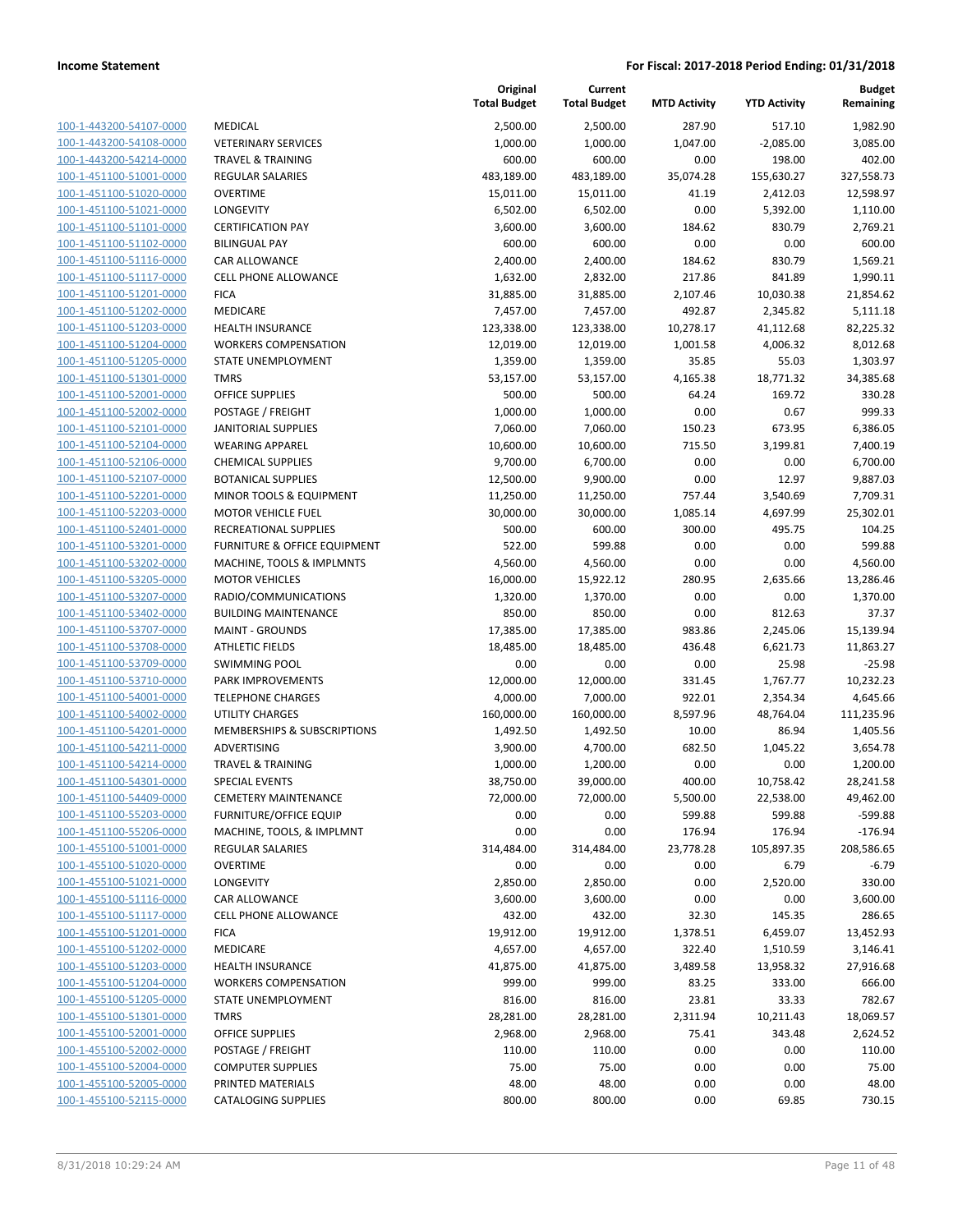| 100-1-443200-54107-0000        |
|--------------------------------|
| 100-1-443200-54108-0000        |
| 100-1-443200-54214-0000        |
| 100-1-451100-51001-0000        |
| 100-1-451100-51020-0000        |
| 100-1-451100-51021-0000        |
| 100-1-451100-51101-0000        |
| 100-1-451100-51102-0000        |
| 100-1-451100-51116-0000        |
| 100-1-451100-51117-0000        |
| 100-1-451100-51201-0000        |
| 100-1-451100-51202-0000        |
| 100-1-451100-51203-0000        |
| 100-1-451100-51204-0000        |
|                                |
| <u>100-1-451100-51205-0000</u> |
| 100-1-451100-51301-0000        |
| 100-1-451100-52001-0000        |
| 100-1-451100-52002-0000        |
| 100-1-451100-52101-0000        |
| 100-1-451100-52104-0000        |
| 100-1-451100-52106-0000        |
| 100-1-451100-52107-0000        |
| 100-1-451100-52201-0000        |
| 100-1-451100-52203-0000        |
| 100-1-451100-52401-0000        |
| 100-1-451100-53201-0000        |
| 100-1-451100-53202-0000        |
| 100-1-451100-53205-0000        |
| 100-1-451100-53207-0000        |
| 100-1-451100-53402-0000        |
| 100-1-451100-53707-0000        |
|                                |
| 100-1-451100-53708-0000        |
| 100-1-451100-53709-0000        |
| 100-1-451100-53710-0000        |
| 100-1-451100-54001-0000        |
| 100-1-451100-54002-0000        |
| 100-1-451100-54201-0000        |
| 100-1-451100-54211-0000        |
| 100-1-451100-54214-0000        |
| 100-1-451100-54301-0000        |
| 100-1-451100-54409-0000        |
| <u>100-1-451100-55203-0000</u> |
| 100-1-451100-55206-0000        |
| 100-1-455100-51001-0000        |
| <u>100-1-455100-51020-0000</u> |
| 100-1-455100-51021-0000        |
| 100-1-455100-51116-0000        |
| 100-1-455100-51117-0000        |
|                                |
| 100-1-455100-51201-0000        |
| <u>100-1-455100-51202-0000</u> |
| <u>100-1-455100-51203-0000</u> |
| 100-1-455100-51204-0000        |
| 100-1-455100-51205-0000        |
| 100-1-455100-51301-0000        |
| <u>100-1-455100-52001-0000</u> |
| <u>100-1-455100-52002-0000</u> |
| <u>100-1-455100-52004-0000</u> |
| <u>100-1-455100-52005-0000</u> |
| 100-1-455100-52115-0000        |
|                                |

|                         |                                         | Original<br><b>Total Budget</b> | Current<br><b>Total Budget</b> | <b>MTD Activity</b> | <b>YTD Activity</b> | <b>Budget</b><br>Remaining |
|-------------------------|-----------------------------------------|---------------------------------|--------------------------------|---------------------|---------------------|----------------------------|
| 100-1-443200-54107-0000 | <b>MEDICAL</b>                          | 2,500.00                        | 2,500.00                       | 287.90              | 517.10              | 1,982.90                   |
| 100-1-443200-54108-0000 | <b>VETERINARY SERVICES</b>              | 1,000.00                        | 1,000.00                       | 1,047.00            | $-2,085.00$         | 3,085.00                   |
| 100-1-443200-54214-0000 | <b>TRAVEL &amp; TRAINING</b>            | 600.00                          | 600.00                         | 0.00                | 198.00              | 402.00                     |
| 100-1-451100-51001-0000 | <b>REGULAR SALARIES</b>                 | 483,189.00                      | 483,189.00                     | 35,074.28           | 155,630.27          | 327,558.73                 |
| 100-1-451100-51020-0000 | <b>OVERTIME</b>                         | 15,011.00                       | 15,011.00                      | 41.19               | 2,412.03            | 12,598.97                  |
| 100-1-451100-51021-0000 | LONGEVITY                               | 6,502.00                        | 6,502.00                       | 0.00                | 5,392.00            | 1,110.00                   |
| 100-1-451100-51101-0000 | <b>CERTIFICATION PAY</b>                | 3,600.00                        | 3,600.00                       | 184.62              | 830.79              | 2,769.21                   |
| 100-1-451100-51102-0000 | <b>BILINGUAL PAY</b>                    | 600.00                          | 600.00                         | 0.00                | 0.00                | 600.00                     |
| 100-1-451100-51116-0000 | CAR ALLOWANCE                           | 2,400.00                        | 2,400.00                       | 184.62              | 830.79              | 1,569.21                   |
| 100-1-451100-51117-0000 | CELL PHONE ALLOWANCE                    | 1,632.00                        | 2,832.00                       | 217.86              | 841.89              | 1,990.11                   |
| 100-1-451100-51201-0000 | <b>FICA</b>                             | 31,885.00                       | 31,885.00                      | 2,107.46            | 10,030.38           | 21,854.62                  |
| 100-1-451100-51202-0000 | MEDICARE                                | 7,457.00                        | 7,457.00                       | 492.87              | 2,345.82            | 5,111.18                   |
| 100-1-451100-51203-0000 | <b>HEALTH INSURANCE</b>                 | 123,338.00                      | 123,338.00                     | 10,278.17           | 41,112.68           | 82,225.32                  |
| 100-1-451100-51204-0000 | <b>WORKERS COMPENSATION</b>             | 12,019.00                       | 12,019.00                      | 1,001.58            | 4,006.32            | 8,012.68                   |
| 100-1-451100-51205-0000 | STATE UNEMPLOYMENT                      | 1,359.00                        | 1,359.00                       | 35.85               | 55.03               | 1,303.97                   |
| 100-1-451100-51301-0000 | <b>TMRS</b>                             | 53,157.00                       | 53,157.00                      | 4,165.38            | 18,771.32           | 34,385.68                  |
| 100-1-451100-52001-0000 | <b>OFFICE SUPPLIES</b>                  | 500.00                          | 500.00                         | 64.24               | 169.72              | 330.28                     |
| 100-1-451100-52002-0000 | POSTAGE / FREIGHT                       | 1,000.00                        | 1,000.00                       | 0.00                | 0.67                | 999.33                     |
| 100-1-451100-52101-0000 | <b>JANITORIAL SUPPLIES</b>              | 7,060.00                        | 7,060.00                       | 150.23              | 673.95              | 6,386.05                   |
| 100-1-451100-52104-0000 | <b>WEARING APPAREL</b>                  | 10,600.00                       | 10,600.00                      | 715.50              | 3,199.81            | 7,400.19                   |
| 100-1-451100-52106-0000 | <b>CHEMICAL SUPPLIES</b>                | 9,700.00                        | 6,700.00                       | 0.00                | 0.00                | 6,700.00                   |
| 100-1-451100-52107-0000 | <b>BOTANICAL SUPPLIES</b>               | 12,500.00                       | 9,900.00                       | 0.00                | 12.97               | 9,887.03                   |
| 100-1-451100-52201-0000 | MINOR TOOLS & EQUIPMENT                 | 11,250.00                       | 11,250.00                      | 757.44              | 3,540.69            | 7,709.31                   |
| 100-1-451100-52203-0000 | <b>MOTOR VEHICLE FUEL</b>               | 30,000.00                       | 30,000.00                      | 1,085.14            | 4,697.99            | 25,302.01                  |
| 100-1-451100-52401-0000 | RECREATIONAL SUPPLIES                   | 500.00                          | 600.00                         | 300.00              | 495.75              | 104.25                     |
| 100-1-451100-53201-0000 | <b>FURNITURE &amp; OFFICE EQUIPMENT</b> | 522.00                          | 599.88                         | 0.00                | 0.00                | 599.88                     |
| 100-1-451100-53202-0000 | MACHINE, TOOLS & IMPLMNTS               | 4,560.00                        | 4,560.00                       | 0.00                | 0.00                | 4,560.00                   |
| 100-1-451100-53205-0000 | <b>MOTOR VEHICLES</b>                   | 16,000.00                       | 15,922.12                      | 280.95              | 2,635.66            | 13,286.46                  |
| 100-1-451100-53207-0000 | RADIO/COMMUNICATIONS                    | 1,320.00                        | 1,370.00                       | 0.00                | 0.00                | 1,370.00                   |
| 100-1-451100-53402-0000 | <b>BUILDING MAINTENANCE</b>             | 850.00                          | 850.00                         | 0.00                | 812.63              | 37.37                      |
| 100-1-451100-53707-0000 | <b>MAINT - GROUNDS</b>                  | 17,385.00                       | 17,385.00                      | 983.86              | 2,245.06            | 15,139.94                  |
| 100-1-451100-53708-0000 | <b>ATHLETIC FIELDS</b>                  | 18,485.00                       | 18,485.00                      | 436.48              | 6,621.73            | 11,863.27                  |
| 100-1-451100-53709-0000 | <b>SWIMMING POOL</b>                    | 0.00                            | 0.00                           | 0.00                | 25.98               | $-25.98$                   |
| 100-1-451100-53710-0000 | PARK IMPROVEMENTS                       | 12,000.00                       | 12,000.00                      | 331.45              | 1,767.77            | 10,232.23                  |
| 100-1-451100-54001-0000 | <b>TELEPHONE CHARGES</b>                | 4,000.00                        | 7,000.00                       | 922.01              | 2,354.34            | 4,645.66                   |
| 100-1-451100-54002-0000 | UTILITY CHARGES                         | 160,000.00                      | 160,000.00                     | 8,597.96            | 48,764.04           | 111,235.96                 |
| 100-1-451100-54201-0000 | MEMBERSHIPS & SUBSCRIPTIONS             | 1,492.50                        | 1,492.50                       | 10.00               | 86.94               | 1,405.56                   |
| 100-1-451100-54211-0000 | ADVERTISING                             | 3,900.00                        | 4,700.00                       | 682.50              | 1,045.22            | 3,654.78                   |
| 100-1-451100-54214-0000 | <b>TRAVEL &amp; TRAINING</b>            | 1,000.00                        | 1,200.00                       | 0.00                | 0.00                | 1,200.00                   |
| 100-1-451100-54301-0000 | <b>SPECIAL EVENTS</b>                   | 38,750.00                       | 39,000.00                      | 400.00              | 10,758.42           | 28,241.58                  |
| 100-1-451100-54409-0000 | <b>CEMETERY MAINTENANCE</b>             | 72,000.00                       | 72,000.00                      | 5,500.00            | 22,538.00           | 49,462.00                  |
| 100-1-451100-55203-0000 | <b>FURNITURE/OFFICE EQUIP</b>           | 0.00                            | 0.00                           | 599.88              | 599.88              | $-599.88$                  |
| 100-1-451100-55206-0000 | MACHINE, TOOLS, & IMPLMNT               | 0.00                            | 0.00                           | 176.94              | 176.94              | $-176.94$                  |
| 100-1-455100-51001-0000 | <b>REGULAR SALARIES</b>                 | 314,484.00                      | 314,484.00                     | 23,778.28           | 105,897.35          | 208,586.65                 |
| 100-1-455100-51020-0000 | <b>OVERTIME</b>                         | 0.00                            | 0.00                           | 0.00                | 6.79                | $-6.79$                    |
| 100-1-455100-51021-0000 | LONGEVITY                               | 2,850.00                        | 2,850.00                       | 0.00                | 2,520.00            | 330.00                     |
| 100-1-455100-51116-0000 | <b>CAR ALLOWANCE</b>                    | 3,600.00                        | 3,600.00                       | 0.00                | 0.00                | 3,600.00                   |
| 100-1-455100-51117-0000 | <b>CELL PHONE ALLOWANCE</b>             | 432.00                          | 432.00                         | 32.30               | 145.35              | 286.65                     |
| 100-1-455100-51201-0000 | <b>FICA</b>                             | 19,912.00                       | 19,912.00                      | 1,378.51            | 6,459.07            | 13,452.93                  |
| 100-1-455100-51202-0000 | MEDICARE                                | 4,657.00                        | 4,657.00                       | 322.40              | 1,510.59            | 3,146.41                   |
| 100-1-455100-51203-0000 | <b>HEALTH INSURANCE</b>                 | 41,875.00                       | 41,875.00                      | 3,489.58            | 13,958.32           | 27,916.68                  |
| 100-1-455100-51204-0000 | <b>WORKERS COMPENSATION</b>             | 999.00                          | 999.00                         | 83.25               | 333.00              | 666.00                     |
| 100-1-455100-51205-0000 | STATE UNEMPLOYMENT                      | 816.00                          | 816.00                         | 23.81               | 33.33               | 782.67                     |
| 100-1-455100-51301-0000 | <b>TMRS</b>                             | 28,281.00                       | 28,281.00                      | 2,311.94            | 10,211.43           | 18,069.57                  |
| 100-1-455100-52001-0000 | <b>OFFICE SUPPLIES</b>                  | 2,968.00                        | 2,968.00                       | 75.41               | 343.48              | 2,624.52                   |
| 100-1-455100-52002-0000 | POSTAGE / FREIGHT                       | 110.00                          | 110.00                         | 0.00                | 0.00                | 110.00                     |
| 100-1-455100-52004-0000 | <b>COMPUTER SUPPLIES</b>                | 75.00                           | 75.00                          | 0.00                | 0.00                | 75.00                      |
| 100-1-455100-52005-0000 | PRINTED MATERIALS                       | 48.00                           | 48.00                          | 0.00                | 0.00                | 48.00                      |
| 100-1-455100-52115-0000 | <b>CATALOGING SUPPLIES</b>              | 800.00                          | 800.00                         | 0.00                | 69.85               | 730.15                     |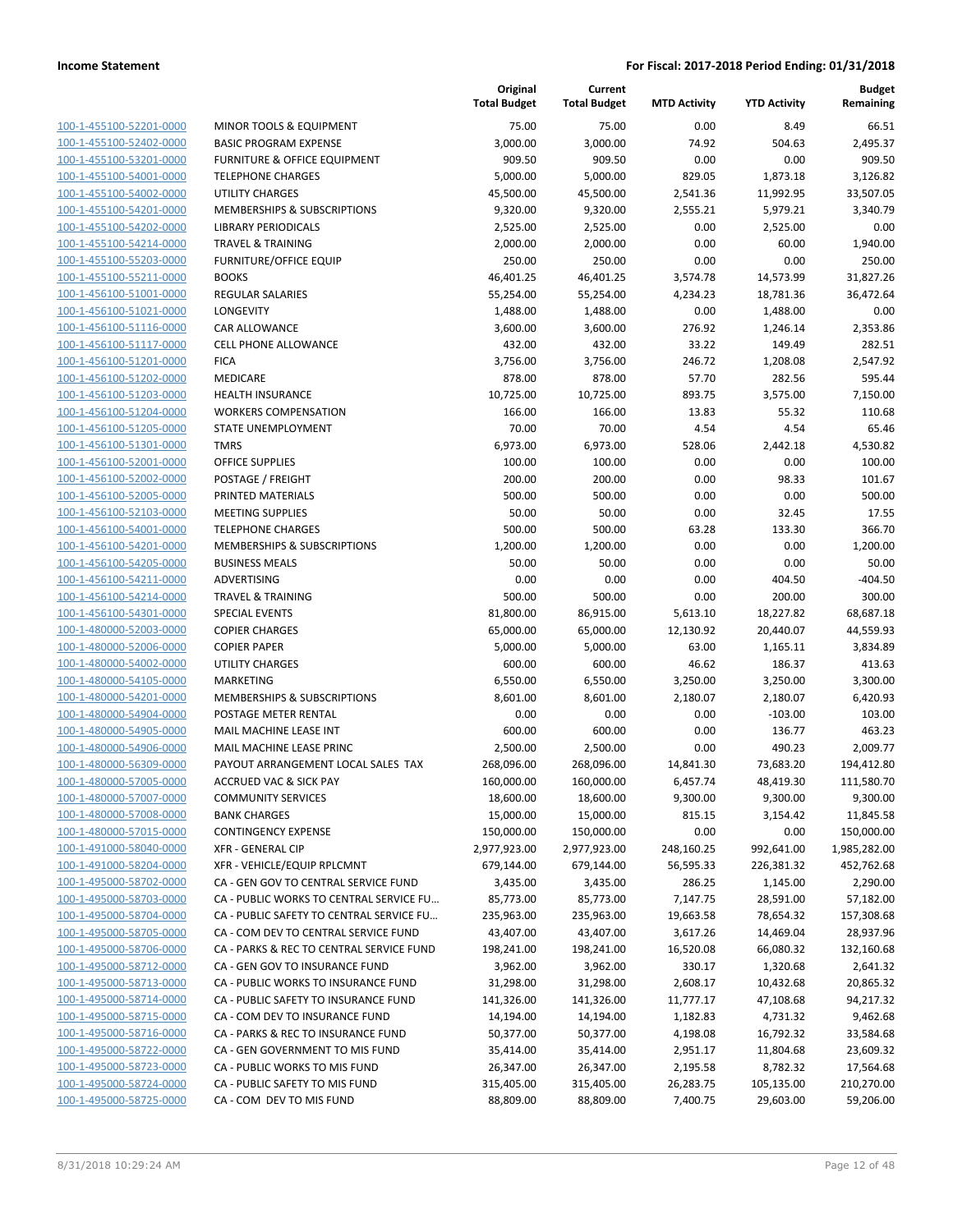| 100-1-455100-52201-0000        | M              |
|--------------------------------|----------------|
| 100-1-455100-52402-0000        | B/             |
| 100-1-455100-53201-0000        | Fl             |
| 100-1-455100-54001-0000        | TE             |
| 100-1-455100-54002-0000        | n.             |
| 100-1-455100-54201-0000        | M              |
| 100-1-455100-54202-0000        | Ш              |
| 100-1-455100-54214-0000        | ΤF             |
| 100-1-455100-55203-0000        | Fl             |
| 100-1-455100-55211-0000        | B <sub>C</sub> |
| 100-1-456100-51001-0000        | <b>RE</b>      |
| 100-1-456100-51021-0000        | LC             |
| 100-1-456100-51116-0000        | C/             |
| 100-1-456100-51117-0000        | СE             |
| 100-1-456100-51201-0000        | F۱             |
| 100-1-456100-51202-0000        | M              |
|                                |                |
| 100-1-456100-51203-0000        | н              |
| 100-1-456100-51204-0000        | W              |
| 100-1-456100-51205-0000        | S <sub>T</sub> |
| 100-1-456100-51301-0000        | Τ١             |
| 100-1-456100-52001-0000        | O              |
| 100-1-456100-52002-0000        | P(             |
| 100-1-456100-52005-0000        | PF             |
| 100-1-456100-52103-0000        | M              |
| 100-1-456100-54001-0000        | ΤE             |
| 100-1-456100-54201-0000        | M              |
| 100-1-456100-54205-0000        | Bι             |
| 100-1-456100-54211-0000        | AI             |
| 100-1-456100-54214-0000        | ΤF             |
| 100-1-456100-54301-0000        | SF             |
| 100-1-480000-52003-0000        | C0             |
| 100-1-480000-52006-0000        | C(             |
| 100-1-480000-54002-0000        | n.             |
| 100-1-480000-54105-0000        | M              |
| 100-1-480000-54201-0000        | M              |
| 100-1-480000-54904-0000        | P(             |
| 100-1-480000-54905-0000        | M              |
| 100-1-480000-54906-0000        | M              |
| 100-1-480000-56309-0000        | P/             |
| 100-1-480000-57005-0000        | A(             |
| 100-1-480000-57007-0000        | C <sub>C</sub> |
| 100-1-480000-57008-0000        | B/             |
| 100-1-480000-57015-0000        | C(             |
| <u>100-1-491000-58040-0000</u> | XF             |
| 100-1-491000-58204-0000        | XF             |
| 100-1-495000-58702-0000        | C/             |
| 100-1-495000-58703-0000        | C/             |
| 100-1-495000-58704-0000        | C/             |
| <u>100-1-495000-58705-0000</u> | C/             |
| <u>100-1-495000-58706-0000</u> | C/             |
|                                | C/             |
| 100-1-495000-58712-0000        |                |
| 100-1-495000-58713-0000        | C/             |
| 100-1-495000-58714-0000        | C/             |
| <u>100-1-495000-58715-0000</u> | C/             |
| 100-1-495000-58716-0000        | C/             |
| 100-1-495000-58722-0000        | C/             |
| 100-1-495000-58723-0000        | C/             |
| 100-1-495000-58724-0000        | C/             |
| <u>100-1-495000-58725-0000</u> | C/             |
|                                |                |

|                         |                                          | Original<br><b>Total Budget</b> | Current<br><b>Total Budget</b> | <b>MTD Activity</b> | <b>YTD Activity</b> | <b>Budget</b><br>Remaining |
|-------------------------|------------------------------------------|---------------------------------|--------------------------------|---------------------|---------------------|----------------------------|
| 100-1-455100-52201-0000 | MINOR TOOLS & EQUIPMENT                  | 75.00                           | 75.00                          | 0.00                | 8.49                | 66.51                      |
| 100-1-455100-52402-0000 | <b>BASIC PROGRAM EXPENSE</b>             | 3,000.00                        | 3,000.00                       | 74.92               | 504.63              | 2,495.37                   |
| 100-1-455100-53201-0000 | <b>FURNITURE &amp; OFFICE EQUIPMENT</b>  | 909.50                          | 909.50                         | 0.00                | 0.00                | 909.50                     |
| 100-1-455100-54001-0000 | <b>TELEPHONE CHARGES</b>                 | 5,000.00                        | 5,000.00                       | 829.05              | 1,873.18            | 3,126.82                   |
| 100-1-455100-54002-0000 | <b>UTILITY CHARGES</b>                   | 45,500.00                       | 45,500.00                      | 2,541.36            | 11,992.95           | 33,507.05                  |
| 100-1-455100-54201-0000 | MEMBERSHIPS & SUBSCRIPTIONS              | 9,320.00                        | 9,320.00                       | 2,555.21            | 5,979.21            | 3,340.79                   |
| 100-1-455100-54202-0000 | <b>LIBRARY PERIODICALS</b>               | 2,525.00                        | 2,525.00                       | 0.00                | 2,525.00            | 0.00                       |
| 100-1-455100-54214-0000 | <b>TRAVEL &amp; TRAINING</b>             | 2,000.00                        | 2,000.00                       | 0.00                | 60.00               | 1,940.00                   |
| 100-1-455100-55203-0000 | <b>FURNITURE/OFFICE EQUIP</b>            | 250.00                          | 250.00                         | 0.00                | 0.00                | 250.00                     |
| 100-1-455100-55211-0000 | <b>BOOKS</b>                             | 46,401.25                       | 46,401.25                      | 3,574.78            | 14,573.99           | 31,827.26                  |
| 100-1-456100-51001-0000 | <b>REGULAR SALARIES</b>                  | 55,254.00                       | 55,254.00                      | 4,234.23            | 18,781.36           | 36,472.64                  |
| 100-1-456100-51021-0000 | LONGEVITY                                | 1,488.00                        | 1,488.00                       | 0.00                | 1,488.00            | 0.00                       |
| 100-1-456100-51116-0000 | CAR ALLOWANCE                            | 3,600.00                        | 3,600.00                       | 276.92              | 1,246.14            | 2,353.86                   |
| 100-1-456100-51117-0000 | <b>CELL PHONE ALLOWANCE</b>              | 432.00                          | 432.00                         | 33.22               | 149.49              | 282.51                     |
| 100-1-456100-51201-0000 | <b>FICA</b>                              | 3,756.00                        | 3,756.00                       | 246.72              | 1,208.08            | 2,547.92                   |
| 100-1-456100-51202-0000 | MEDICARE                                 | 878.00                          | 878.00                         | 57.70               | 282.56              | 595.44                     |
| 100-1-456100-51203-0000 | <b>HEALTH INSURANCE</b>                  | 10,725.00                       | 10,725.00                      | 893.75              | 3,575.00            | 7,150.00                   |
| 100-1-456100-51204-0000 | <b>WORKERS COMPENSATION</b>              | 166.00                          | 166.00                         | 13.83               | 55.32               | 110.68                     |
| 100-1-456100-51205-0000 | STATE UNEMPLOYMENT                       | 70.00                           | 70.00                          | 4.54                | 4.54                | 65.46                      |
| 100-1-456100-51301-0000 | <b>TMRS</b>                              | 6,973.00                        | 6,973.00                       | 528.06              | 2,442.18            | 4,530.82                   |
| 100-1-456100-52001-0000 | <b>OFFICE SUPPLIES</b>                   | 100.00                          | 100.00                         | 0.00                | 0.00                | 100.00                     |
| 100-1-456100-52002-0000 | POSTAGE / FREIGHT                        | 200.00                          | 200.00                         | 0.00                | 98.33               | 101.67                     |
| 100-1-456100-52005-0000 | PRINTED MATERIALS                        | 500.00                          | 500.00                         | 0.00                | 0.00                | 500.00                     |
| 100-1-456100-52103-0000 | <b>MEETING SUPPLIES</b>                  | 50.00                           | 50.00                          | 0.00                | 32.45               | 17.55                      |
| 100-1-456100-54001-0000 | <b>TELEPHONE CHARGES</b>                 | 500.00                          | 500.00                         | 63.28               | 133.30              | 366.70                     |
| 100-1-456100-54201-0000 | MEMBERSHIPS & SUBSCRIPTIONS              | 1,200.00                        | 1,200.00                       | 0.00                | 0.00                | 1,200.00                   |
| 100-1-456100-54205-0000 | <b>BUSINESS MEALS</b>                    | 50.00                           | 50.00                          | 0.00                | 0.00                | 50.00                      |
| 100-1-456100-54211-0000 | ADVERTISING                              | 0.00                            | 0.00                           | 0.00                | 404.50              | $-404.50$                  |
| 100-1-456100-54214-0000 | <b>TRAVEL &amp; TRAINING</b>             | 500.00                          | 500.00                         | 0.00                | 200.00              | 300.00                     |
| 100-1-456100-54301-0000 | <b>SPECIAL EVENTS</b>                    | 81,800.00                       | 86,915.00                      | 5,613.10            | 18,227.82           | 68,687.18                  |
| 100-1-480000-52003-0000 | <b>COPIER CHARGES</b>                    | 65,000.00                       | 65,000.00                      | 12,130.92           | 20,440.07           | 44,559.93                  |
| 100-1-480000-52006-0000 | <b>COPIER PAPER</b>                      | 5,000.00                        | 5,000.00                       | 63.00               | 1,165.11            | 3,834.89                   |
| 100-1-480000-54002-0000 | <b>UTILITY CHARGES</b>                   | 600.00                          | 600.00                         | 46.62               | 186.37              | 413.63                     |
| 100-1-480000-54105-0000 | <b>MARKETING</b>                         | 6,550.00                        | 6,550.00                       | 3,250.00            | 3,250.00            | 3,300.00                   |
| 100-1-480000-54201-0000 | <b>MEMBERSHIPS &amp; SUBSCRIPTIONS</b>   | 8,601.00                        | 8,601.00                       | 2,180.07            | 2,180.07            | 6,420.93                   |
| 100-1-480000-54904-0000 | POSTAGE METER RENTAL                     | 0.00                            | 0.00                           | 0.00                | $-103.00$           | 103.00                     |
| 100-1-480000-54905-0000 | MAIL MACHINE LEASE INT                   | 600.00                          | 600.00                         | 0.00                | 136.77              | 463.23                     |
| 100-1-480000-54906-0000 | MAIL MACHINE LEASE PRINC                 | 2,500.00                        | 2,500.00                       | 0.00                | 490.23              | 2,009.77                   |
| 100-1-480000-56309-0000 | PAYOUT ARRANGEMENT LOCAL SALES TAX       | 268,096.00                      | 268,096.00                     | 14,841.30           | 73,683.20           | 194,412.80                 |
| 100-1-480000-57005-0000 | ACCRUED VAC & SICK PAY                   | 160,000.00                      | 160,000.00                     | 6,457.74            | 48,419.30           | 111,580.70                 |
| 100-1-480000-57007-0000 | <b>COMMUNITY SERVICES</b>                | 18,600.00                       | 18,600.00                      | 9,300.00            | 9,300.00            | 9,300.00                   |
| 100-1-480000-57008-0000 | <b>BANK CHARGES</b>                      | 15,000.00                       | 15,000.00                      | 815.15              | 3,154.42            | 11,845.58                  |
| 100-1-480000-57015-0000 | <b>CONTINGENCY EXPENSE</b>               | 150,000.00                      | 150,000.00                     | 0.00                | 0.00                | 150,000.00                 |
| 100-1-491000-58040-0000 | <b>XFR - GENERAL CIP</b>                 | 2,977,923.00                    | 2,977,923.00                   | 248,160.25          | 992,641.00          | 1,985,282.00               |
| 100-1-491000-58204-0000 | XFR - VEHICLE/EQUIP RPLCMNT              | 679,144.00                      | 679,144.00                     | 56,595.33           | 226,381.32          | 452,762.68                 |
| 100-1-495000-58702-0000 | CA - GEN GOV TO CENTRAL SERVICE FUND     | 3,435.00                        | 3,435.00                       | 286.25              | 1,145.00            | 2,290.00                   |
| 100-1-495000-58703-0000 | CA - PUBLIC WORKS TO CENTRAL SERVICE FU  | 85,773.00                       | 85,773.00                      | 7,147.75            | 28,591.00           | 57,182.00                  |
| 100-1-495000-58704-0000 | CA - PUBLIC SAFETY TO CENTRAL SERVICE FU | 235,963.00                      | 235,963.00                     | 19,663.58           | 78,654.32           | 157,308.68                 |
| 100-1-495000-58705-0000 | CA - COM DEV TO CENTRAL SERVICE FUND     | 43,407.00                       | 43,407.00                      | 3,617.26            | 14,469.04           | 28,937.96                  |
| 100-1-495000-58706-0000 | CA - PARKS & REC TO CENTRAL SERVICE FUND | 198,241.00                      | 198,241.00                     | 16,520.08           | 66,080.32           | 132,160.68                 |
| 100-1-495000-58712-0000 | CA - GEN GOV TO INSURANCE FUND           | 3,962.00                        | 3,962.00                       | 330.17              | 1,320.68            | 2,641.32                   |
| 100-1-495000-58713-0000 | CA - PUBLIC WORKS TO INSURANCE FUND      | 31,298.00                       | 31,298.00                      | 2,608.17            | 10,432.68           | 20,865.32                  |
| 100-1-495000-58714-0000 | CA - PUBLIC SAFETY TO INSURANCE FUND     | 141,326.00                      | 141,326.00                     | 11,777.17           | 47,108.68           | 94,217.32                  |
| 100-1-495000-58715-0000 | CA - COM DEV TO INSURANCE FUND           | 14,194.00                       | 14,194.00                      | 1,182.83            | 4,731.32            | 9,462.68                   |
| 100-1-495000-58716-0000 | CA - PARKS & REC TO INSURANCE FUND       | 50,377.00                       | 50,377.00                      | 4,198.08            | 16,792.32           | 33,584.68                  |
| 100-1-495000-58722-0000 | CA - GEN GOVERNMENT TO MIS FUND          | 35,414.00                       | 35,414.00                      | 2,951.17            | 11,804.68           | 23,609.32                  |
| 100-1-495000-58723-0000 | CA - PUBLIC WORKS TO MIS FUND            | 26,347.00                       | 26,347.00                      | 2,195.58            | 8,782.32            | 17,564.68                  |
| 100-1-495000-58724-0000 | CA - PUBLIC SAFETY TO MIS FUND           | 315,405.00                      | 315,405.00                     | 26,283.75           | 105,135.00          | 210,270.00                 |
| 100-1-495000-58725-0000 | CA - COM DEV TO MIS FUND                 | 88,809.00                       | 88,809.00                      | 7,400.75            | 29,603.00           | 59,206.00                  |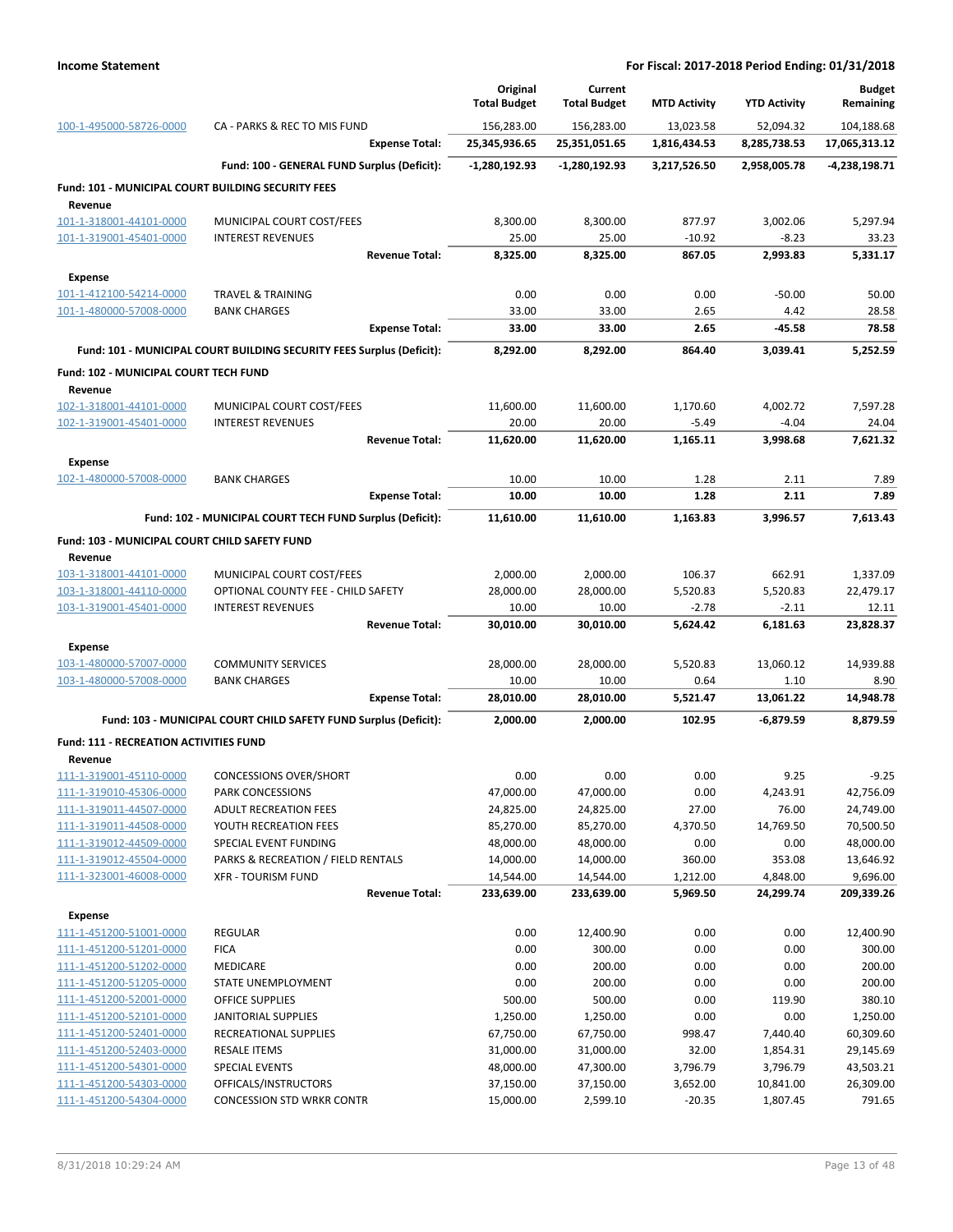|                                                           |                                                                       | Original<br><b>Total Budget</b> | Current<br><b>Total Budget</b> | <b>MTD Activity</b> | <b>YTD Activity</b>  | <b>Budget</b><br>Remaining |
|-----------------------------------------------------------|-----------------------------------------------------------------------|---------------------------------|--------------------------------|---------------------|----------------------|----------------------------|
| 100-1-495000-58726-0000                                   | CA - PARKS & REC TO MIS FUND                                          | 156,283.00                      | 156,283.00                     | 13,023.58           | 52,094.32            | 104,188.68                 |
|                                                           | <b>Expense Total:</b>                                                 | 25,345,936.65                   | 25,351,051.65                  | 1,816,434.53        | 8,285,738.53         | 17,065,313.12              |
|                                                           | Fund: 100 - GENERAL FUND Surplus (Deficit):                           | $-1,280,192.93$                 | -1,280,192.93                  | 3,217,526.50        | 2,958,005.78         | -4,238,198.71              |
| <b>Fund: 101 - MUNICIPAL COURT BUILDING SECURITY FEES</b> |                                                                       |                                 |                                |                     |                      |                            |
| Revenue                                                   |                                                                       |                                 |                                |                     |                      |                            |
| 101-1-318001-44101-0000                                   | MUNICIPAL COURT COST/FEES                                             | 8,300.00                        | 8,300.00                       | 877.97              | 3,002.06             | 5,297.94                   |
| 101-1-319001-45401-0000                                   | <b>INTEREST REVENUES</b><br><b>Revenue Total:</b>                     | 25.00<br>8,325.00               | 25.00<br>8,325.00              | $-10.92$<br>867.05  | $-8.23$<br>2,993.83  | 33.23<br>5,331.17          |
|                                                           |                                                                       |                                 |                                |                     |                      |                            |
| <b>Expense</b>                                            | <b>TRAVEL &amp; TRAINING</b>                                          | 0.00                            | 0.00                           | 0.00                | $-50.00$             |                            |
| 101-1-412100-54214-0000<br>101-1-480000-57008-0000        | <b>BANK CHARGES</b>                                                   | 33.00                           | 33.00                          | 2.65                | 4.42                 | 50.00<br>28.58             |
|                                                           | <b>Expense Total:</b>                                                 | 33.00                           | 33.00                          | 2.65                | -45.58               | 78.58                      |
|                                                           | Fund: 101 - MUNICIPAL COURT BUILDING SECURITY FEES Surplus (Deficit): | 8,292.00                        | 8,292.00                       | 864.40              | 3,039.41             | 5,252.59                   |
|                                                           |                                                                       |                                 |                                |                     |                      |                            |
| Fund: 102 - MUNICIPAL COURT TECH FUND                     |                                                                       |                                 |                                |                     |                      |                            |
| Revenue<br>102-1-318001-44101-0000                        | MUNICIPAL COURT COST/FEES                                             | 11,600.00                       | 11,600.00                      | 1,170.60            | 4,002.72             | 7,597.28                   |
| 102-1-319001-45401-0000                                   | <b>INTEREST REVENUES</b>                                              | 20.00                           | 20.00                          | $-5.49$             | $-4.04$              | 24.04                      |
|                                                           | <b>Revenue Total:</b>                                                 | 11,620.00                       | 11,620.00                      | 1,165.11            | 3,998.68             | 7,621.32                   |
| Expense                                                   |                                                                       |                                 |                                |                     |                      |                            |
| 102-1-480000-57008-0000                                   | <b>BANK CHARGES</b>                                                   | 10.00                           | 10.00                          | 1.28                | 2.11                 | 7.89                       |
|                                                           | <b>Expense Total:</b>                                                 | 10.00                           | 10.00                          | 1.28                | 2.11                 | 7.89                       |
|                                                           | Fund: 102 - MUNICIPAL COURT TECH FUND Surplus (Deficit):              | 11,610.00                       | 11,610.00                      | 1,163.83            | 3,996.57             | 7,613.43                   |
|                                                           |                                                                       |                                 |                                |                     |                      |                            |
| Fund: 103 - MUNICIPAL COURT CHILD SAFETY FUND<br>Revenue  |                                                                       |                                 |                                |                     |                      |                            |
| 103-1-318001-44101-0000                                   | MUNICIPAL COURT COST/FEES                                             | 2,000.00                        | 2,000.00                       | 106.37              | 662.91               | 1,337.09                   |
| 103-1-318001-44110-0000                                   | OPTIONAL COUNTY FEE - CHILD SAFETY                                    | 28,000.00                       | 28,000.00                      | 5,520.83            | 5,520.83             | 22,479.17                  |
| 103-1-319001-45401-0000                                   | <b>INTEREST REVENUES</b>                                              | 10.00                           | 10.00                          | $-2.78$             | $-2.11$              | 12.11                      |
|                                                           | <b>Revenue Total:</b>                                                 | 30,010.00                       | 30,010.00                      | 5,624.42            | 6,181.63             | 23,828.37                  |
| <b>Expense</b>                                            |                                                                       |                                 |                                |                     |                      |                            |
| 103-1-480000-57007-0000                                   | <b>COMMUNITY SERVICES</b>                                             | 28,000.00                       | 28,000.00                      | 5,520.83            | 13,060.12            | 14,939.88                  |
| 103-1-480000-57008-0000                                   | <b>BANK CHARGES</b>                                                   | 10.00                           | 10.00                          | 0.64                | 1.10                 | 8.90                       |
|                                                           | <b>Expense Total:</b>                                                 | 28,010.00                       | 28,010.00                      | 5,521.47            | 13,061.22            | 14,948.78                  |
|                                                           | Fund: 103 - MUNICIPAL COURT CHILD SAFETY FUND Surplus (Deficit):      | 2,000.00                        | 2,000.00                       | 102.95              | $-6,879.59$          | 8,879.59                   |
| <b>Fund: 111 - RECREATION ACTIVITIES FUND</b>             |                                                                       |                                 |                                |                     |                      |                            |
| Revenue                                                   |                                                                       |                                 |                                |                     |                      |                            |
| 111-1-319001-45110-0000                                   | <b>CONCESSIONS OVER/SHORT</b>                                         | 0.00                            | 0.00                           | 0.00                | 9.25                 | -9.25                      |
| 111-1-319010-45306-0000                                   | PARK CONCESSIONS                                                      | 47,000.00                       | 47,000.00                      | 0.00                | 4,243.91             | 42,756.09                  |
| 111-1-319011-44507-0000<br>111-1-319011-44508-0000        | <b>ADULT RECREATION FEES</b><br>YOUTH RECREATION FEES                 | 24,825.00<br>85,270.00          | 24,825.00<br>85,270.00         | 27.00<br>4,370.50   | 76.00<br>14,769.50   | 24,749.00<br>70,500.50     |
| 111-1-319012-44509-0000                                   | SPECIAL EVENT FUNDING                                                 | 48,000.00                       | 48,000.00                      | 0.00                | 0.00                 | 48,000.00                  |
| 111-1-319012-45504-0000                                   | PARKS & RECREATION / FIELD RENTALS                                    | 14,000.00                       | 14,000.00                      | 360.00              | 353.08               | 13,646.92                  |
| 111-1-323001-46008-0000                                   | <b>XFR - TOURISM FUND</b>                                             | 14,544.00                       | 14,544.00                      | 1,212.00            | 4,848.00             | 9,696.00                   |
|                                                           | <b>Revenue Total:</b>                                                 | 233,639.00                      | 233,639.00                     | 5,969.50            | 24,299.74            | 209,339.26                 |
| <b>Expense</b>                                            |                                                                       |                                 |                                |                     |                      |                            |
| 111-1-451200-51001-0000                                   | <b>REGULAR</b>                                                        | 0.00                            | 12,400.90                      | 0.00                | 0.00                 | 12,400.90                  |
| 111-1-451200-51201-0000                                   | <b>FICA</b>                                                           | 0.00                            | 300.00                         | 0.00                | 0.00                 | 300.00                     |
| 111-1-451200-51202-0000                                   | <b>MEDICARE</b>                                                       | 0.00                            | 200.00                         | 0.00                | 0.00                 | 200.00                     |
| 111-1-451200-51205-0000                                   | STATE UNEMPLOYMENT                                                    | 0.00                            | 200.00                         | 0.00                | 0.00                 | 200.00                     |
| 111-1-451200-52001-0000                                   | OFFICE SUPPLIES                                                       | 500.00                          | 500.00                         | 0.00                | 119.90               | 380.10                     |
| 111-1-451200-52101-0000                                   | JANITORIAL SUPPLIES                                                   | 1,250.00                        | 1,250.00                       | 0.00                | 0.00                 | 1,250.00                   |
| 111-1-451200-52401-0000                                   | RECREATIONAL SUPPLIES                                                 | 67,750.00                       | 67,750.00                      | 998.47              | 7,440.40             | 60,309.60                  |
| 111-1-451200-52403-0000<br>111-1-451200-54301-0000        | <b>RESALE ITEMS</b><br>SPECIAL EVENTS                                 | 31,000.00<br>48,000.00          | 31,000.00<br>47,300.00         | 32.00<br>3,796.79   | 1,854.31<br>3,796.79 | 29,145.69<br>43,503.21     |
| 111-1-451200-54303-0000                                   | OFFICALS/INSTRUCTORS                                                  | 37,150.00                       | 37,150.00                      | 3,652.00            | 10,841.00            | 26,309.00                  |
| 111-1-451200-54304-0000                                   | <b>CONCESSION STD WRKR CONTR</b>                                      | 15,000.00                       | 2,599.10                       | $-20.35$            | 1,807.45             | 791.65                     |
|                                                           |                                                                       |                                 |                                |                     |                      |                            |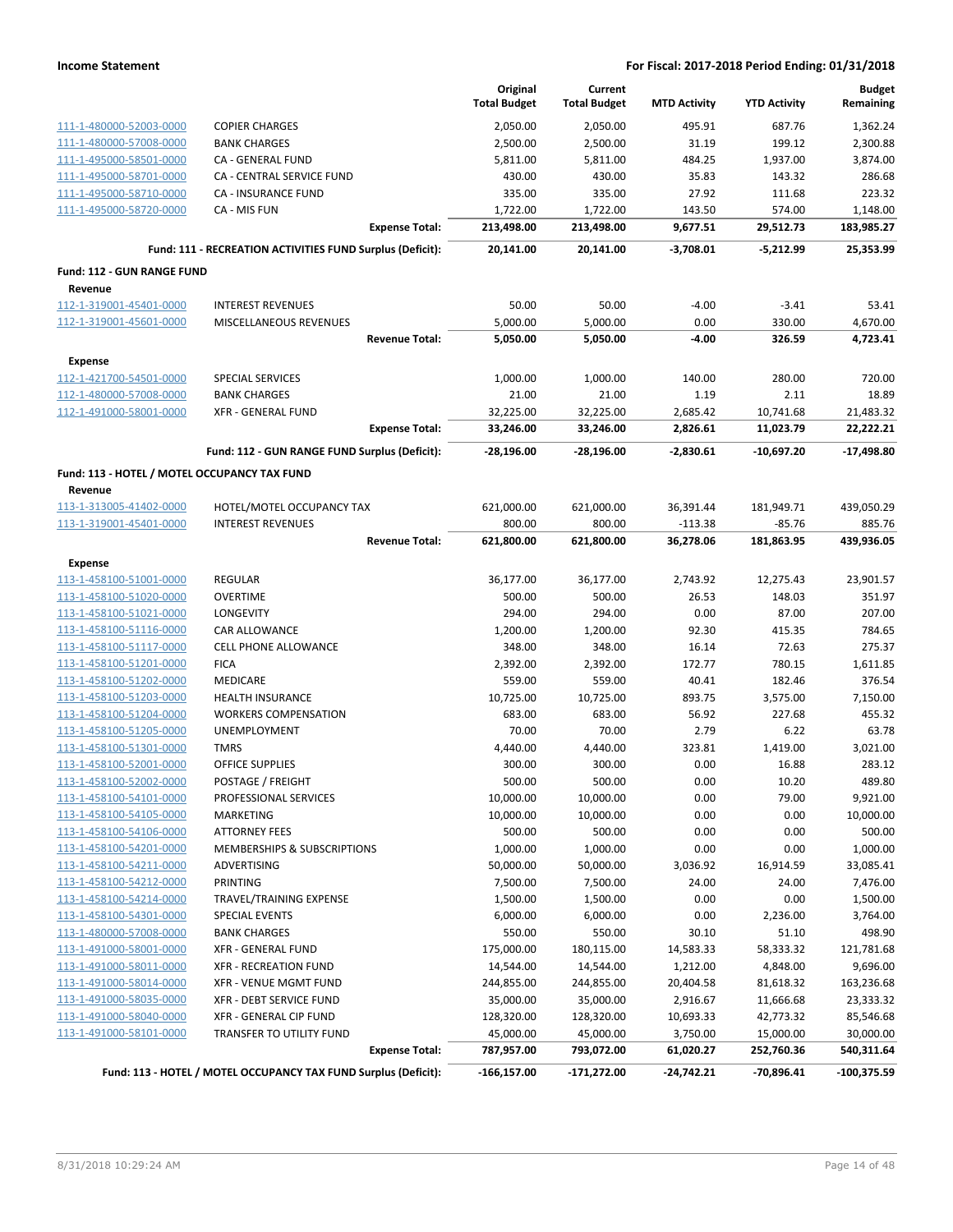|                                              |                                                                 | Original<br><b>Total Budget</b> | Current<br><b>Total Budget</b> | <b>MTD Activity</b> | <b>YTD Activity</b> | <b>Budget</b><br>Remaining |
|----------------------------------------------|-----------------------------------------------------------------|---------------------------------|--------------------------------|---------------------|---------------------|----------------------------|
| 111-1-480000-52003-0000                      | <b>COPIER CHARGES</b>                                           | 2,050.00                        | 2,050.00                       | 495.91              | 687.76              | 1,362.24                   |
| 111-1-480000-57008-0000                      | <b>BANK CHARGES</b>                                             | 2,500.00                        | 2,500.00                       | 31.19               | 199.12              | 2,300.88                   |
| 111-1-495000-58501-0000                      | CA - GENERAL FUND                                               | 5,811.00                        | 5,811.00                       | 484.25              | 1,937.00            | 3,874.00                   |
| 111-1-495000-58701-0000                      | CA - CENTRAL SERVICE FUND                                       | 430.00                          | 430.00                         | 35.83               | 143.32              | 286.68                     |
| 111-1-495000-58710-0000                      | CA - INSURANCE FUND                                             | 335.00                          | 335.00                         | 27.92               | 111.68              | 223.32                     |
| 111-1-495000-58720-0000                      | CA - MIS FUN                                                    | 1,722.00                        | 1,722.00                       | 143.50              | 574.00              | 1,148.00                   |
|                                              | <b>Expense Total:</b>                                           | 213,498.00                      | 213,498.00                     | 9,677.51            | 29,512.73           | 183,985.27                 |
|                                              | Fund: 111 - RECREATION ACTIVITIES FUND Surplus (Deficit):       | 20,141.00                       | 20,141.00                      | $-3,708.01$         | $-5,212.99$         | 25,353.99                  |
| Fund: 112 - GUN RANGE FUND                   |                                                                 |                                 |                                |                     |                     |                            |
| Revenue                                      |                                                                 |                                 |                                |                     |                     |                            |
| 112-1-319001-45401-0000                      | <b>INTEREST REVENUES</b>                                        | 50.00                           | 50.00                          | $-4.00$             | $-3.41$             | 53.41                      |
| 112-1-319001-45601-0000                      | MISCELLANEOUS REVENUES                                          | 5,000.00                        | 5,000.00                       | 0.00                | 330.00              | 4,670.00                   |
|                                              | <b>Revenue Total:</b>                                           | 5,050.00                        | 5,050.00                       | $-4.00$             | 326.59              | 4,723.41                   |
| <b>Expense</b>                               |                                                                 |                                 |                                |                     |                     |                            |
| 112-1-421700-54501-0000                      | <b>SPECIAL SERVICES</b>                                         | 1,000.00                        | 1,000.00                       | 140.00              | 280.00              | 720.00                     |
| 112-1-480000-57008-0000                      | <b>BANK CHARGES</b>                                             | 21.00                           | 21.00                          | 1.19                | 2.11                | 18.89                      |
| 112-1-491000-58001-0000                      | <b>XFR - GENERAL FUND</b>                                       | 32,225.00                       | 32,225.00                      | 2,685.42            | 10,741.68           | 21,483.32                  |
|                                              | <b>Expense Total:</b>                                           | 33,246.00                       | 33,246.00                      | 2,826.61            | 11,023.79           | 22,222.21                  |
|                                              | Fund: 112 - GUN RANGE FUND Surplus (Deficit):                   | $-28,196.00$                    | $-28,196.00$                   | $-2,830.61$         | $-10,697.20$        | $-17,498.80$               |
| Fund: 113 - HOTEL / MOTEL OCCUPANCY TAX FUND |                                                                 |                                 |                                |                     |                     |                            |
| Revenue                                      |                                                                 |                                 |                                |                     |                     |                            |
| 113-1-313005-41402-0000                      | HOTEL/MOTEL OCCUPANCY TAX                                       | 621,000.00                      | 621,000.00                     | 36,391.44           | 181,949.71          | 439,050.29                 |
| 113-1-319001-45401-0000                      | <b>INTEREST REVENUES</b>                                        | 800.00                          | 800.00                         | $-113.38$           | $-85.76$            | 885.76                     |
|                                              | <b>Revenue Total:</b>                                           | 621,800.00                      | 621,800.00                     | 36,278.06           | 181,863.95          | 439,936.05                 |
| <b>Expense</b>                               |                                                                 |                                 |                                |                     |                     |                            |
| 113-1-458100-51001-0000                      | <b>REGULAR</b>                                                  | 36,177.00                       | 36,177.00                      | 2,743.92            | 12,275.43           | 23,901.57                  |
| 113-1-458100-51020-0000                      | <b>OVERTIME</b>                                                 | 500.00                          | 500.00                         | 26.53               | 148.03              | 351.97                     |
| 113-1-458100-51021-0000                      | <b>LONGEVITY</b>                                                | 294.00                          | 294.00                         | 0.00                | 87.00               | 207.00                     |
| 113-1-458100-51116-0000                      | CAR ALLOWANCE                                                   | 1,200.00                        | 1,200.00                       | 92.30               | 415.35              | 784.65                     |
| 113-1-458100-51117-0000                      | CELL PHONE ALLOWANCE                                            | 348.00                          | 348.00                         | 16.14               | 72.63               | 275.37                     |
| 113-1-458100-51201-0000                      | <b>FICA</b>                                                     | 2,392.00                        | 2,392.00                       | 172.77              | 780.15              | 1,611.85                   |
| 113-1-458100-51202-0000                      | <b>MEDICARE</b>                                                 | 559.00                          | 559.00                         | 40.41               | 182.46              | 376.54                     |
| 113-1-458100-51203-0000                      | <b>HEALTH INSURANCE</b>                                         | 10,725.00                       | 10,725.00                      | 893.75              | 3,575.00            | 7,150.00                   |
| 113-1-458100-51204-0000                      | <b>WORKERS COMPENSATION</b>                                     | 683.00                          | 683.00                         | 56.92               | 227.68              | 455.32                     |
| 113-1-458100-51205-0000                      | UNEMPLOYMENT                                                    | 70.00                           | 70.00                          | 2.79                | 6.22                | 63.78                      |
| 113-1-458100-51301-0000                      | <b>TMRS</b>                                                     | 4,440.00                        | 4,440.00                       | 323.81              | 1,419.00            | 3,021.00                   |
| 113-1-458100-52001-0000                      | <b>OFFICE SUPPLIES</b>                                          | 300.00                          | 300.00                         | 0.00                | 16.88               | 283.12                     |
| <u>113-1-458100-52002-0000</u>               | POSTAGE / FREIGHT                                               | 500.00                          | 500.00                         | 0.00                | 10.20               | 489.80                     |
| 113-1-458100-54101-0000                      | PROFESSIONAL SERVICES                                           | 10,000.00                       | 10,000.00                      | 0.00                | 79.00               | 9,921.00                   |
| 113-1-458100-54105-0000                      | MARKETING                                                       | 10,000.00                       | 10,000.00                      | 0.00                | 0.00                | 10,000.00                  |
| 113-1-458100-54106-0000                      | <b>ATTORNEY FEES</b>                                            | 500.00                          | 500.00                         | 0.00                | 0.00                | 500.00                     |
| 113-1-458100-54201-0000                      | MEMBERSHIPS & SUBSCRIPTIONS                                     | 1,000.00                        | 1,000.00                       | 0.00                | 0.00                | 1,000.00                   |
| 113-1-458100-54211-0000                      | ADVERTISING                                                     | 50,000.00                       | 50,000.00                      | 3,036.92            | 16,914.59           | 33,085.41                  |
| 113-1-458100-54212-0000                      | PRINTING                                                        | 7,500.00                        | 7,500.00                       | 24.00               | 24.00               | 7,476.00                   |
| 113-1-458100-54214-0000                      | TRAVEL/TRAINING EXPENSE                                         | 1,500.00                        | 1,500.00                       | 0.00                | 0.00                | 1,500.00                   |
| 113-1-458100-54301-0000                      | <b>SPECIAL EVENTS</b>                                           | 6,000.00                        | 6,000.00                       | 0.00                | 2,236.00            | 3,764.00                   |
| 113-1-480000-57008-0000                      | <b>BANK CHARGES</b>                                             | 550.00                          | 550.00                         | 30.10               | 51.10               | 498.90                     |
| 113-1-491000-58001-0000                      | <b>XFR - GENERAL FUND</b>                                       | 175,000.00                      | 180,115.00                     | 14,583.33           | 58,333.32           | 121,781.68                 |
| 113-1-491000-58011-0000                      | <b>XFR - RECREATION FUND</b>                                    | 14,544.00                       | 14,544.00                      | 1,212.00            | 4,848.00            | 9,696.00                   |
| 113-1-491000-58014-0000                      | XFR - VENUE MGMT FUND                                           | 244,855.00                      | 244,855.00                     | 20,404.58           | 81,618.32           | 163,236.68                 |
| 113-1-491000-58035-0000                      | XFR - DEBT SERVICE FUND                                         | 35,000.00                       | 35,000.00                      | 2,916.67            | 11,666.68           | 23,333.32                  |
| 113-1-491000-58040-0000                      | XFR - GENERAL CIP FUND                                          | 128,320.00                      | 128,320.00                     | 10,693.33           | 42,773.32           | 85,546.68                  |
| 113-1-491000-58101-0000                      | TRANSFER TO UTILITY FUND                                        | 45,000.00                       | 45,000.00                      | 3,750.00            | 15,000.00           | 30,000.00                  |
|                                              | <b>Expense Total:</b>                                           | 787,957.00                      | 793,072.00                     | 61,020.27           | 252,760.36          | 540,311.64                 |
|                                              | Fund: 113 - HOTEL / MOTEL OCCUPANCY TAX FUND Surplus (Deficit): | $-166, 157.00$                  | $-171,272.00$                  | $-24,742.21$        | -70,896.41          | -100,375.59                |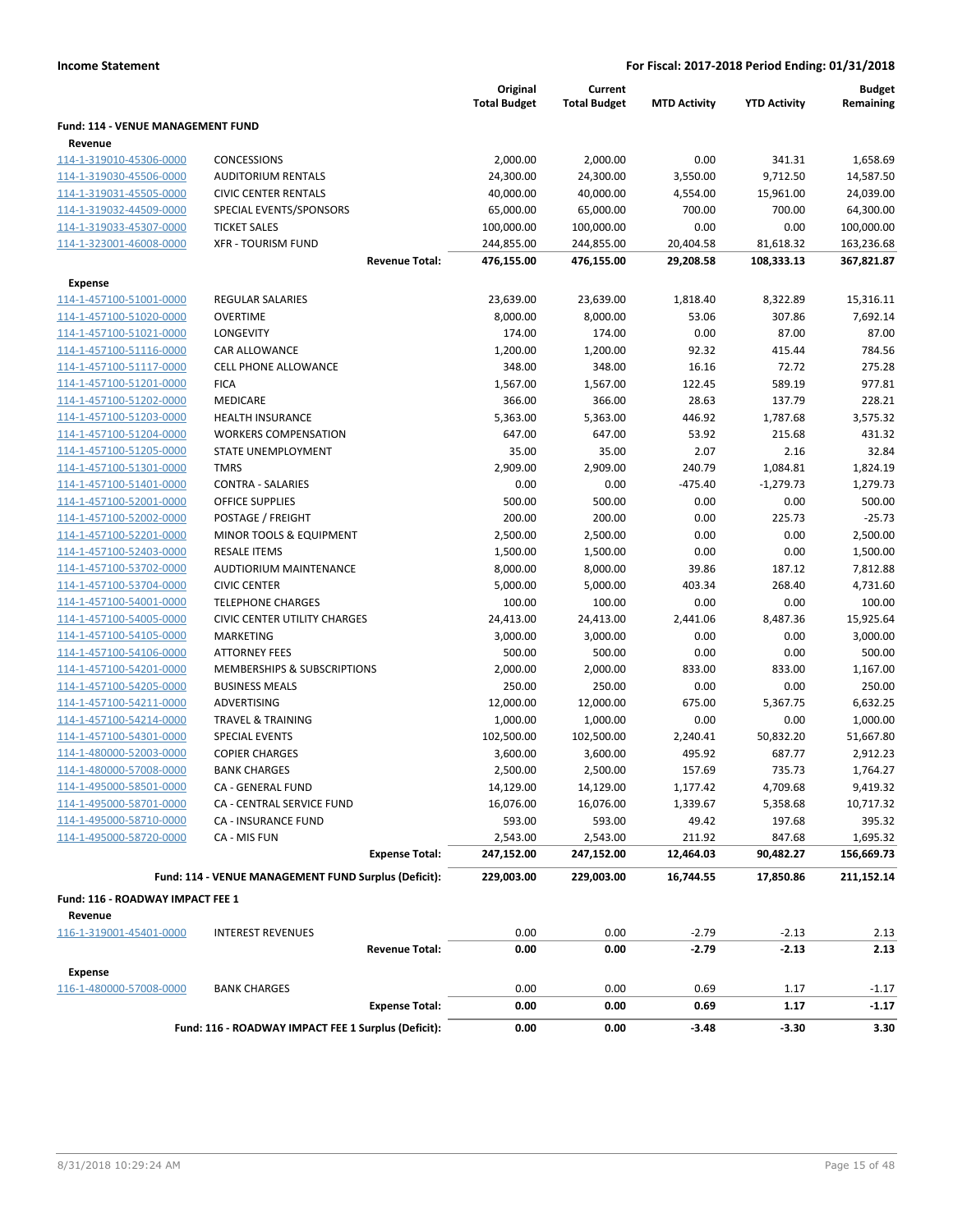|                                   |                                                      | Original<br><b>Total Budget</b> | Current<br><b>Total Budget</b> | <b>MTD Activity</b> | <b>YTD Activity</b> | <b>Budget</b><br>Remaining |
|-----------------------------------|------------------------------------------------------|---------------------------------|--------------------------------|---------------------|---------------------|----------------------------|
| Fund: 114 - VENUE MANAGEMENT FUND |                                                      |                                 |                                |                     |                     |                            |
| Revenue                           |                                                      |                                 |                                |                     |                     |                            |
| 114-1-319010-45306-0000           | <b>CONCESSIONS</b>                                   | 2,000.00                        | 2,000.00                       | 0.00                | 341.31              | 1,658.69                   |
| 114-1-319030-45506-0000           | <b>AUDITORIUM RENTALS</b>                            | 24,300.00                       | 24,300.00                      | 3,550.00            | 9,712.50            | 14,587.50                  |
| 114-1-319031-45505-0000           | <b>CIVIC CENTER RENTALS</b>                          | 40,000.00                       | 40,000.00                      | 4,554.00            | 15,961.00           | 24,039.00                  |
| 114-1-319032-44509-0000           | SPECIAL EVENTS/SPONSORS                              | 65,000.00                       | 65,000.00                      | 700.00              | 700.00              | 64,300.00                  |
| 114-1-319033-45307-0000           | <b>TICKET SALES</b>                                  | 100,000.00                      | 100,000.00                     | 0.00                | 0.00                | 100,000.00                 |
| 114-1-323001-46008-0000           | <b>XFR - TOURISM FUND</b>                            | 244,855.00                      | 244,855.00                     | 20,404.58           | 81,618.32           | 163,236.68                 |
|                                   | <b>Revenue Total:</b>                                | 476,155.00                      | 476,155.00                     | 29,208.58           | 108,333.13          | 367,821.87                 |
| <b>Expense</b>                    |                                                      |                                 |                                |                     |                     |                            |
| 114-1-457100-51001-0000           | <b>REGULAR SALARIES</b>                              | 23,639.00                       | 23,639.00                      | 1,818.40            | 8,322.89            | 15,316.11                  |
| 114-1-457100-51020-0000           | <b>OVERTIME</b>                                      | 8,000.00                        | 8,000.00                       | 53.06               | 307.86              | 7,692.14                   |
| 114-1-457100-51021-0000           | LONGEVITY                                            | 174.00                          | 174.00                         | 0.00                | 87.00               | 87.00                      |
| 114-1-457100-51116-0000           | CAR ALLOWANCE                                        | 1,200.00                        | 1,200.00                       | 92.32               | 415.44              | 784.56                     |
| 114-1-457100-51117-0000           | <b>CELL PHONE ALLOWANCE</b>                          | 348.00                          | 348.00                         | 16.16               | 72.72               | 275.28                     |
| 114-1-457100-51201-0000           | <b>FICA</b>                                          | 1,567.00                        | 1,567.00                       | 122.45              | 589.19              | 977.81                     |
| 114-1-457100-51202-0000           | MEDICARE                                             | 366.00                          | 366.00                         | 28.63               | 137.79              | 228.21                     |
| 114-1-457100-51203-0000           | HEALTH INSURANCE                                     | 5,363.00                        | 5,363.00                       | 446.92              | 1,787.68            | 3,575.32                   |
| 114-1-457100-51204-0000           | <b>WORKERS COMPENSATION</b>                          | 647.00                          | 647.00                         | 53.92               | 215.68              | 431.32                     |
| 114-1-457100-51205-0000           | STATE UNEMPLOYMENT                                   | 35.00                           | 35.00                          | 2.07                | 2.16                | 32.84                      |
| 114-1-457100-51301-0000           | <b>TMRS</b>                                          | 2,909.00                        | 2,909.00                       | 240.79              | 1,084.81            | 1,824.19                   |
| 114-1-457100-51401-0000           | <b>CONTRA - SALARIES</b>                             | 0.00                            | 0.00                           | $-475.40$           | $-1,279.73$         | 1,279.73                   |
| 114-1-457100-52001-0000           | OFFICE SUPPLIES                                      | 500.00                          | 500.00                         | 0.00                | 0.00                | 500.00                     |
| 114-1-457100-52002-0000           | POSTAGE / FREIGHT                                    | 200.00                          | 200.00                         | 0.00                | 225.73              | $-25.73$                   |
| 114-1-457100-52201-0000           | MINOR TOOLS & EQUIPMENT                              | 2,500.00                        | 2,500.00                       | 0.00                | 0.00                | 2,500.00                   |
| 114-1-457100-52403-0000           | <b>RESALE ITEMS</b>                                  | 1,500.00                        | 1,500.00                       | 0.00                | 0.00                | 1,500.00                   |
| 114-1-457100-53702-0000           | <b>AUDTIORIUM MAINTENANCE</b>                        | 8,000.00                        | 8,000.00                       | 39.86               | 187.12              | 7,812.88                   |
| 114-1-457100-53704-0000           | <b>CIVIC CENTER</b>                                  | 5,000.00                        | 5,000.00                       | 403.34              | 268.40              | 4,731.60                   |
| 114-1-457100-54001-0000           | <b>TELEPHONE CHARGES</b>                             | 100.00                          | 100.00                         | 0.00                | 0.00                | 100.00                     |
| 114-1-457100-54005-0000           | <b>CIVIC CENTER UTILITY CHARGES</b>                  | 24,413.00                       | 24,413.00                      | 2,441.06            | 8,487.36            | 15,925.64                  |
| 114-1-457100-54105-0000           | MARKETING                                            | 3,000.00                        | 3,000.00                       | 0.00                | 0.00                | 3,000.00                   |
| 114-1-457100-54106-0000           | <b>ATTORNEY FEES</b>                                 | 500.00                          | 500.00                         | 0.00                | 0.00                | 500.00                     |
| 114-1-457100-54201-0000           | MEMBERSHIPS & SUBSCRIPTIONS                          | 2,000.00                        | 2,000.00                       | 833.00              | 833.00              | 1,167.00                   |
| 114-1-457100-54205-0000           | <b>BUSINESS MEALS</b>                                | 250.00                          | 250.00                         | 0.00                | 0.00                | 250.00                     |
| 114-1-457100-54211-0000           | <b>ADVERTISING</b>                                   | 12,000.00                       | 12,000.00                      | 675.00              | 5,367.75            | 6,632.25                   |
| 114-1-457100-54214-0000           | <b>TRAVEL &amp; TRAINING</b>                         | 1,000.00                        | 1,000.00                       | 0.00                | 0.00                | 1,000.00                   |
| 114-1-457100-54301-0000           | <b>SPECIAL EVENTS</b>                                | 102,500.00                      | 102,500.00                     | 2,240.41            | 50,832.20           | 51,667.80                  |
| 114-1-480000-52003-0000           | <b>COPIER CHARGES</b>                                | 3,600.00                        | 3,600.00                       | 495.92              | 687.77              | 2,912.23                   |
| 114-1-480000-57008-0000           | <b>BANK CHARGES</b>                                  | 2,500.00                        | 2,500.00                       | 157.69              | 735.73              | 1,764.27                   |
| 114-1-495000-58501-0000           | CA - GENERAL FUND                                    | 14,129.00                       | 14,129.00                      | 1,177.42            | 4,709.68            | 9,419.32                   |
| 114-1-495000-58701-0000           | CA - CENTRAL SERVICE FUND                            | 16,076.00                       | 16,076.00                      | 1,339.67            | 5,358.68            | 10,717.32                  |
| 114-1-495000-58710-0000           | CA - INSURANCE FUND                                  | 593.00                          | 593.00                         | 49.42               | 197.68              | 395.32                     |
| 114-1-495000-58720-0000           | CA - MIS FUN                                         | 2,543.00                        | 2,543.00                       | 211.92              | 847.68              | 1,695.32                   |
|                                   | <b>Expense Total:</b>                                | 247,152.00                      | 247,152.00                     | 12,464.03           | 90,482.27           | 156,669.73                 |
|                                   | Fund: 114 - VENUE MANAGEMENT FUND Surplus (Deficit): | 229,003.00                      | 229,003.00                     | 16,744.55           | 17,850.86           | 211,152.14                 |
| Fund: 116 - ROADWAY IMPACT FEE 1  |                                                      |                                 |                                |                     |                     |                            |
| Revenue                           |                                                      |                                 |                                |                     |                     |                            |
| 116-1-319001-45401-0000           | <b>INTEREST REVENUES</b>                             | 0.00                            | 0.00                           | $-2.79$             | $-2.13$             | 2.13                       |
|                                   | <b>Revenue Total:</b>                                | 0.00                            | 0.00                           | $-2.79$             | $-2.13$             | 2.13                       |
| <b>Expense</b>                    |                                                      |                                 |                                |                     |                     |                            |
| 116-1-480000-57008-0000           | <b>BANK CHARGES</b>                                  | 0.00                            | 0.00                           | 0.69                | 1.17                | $-1.17$                    |
|                                   | <b>Expense Total:</b>                                | 0.00                            | 0.00                           | 0.69                | 1.17                | $-1.17$                    |
|                                   | Fund: 116 - ROADWAY IMPACT FEE 1 Surplus (Deficit):  | 0.00                            | 0.00                           | $-3.48$             | $-3.30$             | 3.30                       |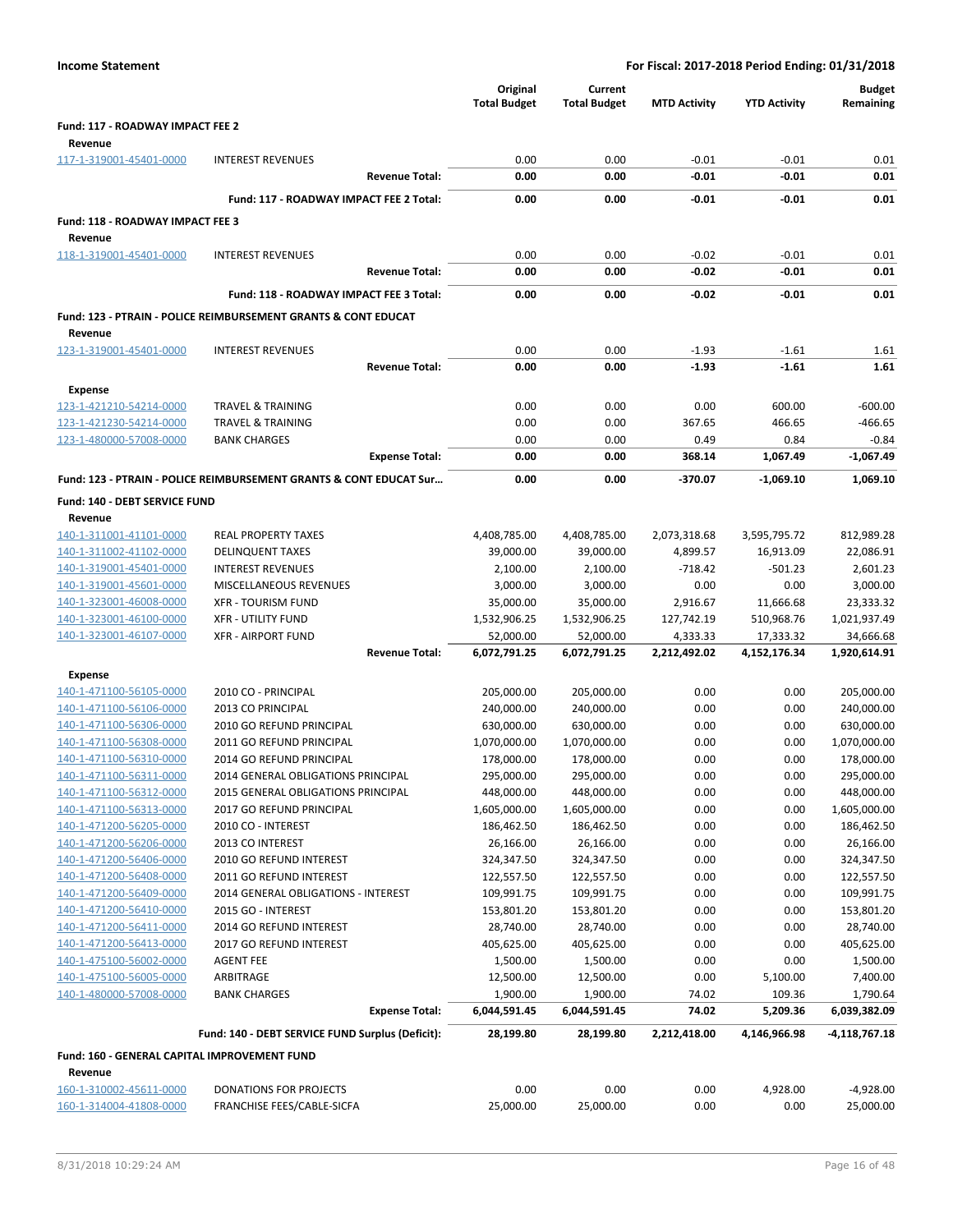| Fund: 117 - ROADWAY IMPACT FEE 2<br>Revenue<br>0.00<br>$-0.01$<br>$-0.01$<br>117-1-319001-45401-0000<br><b>INTEREST REVENUES</b><br>0.00<br>$-0.01$<br>$-0.01$<br><b>Revenue Total:</b><br>0.00<br>0.00<br>Fund: 117 - ROADWAY IMPACT FEE 2 Total:<br>0.00<br>0.00<br>$-0.01$<br>$-0.01$<br>Fund: 118 - ROADWAY IMPACT FEE 3<br>Revenue<br>118-1-319001-45401-0000<br>0.00<br>0.00<br>$-0.02$<br>$-0.01$<br><b>INTEREST REVENUES</b><br>0.00<br>0.00<br>$-0.02$<br>$-0.01$<br><b>Revenue Total:</b><br>Fund: 118 - ROADWAY IMPACT FEE 3 Total:<br>0.00<br>0.00<br>$-0.02$<br>$-0.01$<br><b>Fund: 123 - PTRAIN - POLICE REIMBURSEMENT GRANTS &amp; CONT EDUCAT</b><br>Revenue<br>123-1-319001-45401-0000<br>0.00<br>0.00<br>$-1.93$<br>$-1.61$<br><b>INTEREST REVENUES</b><br>0.00<br>0.00<br>$-1.93$<br>$-1.61$<br><b>Revenue Total:</b><br><b>Expense</b><br>123-1-421210-54214-0000<br><b>TRAVEL &amp; TRAINING</b><br>0.00<br>0.00<br>0.00<br>600.00<br>123-1-421230-54214-0000<br><b>TRAVEL &amp; TRAINING</b><br>0.00<br>0.00<br>367.65<br>466.65<br>123-1-480000-57008-0000<br><b>BANK CHARGES</b><br>0.00<br>0.00<br>0.49<br>0.84<br>1,067.49<br><b>Expense Total:</b><br>0.00<br>0.00<br>368.14<br>Fund: 123 - PTRAIN - POLICE REIMBURSEMENT GRANTS & CONT EDUCAT Sur<br>0.00<br>0.00<br>$-370.07$<br>$-1,069.10$<br>Fund: 140 - DEBT SERVICE FUND<br>Revenue<br>140-1-311001-41101-0000<br><b>REAL PROPERTY TAXES</b><br>3,595,795.72<br>4,408,785.00<br>4,408,785.00<br>2,073,318.68<br>140-1-311002-41102-0000<br><b>DELINQUENT TAXES</b><br>39,000.00<br>39,000.00<br>4,899.57<br>16,913.09<br>140-1-319001-45401-0000<br><b>INTEREST REVENUES</b><br>2,100.00<br>2,100.00<br>$-501.23$<br>$-718.42$<br>MISCELLANEOUS REVENUES<br>3,000.00<br>3,000.00<br>0.00<br>0.00<br>140-1-319001-45601-0000<br>140-1-323001-46008-0000<br><b>XFR - TOURISM FUND</b><br>35,000.00<br>35,000.00<br>2,916.67<br>11,666.68<br>140-1-323001-46100-0000<br><b>XFR - UTILITY FUND</b><br>1,532,906.25<br>1,532,906.25<br>510,968.76<br>127,742.19<br>140-1-323001-46107-0000<br><b>XFR - AIRPORT FUND</b><br>52,000.00<br>52,000.00<br>4,333.33<br>17,333.32<br><b>Revenue Total:</b><br>6,072,791.25<br>6,072,791.25<br>2,212,492.02<br>4,152,176.34<br>Expense<br>140-1-471100-56105-0000<br>2010 CO - PRINCIPAL<br>205,000.00<br>205,000.00<br>0.00<br>0.00<br>140-1-471100-56106-0000<br>2013 CO PRINCIPAL<br>240,000.00<br>240,000.00<br>0.00<br>0.00<br>140-1-471100-56306-0000<br>2010 GO REFUND PRINCIPAL<br>630,000.00<br>630,000.00<br>0.00<br>0.00<br>140-1-471100-56308-0000<br>2011 GO REFUND PRINCIPAL<br>1,070,000.00<br>1,070,000.00<br>0.00<br>0.00<br>140-1-471100-56310-0000<br>178,000.00<br>178,000.00<br>0.00<br>0.00<br>2014 GO REFUND PRINCIPAL<br>295,000.00<br>295,000.00<br>0.00<br>0.00<br>140-1-471100-56311-0000<br>2014 GENERAL OBLIGATIONS PRINCIPAL<br>140-1-471100-56312-0000<br>2015 GENERAL OBLIGATIONS PRINCIPAL<br>448,000.00<br>448,000.00<br>0.00<br>0.00<br>0.00<br>0.00<br>140-1-471100-56313-0000<br>2017 GO REFUND PRINCIPAL<br>1,605,000.00<br>1,605,000.00<br>140-1-471200-56205-0000<br>2010 CO - INTEREST<br>186,462.50<br>186,462.50<br>0.00<br>0.00<br>140-1-471200-56206-0000<br>2013 CO INTEREST<br>26,166.00<br>26,166.00<br>0.00<br>0.00<br>140-1-471200-56406-0000<br>324,347.50<br>324,347.50<br>0.00<br>0.00<br>2010 GO REFUND INTEREST<br>140-1-471200-56408-0000<br>0.00<br>2011 GO REFUND INTEREST<br>122,557.50<br>122,557.50<br>0.00<br>140-1-471200-56409-0000<br>2014 GENERAL OBLIGATIONS - INTEREST<br>109,991.75<br>109,991.75<br>0.00<br>0.00<br>140-1-471200-56410-0000<br>2015 GO - INTEREST<br>153,801.20<br>153,801.20<br>0.00<br>0.00<br>140-1-471200-56411-0000<br>2014 GO REFUND INTEREST<br>28,740.00<br>28,740.00<br>0.00<br>0.00<br>140-1-471200-56413-0000<br>405,625.00<br>405,625.00<br>0.00<br>2017 GO REFUND INTEREST<br>0.00 |  | Original<br><b>Total Budget</b> | Current<br><b>Total Budget</b> | <b>MTD Activity</b> | <b>YTD Activity</b> | <b>Budget</b><br>Remaining |
|------------------------------------------------------------------------------------------------------------------------------------------------------------------------------------------------------------------------------------------------------------------------------------------------------------------------------------------------------------------------------------------------------------------------------------------------------------------------------------------------------------------------------------------------------------------------------------------------------------------------------------------------------------------------------------------------------------------------------------------------------------------------------------------------------------------------------------------------------------------------------------------------------------------------------------------------------------------------------------------------------------------------------------------------------------------------------------------------------------------------------------------------------------------------------------------------------------------------------------------------------------------------------------------------------------------------------------------------------------------------------------------------------------------------------------------------------------------------------------------------------------------------------------------------------------------------------------------------------------------------------------------------------------------------------------------------------------------------------------------------------------------------------------------------------------------------------------------------------------------------------------------------------------------------------------------------------------------------------------------------------------------------------------------------------------------------------------------------------------------------------------------------------------------------------------------------------------------------------------------------------------------------------------------------------------------------------------------------------------------------------------------------------------------------------------------------------------------------------------------------------------------------------------------------------------------------------------------------------------------------------------------------------------------------------------------------------------------------------------------------------------------------------------------------------------------------------------------------------------------------------------------------------------------------------------------------------------------------------------------------------------------------------------------------------------------------------------------------------------------------------------------------------------------------------------------------------------------------------------------------------------------------------------------------------------------------------------------------------------------------------------------------------------------------------------------------------------------------------------------------------------------------------------------------------------------------------------------------------------------------------------------------------------------------------------------------------------------------------------------------------------------------------------------------------------------------------------------------------------------------------------------------------------|--|---------------------------------|--------------------------------|---------------------|---------------------|----------------------------|
|                                                                                                                                                                                                                                                                                                                                                                                                                                                                                                                                                                                                                                                                                                                                                                                                                                                                                                                                                                                                                                                                                                                                                                                                                                                                                                                                                                                                                                                                                                                                                                                                                                                                                                                                                                                                                                                                                                                                                                                                                                                                                                                                                                                                                                                                                                                                                                                                                                                                                                                                                                                                                                                                                                                                                                                                                                                                                                                                                                                                                                                                                                                                                                                                                                                                                                                                                                                                                                                                                                                                                                                                                                                                                                                                                                                                                                                                                                            |  |                                 |                                |                     |                     |                            |
|                                                                                                                                                                                                                                                                                                                                                                                                                                                                                                                                                                                                                                                                                                                                                                                                                                                                                                                                                                                                                                                                                                                                                                                                                                                                                                                                                                                                                                                                                                                                                                                                                                                                                                                                                                                                                                                                                                                                                                                                                                                                                                                                                                                                                                                                                                                                                                                                                                                                                                                                                                                                                                                                                                                                                                                                                                                                                                                                                                                                                                                                                                                                                                                                                                                                                                                                                                                                                                                                                                                                                                                                                                                                                                                                                                                                                                                                                                            |  |                                 |                                |                     |                     |                            |
|                                                                                                                                                                                                                                                                                                                                                                                                                                                                                                                                                                                                                                                                                                                                                                                                                                                                                                                                                                                                                                                                                                                                                                                                                                                                                                                                                                                                                                                                                                                                                                                                                                                                                                                                                                                                                                                                                                                                                                                                                                                                                                                                                                                                                                                                                                                                                                                                                                                                                                                                                                                                                                                                                                                                                                                                                                                                                                                                                                                                                                                                                                                                                                                                                                                                                                                                                                                                                                                                                                                                                                                                                                                                                                                                                                                                                                                                                                            |  |                                 |                                |                     |                     | 0.01                       |
|                                                                                                                                                                                                                                                                                                                                                                                                                                                                                                                                                                                                                                                                                                                                                                                                                                                                                                                                                                                                                                                                                                                                                                                                                                                                                                                                                                                                                                                                                                                                                                                                                                                                                                                                                                                                                                                                                                                                                                                                                                                                                                                                                                                                                                                                                                                                                                                                                                                                                                                                                                                                                                                                                                                                                                                                                                                                                                                                                                                                                                                                                                                                                                                                                                                                                                                                                                                                                                                                                                                                                                                                                                                                                                                                                                                                                                                                                                            |  |                                 |                                |                     |                     | 0.01                       |
|                                                                                                                                                                                                                                                                                                                                                                                                                                                                                                                                                                                                                                                                                                                                                                                                                                                                                                                                                                                                                                                                                                                                                                                                                                                                                                                                                                                                                                                                                                                                                                                                                                                                                                                                                                                                                                                                                                                                                                                                                                                                                                                                                                                                                                                                                                                                                                                                                                                                                                                                                                                                                                                                                                                                                                                                                                                                                                                                                                                                                                                                                                                                                                                                                                                                                                                                                                                                                                                                                                                                                                                                                                                                                                                                                                                                                                                                                                            |  |                                 |                                |                     |                     | 0.01                       |
|                                                                                                                                                                                                                                                                                                                                                                                                                                                                                                                                                                                                                                                                                                                                                                                                                                                                                                                                                                                                                                                                                                                                                                                                                                                                                                                                                                                                                                                                                                                                                                                                                                                                                                                                                                                                                                                                                                                                                                                                                                                                                                                                                                                                                                                                                                                                                                                                                                                                                                                                                                                                                                                                                                                                                                                                                                                                                                                                                                                                                                                                                                                                                                                                                                                                                                                                                                                                                                                                                                                                                                                                                                                                                                                                                                                                                                                                                                            |  |                                 |                                |                     |                     |                            |
|                                                                                                                                                                                                                                                                                                                                                                                                                                                                                                                                                                                                                                                                                                                                                                                                                                                                                                                                                                                                                                                                                                                                                                                                                                                                                                                                                                                                                                                                                                                                                                                                                                                                                                                                                                                                                                                                                                                                                                                                                                                                                                                                                                                                                                                                                                                                                                                                                                                                                                                                                                                                                                                                                                                                                                                                                                                                                                                                                                                                                                                                                                                                                                                                                                                                                                                                                                                                                                                                                                                                                                                                                                                                                                                                                                                                                                                                                                            |  |                                 |                                |                     |                     |                            |
|                                                                                                                                                                                                                                                                                                                                                                                                                                                                                                                                                                                                                                                                                                                                                                                                                                                                                                                                                                                                                                                                                                                                                                                                                                                                                                                                                                                                                                                                                                                                                                                                                                                                                                                                                                                                                                                                                                                                                                                                                                                                                                                                                                                                                                                                                                                                                                                                                                                                                                                                                                                                                                                                                                                                                                                                                                                                                                                                                                                                                                                                                                                                                                                                                                                                                                                                                                                                                                                                                                                                                                                                                                                                                                                                                                                                                                                                                                            |  |                                 |                                |                     |                     | 0.01                       |
|                                                                                                                                                                                                                                                                                                                                                                                                                                                                                                                                                                                                                                                                                                                                                                                                                                                                                                                                                                                                                                                                                                                                                                                                                                                                                                                                                                                                                                                                                                                                                                                                                                                                                                                                                                                                                                                                                                                                                                                                                                                                                                                                                                                                                                                                                                                                                                                                                                                                                                                                                                                                                                                                                                                                                                                                                                                                                                                                                                                                                                                                                                                                                                                                                                                                                                                                                                                                                                                                                                                                                                                                                                                                                                                                                                                                                                                                                                            |  |                                 |                                |                     |                     | 0.01                       |
|                                                                                                                                                                                                                                                                                                                                                                                                                                                                                                                                                                                                                                                                                                                                                                                                                                                                                                                                                                                                                                                                                                                                                                                                                                                                                                                                                                                                                                                                                                                                                                                                                                                                                                                                                                                                                                                                                                                                                                                                                                                                                                                                                                                                                                                                                                                                                                                                                                                                                                                                                                                                                                                                                                                                                                                                                                                                                                                                                                                                                                                                                                                                                                                                                                                                                                                                                                                                                                                                                                                                                                                                                                                                                                                                                                                                                                                                                                            |  |                                 |                                |                     |                     |                            |
|                                                                                                                                                                                                                                                                                                                                                                                                                                                                                                                                                                                                                                                                                                                                                                                                                                                                                                                                                                                                                                                                                                                                                                                                                                                                                                                                                                                                                                                                                                                                                                                                                                                                                                                                                                                                                                                                                                                                                                                                                                                                                                                                                                                                                                                                                                                                                                                                                                                                                                                                                                                                                                                                                                                                                                                                                                                                                                                                                                                                                                                                                                                                                                                                                                                                                                                                                                                                                                                                                                                                                                                                                                                                                                                                                                                                                                                                                                            |  |                                 |                                |                     |                     | 0.01                       |
|                                                                                                                                                                                                                                                                                                                                                                                                                                                                                                                                                                                                                                                                                                                                                                                                                                                                                                                                                                                                                                                                                                                                                                                                                                                                                                                                                                                                                                                                                                                                                                                                                                                                                                                                                                                                                                                                                                                                                                                                                                                                                                                                                                                                                                                                                                                                                                                                                                                                                                                                                                                                                                                                                                                                                                                                                                                                                                                                                                                                                                                                                                                                                                                                                                                                                                                                                                                                                                                                                                                                                                                                                                                                                                                                                                                                                                                                                                            |  |                                 |                                |                     |                     |                            |
|                                                                                                                                                                                                                                                                                                                                                                                                                                                                                                                                                                                                                                                                                                                                                                                                                                                                                                                                                                                                                                                                                                                                                                                                                                                                                                                                                                                                                                                                                                                                                                                                                                                                                                                                                                                                                                                                                                                                                                                                                                                                                                                                                                                                                                                                                                                                                                                                                                                                                                                                                                                                                                                                                                                                                                                                                                                                                                                                                                                                                                                                                                                                                                                                                                                                                                                                                                                                                                                                                                                                                                                                                                                                                                                                                                                                                                                                                                            |  |                                 |                                |                     |                     |                            |
|                                                                                                                                                                                                                                                                                                                                                                                                                                                                                                                                                                                                                                                                                                                                                                                                                                                                                                                                                                                                                                                                                                                                                                                                                                                                                                                                                                                                                                                                                                                                                                                                                                                                                                                                                                                                                                                                                                                                                                                                                                                                                                                                                                                                                                                                                                                                                                                                                                                                                                                                                                                                                                                                                                                                                                                                                                                                                                                                                                                                                                                                                                                                                                                                                                                                                                                                                                                                                                                                                                                                                                                                                                                                                                                                                                                                                                                                                                            |  |                                 |                                |                     |                     | 1.61                       |
|                                                                                                                                                                                                                                                                                                                                                                                                                                                                                                                                                                                                                                                                                                                                                                                                                                                                                                                                                                                                                                                                                                                                                                                                                                                                                                                                                                                                                                                                                                                                                                                                                                                                                                                                                                                                                                                                                                                                                                                                                                                                                                                                                                                                                                                                                                                                                                                                                                                                                                                                                                                                                                                                                                                                                                                                                                                                                                                                                                                                                                                                                                                                                                                                                                                                                                                                                                                                                                                                                                                                                                                                                                                                                                                                                                                                                                                                                                            |  |                                 |                                |                     |                     | 1.61                       |
|                                                                                                                                                                                                                                                                                                                                                                                                                                                                                                                                                                                                                                                                                                                                                                                                                                                                                                                                                                                                                                                                                                                                                                                                                                                                                                                                                                                                                                                                                                                                                                                                                                                                                                                                                                                                                                                                                                                                                                                                                                                                                                                                                                                                                                                                                                                                                                                                                                                                                                                                                                                                                                                                                                                                                                                                                                                                                                                                                                                                                                                                                                                                                                                                                                                                                                                                                                                                                                                                                                                                                                                                                                                                                                                                                                                                                                                                                                            |  |                                 |                                |                     |                     |                            |
|                                                                                                                                                                                                                                                                                                                                                                                                                                                                                                                                                                                                                                                                                                                                                                                                                                                                                                                                                                                                                                                                                                                                                                                                                                                                                                                                                                                                                                                                                                                                                                                                                                                                                                                                                                                                                                                                                                                                                                                                                                                                                                                                                                                                                                                                                                                                                                                                                                                                                                                                                                                                                                                                                                                                                                                                                                                                                                                                                                                                                                                                                                                                                                                                                                                                                                                                                                                                                                                                                                                                                                                                                                                                                                                                                                                                                                                                                                            |  |                                 |                                |                     |                     | $-600.00$                  |
|                                                                                                                                                                                                                                                                                                                                                                                                                                                                                                                                                                                                                                                                                                                                                                                                                                                                                                                                                                                                                                                                                                                                                                                                                                                                                                                                                                                                                                                                                                                                                                                                                                                                                                                                                                                                                                                                                                                                                                                                                                                                                                                                                                                                                                                                                                                                                                                                                                                                                                                                                                                                                                                                                                                                                                                                                                                                                                                                                                                                                                                                                                                                                                                                                                                                                                                                                                                                                                                                                                                                                                                                                                                                                                                                                                                                                                                                                                            |  |                                 |                                |                     |                     | $-466.65$                  |
|                                                                                                                                                                                                                                                                                                                                                                                                                                                                                                                                                                                                                                                                                                                                                                                                                                                                                                                                                                                                                                                                                                                                                                                                                                                                                                                                                                                                                                                                                                                                                                                                                                                                                                                                                                                                                                                                                                                                                                                                                                                                                                                                                                                                                                                                                                                                                                                                                                                                                                                                                                                                                                                                                                                                                                                                                                                                                                                                                                                                                                                                                                                                                                                                                                                                                                                                                                                                                                                                                                                                                                                                                                                                                                                                                                                                                                                                                                            |  |                                 |                                |                     |                     | $-0.84$                    |
|                                                                                                                                                                                                                                                                                                                                                                                                                                                                                                                                                                                                                                                                                                                                                                                                                                                                                                                                                                                                                                                                                                                                                                                                                                                                                                                                                                                                                                                                                                                                                                                                                                                                                                                                                                                                                                                                                                                                                                                                                                                                                                                                                                                                                                                                                                                                                                                                                                                                                                                                                                                                                                                                                                                                                                                                                                                                                                                                                                                                                                                                                                                                                                                                                                                                                                                                                                                                                                                                                                                                                                                                                                                                                                                                                                                                                                                                                                            |  |                                 |                                |                     |                     | $-1,067.49$                |
|                                                                                                                                                                                                                                                                                                                                                                                                                                                                                                                                                                                                                                                                                                                                                                                                                                                                                                                                                                                                                                                                                                                                                                                                                                                                                                                                                                                                                                                                                                                                                                                                                                                                                                                                                                                                                                                                                                                                                                                                                                                                                                                                                                                                                                                                                                                                                                                                                                                                                                                                                                                                                                                                                                                                                                                                                                                                                                                                                                                                                                                                                                                                                                                                                                                                                                                                                                                                                                                                                                                                                                                                                                                                                                                                                                                                                                                                                                            |  |                                 |                                |                     |                     | 1.069.10                   |
|                                                                                                                                                                                                                                                                                                                                                                                                                                                                                                                                                                                                                                                                                                                                                                                                                                                                                                                                                                                                                                                                                                                                                                                                                                                                                                                                                                                                                                                                                                                                                                                                                                                                                                                                                                                                                                                                                                                                                                                                                                                                                                                                                                                                                                                                                                                                                                                                                                                                                                                                                                                                                                                                                                                                                                                                                                                                                                                                                                                                                                                                                                                                                                                                                                                                                                                                                                                                                                                                                                                                                                                                                                                                                                                                                                                                                                                                                                            |  |                                 |                                |                     |                     |                            |
|                                                                                                                                                                                                                                                                                                                                                                                                                                                                                                                                                                                                                                                                                                                                                                                                                                                                                                                                                                                                                                                                                                                                                                                                                                                                                                                                                                                                                                                                                                                                                                                                                                                                                                                                                                                                                                                                                                                                                                                                                                                                                                                                                                                                                                                                                                                                                                                                                                                                                                                                                                                                                                                                                                                                                                                                                                                                                                                                                                                                                                                                                                                                                                                                                                                                                                                                                                                                                                                                                                                                                                                                                                                                                                                                                                                                                                                                                                            |  |                                 |                                |                     |                     |                            |
|                                                                                                                                                                                                                                                                                                                                                                                                                                                                                                                                                                                                                                                                                                                                                                                                                                                                                                                                                                                                                                                                                                                                                                                                                                                                                                                                                                                                                                                                                                                                                                                                                                                                                                                                                                                                                                                                                                                                                                                                                                                                                                                                                                                                                                                                                                                                                                                                                                                                                                                                                                                                                                                                                                                                                                                                                                                                                                                                                                                                                                                                                                                                                                                                                                                                                                                                                                                                                                                                                                                                                                                                                                                                                                                                                                                                                                                                                                            |  |                                 |                                |                     |                     | 812,989.28                 |
|                                                                                                                                                                                                                                                                                                                                                                                                                                                                                                                                                                                                                                                                                                                                                                                                                                                                                                                                                                                                                                                                                                                                                                                                                                                                                                                                                                                                                                                                                                                                                                                                                                                                                                                                                                                                                                                                                                                                                                                                                                                                                                                                                                                                                                                                                                                                                                                                                                                                                                                                                                                                                                                                                                                                                                                                                                                                                                                                                                                                                                                                                                                                                                                                                                                                                                                                                                                                                                                                                                                                                                                                                                                                                                                                                                                                                                                                                                            |  |                                 |                                |                     |                     | 22,086.91                  |
|                                                                                                                                                                                                                                                                                                                                                                                                                                                                                                                                                                                                                                                                                                                                                                                                                                                                                                                                                                                                                                                                                                                                                                                                                                                                                                                                                                                                                                                                                                                                                                                                                                                                                                                                                                                                                                                                                                                                                                                                                                                                                                                                                                                                                                                                                                                                                                                                                                                                                                                                                                                                                                                                                                                                                                                                                                                                                                                                                                                                                                                                                                                                                                                                                                                                                                                                                                                                                                                                                                                                                                                                                                                                                                                                                                                                                                                                                                            |  |                                 |                                |                     |                     | 2,601.23                   |
|                                                                                                                                                                                                                                                                                                                                                                                                                                                                                                                                                                                                                                                                                                                                                                                                                                                                                                                                                                                                                                                                                                                                                                                                                                                                                                                                                                                                                                                                                                                                                                                                                                                                                                                                                                                                                                                                                                                                                                                                                                                                                                                                                                                                                                                                                                                                                                                                                                                                                                                                                                                                                                                                                                                                                                                                                                                                                                                                                                                                                                                                                                                                                                                                                                                                                                                                                                                                                                                                                                                                                                                                                                                                                                                                                                                                                                                                                                            |  |                                 |                                |                     |                     | 3,000.00                   |
|                                                                                                                                                                                                                                                                                                                                                                                                                                                                                                                                                                                                                                                                                                                                                                                                                                                                                                                                                                                                                                                                                                                                                                                                                                                                                                                                                                                                                                                                                                                                                                                                                                                                                                                                                                                                                                                                                                                                                                                                                                                                                                                                                                                                                                                                                                                                                                                                                                                                                                                                                                                                                                                                                                                                                                                                                                                                                                                                                                                                                                                                                                                                                                                                                                                                                                                                                                                                                                                                                                                                                                                                                                                                                                                                                                                                                                                                                                            |  |                                 |                                |                     |                     | 23,333.32                  |
|                                                                                                                                                                                                                                                                                                                                                                                                                                                                                                                                                                                                                                                                                                                                                                                                                                                                                                                                                                                                                                                                                                                                                                                                                                                                                                                                                                                                                                                                                                                                                                                                                                                                                                                                                                                                                                                                                                                                                                                                                                                                                                                                                                                                                                                                                                                                                                                                                                                                                                                                                                                                                                                                                                                                                                                                                                                                                                                                                                                                                                                                                                                                                                                                                                                                                                                                                                                                                                                                                                                                                                                                                                                                                                                                                                                                                                                                                                            |  |                                 |                                |                     |                     | 1,021,937.49               |
|                                                                                                                                                                                                                                                                                                                                                                                                                                                                                                                                                                                                                                                                                                                                                                                                                                                                                                                                                                                                                                                                                                                                                                                                                                                                                                                                                                                                                                                                                                                                                                                                                                                                                                                                                                                                                                                                                                                                                                                                                                                                                                                                                                                                                                                                                                                                                                                                                                                                                                                                                                                                                                                                                                                                                                                                                                                                                                                                                                                                                                                                                                                                                                                                                                                                                                                                                                                                                                                                                                                                                                                                                                                                                                                                                                                                                                                                                                            |  |                                 |                                |                     |                     | 34,666.68                  |
|                                                                                                                                                                                                                                                                                                                                                                                                                                                                                                                                                                                                                                                                                                                                                                                                                                                                                                                                                                                                                                                                                                                                                                                                                                                                                                                                                                                                                                                                                                                                                                                                                                                                                                                                                                                                                                                                                                                                                                                                                                                                                                                                                                                                                                                                                                                                                                                                                                                                                                                                                                                                                                                                                                                                                                                                                                                                                                                                                                                                                                                                                                                                                                                                                                                                                                                                                                                                                                                                                                                                                                                                                                                                                                                                                                                                                                                                                                            |  |                                 |                                |                     |                     | 1,920,614.91               |
|                                                                                                                                                                                                                                                                                                                                                                                                                                                                                                                                                                                                                                                                                                                                                                                                                                                                                                                                                                                                                                                                                                                                                                                                                                                                                                                                                                                                                                                                                                                                                                                                                                                                                                                                                                                                                                                                                                                                                                                                                                                                                                                                                                                                                                                                                                                                                                                                                                                                                                                                                                                                                                                                                                                                                                                                                                                                                                                                                                                                                                                                                                                                                                                                                                                                                                                                                                                                                                                                                                                                                                                                                                                                                                                                                                                                                                                                                                            |  |                                 |                                |                     |                     |                            |
|                                                                                                                                                                                                                                                                                                                                                                                                                                                                                                                                                                                                                                                                                                                                                                                                                                                                                                                                                                                                                                                                                                                                                                                                                                                                                                                                                                                                                                                                                                                                                                                                                                                                                                                                                                                                                                                                                                                                                                                                                                                                                                                                                                                                                                                                                                                                                                                                                                                                                                                                                                                                                                                                                                                                                                                                                                                                                                                                                                                                                                                                                                                                                                                                                                                                                                                                                                                                                                                                                                                                                                                                                                                                                                                                                                                                                                                                                                            |  |                                 |                                |                     |                     | 205,000.00                 |
|                                                                                                                                                                                                                                                                                                                                                                                                                                                                                                                                                                                                                                                                                                                                                                                                                                                                                                                                                                                                                                                                                                                                                                                                                                                                                                                                                                                                                                                                                                                                                                                                                                                                                                                                                                                                                                                                                                                                                                                                                                                                                                                                                                                                                                                                                                                                                                                                                                                                                                                                                                                                                                                                                                                                                                                                                                                                                                                                                                                                                                                                                                                                                                                                                                                                                                                                                                                                                                                                                                                                                                                                                                                                                                                                                                                                                                                                                                            |  |                                 |                                |                     |                     | 240,000.00                 |
|                                                                                                                                                                                                                                                                                                                                                                                                                                                                                                                                                                                                                                                                                                                                                                                                                                                                                                                                                                                                                                                                                                                                                                                                                                                                                                                                                                                                                                                                                                                                                                                                                                                                                                                                                                                                                                                                                                                                                                                                                                                                                                                                                                                                                                                                                                                                                                                                                                                                                                                                                                                                                                                                                                                                                                                                                                                                                                                                                                                                                                                                                                                                                                                                                                                                                                                                                                                                                                                                                                                                                                                                                                                                                                                                                                                                                                                                                                            |  |                                 |                                |                     |                     | 630,000.00                 |
|                                                                                                                                                                                                                                                                                                                                                                                                                                                                                                                                                                                                                                                                                                                                                                                                                                                                                                                                                                                                                                                                                                                                                                                                                                                                                                                                                                                                                                                                                                                                                                                                                                                                                                                                                                                                                                                                                                                                                                                                                                                                                                                                                                                                                                                                                                                                                                                                                                                                                                                                                                                                                                                                                                                                                                                                                                                                                                                                                                                                                                                                                                                                                                                                                                                                                                                                                                                                                                                                                                                                                                                                                                                                                                                                                                                                                                                                                                            |  |                                 |                                |                     |                     | 1,070,000.00               |
|                                                                                                                                                                                                                                                                                                                                                                                                                                                                                                                                                                                                                                                                                                                                                                                                                                                                                                                                                                                                                                                                                                                                                                                                                                                                                                                                                                                                                                                                                                                                                                                                                                                                                                                                                                                                                                                                                                                                                                                                                                                                                                                                                                                                                                                                                                                                                                                                                                                                                                                                                                                                                                                                                                                                                                                                                                                                                                                                                                                                                                                                                                                                                                                                                                                                                                                                                                                                                                                                                                                                                                                                                                                                                                                                                                                                                                                                                                            |  |                                 |                                |                     |                     | 178,000.00                 |
|                                                                                                                                                                                                                                                                                                                                                                                                                                                                                                                                                                                                                                                                                                                                                                                                                                                                                                                                                                                                                                                                                                                                                                                                                                                                                                                                                                                                                                                                                                                                                                                                                                                                                                                                                                                                                                                                                                                                                                                                                                                                                                                                                                                                                                                                                                                                                                                                                                                                                                                                                                                                                                                                                                                                                                                                                                                                                                                                                                                                                                                                                                                                                                                                                                                                                                                                                                                                                                                                                                                                                                                                                                                                                                                                                                                                                                                                                                            |  |                                 |                                |                     |                     | 295,000.00                 |
|                                                                                                                                                                                                                                                                                                                                                                                                                                                                                                                                                                                                                                                                                                                                                                                                                                                                                                                                                                                                                                                                                                                                                                                                                                                                                                                                                                                                                                                                                                                                                                                                                                                                                                                                                                                                                                                                                                                                                                                                                                                                                                                                                                                                                                                                                                                                                                                                                                                                                                                                                                                                                                                                                                                                                                                                                                                                                                                                                                                                                                                                                                                                                                                                                                                                                                                                                                                                                                                                                                                                                                                                                                                                                                                                                                                                                                                                                                            |  |                                 |                                |                     |                     | 448,000.00                 |
|                                                                                                                                                                                                                                                                                                                                                                                                                                                                                                                                                                                                                                                                                                                                                                                                                                                                                                                                                                                                                                                                                                                                                                                                                                                                                                                                                                                                                                                                                                                                                                                                                                                                                                                                                                                                                                                                                                                                                                                                                                                                                                                                                                                                                                                                                                                                                                                                                                                                                                                                                                                                                                                                                                                                                                                                                                                                                                                                                                                                                                                                                                                                                                                                                                                                                                                                                                                                                                                                                                                                                                                                                                                                                                                                                                                                                                                                                                            |  |                                 |                                |                     |                     | 1,605,000.00               |
|                                                                                                                                                                                                                                                                                                                                                                                                                                                                                                                                                                                                                                                                                                                                                                                                                                                                                                                                                                                                                                                                                                                                                                                                                                                                                                                                                                                                                                                                                                                                                                                                                                                                                                                                                                                                                                                                                                                                                                                                                                                                                                                                                                                                                                                                                                                                                                                                                                                                                                                                                                                                                                                                                                                                                                                                                                                                                                                                                                                                                                                                                                                                                                                                                                                                                                                                                                                                                                                                                                                                                                                                                                                                                                                                                                                                                                                                                                            |  |                                 |                                |                     |                     | 186,462.50                 |
|                                                                                                                                                                                                                                                                                                                                                                                                                                                                                                                                                                                                                                                                                                                                                                                                                                                                                                                                                                                                                                                                                                                                                                                                                                                                                                                                                                                                                                                                                                                                                                                                                                                                                                                                                                                                                                                                                                                                                                                                                                                                                                                                                                                                                                                                                                                                                                                                                                                                                                                                                                                                                                                                                                                                                                                                                                                                                                                                                                                                                                                                                                                                                                                                                                                                                                                                                                                                                                                                                                                                                                                                                                                                                                                                                                                                                                                                                                            |  |                                 |                                |                     |                     | 26,166.00                  |
|                                                                                                                                                                                                                                                                                                                                                                                                                                                                                                                                                                                                                                                                                                                                                                                                                                                                                                                                                                                                                                                                                                                                                                                                                                                                                                                                                                                                                                                                                                                                                                                                                                                                                                                                                                                                                                                                                                                                                                                                                                                                                                                                                                                                                                                                                                                                                                                                                                                                                                                                                                                                                                                                                                                                                                                                                                                                                                                                                                                                                                                                                                                                                                                                                                                                                                                                                                                                                                                                                                                                                                                                                                                                                                                                                                                                                                                                                                            |  |                                 |                                |                     |                     | 324,347.50                 |
|                                                                                                                                                                                                                                                                                                                                                                                                                                                                                                                                                                                                                                                                                                                                                                                                                                                                                                                                                                                                                                                                                                                                                                                                                                                                                                                                                                                                                                                                                                                                                                                                                                                                                                                                                                                                                                                                                                                                                                                                                                                                                                                                                                                                                                                                                                                                                                                                                                                                                                                                                                                                                                                                                                                                                                                                                                                                                                                                                                                                                                                                                                                                                                                                                                                                                                                                                                                                                                                                                                                                                                                                                                                                                                                                                                                                                                                                                                            |  |                                 |                                |                     |                     | 122,557.50                 |
|                                                                                                                                                                                                                                                                                                                                                                                                                                                                                                                                                                                                                                                                                                                                                                                                                                                                                                                                                                                                                                                                                                                                                                                                                                                                                                                                                                                                                                                                                                                                                                                                                                                                                                                                                                                                                                                                                                                                                                                                                                                                                                                                                                                                                                                                                                                                                                                                                                                                                                                                                                                                                                                                                                                                                                                                                                                                                                                                                                                                                                                                                                                                                                                                                                                                                                                                                                                                                                                                                                                                                                                                                                                                                                                                                                                                                                                                                                            |  |                                 |                                |                     |                     | 109,991.75                 |
|                                                                                                                                                                                                                                                                                                                                                                                                                                                                                                                                                                                                                                                                                                                                                                                                                                                                                                                                                                                                                                                                                                                                                                                                                                                                                                                                                                                                                                                                                                                                                                                                                                                                                                                                                                                                                                                                                                                                                                                                                                                                                                                                                                                                                                                                                                                                                                                                                                                                                                                                                                                                                                                                                                                                                                                                                                                                                                                                                                                                                                                                                                                                                                                                                                                                                                                                                                                                                                                                                                                                                                                                                                                                                                                                                                                                                                                                                                            |  |                                 |                                |                     |                     | 153,801.20                 |
|                                                                                                                                                                                                                                                                                                                                                                                                                                                                                                                                                                                                                                                                                                                                                                                                                                                                                                                                                                                                                                                                                                                                                                                                                                                                                                                                                                                                                                                                                                                                                                                                                                                                                                                                                                                                                                                                                                                                                                                                                                                                                                                                                                                                                                                                                                                                                                                                                                                                                                                                                                                                                                                                                                                                                                                                                                                                                                                                                                                                                                                                                                                                                                                                                                                                                                                                                                                                                                                                                                                                                                                                                                                                                                                                                                                                                                                                                                            |  |                                 |                                |                     |                     | 28,740.00                  |
|                                                                                                                                                                                                                                                                                                                                                                                                                                                                                                                                                                                                                                                                                                                                                                                                                                                                                                                                                                                                                                                                                                                                                                                                                                                                                                                                                                                                                                                                                                                                                                                                                                                                                                                                                                                                                                                                                                                                                                                                                                                                                                                                                                                                                                                                                                                                                                                                                                                                                                                                                                                                                                                                                                                                                                                                                                                                                                                                                                                                                                                                                                                                                                                                                                                                                                                                                                                                                                                                                                                                                                                                                                                                                                                                                                                                                                                                                                            |  |                                 |                                |                     |                     | 405,625.00                 |
| 140-1-475100-56002-0000<br><b>AGENT FEE</b><br>1,500.00<br>1,500.00<br>0.00<br>0.00                                                                                                                                                                                                                                                                                                                                                                                                                                                                                                                                                                                                                                                                                                                                                                                                                                                                                                                                                                                                                                                                                                                                                                                                                                                                                                                                                                                                                                                                                                                                                                                                                                                                                                                                                                                                                                                                                                                                                                                                                                                                                                                                                                                                                                                                                                                                                                                                                                                                                                                                                                                                                                                                                                                                                                                                                                                                                                                                                                                                                                                                                                                                                                                                                                                                                                                                                                                                                                                                                                                                                                                                                                                                                                                                                                                                                        |  |                                 |                                |                     |                     | 1,500.00                   |
| ARBITRAGE<br>12,500.00<br>12,500.00<br>0.00<br>5,100.00<br>140-1-475100-56005-0000                                                                                                                                                                                                                                                                                                                                                                                                                                                                                                                                                                                                                                                                                                                                                                                                                                                                                                                                                                                                                                                                                                                                                                                                                                                                                                                                                                                                                                                                                                                                                                                                                                                                                                                                                                                                                                                                                                                                                                                                                                                                                                                                                                                                                                                                                                                                                                                                                                                                                                                                                                                                                                                                                                                                                                                                                                                                                                                                                                                                                                                                                                                                                                                                                                                                                                                                                                                                                                                                                                                                                                                                                                                                                                                                                                                                                         |  |                                 |                                |                     |                     | 7,400.00                   |
| 140-1-480000-57008-0000<br><b>BANK CHARGES</b><br>1,900.00<br>1,900.00<br>74.02<br>109.36                                                                                                                                                                                                                                                                                                                                                                                                                                                                                                                                                                                                                                                                                                                                                                                                                                                                                                                                                                                                                                                                                                                                                                                                                                                                                                                                                                                                                                                                                                                                                                                                                                                                                                                                                                                                                                                                                                                                                                                                                                                                                                                                                                                                                                                                                                                                                                                                                                                                                                                                                                                                                                                                                                                                                                                                                                                                                                                                                                                                                                                                                                                                                                                                                                                                                                                                                                                                                                                                                                                                                                                                                                                                                                                                                                                                                  |  |                                 |                                |                     |                     | 1,790.64                   |
| 6,044,591.45<br>6,044,591.45<br>74.02<br>5,209.36<br><b>Expense Total:</b>                                                                                                                                                                                                                                                                                                                                                                                                                                                                                                                                                                                                                                                                                                                                                                                                                                                                                                                                                                                                                                                                                                                                                                                                                                                                                                                                                                                                                                                                                                                                                                                                                                                                                                                                                                                                                                                                                                                                                                                                                                                                                                                                                                                                                                                                                                                                                                                                                                                                                                                                                                                                                                                                                                                                                                                                                                                                                                                                                                                                                                                                                                                                                                                                                                                                                                                                                                                                                                                                                                                                                                                                                                                                                                                                                                                                                                 |  |                                 |                                |                     |                     | 6,039,382.09               |
| Fund: 140 - DEBT SERVICE FUND Surplus (Deficit):<br>28,199.80<br>28,199.80<br>2,212,418.00<br>4,146,966.98                                                                                                                                                                                                                                                                                                                                                                                                                                                                                                                                                                                                                                                                                                                                                                                                                                                                                                                                                                                                                                                                                                                                                                                                                                                                                                                                                                                                                                                                                                                                                                                                                                                                                                                                                                                                                                                                                                                                                                                                                                                                                                                                                                                                                                                                                                                                                                                                                                                                                                                                                                                                                                                                                                                                                                                                                                                                                                                                                                                                                                                                                                                                                                                                                                                                                                                                                                                                                                                                                                                                                                                                                                                                                                                                                                                                 |  |                                 |                                |                     |                     | -4,118,767.18              |
| Fund: 160 - GENERAL CAPITAL IMPROVEMENT FUND                                                                                                                                                                                                                                                                                                                                                                                                                                                                                                                                                                                                                                                                                                                                                                                                                                                                                                                                                                                                                                                                                                                                                                                                                                                                                                                                                                                                                                                                                                                                                                                                                                                                                                                                                                                                                                                                                                                                                                                                                                                                                                                                                                                                                                                                                                                                                                                                                                                                                                                                                                                                                                                                                                                                                                                                                                                                                                                                                                                                                                                                                                                                                                                                                                                                                                                                                                                                                                                                                                                                                                                                                                                                                                                                                                                                                                                               |  |                                 |                                |                     |                     |                            |
| Revenue<br>0.00<br>0.00<br>0.00<br>160-1-310002-45611-0000<br>DONATIONS FOR PROJECTS<br>4,928.00                                                                                                                                                                                                                                                                                                                                                                                                                                                                                                                                                                                                                                                                                                                                                                                                                                                                                                                                                                                                                                                                                                                                                                                                                                                                                                                                                                                                                                                                                                                                                                                                                                                                                                                                                                                                                                                                                                                                                                                                                                                                                                                                                                                                                                                                                                                                                                                                                                                                                                                                                                                                                                                                                                                                                                                                                                                                                                                                                                                                                                                                                                                                                                                                                                                                                                                                                                                                                                                                                                                                                                                                                                                                                                                                                                                                           |  |                                 |                                |                     |                     | $-4,928.00$                |
| 160-1-314004-41808-0000<br>FRANCHISE FEES/CABLE-SICFA<br>25,000.00<br>25,000.00<br>0.00<br>0.00                                                                                                                                                                                                                                                                                                                                                                                                                                                                                                                                                                                                                                                                                                                                                                                                                                                                                                                                                                                                                                                                                                                                                                                                                                                                                                                                                                                                                                                                                                                                                                                                                                                                                                                                                                                                                                                                                                                                                                                                                                                                                                                                                                                                                                                                                                                                                                                                                                                                                                                                                                                                                                                                                                                                                                                                                                                                                                                                                                                                                                                                                                                                                                                                                                                                                                                                                                                                                                                                                                                                                                                                                                                                                                                                                                                                            |  |                                 |                                |                     |                     | 25,000.00                  |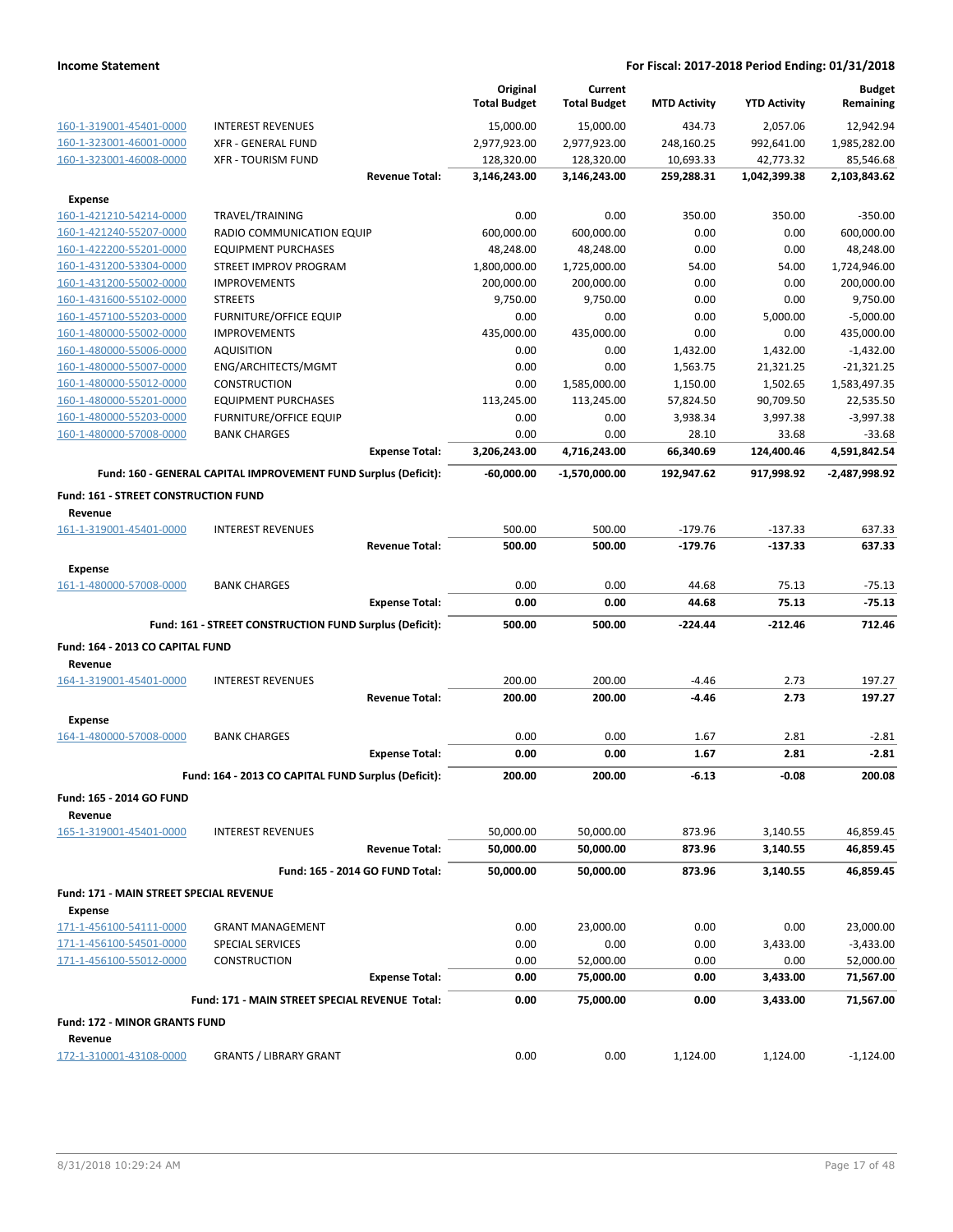|                                             |                                                                 |                       | Original<br><b>Total Budget</b> | Current<br><b>Total Budget</b> | <b>MTD Activity</b> | <b>YTD Activity</b> | <b>Budget</b><br>Remaining |
|---------------------------------------------|-----------------------------------------------------------------|-----------------------|---------------------------------|--------------------------------|---------------------|---------------------|----------------------------|
| 160-1-319001-45401-0000                     | <b>INTEREST REVENUES</b>                                        |                       | 15,000.00                       | 15,000.00                      | 434.73              | 2,057.06            | 12,942.94                  |
| 160-1-323001-46001-0000                     | <b>XFR - GENERAL FUND</b>                                       |                       | 2,977,923.00                    | 2,977,923.00                   | 248,160.25          | 992,641.00          | 1,985,282.00               |
| 160-1-323001-46008-0000                     | <b>XFR - TOURISM FUND</b>                                       |                       | 128,320.00                      | 128,320.00                     | 10,693.33           | 42,773.32           | 85,546.68                  |
|                                             |                                                                 | <b>Revenue Total:</b> | 3,146,243.00                    | 3,146,243.00                   | 259,288.31          | 1,042,399.38        | 2,103,843.62               |
| <b>Expense</b>                              |                                                                 |                       |                                 |                                |                     |                     |                            |
| 160-1-421210-54214-0000                     | TRAVEL/TRAINING                                                 |                       | 0.00                            | 0.00                           | 350.00              | 350.00              | $-350.00$                  |
| 160-1-421240-55207-0000                     | RADIO COMMUNICATION EQUIP                                       |                       | 600,000.00                      | 600,000.00                     | 0.00                | 0.00                | 600,000.00                 |
| 160-1-422200-55201-0000                     | <b>EQUIPMENT PURCHASES</b>                                      |                       | 48,248.00                       | 48,248.00                      | 0.00                | 0.00                | 48,248.00                  |
| 160-1-431200-53304-0000                     | STREET IMPROV PROGRAM                                           |                       | 1,800,000.00                    | 1,725,000.00                   | 54.00               | 54.00               | 1,724,946.00               |
| 160-1-431200-55002-0000                     | <b>IMPROVEMENTS</b>                                             |                       | 200,000.00                      | 200,000.00                     | 0.00                | 0.00                | 200,000.00                 |
| 160-1-431600-55102-0000                     | <b>STREETS</b>                                                  |                       | 9,750.00                        | 9,750.00                       | 0.00                | 0.00                | 9,750.00                   |
| 160-1-457100-55203-0000                     | <b>FURNITURE/OFFICE EQUIP</b>                                   |                       | 0.00                            | 0.00                           | 0.00                | 5,000.00            | $-5,000.00$                |
| 160-1-480000-55002-0000                     | <b>IMPROVEMENTS</b>                                             |                       | 435,000.00                      | 435,000.00                     | 0.00                | 0.00                | 435,000.00                 |
| 160-1-480000-55006-0000                     | <b>AQUISITION</b>                                               |                       | 0.00                            | 0.00                           | 1,432.00            | 1,432.00            | $-1,432.00$                |
| 160-1-480000-55007-0000                     | ENG/ARCHITECTS/MGMT                                             |                       | 0.00                            | 0.00                           | 1,563.75            | 21,321.25           | $-21,321.25$               |
| 160-1-480000-55012-0000                     | <b>CONSTRUCTION</b>                                             |                       | 0.00                            | 1,585,000.00                   | 1,150.00            | 1,502.65            | 1,583,497.35               |
| 160-1-480000-55201-0000                     | <b>EQUIPMENT PURCHASES</b>                                      |                       | 113,245.00                      | 113,245.00                     | 57,824.50           | 90,709.50           | 22,535.50                  |
| 160-1-480000-55203-0000                     | <b>FURNITURE/OFFICE EQUIP</b>                                   |                       | 0.00                            | 0.00                           | 3,938.34            | 3,997.38            | $-3,997.38$                |
| 160-1-480000-57008-0000                     | <b>BANK CHARGES</b>                                             |                       | 0.00                            | 0.00                           | 28.10               | 33.68               | $-33.68$                   |
|                                             |                                                                 | <b>Expense Total:</b> | 3,206,243.00                    | 4,716,243.00                   | 66,340.69           | 124,400.46          | 4,591,842.54               |
|                                             | Fund: 160 - GENERAL CAPITAL IMPROVEMENT FUND Surplus (Deficit): |                       | -60,000.00                      | $-1,570,000.00$                | 192,947.62          | 917.998.92          | -2,487,998.92              |
| <b>Fund: 161 - STREET CONSTRUCTION FUND</b> |                                                                 |                       |                                 |                                |                     |                     |                            |
| Revenue                                     |                                                                 |                       |                                 |                                |                     |                     |                            |
| 161-1-319001-45401-0000                     | <b>INTEREST REVENUES</b>                                        |                       | 500.00                          | 500.00                         | $-179.76$           | $-137.33$           | 637.33                     |
|                                             |                                                                 | <b>Revenue Total:</b> | 500.00                          | 500.00                         | $-179.76$           | $-137.33$           | 637.33                     |
| <b>Expense</b>                              |                                                                 |                       |                                 |                                |                     |                     |                            |
| 161-1-480000-57008-0000                     | <b>BANK CHARGES</b>                                             |                       | 0.00                            | 0.00                           | 44.68               | 75.13               | $-75.13$                   |
|                                             |                                                                 | <b>Expense Total:</b> | 0.00                            | 0.00                           | 44.68               | 75.13               | $-75.13$                   |
|                                             | Fund: 161 - STREET CONSTRUCTION FUND Surplus (Deficit):         |                       | 500.00                          | 500.00                         | -224.44             | -212.46             | 712.46                     |
| Fund: 164 - 2013 CO CAPITAL FUND            |                                                                 |                       |                                 |                                |                     |                     |                            |
| Revenue                                     |                                                                 |                       |                                 |                                |                     |                     |                            |
| 164-1-319001-45401-0000                     | <b>INTEREST REVENUES</b>                                        |                       | 200.00                          | 200.00                         | $-4.46$             | 2.73                | 197.27                     |
|                                             |                                                                 | <b>Revenue Total:</b> | 200.00                          | 200.00                         | $-4.46$             | 2.73                | 197.27                     |
| <b>Expense</b>                              |                                                                 |                       |                                 |                                |                     |                     |                            |
| 164-1-480000-57008-0000                     | <b>BANK CHARGES</b>                                             |                       | 0.00                            | 0.00                           | 1.67                | 2.81                | $-2.81$                    |
|                                             |                                                                 | <b>Expense Total:</b> | 0.00                            | 0.00                           | 1.67                | 2.81                | $-2.81$                    |
|                                             | Fund: 164 - 2013 CO CAPITAL FUND Surplus (Deficit):             |                       | 200.00                          | 200.00                         | -6.13               | -0.08               | 200.08                     |
| Fund: 165 - 2014 GO FUND                    |                                                                 |                       |                                 |                                |                     |                     |                            |
| Revenue                                     |                                                                 |                       |                                 |                                |                     |                     |                            |
| 165-1-319001-45401-0000                     | <b>INTEREST REVENUES</b>                                        |                       | 50,000.00                       | 50,000.00                      | 873.96              | 3,140.55            | 46,859.45                  |
|                                             |                                                                 | <b>Revenue Total:</b> | 50,000.00                       | 50,000.00                      | 873.96              | 3,140.55            | 46,859.45                  |
|                                             | Fund: 165 - 2014 GO FUND Total:                                 |                       | 50,000.00                       | 50,000.00                      | 873.96              | 3,140.55            | 46,859.45                  |
| Fund: 171 - MAIN STREET SPECIAL REVENUE     |                                                                 |                       |                                 |                                |                     |                     |                            |
| Expense                                     |                                                                 |                       |                                 |                                |                     |                     |                            |
| 171-1-456100-54111-0000                     | <b>GRANT MANAGEMENT</b>                                         |                       | 0.00                            | 23,000.00                      | 0.00                | 0.00                | 23,000.00                  |
| 171-1-456100-54501-0000                     | <b>SPECIAL SERVICES</b>                                         |                       | 0.00                            | 0.00                           | 0.00                | 3,433.00            | $-3,433.00$                |
| 171-1-456100-55012-0000                     | <b>CONSTRUCTION</b>                                             |                       | 0.00                            | 52,000.00                      | 0.00                | 0.00                | 52,000.00                  |
|                                             |                                                                 | <b>Expense Total:</b> | 0.00                            | 75,000.00                      | 0.00                | 3,433.00            | 71,567.00                  |
|                                             | Fund: 171 - MAIN STREET SPECIAL REVENUE Total:                  |                       | 0.00                            | 75,000.00                      | 0.00                | 3,433.00            | 71,567.00                  |
| <b>Fund: 172 - MINOR GRANTS FUND</b>        |                                                                 |                       |                                 |                                |                     |                     |                            |
| Revenue                                     |                                                                 |                       |                                 |                                |                     |                     |                            |
| 172-1-310001-43108-0000                     | <b>GRANTS / LIBRARY GRANT</b>                                   |                       | 0.00                            | 0.00                           | 1,124.00            | 1,124.00            | $-1,124.00$                |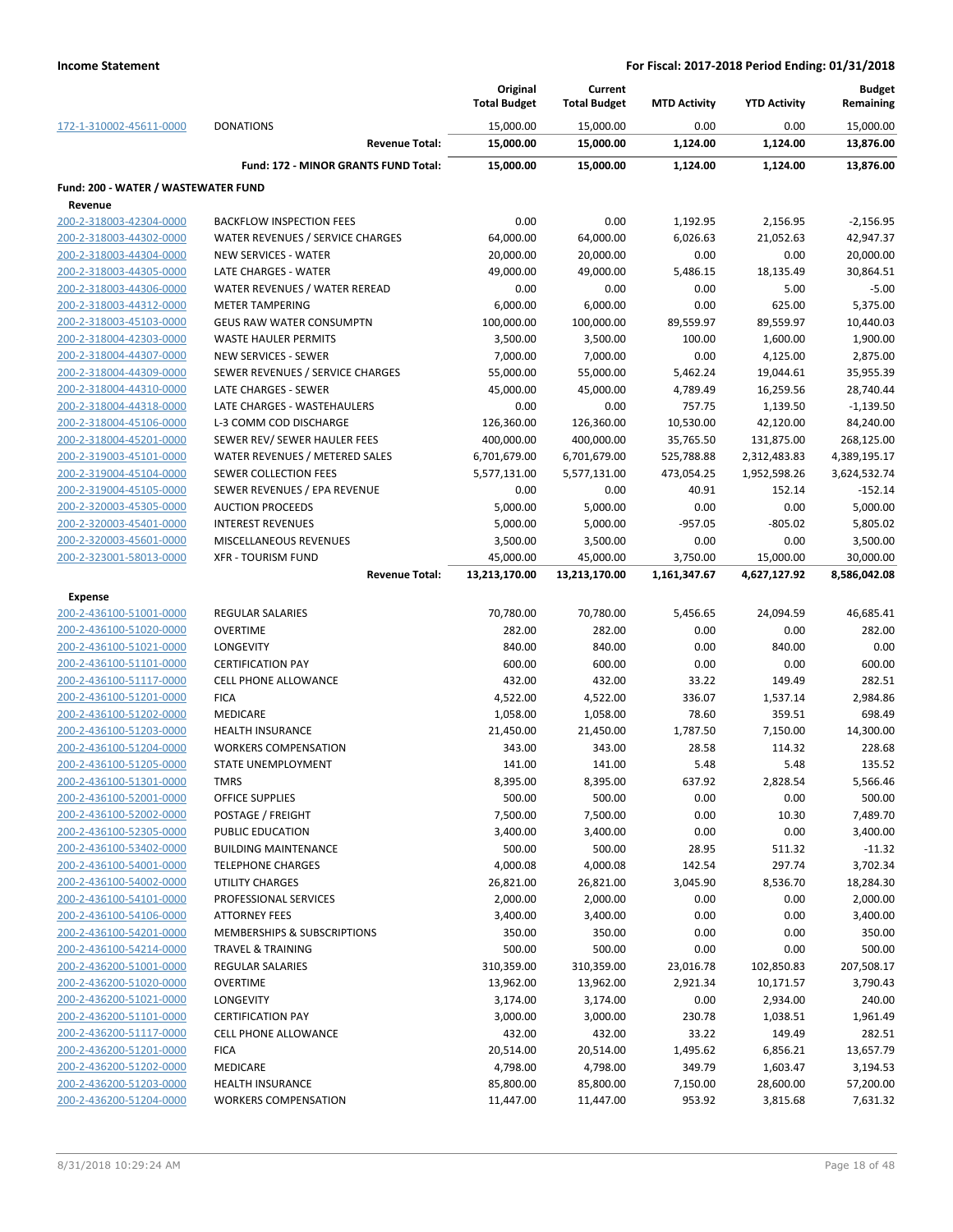|                                                    |                                                         | Original<br><b>Total Budget</b> | Current<br><b>Total Budget</b> | <b>MTD Activity</b> | <b>YTD Activity</b>    | <b>Budget</b><br>Remaining |
|----------------------------------------------------|---------------------------------------------------------|---------------------------------|--------------------------------|---------------------|------------------------|----------------------------|
| 172-1-310002-45611-0000                            | <b>DONATIONS</b>                                        | 15,000.00                       | 15,000.00                      | 0.00                | 0.00                   | 15,000.00                  |
|                                                    | <b>Revenue Total:</b>                                   | 15,000.00                       | 15,000.00                      | 1,124.00            | 1,124.00               | 13,876.00                  |
|                                                    | Fund: 172 - MINOR GRANTS FUND Total:                    | 15,000.00                       | 15,000.00                      | 1,124.00            | 1,124.00               | 13,876.00                  |
| Fund: 200 - WATER / WASTEWATER FUND                |                                                         |                                 |                                |                     |                        |                            |
| Revenue                                            |                                                         |                                 |                                |                     |                        |                            |
| 200-2-318003-42304-0000                            | <b>BACKFLOW INSPECTION FEES</b>                         | 0.00                            | 0.00                           | 1,192.95            | 2,156.95               | $-2,156.95$                |
| 200-2-318003-44302-0000                            | WATER REVENUES / SERVICE CHARGES                        | 64,000.00                       | 64,000.00                      | 6,026.63            | 21,052.63              | 42,947.37                  |
| 200-2-318003-44304-0000                            | <b>NEW SERVICES - WATER</b>                             | 20,000.00                       | 20,000.00                      | 0.00                | 0.00                   | 20,000.00                  |
| 200-2-318003-44305-0000                            | LATE CHARGES - WATER                                    | 49,000.00                       | 49,000.00                      | 5,486.15            | 18,135.49              | 30,864.51                  |
| 200-2-318003-44306-0000                            | WATER REVENUES / WATER REREAD                           | 0.00                            | 0.00                           | 0.00                | 5.00                   | $-5.00$                    |
| 200-2-318003-44312-0000                            | <b>METER TAMPERING</b>                                  | 6,000.00                        | 6,000.00                       | 0.00                | 625.00                 | 5,375.00                   |
| 200-2-318003-45103-0000                            | <b>GEUS RAW WATER CONSUMPTN</b>                         | 100,000.00                      | 100,000.00                     | 89,559.97           | 89,559.97              | 10,440.03                  |
| 200-2-318004-42303-0000                            | <b>WASTE HAULER PERMITS</b>                             | 3,500.00                        | 3,500.00                       | 100.00              | 1,600.00               | 1,900.00                   |
| 200-2-318004-44307-0000                            | <b>NEW SERVICES - SEWER</b>                             | 7,000.00                        | 7,000.00                       | 0.00                | 4,125.00               | 2,875.00                   |
| 200-2-318004-44309-0000                            | SEWER REVENUES / SERVICE CHARGES                        | 55,000.00                       | 55,000.00                      | 5,462.24            | 19,044.61              | 35,955.39                  |
| 200-2-318004-44310-0000                            | LATE CHARGES - SEWER                                    | 45,000.00                       | 45,000.00                      | 4,789.49            | 16,259.56              | 28,740.44                  |
| 200-2-318004-44318-0000                            | LATE CHARGES - WASTEHAULERS                             | 0.00                            | 0.00                           | 757.75              | 1,139.50               | $-1,139.50$                |
| 200-2-318004-45106-0000                            | L-3 COMM COD DISCHARGE                                  | 126,360.00                      | 126,360.00                     | 10,530.00           | 42,120.00              | 84,240.00                  |
| 200-2-318004-45201-0000                            | SEWER REV/ SEWER HAULER FEES                            | 400,000.00                      | 400,000.00                     | 35,765.50           | 131,875.00             | 268,125.00                 |
| 200-2-319003-45101-0000                            | WATER REVENUES / METERED SALES<br>SEWER COLLECTION FEES | 6,701,679.00                    | 6,701,679.00                   | 525,788.88          | 2,312,483.83           | 4,389,195.17               |
| 200-2-319004-45104-0000<br>200-2-319004-45105-0000 | SEWER REVENUES / EPA REVENUE                            | 5,577,131.00<br>0.00            | 5,577,131.00<br>0.00           | 473,054.25<br>40.91 | 1,952,598.26<br>152.14 | 3,624,532.74<br>$-152.14$  |
| 200-2-320003-45305-0000                            | <b>AUCTION PROCEEDS</b>                                 | 5,000.00                        | 5,000.00                       | 0.00                | 0.00                   | 5,000.00                   |
| 200-2-320003-45401-0000                            | <b>INTEREST REVENUES</b>                                | 5,000.00                        | 5,000.00                       | $-957.05$           | $-805.02$              | 5,805.02                   |
| 200-2-320003-45601-0000                            | MISCELLANEOUS REVENUES                                  | 3,500.00                        | 3,500.00                       | 0.00                | 0.00                   | 3,500.00                   |
| 200-2-323001-58013-0000                            | <b>XFR - TOURISM FUND</b>                               | 45,000.00                       | 45,000.00                      | 3,750.00            | 15,000.00              | 30,000.00                  |
|                                                    | <b>Revenue Total:</b>                                   | 13,213,170.00                   | 13,213,170.00                  | 1,161,347.67        | 4,627,127.92           | 8,586,042.08               |
|                                                    |                                                         |                                 |                                |                     |                        |                            |
| <b>Expense</b>                                     |                                                         |                                 |                                |                     |                        |                            |
| 200-2-436100-51001-0000                            | REGULAR SALARIES                                        | 70,780.00                       | 70,780.00                      | 5,456.65            | 24,094.59              | 46,685.41                  |
| 200-2-436100-51020-0000                            | <b>OVERTIME</b>                                         | 282.00                          | 282.00                         | 0.00                | 0.00<br>840.00         | 282.00<br>0.00             |
| 200-2-436100-51021-0000<br>200-2-436100-51101-0000 | LONGEVITY<br><b>CERTIFICATION PAY</b>                   | 840.00<br>600.00                | 840.00<br>600.00               | 0.00<br>0.00        | 0.00                   | 600.00                     |
| 200-2-436100-51117-0000                            | <b>CELL PHONE ALLOWANCE</b>                             | 432.00                          | 432.00                         | 33.22               | 149.49                 | 282.51                     |
| 200-2-436100-51201-0000                            | <b>FICA</b>                                             | 4,522.00                        | 4,522.00                       | 336.07              | 1,537.14               | 2,984.86                   |
| 200-2-436100-51202-0000                            | MEDICARE                                                | 1,058.00                        | 1,058.00                       | 78.60               | 359.51                 | 698.49                     |
| 200-2-436100-51203-0000                            | <b>HEALTH INSURANCE</b>                                 | 21,450.00                       | 21,450.00                      | 1,787.50            | 7,150.00               | 14,300.00                  |
| 200-2-436100-51204-0000                            | <b>WORKERS COMPENSATION</b>                             | 343.00                          | 343.00                         | 28.58               | 114.32                 | 228.68                     |
| 200-2-436100-51205-0000                            | <b>STATE UNEMPLOYMENT</b>                               | 141.00                          | 141.00                         | 5.48                | 5.48                   | 135.52                     |
| <u>200-2-436100-51301-0000</u>                     | TMRS                                                    | 8,395.00                        | 8,395.00                       | 637.92              | 2,828.54               | 5,566.46                   |
| 200-2-436100-52001-0000                            | OFFICE SUPPLIES                                         | 500.00                          | 500.00                         | 0.00                | 0.00                   | 500.00                     |
| 200-2-436100-52002-0000                            | POSTAGE / FREIGHT                                       | 7,500.00                        | 7,500.00                       | 0.00                | 10.30                  | 7,489.70                   |
| 200-2-436100-52305-0000                            | PUBLIC EDUCATION                                        | 3,400.00                        | 3,400.00                       | 0.00                | 0.00                   | 3,400.00                   |
| 200-2-436100-53402-0000                            | <b>BUILDING MAINTENANCE</b>                             | 500.00                          | 500.00                         | 28.95               | 511.32                 | $-11.32$                   |
| 200-2-436100-54001-0000                            | <b>TELEPHONE CHARGES</b>                                | 4,000.08                        | 4,000.08                       | 142.54              | 297.74                 | 3,702.34                   |
| 200-2-436100-54002-0000                            | <b>UTILITY CHARGES</b>                                  | 26,821.00                       | 26,821.00                      | 3,045.90            | 8,536.70               | 18,284.30                  |
| 200-2-436100-54101-0000                            | PROFESSIONAL SERVICES                                   | 2,000.00                        | 2,000.00                       | 0.00                | 0.00                   | 2,000.00                   |
| 200-2-436100-54106-0000                            | <b>ATTORNEY FEES</b>                                    | 3,400.00                        | 3,400.00                       | 0.00                | 0.00                   | 3,400.00                   |
| 200-2-436100-54201-0000                            | MEMBERSHIPS & SUBSCRIPTIONS                             | 350.00                          | 350.00                         | 0.00                | 0.00                   | 350.00                     |
| 200-2-436100-54214-0000                            | TRAVEL & TRAINING                                       | 500.00                          | 500.00                         | 0.00                | 0.00                   | 500.00                     |
| 200-2-436200-51001-0000                            | REGULAR SALARIES                                        | 310,359.00                      | 310,359.00                     | 23,016.78           | 102,850.83             | 207,508.17                 |
| 200-2-436200-51020-0000                            | <b>OVERTIME</b>                                         | 13,962.00                       | 13,962.00                      | 2,921.34            | 10,171.57              | 3,790.43                   |
| 200-2-436200-51021-0000                            | LONGEVITY                                               | 3,174.00                        | 3,174.00                       | 0.00                | 2,934.00               | 240.00                     |
| 200-2-436200-51101-0000                            | <b>CERTIFICATION PAY</b>                                | 3,000.00                        | 3,000.00                       | 230.78              | 1,038.51               | 1,961.49                   |
| 200-2-436200-51117-0000                            | <b>CELL PHONE ALLOWANCE</b>                             | 432.00                          | 432.00                         | 33.22               | 149.49                 | 282.51                     |
| 200-2-436200-51201-0000                            | <b>FICA</b>                                             | 20,514.00                       | 20,514.00                      | 1,495.62            | 6,856.21               | 13,657.79                  |
| 200-2-436200-51202-0000                            | MEDICARE                                                | 4,798.00                        | 4,798.00                       | 349.79              | 1,603.47               | 3,194.53                   |
| 200-2-436200-51203-0000                            | <b>HEALTH INSURANCE</b>                                 | 85,800.00                       | 85,800.00                      | 7,150.00            | 28,600.00              | 57,200.00                  |
| 200-2-436200-51204-0000                            | <b>WORKERS COMPENSATION</b>                             | 11,447.00                       | 11,447.00                      | 953.92              | 3,815.68               | 7,631.32                   |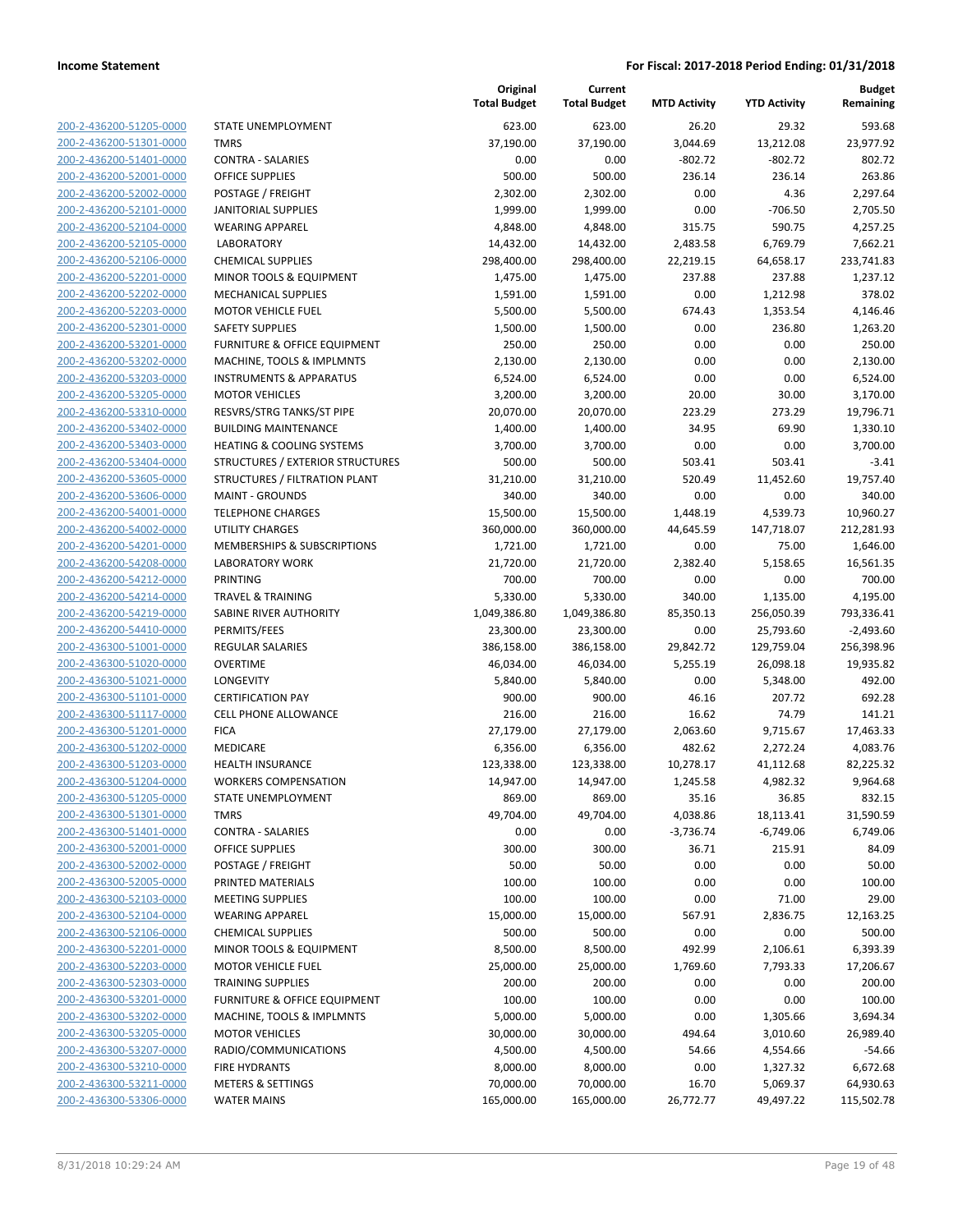| 200-2-436200-51205-0000                                   |
|-----------------------------------------------------------|
| 200-2-436200-51301-0000                                   |
| 200-2-436200-51401-0000                                   |
| <u>200-2-436200-52001-0000</u>                            |
| <u>200-2-436200-52002-0000</u>                            |
| 200-2-436200-52101-0000                                   |
| 200-2-436200-52104-0000                                   |
| 200-2-436200-52105-0000                                   |
| <u>200-2-436200-52106-0000</u>                            |
| <u>200-2-436200-52201-0000</u>                            |
| 200-2-436200-52202-0000                                   |
| 200-2-436200-52203-0000                                   |
| 200-2-436200-52301-0000                                   |
| <u>200-2-436200-53201-0000</u>                            |
| <u>200-2-436200-53202-0000</u>                            |
| 200-2-436200-53203-0000                                   |
| 200-2-436200-53205-0000                                   |
| 200-2-436200-53310-0000                                   |
| <u>200-2-436200-53402-0000</u>                            |
| <u>200-2-436200-53403-0000</u>                            |
| 200-2-436200-53404-0000                                   |
| 200-2-436200-53605-0000                                   |
| 200-2-436200-53606-0000                                   |
| 200-2-436200-54001-0000                                   |
| 200-2-436200-54002-0000                                   |
| 200-2-436200-54201-0000                                   |
| 200-2-436200-54208-0000                                   |
| 200-2-436200-54212-0000                                   |
| <u>200-2-436200-54214-0000</u>                            |
| <u>200-2-436200-54219-0000</u>                            |
| 200-2-436200-54410-0000                                   |
| 200-2-436300-51001-0000                                   |
| 200-2-436300-51020-0000                                   |
| <u>200-2-436300-51021-0000</u>                            |
| 200-2-436300-51101-0000                                   |
| 200-2-436300-51117-0000                                   |
| 200-2-436300-51201-0000                                   |
| 200-2-436300-51202-0000                                   |
| <u>200-2-436300-51203-0000</u>                            |
| 200-2-436300-51204-0000                                   |
| 200-2-436300-51205-0000                                   |
| 200-2-436300-51301-0000                                   |
| 200-2-436300-51401-0000                                   |
| <u>200-2-436300-52001-0000</u>                            |
| 200-2-436300-52002-0000                                   |
| 200-2-436300-52005-0000                                   |
| 200-2-436300-52103-0000                                   |
| 200-2-436300-52104-0000                                   |
| 200-2-436300-52106-0000                                   |
| 200-2-436300-52201-0000                                   |
| 200-2-436300-52203-0000<br>200-2-436300-52303-0000        |
|                                                           |
| 200-2-436300-53201-0000                                   |
| <u>200-2-436300-53202-0000</u>                            |
|                                                           |
| <u>200-2-436300-53205-0000</u>                            |
| 200-2-436300-53207-0000                                   |
| 200-2-436300-53210-0000                                   |
| 200-2-436300-53211-0000<br><u>200-2-436300-53306-0000</u> |

|                                                    |                                                        | Original<br><b>Total Budget</b> | Current<br><b>Total Budget</b> | <b>MTD Activity</b> | <b>YTD Activity</b>    | <b>Budget</b><br>Remaining |
|----------------------------------------------------|--------------------------------------------------------|---------------------------------|--------------------------------|---------------------|------------------------|----------------------------|
| 200-2-436200-51205-0000                            | STATE UNEMPLOYMENT                                     | 623.00                          | 623.00                         | 26.20               | 29.32                  | 593.68                     |
| 200-2-436200-51301-0000                            | <b>TMRS</b>                                            | 37,190.00                       | 37,190.00                      | 3,044.69            | 13,212.08              | 23,977.92                  |
| 200-2-436200-51401-0000                            | <b>CONTRA - SALARIES</b>                               | 0.00                            | 0.00                           | $-802.72$           | $-802.72$              | 802.72                     |
| 200-2-436200-52001-0000                            | <b>OFFICE SUPPLIES</b>                                 | 500.00                          | 500.00                         | 236.14              | 236.14                 | 263.86                     |
| 200-2-436200-52002-0000                            | POSTAGE / FREIGHT                                      | 2,302.00                        | 2,302.00                       | 0.00                | 4.36                   | 2,297.64                   |
| 200-2-436200-52101-0000                            | JANITORIAL SUPPLIES                                    | 1,999.00                        | 1,999.00                       | 0.00                | $-706.50$              | 2,705.50                   |
| 200-2-436200-52104-0000                            | <b>WEARING APPAREL</b>                                 | 4,848.00                        | 4,848.00                       | 315.75              | 590.75                 | 4,257.25                   |
| 200-2-436200-52105-0000                            | <b>LABORATORY</b>                                      | 14,432.00                       | 14,432.00                      | 2,483.58            | 6,769.79               | 7,662.21                   |
| 200-2-436200-52106-0000                            | <b>CHEMICAL SUPPLIES</b>                               | 298,400.00                      | 298,400.00                     | 22,219.15           | 64,658.17              | 233,741.83                 |
| 200-2-436200-52201-0000                            | MINOR TOOLS & EQUIPMENT                                | 1,475.00                        | 1,475.00                       | 237.88              | 237.88                 | 1,237.12                   |
| 200-2-436200-52202-0000                            | MECHANICAL SUPPLIES                                    | 1,591.00                        | 1,591.00                       | 0.00                | 1,212.98               | 378.02                     |
| 200-2-436200-52203-0000                            | <b>MOTOR VEHICLE FUEL</b>                              | 5,500.00                        | 5,500.00                       | 674.43              | 1,353.54               | 4,146.46                   |
| 200-2-436200-52301-0000                            | <b>SAFETY SUPPLIES</b>                                 | 1,500.00                        | 1,500.00                       | 0.00                | 236.80                 | 1,263.20                   |
| 200-2-436200-53201-0000                            | <b>FURNITURE &amp; OFFICE EQUIPMENT</b>                | 250.00                          | 250.00                         | 0.00                | 0.00                   | 250.00                     |
| 200-2-436200-53202-0000                            | MACHINE, TOOLS & IMPLMNTS                              | 2,130.00                        | 2,130.00                       | 0.00                | 0.00                   | 2,130.00                   |
| 200-2-436200-53203-0000                            | <b>INSTRUMENTS &amp; APPARATUS</b>                     | 6,524.00                        | 6,524.00                       | 0.00                | 0.00                   | 6,524.00                   |
| 200-2-436200-53205-0000                            | <b>MOTOR VEHICLES</b>                                  | 3,200.00                        | 3,200.00                       | 20.00               | 30.00                  | 3,170.00                   |
| 200-2-436200-53310-0000                            | RESVRS/STRG TANKS/ST PIPE                              | 20,070.00                       | 20,070.00                      | 223.29              | 273.29                 | 19,796.71                  |
| 200-2-436200-53402-0000                            | <b>BUILDING MAINTENANCE</b>                            | 1,400.00                        | 1,400.00                       | 34.95               | 69.90                  | 1,330.10                   |
| 200-2-436200-53403-0000                            | <b>HEATING &amp; COOLING SYSTEMS</b>                   | 3,700.00                        | 3,700.00                       | 0.00                | 0.00                   | 3,700.00                   |
| 200-2-436200-53404-0000                            | STRUCTURES / EXTERIOR STRUCTURES                       | 500.00                          | 500.00                         | 503.41              | 503.41                 | $-3.41$                    |
| 200-2-436200-53605-0000                            | STRUCTURES / FILTRATION PLANT                          | 31,210.00                       | 31,210.00                      | 520.49              | 11,452.60              | 19,757.40                  |
| 200-2-436200-53606-0000                            | <b>MAINT - GROUNDS</b>                                 | 340.00                          | 340.00                         | 0.00                | 0.00                   | 340.00                     |
| 200-2-436200-54001-0000                            | <b>TELEPHONE CHARGES</b>                               | 15,500.00                       | 15,500.00                      | 1,448.19            | 4,539.73               | 10,960.27                  |
| 200-2-436200-54002-0000                            | UTILITY CHARGES                                        | 360,000.00                      | 360,000.00                     | 44,645.59           | 147,718.07             | 212,281.93                 |
| 200-2-436200-54201-0000                            | MEMBERSHIPS & SUBSCRIPTIONS                            | 1,721.00                        | 1,721.00                       | 0.00                | 75.00                  | 1,646.00                   |
| 200-2-436200-54208-0000                            | <b>LABORATORY WORK</b>                                 | 21,720.00                       | 21,720.00                      | 2,382.40            | 5,158.65               | 16,561.35                  |
| 200-2-436200-54212-0000<br>200-2-436200-54214-0000 | <b>PRINTING</b>                                        | 700.00                          | 700.00                         | 0.00                | 0.00                   | 700.00                     |
| 200-2-436200-54219-0000                            | <b>TRAVEL &amp; TRAINING</b><br>SABINE RIVER AUTHORITY | 5,330.00<br>1,049,386.80        | 5,330.00<br>1,049,386.80       | 340.00<br>85,350.13 | 1,135.00<br>256,050.39 | 4,195.00<br>793,336.41     |
| 200-2-436200-54410-0000                            | PERMITS/FEES                                           | 23,300.00                       | 23,300.00                      | 0.00                | 25,793.60              | $-2,493.60$                |
| 200-2-436300-51001-0000                            | REGULAR SALARIES                                       | 386,158.00                      | 386,158.00                     | 29,842.72           | 129,759.04             | 256,398.96                 |
| 200-2-436300-51020-0000                            | <b>OVERTIME</b>                                        | 46,034.00                       | 46,034.00                      | 5,255.19            | 26,098.18              | 19,935.82                  |
| 200-2-436300-51021-0000                            | LONGEVITY                                              | 5,840.00                        | 5,840.00                       | 0.00                | 5,348.00               | 492.00                     |
| 200-2-436300-51101-0000                            | <b>CERTIFICATION PAY</b>                               | 900.00                          | 900.00                         | 46.16               | 207.72                 | 692.28                     |
| 200-2-436300-51117-0000                            | <b>CELL PHONE ALLOWANCE</b>                            | 216.00                          | 216.00                         | 16.62               | 74.79                  | 141.21                     |
| 200-2-436300-51201-0000                            | <b>FICA</b>                                            | 27,179.00                       | 27,179.00                      | 2,063.60            | 9,715.67               | 17,463.33                  |
| 200-2-436300-51202-0000                            | MEDICARE                                               | 6,356.00                        | 6,356.00                       | 482.62              | 2,272.24               | 4,083.76                   |
| 200-2-436300-51203-0000                            | <b>HEALTH INSURANCE</b>                                | 123,338.00                      | 123,338.00                     | 10,278.17           | 41,112.68              | 82,225.32                  |
| 200-2-436300-51204-0000                            | <b>WORKERS COMPENSATION</b>                            | 14,947.00                       | 14,947.00                      | 1,245.58            | 4,982.32               | 9,964.68                   |
| 200-2-436300-51205-0000                            | STATE UNEMPLOYMENT                                     | 869.00                          | 869.00                         | 35.16               | 36.85                  | 832.15                     |
| 200-2-436300-51301-0000                            | <b>TMRS</b>                                            | 49,704.00                       | 49,704.00                      | 4,038.86            | 18,113.41              | 31,590.59                  |
| 200-2-436300-51401-0000                            | <b>CONTRA - SALARIES</b>                               | 0.00                            | 0.00                           | $-3,736.74$         | $-6,749.06$            | 6,749.06                   |
| 200-2-436300-52001-0000                            | <b>OFFICE SUPPLIES</b>                                 | 300.00                          | 300.00                         | 36.71               | 215.91                 | 84.09                      |
| 200-2-436300-52002-0000                            | POSTAGE / FREIGHT                                      | 50.00                           | 50.00                          | 0.00                | 0.00                   | 50.00                      |
| 200-2-436300-52005-0000                            | PRINTED MATERIALS                                      | 100.00                          | 100.00                         | 0.00                | 0.00                   | 100.00                     |
| 200-2-436300-52103-0000                            | <b>MEETING SUPPLIES</b>                                | 100.00                          | 100.00                         | 0.00                | 71.00                  | 29.00                      |
| 200-2-436300-52104-0000                            | <b>WEARING APPAREL</b>                                 | 15,000.00                       | 15,000.00                      | 567.91              | 2,836.75               | 12,163.25                  |
| 200-2-436300-52106-0000                            | <b>CHEMICAL SUPPLIES</b>                               | 500.00                          | 500.00                         | 0.00                | 0.00                   | 500.00                     |
| 200-2-436300-52201-0000                            | MINOR TOOLS & EQUIPMENT                                | 8,500.00                        | 8,500.00                       | 492.99              | 2,106.61               | 6,393.39                   |
| 200-2-436300-52203-0000                            | <b>MOTOR VEHICLE FUEL</b>                              | 25,000.00                       | 25,000.00                      | 1,769.60            | 7,793.33               | 17,206.67                  |
| 200-2-436300-52303-0000                            | <b>TRAINING SUPPLIES</b>                               | 200.00                          | 200.00                         | 0.00                | 0.00                   | 200.00                     |
| 200-2-436300-53201-0000                            | <b>FURNITURE &amp; OFFICE EQUIPMENT</b>                | 100.00                          | 100.00                         | 0.00                | 0.00                   | 100.00                     |
| 200-2-436300-53202-0000<br>200-2-436300-53205-0000 | MACHINE, TOOLS & IMPLMNTS<br><b>MOTOR VEHICLES</b>     | 5,000.00<br>30,000.00           | 5,000.00<br>30,000.00          | 0.00<br>494.64      | 1,305.66               | 3,694.34<br>26,989.40      |
| 200-2-436300-53207-0000                            | RADIO/COMMUNICATIONS                                   | 4,500.00                        | 4,500.00                       | 54.66               | 3,010.60<br>4,554.66   | $-54.66$                   |
| 200-2-436300-53210-0000                            | <b>FIRE HYDRANTS</b>                                   | 8,000.00                        | 8,000.00                       | 0.00                | 1,327.32               | 6,672.68                   |
| 200-2-436300-53211-0000                            | <b>METERS &amp; SETTINGS</b>                           | 70,000.00                       | 70,000.00                      | 16.70               | 5,069.37               | 64,930.63                  |
| 200-2-436300-53306-0000                            | <b>WATER MAINS</b>                                     | 165,000.00                      | 165,000.00                     | 26,772.77           | 49,497.22              | 115,502.78                 |
|                                                    |                                                        |                                 |                                |                     |                        |                            |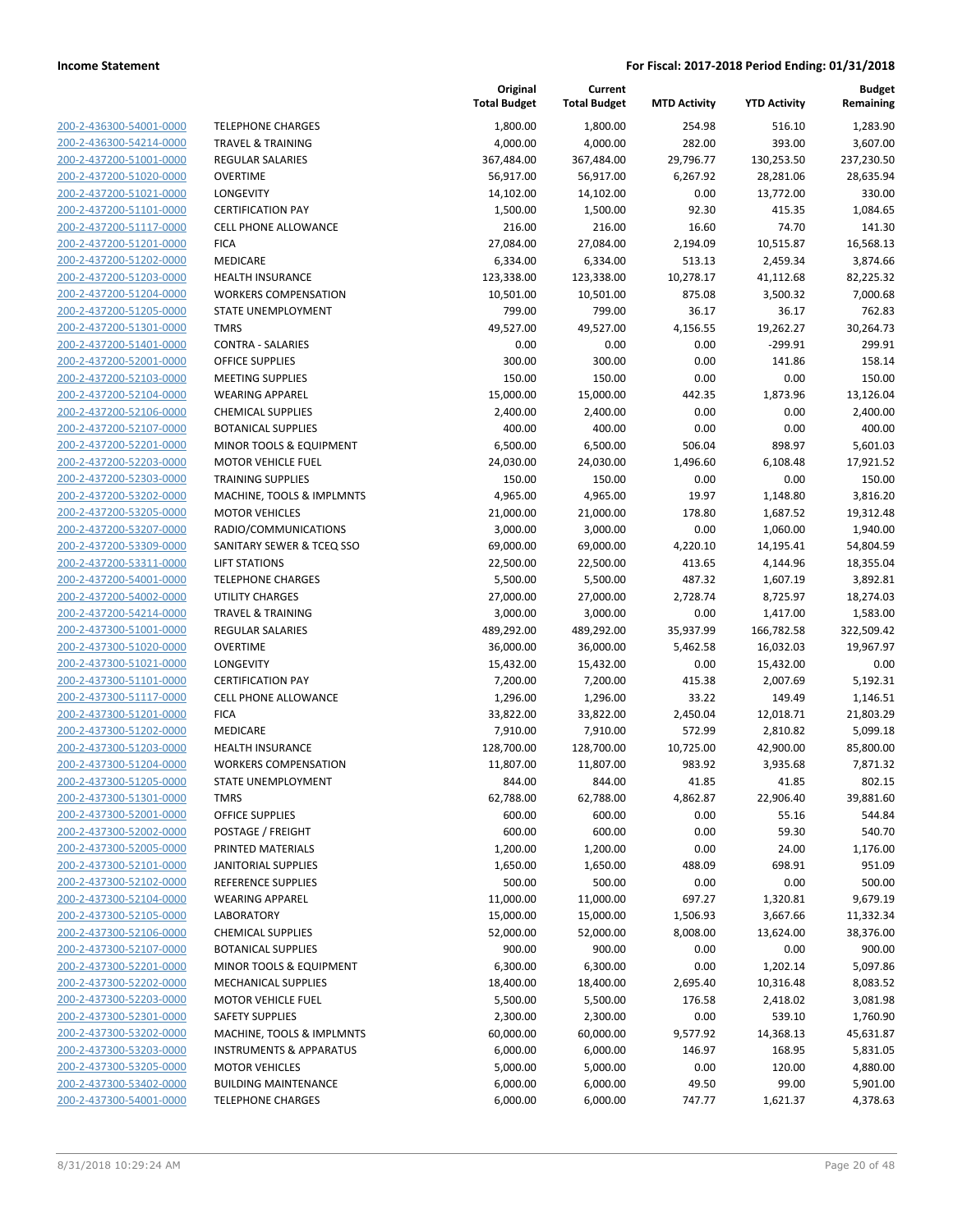| 200-2-436300-54001-0000                            |
|----------------------------------------------------|
| 200-2-436300-54214-0000                            |
| <u>200-2-437200-51001-0000</u>                     |
| 200-2-437200-51020-0000                            |
| 200-2-437200-51021-0000                            |
|                                                    |
| 200-2-437200-51101-0000                            |
| 200-2-437200-51117-0000                            |
| <u>200-2-437200-51201-0000</u>                     |
| 200-2-437200-51202-0000                            |
| 200-2-437200-51203-0000                            |
| 200-2-437200-51204-0000                            |
| 200-2-437200-51205-0000                            |
|                                                    |
| 200-2-437200-51301-0000                            |
| 200-2-437200-51401-0000                            |
| 200-2-437200-52001-0000                            |
| 200-2-437200-52103-0000                            |
| 200-2-437200-52104-0000                            |
| 200-2-437200-52106-0000                            |
| 200-2-437200-52107-0000                            |
|                                                    |
| 200-2-437200-52201-0000                            |
| 200-2-437200-52203-0000                            |
| 200-2-437200-52303-0000                            |
| 200-2-437200-53202-0000                            |
| 200-2-437200-53205-0000                            |
| 200-2-437200-53207-0000                            |
| 200-2-437200-53309-0000                            |
| 200-2-437200-53311-0000                            |
| 200-2-437200-54001-0000                            |
|                                                    |
| 200-2-437200-54002-0000                            |
| 200-2-437200-54214-0000                            |
| 200-2-437300-51001-0000                            |
| 200-2-437300-51020-0000                            |
| 200-2-437300-51021-0000                            |
| 200-2-437300-51101-0000                            |
| 200-2-437300-51117-0000                            |
| 200-2-437300-51201-0000                            |
| 200-2-437300-51202-0000                            |
| 200-2-437300-51203-0000                            |
|                                                    |
| 200-2-437300-51204-0000                            |
| 200-2-437300-51205-0000                            |
| 200-2-437300-51301-0000                            |
| 200-2-437300-52001-0000                            |
|                                                    |
| 200-2-437300-52002-0000                            |
|                                                    |
| 200-2-437300-52005-0000                            |
| 200-2-437300-52101-0000                            |
| 200-2-437300-52102-0000                            |
| 200-2-437300-52104-0000                            |
| <u>200-2-437300-52105-0000</u>                     |
| <u>200-2-437300-52106-0000</u>                     |
| 200-2-437300-52107-0000                            |
| 200-2-437300-52201-0000                            |
| 200-2-437300-52202-0000                            |
| <u>200-2-437300-52203-0000</u>                     |
|                                                    |
| <u>200-2-437300-52301-0000</u>                     |
| 200-2-437300-53202-0000                            |
| 200-2-437300-53203-0000                            |
| 200-2-437300-53205-0000                            |
| 200-2-437300-53402-0000<br>200-2-437300-54001-0000 |

| <b>TELEPHONE CHARGES</b><br>1,800.00<br>1,800.00<br>254.98<br>200-2-436300-54001-0000<br>282.00<br>200-2-436300-54214-0000<br><b>TRAVEL &amp; TRAINING</b><br>4,000.00<br>4,000.00<br>200-2-437200-51001-0000<br>367,484.00<br>367,484.00<br>29,796.77<br><b>REGULAR SALARIES</b> | 516.10<br>393.00<br>130,253.50 | 1,283.90<br>3,607.00  |
|-----------------------------------------------------------------------------------------------------------------------------------------------------------------------------------------------------------------------------------------------------------------------------------|--------------------------------|-----------------------|
|                                                                                                                                                                                                                                                                                   |                                |                       |
|                                                                                                                                                                                                                                                                                   |                                |                       |
|                                                                                                                                                                                                                                                                                   |                                | 237,230.50            |
| 200-2-437200-51020-0000<br><b>OVERTIME</b><br>56,917.00<br>56,917.00<br>6,267.92                                                                                                                                                                                                  | 28,281.06                      | 28,635.94             |
| 200-2-437200-51021-0000<br>LONGEVITY<br>0.00<br>14,102.00<br>14,102.00                                                                                                                                                                                                            | 13,772.00                      | 330.00                |
| 200-2-437200-51101-0000<br><b>CERTIFICATION PAY</b><br>1,500.00<br>1,500.00<br>92.30                                                                                                                                                                                              | 415.35                         | 1,084.65              |
| 16.60<br>200-2-437200-51117-0000<br><b>CELL PHONE ALLOWANCE</b><br>216.00<br>216.00                                                                                                                                                                                               | 74.70                          | 141.30                |
| 200-2-437200-51201-0000<br><b>FICA</b><br>27,084.00<br>27,084.00<br>2,194.09                                                                                                                                                                                                      | 10,515.87                      | 16,568.13             |
| 200-2-437200-51202-0000<br>MEDICARE<br>6,334.00<br>6,334.00<br>513.13                                                                                                                                                                                                             | 2,459.34                       | 3,874.66              |
| 123,338.00<br>123,338.00<br>10,278.17<br>200-2-437200-51203-0000<br><b>HEALTH INSURANCE</b>                                                                                                                                                                                       | 41,112.68                      | 82,225.32             |
| 200-2-437200-51204-0000<br><b>WORKERS COMPENSATION</b><br>10,501.00<br>10,501.00<br>875.08                                                                                                                                                                                        | 3,500.32                       | 7,000.68              |
| 799.00<br>799.00<br>36.17<br>200-2-437200-51205-0000<br>STATE UNEMPLOYMENT                                                                                                                                                                                                        | 36.17                          | 762.83                |
| <b>TMRS</b><br>200-2-437200-51301-0000<br>49,527.00<br>49,527.00<br>4,156.55                                                                                                                                                                                                      | 19,262.27                      | 30,264.73             |
| 200-2-437200-51401-0000<br>0.00<br><b>CONTRA - SALARIES</b><br>0.00<br>0.00                                                                                                                                                                                                       | $-299.91$                      | 299.91                |
| <b>OFFICE SUPPLIES</b><br>300.00<br>300.00<br>0.00<br>200-2-437200-52001-0000                                                                                                                                                                                                     | 141.86                         | 158.14                |
| 200-2-437200-52103-0000<br><b>MEETING SUPPLIES</b><br>150.00<br>150.00<br>0.00                                                                                                                                                                                                    | 0.00                           | 150.00                |
| 15,000.00<br>200-2-437200-52104-0000<br><b>WEARING APPAREL</b><br>15,000.00<br>442.35                                                                                                                                                                                             | 1,873.96                       | 13,126.04<br>2,400.00 |
| 200-2-437200-52106-0000<br>2,400.00<br>2,400.00<br>0.00<br><b>CHEMICAL SUPPLIES</b><br>200-2-437200-52107-0000<br>0.00                                                                                                                                                            | 0.00                           | 400.00                |
| <b>BOTANICAL SUPPLIES</b><br>400.00<br>400.00<br>MINOR TOOLS & EQUIPMENT<br>6,500.00<br>6,500.00<br>506.04<br>200-2-437200-52201-0000                                                                                                                                             | 0.00<br>898.97                 | 5,601.03              |
| 200-2-437200-52203-0000<br><b>MOTOR VEHICLE FUEL</b><br>24,030.00<br>24,030.00<br>1,496.60                                                                                                                                                                                        | 6,108.48                       | 17,921.52             |
| 0.00<br>200-2-437200-52303-0000<br><b>TRAINING SUPPLIES</b><br>150.00<br>150.00                                                                                                                                                                                                   | 0.00                           | 150.00                |
| 200-2-437200-53202-0000<br>MACHINE, TOOLS & IMPLMNTS<br>4,965.00<br>4,965.00<br>19.97                                                                                                                                                                                             | 1,148.80                       | 3,816.20              |
| 200-2-437200-53205-0000<br>21,000.00<br><b>MOTOR VEHICLES</b><br>21,000.00<br>178.80                                                                                                                                                                                              | 1,687.52                       | 19,312.48             |
| 200-2-437200-53207-0000<br>RADIO/COMMUNICATIONS<br>3,000.00<br>0.00<br>3,000.00                                                                                                                                                                                                   | 1,060.00                       | 1,940.00              |
| 200-2-437200-53309-0000<br>SANITARY SEWER & TCEQ SSO<br>69,000.00<br>69,000.00<br>4,220.10                                                                                                                                                                                        | 14,195.41                      | 54,804.59             |
| 200-2-437200-53311-0000<br><b>LIFT STATIONS</b><br>22,500.00<br>22,500.00<br>413.65                                                                                                                                                                                               | 4,144.96                       | 18,355.04             |
| 200-2-437200-54001-0000<br><b>TELEPHONE CHARGES</b><br>5,500.00<br>5,500.00<br>487.32                                                                                                                                                                                             | 1,607.19                       | 3,892.81              |
| 200-2-437200-54002-0000<br><b>UTILITY CHARGES</b><br>27,000.00<br>27,000.00<br>2,728.74                                                                                                                                                                                           | 8,725.97                       | 18,274.03             |
| 200-2-437200-54214-0000<br><b>TRAVEL &amp; TRAINING</b><br>3,000.00<br>3,000.00<br>0.00                                                                                                                                                                                           | 1,417.00                       | 1,583.00              |
| 200-2-437300-51001-0000<br><b>REGULAR SALARIES</b><br>489,292.00<br>489,292.00<br>35,937.99                                                                                                                                                                                       | 166,782.58                     | 322,509.42            |
| 200-2-437300-51020-0000<br><b>OVERTIME</b><br>36,000.00<br>36,000.00<br>5,462.58                                                                                                                                                                                                  | 16,032.03                      | 19,967.97             |
| 200-2-437300-51021-0000<br>LONGEVITY<br>15,432.00<br>0.00<br>15,432.00                                                                                                                                                                                                            | 15,432.00                      | 0.00                  |
| 200-2-437300-51101-0000<br><b>CERTIFICATION PAY</b><br>7,200.00<br>7,200.00<br>415.38                                                                                                                                                                                             | 2,007.69                       | 5,192.31              |
| 200-2-437300-51117-0000<br><b>CELL PHONE ALLOWANCE</b><br>1,296.00<br>1,296.00<br>33.22                                                                                                                                                                                           | 149.49                         | 1,146.51              |
| 200-2-437300-51201-0000<br><b>FICA</b><br>33,822.00<br>33,822.00<br>2,450.04                                                                                                                                                                                                      | 12,018.71                      | 21,803.29             |
| 200-2-437300-51202-0000<br>MEDICARE<br>7,910.00<br>7,910.00<br>572.99                                                                                                                                                                                                             | 2,810.82                       | 5,099.18              |
| 200-2-437300-51203-0000<br>10,725.00<br><b>HEALTH INSURANCE</b><br>128,700.00<br>128,700.00                                                                                                                                                                                       | 42,900.00                      | 85,800.00             |
| 200-2-437300-51204-0000<br><b>WORKERS COMPENSATION</b><br>11,807.00<br>11,807.00<br>983.92                                                                                                                                                                                        | 3,935.68                       | 7,871.32              |
| 200-2-437300-51205-0000<br>STATE UNEMPLOYMENT<br>844.00<br>844.00<br>41.85                                                                                                                                                                                                        | 41.85                          | 802.15                |
| 200-2-437300-51301-0000<br><b>TMRS</b><br>62,788.00<br>62,788.00<br>4,862.87                                                                                                                                                                                                      | 22,906.40                      | 39,881.60             |
| 200-2-437300-52001-0000<br><b>OFFICE SUPPLIES</b><br>600.00<br>0.00<br>600.00                                                                                                                                                                                                     | 55.16                          | 544.84                |
| 200-2-437300-52002-0000<br>POSTAGE / FREIGHT<br>600.00<br>600.00<br>0.00                                                                                                                                                                                                          | 59.30                          | 540.70                |
| 200-2-437300-52005-0000<br>PRINTED MATERIALS<br>1,200.00<br>1,200.00<br>0.00                                                                                                                                                                                                      | 24.00                          | 1,176.00              |
| 200-2-437300-52101-0000<br>1,650.00<br>488.09<br><b>JANITORIAL SUPPLIES</b><br>1,650.00                                                                                                                                                                                           | 698.91                         | 951.09                |
| 0.00<br>200-2-437300-52102-0000<br><b>REFERENCE SUPPLIES</b><br>500.00<br>500.00                                                                                                                                                                                                  | 0.00                           | 500.00                |
| 200-2-437300-52104-0000<br>697.27<br><b>WEARING APPAREL</b><br>11,000.00<br>11,000.00                                                                                                                                                                                             | 1,320.81                       | 9,679.19              |
| 200-2-437300-52105-0000<br><b>LABORATORY</b><br>15,000.00<br>15,000.00<br>1,506.93                                                                                                                                                                                                | 3,667.66                       | 11,332.34             |
| 200-2-437300-52106-0000<br><b>CHEMICAL SUPPLIES</b><br>52,000.00<br>52,000.00<br>8,008.00                                                                                                                                                                                         | 13,624.00                      | 38,376.00             |
| 200-2-437300-52107-0000<br><b>BOTANICAL SUPPLIES</b><br>900.00<br>900.00<br>0.00                                                                                                                                                                                                  | 0.00                           | 900.00                |
| 200-2-437300-52201-0000<br>MINOR TOOLS & EQUIPMENT<br>6,300.00<br>6,300.00<br>0.00<br>200-2-437300-52202-0000<br><b>MECHANICAL SUPPLIES</b><br>18,400.00<br>18,400.00<br>2,695.40                                                                                                 | 1,202.14<br>10,316.48          | 5,097.86<br>8,083.52  |
| 200-2-437300-52203-0000<br><b>MOTOR VEHICLE FUEL</b><br>5,500.00<br>5,500.00<br>176.58                                                                                                                                                                                            |                                | 3,081.98              |
| 200-2-437300-52301-0000<br><b>SAFETY SUPPLIES</b><br>2,300.00<br>2,300.00<br>0.00                                                                                                                                                                                                 | 2,418.02<br>539.10             | 1,760.90              |
| 200-2-437300-53202-0000<br>MACHINE, TOOLS & IMPLMNTS<br>60,000.00<br>60,000.00<br>9,577.92                                                                                                                                                                                        | 14,368.13                      | 45,631.87             |
| 200-2-437300-53203-0000<br><b>INSTRUMENTS &amp; APPARATUS</b><br>6,000.00<br>6,000.00<br>146.97                                                                                                                                                                                   | 168.95                         | 5,831.05              |
| 0.00<br>200-2-437300-53205-0000<br><b>MOTOR VEHICLES</b><br>5,000.00<br>5,000.00                                                                                                                                                                                                  | 120.00                         | 4,880.00              |
| 200-2-437300-53402-0000<br><b>BUILDING MAINTENANCE</b><br>6,000.00<br>6,000.00<br>49.50                                                                                                                                                                                           | 99.00                          | 5,901.00              |
| 200-2-437300-54001-0000<br><b>TELEPHONE CHARGES</b><br>6,000.00<br>6,000.00<br>747.77                                                                                                                                                                                             | 1,621.37                       | 4,378.63              |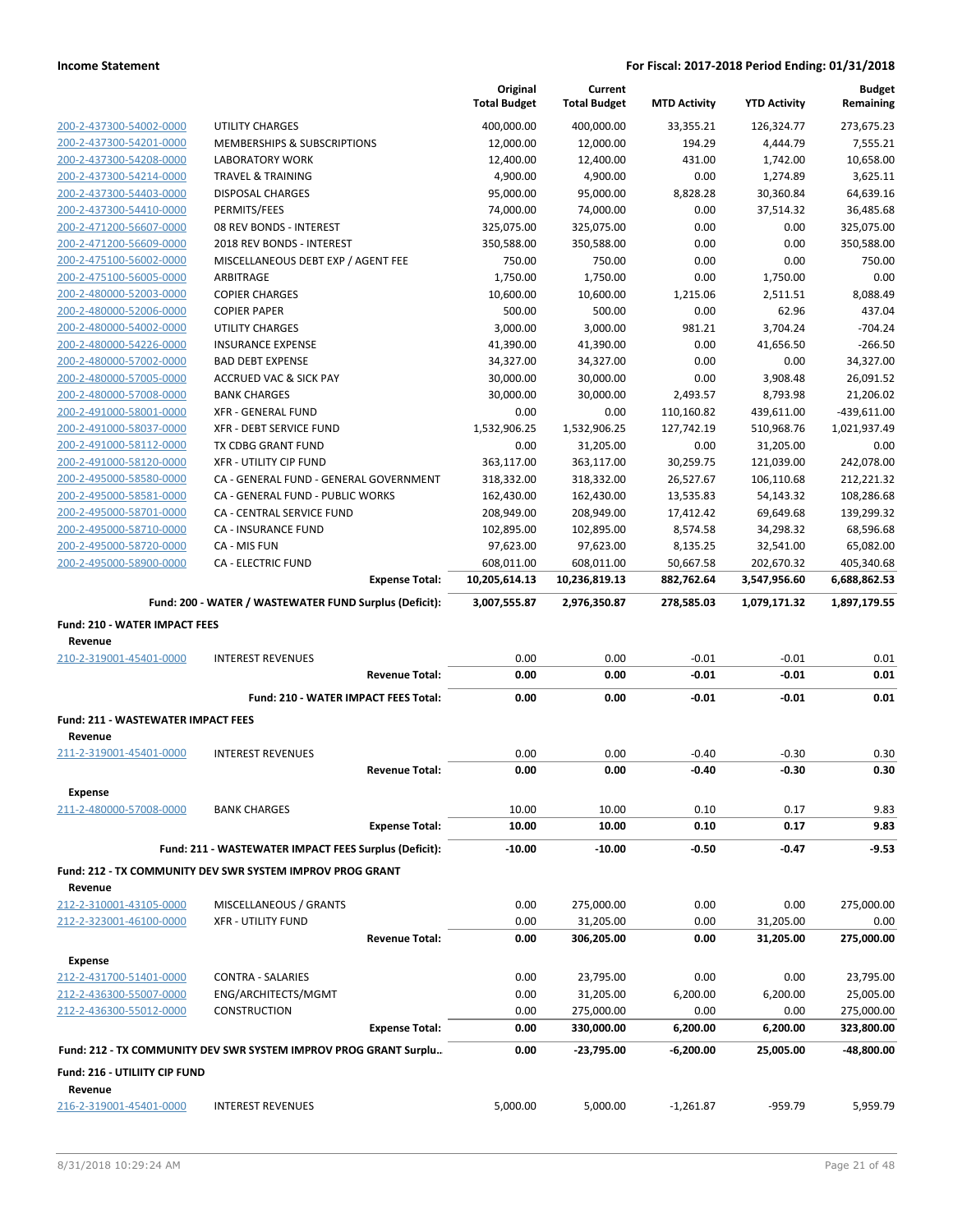|                                                    |                                                                  | Original             | Current              |                     |                     | <b>Budget</b>        |
|----------------------------------------------------|------------------------------------------------------------------|----------------------|----------------------|---------------------|---------------------|----------------------|
|                                                    |                                                                  | <b>Total Budget</b>  | <b>Total Budget</b>  | <b>MTD Activity</b> | <b>YTD Activity</b> | Remaining            |
| 200-2-437300-54002-0000                            | UTILITY CHARGES                                                  | 400,000.00           | 400,000.00           | 33,355.21           | 126,324.77          | 273,675.23           |
| 200-2-437300-54201-0000                            | MEMBERSHIPS & SUBSCRIPTIONS                                      | 12,000.00            | 12,000.00            | 194.29              | 4,444.79            | 7,555.21             |
| 200-2-437300-54208-0000                            | <b>LABORATORY WORK</b>                                           | 12,400.00            | 12,400.00            | 431.00              | 1,742.00            | 10,658.00            |
| 200-2-437300-54214-0000                            | <b>TRAVEL &amp; TRAINING</b>                                     | 4,900.00             | 4,900.00             | 0.00                | 1,274.89            | 3,625.11             |
| 200-2-437300-54403-0000                            | <b>DISPOSAL CHARGES</b>                                          | 95,000.00            | 95,000.00            | 8,828.28            | 30,360.84           | 64,639.16            |
| 200-2-437300-54410-0000                            | PERMITS/FEES                                                     | 74,000.00            | 74,000.00            | 0.00                | 37,514.32           | 36,485.68            |
| 200-2-471200-56607-0000                            | 08 REV BONDS - INTEREST                                          | 325,075.00           | 325,075.00           | 0.00                | 0.00                | 325,075.00           |
| 200-2-471200-56609-0000<br>200-2-475100-56002-0000 | 2018 REV BONDS - INTEREST<br>MISCELLANEOUS DEBT EXP / AGENT FEE  | 350,588.00<br>750.00 | 350,588.00<br>750.00 | 0.00<br>0.00        | 0.00<br>0.00        | 350,588.00<br>750.00 |
| 200-2-475100-56005-0000                            | ARBITRAGE                                                        | 1,750.00             | 1,750.00             | 0.00                | 1,750.00            | 0.00                 |
| 200-2-480000-52003-0000                            | <b>COPIER CHARGES</b>                                            | 10,600.00            | 10,600.00            | 1,215.06            | 2,511.51            | 8,088.49             |
| 200-2-480000-52006-0000                            | <b>COPIER PAPER</b>                                              | 500.00               | 500.00               | 0.00                | 62.96               | 437.04               |
| 200-2-480000-54002-0000                            | <b>UTILITY CHARGES</b>                                           | 3,000.00             | 3,000.00             | 981.21              | 3,704.24            | $-704.24$            |
| 200-2-480000-54226-0000                            | <b>INSURANCE EXPENSE</b>                                         | 41,390.00            | 41,390.00            | 0.00                | 41,656.50           | $-266.50$            |
| 200-2-480000-57002-0000                            | <b>BAD DEBT EXPENSE</b>                                          | 34,327.00            | 34,327.00            | 0.00                | 0.00                | 34,327.00            |
| 200-2-480000-57005-0000                            | <b>ACCRUED VAC &amp; SICK PAY</b>                                | 30,000.00            | 30,000.00            | 0.00                | 3,908.48            | 26,091.52            |
| 200-2-480000-57008-0000                            | <b>BANK CHARGES</b>                                              | 30,000.00            | 30,000.00            | 2,493.57            | 8,793.98            | 21,206.02            |
| 200-2-491000-58001-0000                            | <b>XFR - GENERAL FUND</b>                                        | 0.00                 | 0.00                 | 110,160.82          | 439,611.00          | $-439,611.00$        |
| 200-2-491000-58037-0000                            | XFR - DEBT SERVICE FUND                                          | 1,532,906.25         | 1,532,906.25         | 127,742.19          | 510,968.76          | 1,021,937.49         |
| 200-2-491000-58112-0000                            | TX CDBG GRANT FUND                                               | 0.00                 | 31,205.00            | 0.00                | 31,205.00           | 0.00                 |
| 200-2-491000-58120-0000                            | <b>XFR - UTILITY CIP FUND</b>                                    | 363,117.00           | 363,117.00           | 30,259.75           | 121,039.00          | 242,078.00           |
| 200-2-495000-58580-0000                            | CA - GENERAL FUND - GENERAL GOVERNMENT                           | 318,332.00           | 318,332.00           | 26,527.67           | 106,110.68          | 212,221.32           |
| 200-2-495000-58581-0000                            | CA - GENERAL FUND - PUBLIC WORKS                                 | 162,430.00           | 162,430.00           | 13,535.83           | 54,143.32           | 108,286.68           |
| 200-2-495000-58701-0000                            | <b>CA - CENTRAL SERVICE FUND</b>                                 | 208,949.00           | 208,949.00           | 17,412.42           | 69,649.68           | 139,299.32           |
| 200-2-495000-58710-0000                            | <b>CA - INSURANCE FUND</b>                                       | 102,895.00           | 102,895.00           | 8,574.58            | 34,298.32           | 68,596.68            |
| 200-2-495000-58720-0000                            | CA - MIS FUN                                                     | 97,623.00            | 97,623.00            | 8,135.25            | 32,541.00           | 65,082.00            |
| 200-2-495000-58900-0000                            | <b>CA - ELECTRIC FUND</b>                                        | 608,011.00           | 608,011.00           | 50,667.58           | 202,670.32          | 405,340.68           |
|                                                    | <b>Expense Total:</b>                                            | 10,205,614.13        | 10,236,819.13        | 882,762.64          | 3,547,956.60        | 6,688,862.53         |
|                                                    | Fund: 200 - WATER / WASTEWATER FUND Surplus (Deficit):           | 3,007,555.87         | 2,976,350.87         | 278,585.03          | 1,079,171.32        | 1,897,179.55         |
| <b>Fund: 210 - WATER IMPACT FEES</b>               |                                                                  |                      |                      |                     |                     |                      |
|                                                    |                                                                  |                      |                      |                     |                     |                      |
| Revenue                                            |                                                                  |                      |                      |                     |                     |                      |
| 210-2-319001-45401-0000                            | <b>INTEREST REVENUES</b>                                         | 0.00                 | 0.00                 | $-0.01$             | $-0.01$             | 0.01                 |
|                                                    | <b>Revenue Total:</b>                                            | 0.00                 | 0.00                 | $-0.01$             | $-0.01$             | 0.01                 |
|                                                    | Fund: 210 - WATER IMPACT FEES Total:                             | 0.00                 | 0.00                 | $-0.01$             | $-0.01$             | 0.01                 |
|                                                    |                                                                  |                      |                      |                     |                     |                      |
| Fund: 211 - WASTEWATER IMPACT FEES                 |                                                                  |                      |                      |                     |                     |                      |
| Revenue                                            |                                                                  |                      |                      |                     |                     |                      |
| 211-2-319001-45401-0000                            | <b>INTEREST REVENUES</b>                                         | 0.00                 | 0.00                 | $-0.40$             | $-0.30$             | 0.30                 |
|                                                    | <b>Revenue Total:</b>                                            | 0.00                 | 0.00                 | $-0.40$             | $-0.30$             | 0.30                 |
| <b>Expense</b>                                     |                                                                  |                      |                      |                     |                     |                      |
| 211-2-480000-57008-0000                            | <b>BANK CHARGES</b>                                              | 10.00                | 10.00                | 0.10                | 0.17                | 9.83                 |
|                                                    | <b>Expense Total:</b>                                            | 10.00                | 10.00                | 0.10                | 0.17                | 9.83                 |
|                                                    | Fund: 211 - WASTEWATER IMPACT FEES Surplus (Deficit):            | $-10.00$             | $-10.00$             | -0.50               | $-0.47$             | $-9.53$              |
|                                                    | Fund: 212 - TX COMMUNITY DEV SWR SYSTEM IMPROV PROG GRANT        |                      |                      |                     |                     |                      |
| Revenue                                            |                                                                  |                      |                      |                     |                     |                      |
| 212-2-310001-43105-0000                            | MISCELLANEOUS / GRANTS                                           | 0.00                 | 275,000.00           | 0.00                | 0.00                | 275,000.00           |
| 212-2-323001-46100-0000                            | <b>XFR - UTILITY FUND</b>                                        | 0.00                 | 31,205.00            | 0.00                | 31,205.00           | 0.00                 |
|                                                    | <b>Revenue Total:</b>                                            | 0.00                 | 306,205.00           | 0.00                | 31,205.00           | 275,000.00           |
| <b>Expense</b>                                     |                                                                  |                      |                      |                     |                     |                      |
| 212-2-431700-51401-0000                            | <b>CONTRA - SALARIES</b>                                         | 0.00                 | 23,795.00            | 0.00                | 0.00                | 23,795.00            |
| 212-2-436300-55007-0000                            | ENG/ARCHITECTS/MGMT                                              | 0.00                 | 31,205.00            | 6,200.00            | 6,200.00            | 25,005.00            |
| 212-2-436300-55012-0000                            | <b>CONSTRUCTION</b>                                              | 0.00                 | 275,000.00           | 0.00                | 0.00                | 275,000.00           |
|                                                    | <b>Expense Total:</b>                                            | 0.00                 | 330,000.00           | 6,200.00            | 6,200.00            | 323,800.00           |
|                                                    | Fund: 212 - TX COMMUNITY DEV SWR SYSTEM IMPROV PROG GRANT Surplu | 0.00                 | $-23,795.00$         | $-6,200.00$         | 25,005.00           | -48,800.00           |
|                                                    |                                                                  |                      |                      |                     |                     |                      |
| Fund: 216 - UTILIITY CIP FUND                      |                                                                  |                      |                      |                     |                     |                      |
| Revenue<br>216-2-319001-45401-0000                 | <b>INTEREST REVENUES</b>                                         | 5,000.00             | 5,000.00             | $-1,261.87$         | -959.79             | 5,959.79             |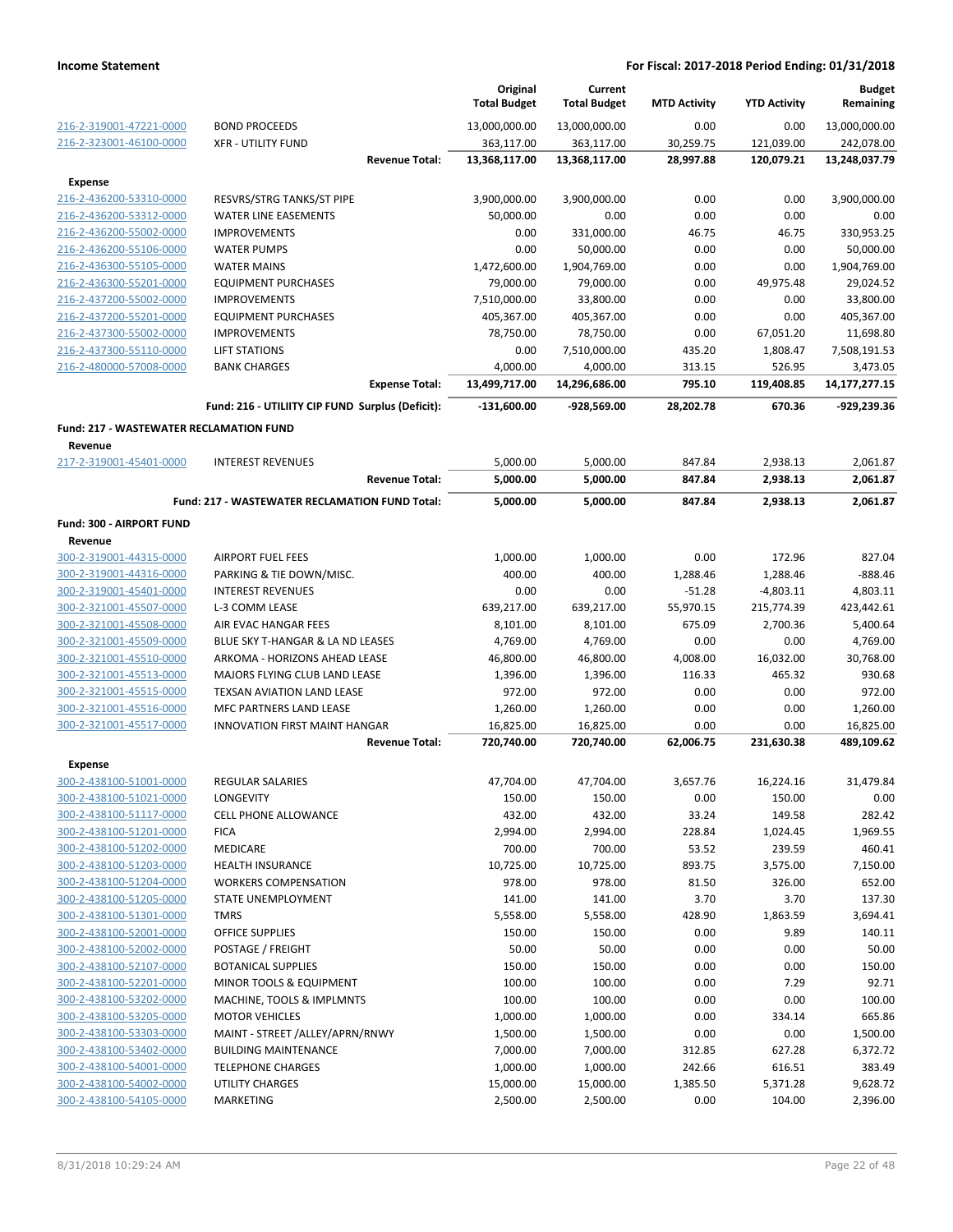|                                                    |                                                      | Original<br><b>Total Budget</b> | Current<br><b>Total Budget</b> | <b>MTD Activity</b>  | <b>YTD Activity</b>     | <b>Budget</b><br>Remaining   |
|----------------------------------------------------|------------------------------------------------------|---------------------------------|--------------------------------|----------------------|-------------------------|------------------------------|
| 216-2-319001-47221-0000                            | <b>BOND PROCEEDS</b>                                 | 13,000,000.00                   | 13,000,000.00                  | 0.00                 | 0.00                    | 13,000,000.00                |
| 216-2-323001-46100-0000                            | <b>XFR - UTILITY FUND</b>                            | 363,117.00                      | 363,117.00                     | 30,259.75            | 121,039.00              | 242,078.00                   |
|                                                    | <b>Revenue Total:</b>                                | 13,368,117.00                   | 13,368,117.00                  | 28,997.88            | 120,079.21              | 13,248,037.79                |
| <b>Expense</b>                                     |                                                      |                                 |                                |                      |                         |                              |
| 216-2-436200-53310-0000                            | RESVRS/STRG TANKS/ST PIPE                            | 3,900,000.00                    | 3,900,000.00                   | 0.00                 | 0.00                    | 3,900,000.00                 |
| 216-2-436200-53312-0000                            | <b>WATER LINE EASEMENTS</b>                          | 50,000.00                       | 0.00                           | 0.00                 | 0.00                    | 0.00                         |
| 216-2-436200-55002-0000                            | <b>IMPROVEMENTS</b>                                  | 0.00                            | 331,000.00                     | 46.75                | 46.75                   | 330.953.25                   |
| 216-2-436200-55106-0000                            | <b>WATER PUMPS</b>                                   | 0.00                            | 50,000.00                      | 0.00                 | 0.00                    | 50,000.00                    |
| 216-2-436300-55105-0000                            | <b>WATER MAINS</b>                                   | 1,472,600.00                    | 1,904,769.00                   | 0.00                 | 0.00                    | 1,904,769.00                 |
| 216-2-436300-55201-0000                            | <b>EQUIPMENT PURCHASES</b>                           | 79,000.00                       | 79,000.00                      | 0.00                 | 49,975.48               | 29,024.52                    |
| 216-2-437200-55002-0000                            | <b>IMPROVEMENTS</b>                                  | 7,510,000.00                    | 33,800.00                      | 0.00                 | 0.00                    | 33,800.00                    |
| 216-2-437200-55201-0000                            | <b>EQUIPMENT PURCHASES</b>                           | 405,367.00                      | 405,367.00                     | 0.00                 | 0.00                    | 405,367.00                   |
| 216-2-437300-55002-0000                            | <b>IMPROVEMENTS</b>                                  | 78,750.00                       | 78,750.00                      | 0.00                 | 67,051.20               | 11,698.80                    |
| 216-2-437300-55110-0000                            | <b>LIFT STATIONS</b>                                 | 0.00                            | 7,510,000.00                   | 435.20               | 1,808.47                | 7,508,191.53                 |
| 216-2-480000-57008-0000                            | <b>BANK CHARGES</b><br><b>Expense Total:</b>         | 4,000.00<br>13,499,717.00       | 4,000.00<br>14,296,686.00      | 313.15<br>795.10     | 526.95<br>119,408.85    | 3,473.05<br>14, 177, 277. 15 |
|                                                    |                                                      |                                 |                                |                      |                         |                              |
|                                                    | Fund: 216 - UTILIITY CIP FUND Surplus (Deficit):     | $-131,600.00$                   | -928.569.00                    | 28.202.78            | 670.36                  | -929,239.36                  |
| <b>Fund: 217 - WASTEWATER RECLAMATION FUND</b>     |                                                      |                                 |                                |                      |                         |                              |
| Revenue                                            |                                                      |                                 |                                |                      |                         |                              |
| 217-2-319001-45401-0000                            | <b>INTEREST REVENUES</b><br><b>Revenue Total:</b>    | 5,000.00<br>5,000.00            | 5,000.00<br>5.000.00           | 847.84<br>847.84     | 2,938.13<br>2,938.13    | 2,061.87<br>2,061.87         |
|                                                    |                                                      |                                 |                                |                      |                         |                              |
|                                                    | Fund: 217 - WASTEWATER RECLAMATION FUND Total:       | 5,000.00                        | 5,000.00                       | 847.84               | 2,938.13                | 2.061.87                     |
| Fund: 300 - AIRPORT FUND                           |                                                      |                                 |                                |                      |                         |                              |
| Revenue                                            |                                                      |                                 |                                |                      |                         |                              |
| 300-2-319001-44315-0000                            | <b>AIRPORT FUEL FEES</b>                             | 1,000.00<br>400.00              | 1,000.00<br>400.00             | 0.00                 | 172.96                  | 827.04<br>$-888.46$          |
| 300-2-319001-44316-0000<br>300-2-319001-45401-0000 | PARKING & TIE DOWN/MISC.<br><b>INTEREST REVENUES</b> | 0.00                            | 0.00                           | 1,288.46<br>$-51.28$ | 1,288.46<br>$-4,803.11$ | 4,803.11                     |
| 300-2-321001-45507-0000                            | L-3 COMM LEASE                                       | 639,217.00                      | 639,217.00                     | 55,970.15            | 215,774.39              | 423,442.61                   |
| 300-2-321001-45508-0000                            | AIR EVAC HANGAR FEES                                 | 8,101.00                        | 8,101.00                       | 675.09               | 2,700.36                | 5,400.64                     |
| 300-2-321001-45509-0000                            | BLUE SKY T-HANGAR & LA ND LEASES                     | 4,769.00                        | 4,769.00                       | 0.00                 | 0.00                    | 4,769.00                     |
| 300-2-321001-45510-0000                            | ARKOMA - HORIZONS AHEAD LEASE                        | 46,800.00                       | 46,800.00                      | 4,008.00             | 16,032.00               | 30,768.00                    |
| 300-2-321001-45513-0000                            | MAJORS FLYING CLUB LAND LEASE                        | 1,396.00                        | 1,396.00                       | 116.33               | 465.32                  | 930.68                       |
| 300-2-321001-45515-0000                            | <b>TEXSAN AVIATION LAND LEASE</b>                    | 972.00                          | 972.00                         | 0.00                 | 0.00                    | 972.00                       |
| 300-2-321001-45516-0000                            | MFC PARTNERS LAND LEASE                              | 1,260.00                        | 1,260.00                       | 0.00                 | 0.00                    | 1,260.00                     |
| 300-2-321001-45517-0000                            | <b>INNOVATION FIRST MAINT HANGAR</b>                 | 16,825.00                       | 16,825.00                      | 0.00                 | 0.00                    | 16,825.00                    |
|                                                    | <b>Revenue Total:</b>                                | 720,740.00                      | 720,740.00                     | 62,006.75            | 231,630.38              | 489,109.62                   |
| <b>Expense</b>                                     |                                                      |                                 |                                |                      |                         |                              |
| 300-2-438100-51001-0000                            | <b>REGULAR SALARIES</b>                              | 47,704.00                       | 47,704.00                      | 3,657.76             | 16,224.16               | 31,479.84                    |
| 300-2-438100-51021-0000                            | <b>LONGEVITY</b>                                     | 150.00                          | 150.00                         | 0.00                 | 150.00                  | 0.00                         |
| 300-2-438100-51117-0000                            | <b>CELL PHONE ALLOWANCE</b>                          | 432.00                          | 432.00                         | 33.24                | 149.58                  | 282.42                       |
| 300-2-438100-51201-0000                            | <b>FICA</b>                                          | 2,994.00                        | 2,994.00                       | 228.84               | 1,024.45                | 1,969.55                     |
| 300-2-438100-51202-0000                            | MEDICARE                                             | 700.00                          | 700.00                         | 53.52                | 239.59                  | 460.41                       |
| 300-2-438100-51203-0000                            | <b>HEALTH INSURANCE</b>                              | 10,725.00                       | 10,725.00                      | 893.75               | 3,575.00                | 7,150.00                     |
| 300-2-438100-51204-0000                            | <b>WORKERS COMPENSATION</b>                          | 978.00                          | 978.00                         | 81.50                | 326.00                  | 652.00                       |
| 300-2-438100-51205-0000                            | STATE UNEMPLOYMENT                                   | 141.00                          | 141.00                         | 3.70                 | 3.70                    | 137.30                       |
| 300-2-438100-51301-0000                            | <b>TMRS</b>                                          | 5,558.00                        | 5,558.00                       | 428.90               | 1,863.59                | 3,694.41                     |
| 300-2-438100-52001-0000<br>300-2-438100-52002-0000 | <b>OFFICE SUPPLIES</b>                               | 150.00                          | 150.00                         | 0.00                 | 9.89                    | 140.11                       |
| 300-2-438100-52107-0000                            | POSTAGE / FREIGHT<br><b>BOTANICAL SUPPLIES</b>       | 50.00                           | 50.00                          | 0.00<br>0.00         | 0.00                    | 50.00                        |
| 300-2-438100-52201-0000                            | MINOR TOOLS & EQUIPMENT                              | 150.00<br>100.00                | 150.00<br>100.00               | 0.00                 | 0.00<br>7.29            | 150.00<br>92.71              |
| 300-2-438100-53202-0000                            | MACHINE, TOOLS & IMPLMNTS                            | 100.00                          | 100.00                         | 0.00                 | 0.00                    | 100.00                       |
| 300-2-438100-53205-0000                            | <b>MOTOR VEHICLES</b>                                | 1,000.00                        | 1,000.00                       | 0.00                 | 334.14                  | 665.86                       |
| 300-2-438100-53303-0000                            | MAINT - STREET /ALLEY/APRN/RNWY                      | 1,500.00                        | 1,500.00                       | 0.00                 | 0.00                    | 1,500.00                     |
| 300-2-438100-53402-0000                            | <b>BUILDING MAINTENANCE</b>                          | 7,000.00                        | 7,000.00                       | 312.85               | 627.28                  | 6,372.72                     |
| 300-2-438100-54001-0000                            | <b>TELEPHONE CHARGES</b>                             | 1,000.00                        | 1,000.00                       | 242.66               | 616.51                  | 383.49                       |
| 300-2-438100-54002-0000                            | UTILITY CHARGES                                      | 15,000.00                       | 15,000.00                      | 1,385.50             | 5,371.28                | 9,628.72                     |
| 300-2-438100-54105-0000                            | MARKETING                                            | 2,500.00                        | 2,500.00                       | 0.00                 | 104.00                  | 2,396.00                     |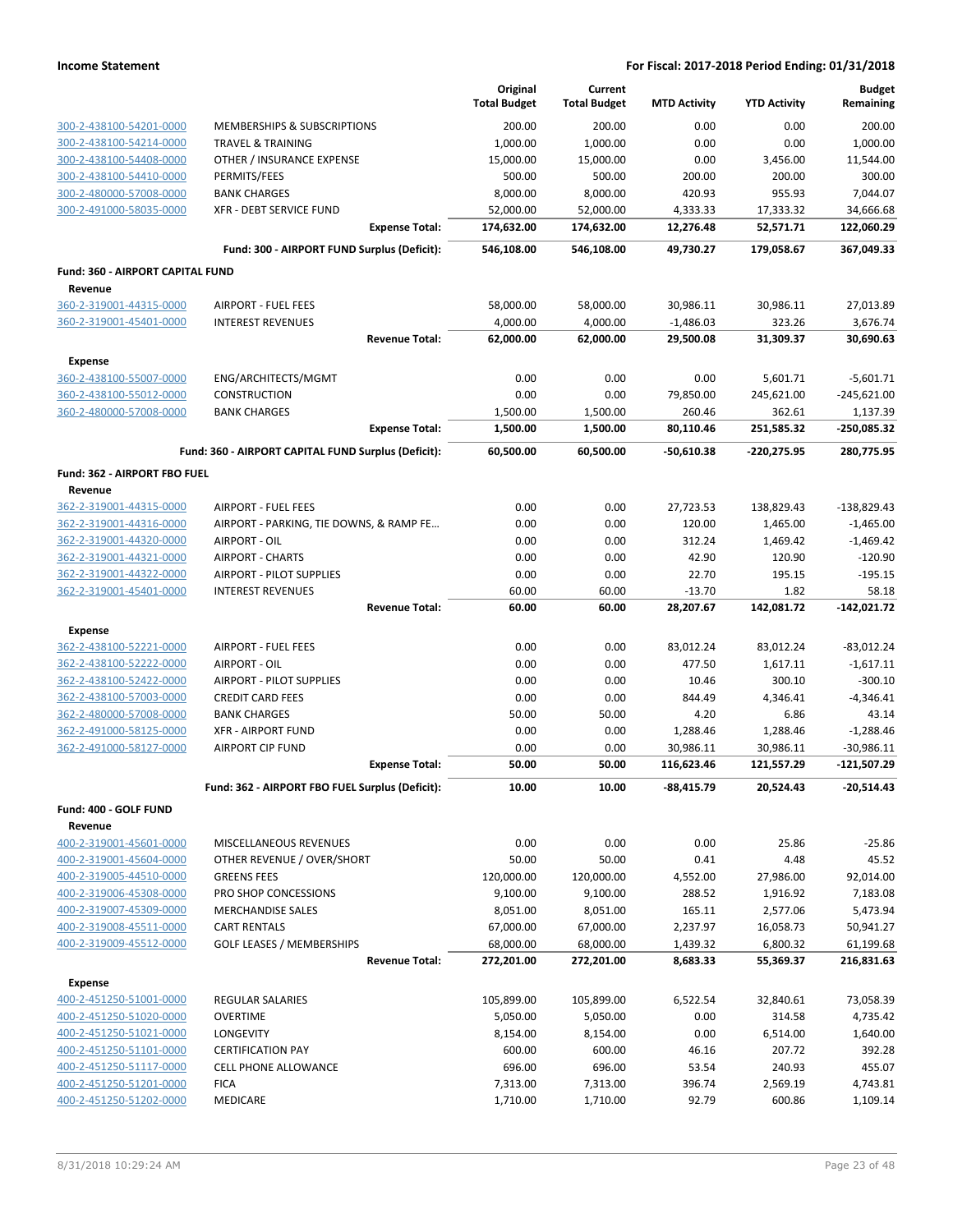|                                                    |                                                     | Original<br><b>Total Budget</b> | Current<br><b>Total Budget</b> | <b>MTD Activity</b> | <b>YTD Activity</b> | <b>Budget</b><br>Remaining |
|----------------------------------------------------|-----------------------------------------------------|---------------------------------|--------------------------------|---------------------|---------------------|----------------------------|
| 300-2-438100-54201-0000                            | MEMBERSHIPS & SUBSCRIPTIONS                         | 200.00                          | 200.00                         | 0.00                | 0.00                | 200.00                     |
| 300-2-438100-54214-0000                            | <b>TRAVEL &amp; TRAINING</b>                        | 1,000.00                        | 1,000.00                       | 0.00                | 0.00                | 1,000.00                   |
| 300-2-438100-54408-0000                            | OTHER / INSURANCE EXPENSE                           | 15,000.00                       | 15,000.00                      | 0.00                | 3,456.00            | 11,544.00                  |
| 300-2-438100-54410-0000                            | PERMITS/FEES                                        | 500.00                          | 500.00                         | 200.00              | 200.00              | 300.00                     |
| 300-2-480000-57008-0000                            | <b>BANK CHARGES</b>                                 | 8,000.00                        | 8,000.00                       | 420.93              | 955.93              | 7,044.07                   |
| 300-2-491000-58035-0000                            | <b>XFR - DEBT SERVICE FUND</b>                      | 52,000.00                       | 52,000.00                      | 4,333.33            | 17,333.32           | 34,666.68                  |
|                                                    | <b>Expense Total:</b>                               | 174,632.00                      | 174,632.00                     | 12,276.48           | 52,571.71           | 122,060.29                 |
|                                                    | Fund: 300 - AIRPORT FUND Surplus (Deficit):         | 546,108.00                      | 546,108.00                     | 49,730.27           | 179,058.67          | 367,049.33                 |
| Fund: 360 - AIRPORT CAPITAL FUND                   |                                                     |                                 |                                |                     |                     |                            |
| Revenue<br>360-2-319001-44315-0000                 | <b>AIRPORT - FUEL FEES</b>                          | 58,000.00                       | 58,000.00                      | 30,986.11           | 30,986.11           | 27,013.89                  |
| 360-2-319001-45401-0000                            | <b>INTEREST REVENUES</b>                            | 4,000.00                        | 4,000.00                       | $-1,486.03$         | 323.26              | 3,676.74                   |
|                                                    | <b>Revenue Total:</b>                               | 62,000.00                       | 62,000.00                      | 29,500.08           | 31,309.37           | 30,690.63                  |
| Expense                                            |                                                     |                                 |                                |                     |                     |                            |
| 360-2-438100-55007-0000                            | ENG/ARCHITECTS/MGMT                                 | 0.00                            | 0.00                           | 0.00                | 5,601.71            | $-5,601.71$                |
| 360-2-438100-55012-0000                            | <b>CONSTRUCTION</b>                                 | 0.00                            | 0.00                           | 79,850.00           | 245,621.00          | $-245,621.00$              |
| 360-2-480000-57008-0000                            | <b>BANK CHARGES</b>                                 | 1,500.00                        | 1,500.00                       | 260.46              | 362.61              | 1,137.39                   |
|                                                    | <b>Expense Total:</b>                               | 1,500.00                        | 1,500.00                       | 80,110.46           | 251,585.32          | -250,085.32                |
|                                                    | Fund: 360 - AIRPORT CAPITAL FUND Surplus (Deficit): | 60,500.00                       | 60,500.00                      | $-50,610.38$        | -220,275.95         | 280,775.95                 |
| Fund: 362 - AIRPORT FBO FUEL                       |                                                     |                                 |                                |                     |                     |                            |
| Revenue                                            |                                                     |                                 |                                |                     |                     |                            |
| 362-2-319001-44315-0000                            | <b>AIRPORT - FUEL FEES</b>                          | 0.00                            | 0.00                           | 27,723.53           | 138,829.43          | $-138,829.43$              |
| 362-2-319001-44316-0000                            | AIRPORT - PARKING, TIE DOWNS, & RAMP FE             | 0.00                            | 0.00                           | 120.00              | 1,465.00            | $-1,465.00$                |
| 362-2-319001-44320-0000                            | AIRPORT - OIL                                       | 0.00                            | 0.00                           | 312.24              | 1,469.42            | $-1,469.42$                |
| 362-2-319001-44321-0000                            | <b>AIRPORT - CHARTS</b>                             | 0.00                            | 0.00                           | 42.90               | 120.90              | $-120.90$                  |
| 362-2-319001-44322-0000                            | AIRPORT - PILOT SUPPLIES                            | 0.00                            | 0.00                           | 22.70               | 195.15              | $-195.15$                  |
| 362-2-319001-45401-0000                            | <b>INTEREST REVENUES</b>                            | 60.00                           | 60.00                          | $-13.70$            | 1.82                | 58.18                      |
|                                                    | <b>Revenue Total:</b>                               | 60.00                           | 60.00                          | 28,207.67           | 142,081.72          | $-142,021.72$              |
| <b>Expense</b>                                     |                                                     |                                 |                                |                     |                     |                            |
|                                                    | <b>AIRPORT - FUEL FEES</b>                          | 0.00                            | 0.00                           | 83,012.24           | 83,012.24           | $-83,012.24$               |
| 362-2-438100-52221-0000                            |                                                     |                                 |                                | 477.50              | 1,617.11            | $-1,617.11$                |
| 362-2-438100-52222-0000                            | AIRPORT - OIL                                       | 0.00                            | 0.00                           |                     |                     |                            |
| 362-2-438100-52422-0000                            | AIRPORT - PILOT SUPPLIES                            | 0.00                            | 0.00                           | 10.46               | 300.10              | $-300.10$                  |
| 362-2-438100-57003-0000                            | <b>CREDIT CARD FEES</b>                             | 0.00                            | 0.00                           | 844.49              | 4,346.41            | $-4,346.41$                |
| 362-2-480000-57008-0000                            | <b>BANK CHARGES</b>                                 | 50.00                           | 50.00                          | 4.20                | 6.86                | 43.14                      |
| 362-2-491000-58125-0000                            | <b>XFR - AIRPORT FUND</b>                           | 0.00                            | 0.00                           | 1,288.46            | 1,288.46            | $-1,288.46$                |
| 362-2-491000-58127-0000                            | <b>AIRPORT CIP FUND</b>                             | 0.00                            | 0.00                           | 30,986.11           | 30,986.11           | $-30,986.11$               |
|                                                    | <b>Expense Total:</b>                               | 50.00                           | 50.00                          | 116,623.46          | 121,557.29          | -121,507.29                |
|                                                    | Fund: 362 - AIRPORT FBO FUEL Surplus (Deficit):     | 10.00                           | 10.00                          | -88,415.79          | 20,524.43           | $-20,514.43$               |
| Fund: 400 - GOLF FUND                              |                                                     |                                 |                                |                     |                     |                            |
| Revenue                                            |                                                     |                                 |                                |                     |                     |                            |
| 400-2-319001-45601-0000                            | MISCELLANEOUS REVENUES                              | 0.00                            | 0.00                           | 0.00                | 25.86               | $-25.86$                   |
| 400-2-319001-45604-0000                            | OTHER REVENUE / OVER/SHORT                          | 50.00                           | 50.00                          | 0.41                | 4.48                | 45.52                      |
| 400-2-319005-44510-0000                            | <b>GREENS FEES</b>                                  | 120,000.00                      | 120,000.00                     | 4,552.00            | 27,986.00           | 92,014.00                  |
| 400-2-319006-45308-0000                            | PRO SHOP CONCESSIONS                                | 9,100.00                        | 9,100.00                       | 288.52              | 1,916.92            | 7,183.08                   |
| 400-2-319007-45309-0000                            | <b>MERCHANDISE SALES</b>                            | 8,051.00                        | 8,051.00                       | 165.11              | 2,577.06            | 5,473.94                   |
| 400-2-319008-45511-0000                            | <b>CART RENTALS</b>                                 | 67,000.00                       | 67,000.00                      | 2,237.97            | 16,058.73           | 50,941.27                  |
| 400-2-319009-45512-0000                            | <b>GOLF LEASES / MEMBERSHIPS</b>                    | 68,000.00                       | 68,000.00                      | 1,439.32            | 6,800.32            | 61,199.68                  |
|                                                    | <b>Revenue Total:</b>                               | 272,201.00                      | 272,201.00                     | 8,683.33            | 55,369.37           | 216,831.63                 |
| <b>Expense</b>                                     |                                                     |                                 |                                |                     |                     |                            |
| 400-2-451250-51001-0000                            | REGULAR SALARIES                                    | 105,899.00                      | 105,899.00                     | 6,522.54            | 32,840.61           | 73,058.39                  |
| 400-2-451250-51020-0000                            | <b>OVERTIME</b>                                     | 5,050.00                        | 5,050.00                       | 0.00                | 314.58              | 4,735.42                   |
| 400-2-451250-51021-0000                            | LONGEVITY                                           | 8,154.00                        | 8,154.00                       | 0.00                | 6,514.00            | 1,640.00                   |
| 400-2-451250-51101-0000                            | <b>CERTIFICATION PAY</b>                            | 600.00                          | 600.00                         | 46.16               | 207.72              | 392.28                     |
| 400-2-451250-51117-0000                            | <b>CELL PHONE ALLOWANCE</b>                         | 696.00                          | 696.00                         | 53.54               | 240.93              | 455.07                     |
| 400-2-451250-51201-0000<br>400-2-451250-51202-0000 | <b>FICA</b><br><b>MEDICARE</b>                      | 7,313.00<br>1,710.00            | 7,313.00<br>1,710.00           | 396.74<br>92.79     | 2,569.19<br>600.86  | 4,743.81<br>1,109.14       |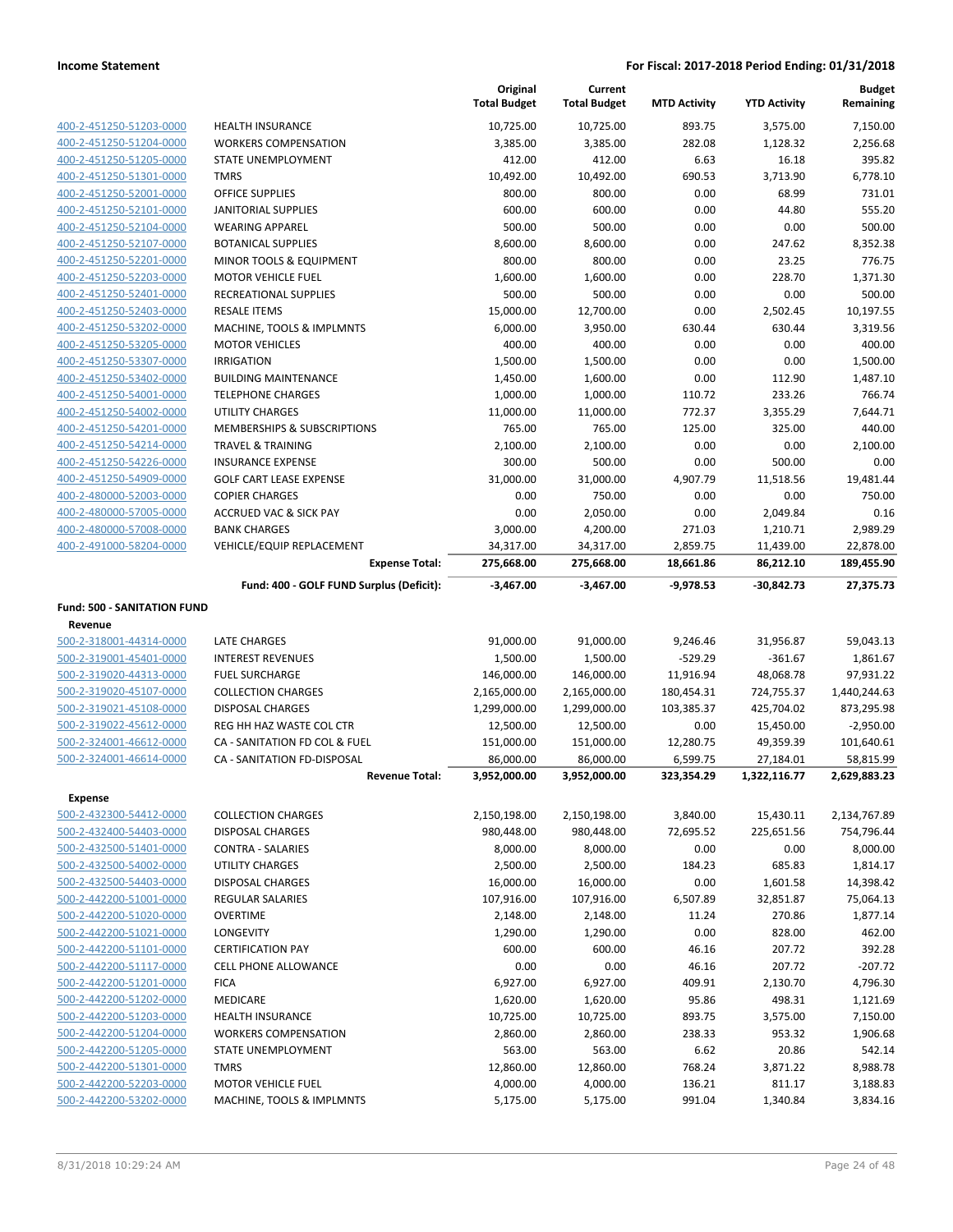|                                    |                                          | Original<br><b>Total Budget</b> | Current<br><b>Total Budget</b> | <b>MTD Activity</b> | <b>YTD Activity</b> | <b>Budget</b><br>Remaining |
|------------------------------------|------------------------------------------|---------------------------------|--------------------------------|---------------------|---------------------|----------------------------|
| 400-2-451250-51203-0000            | <b>HEALTH INSURANCE</b>                  | 10,725.00                       | 10,725.00                      | 893.75              | 3,575.00            | 7,150.00                   |
| 400-2-451250-51204-0000            | <b>WORKERS COMPENSATION</b>              | 3,385.00                        | 3,385.00                       | 282.08              | 1,128.32            | 2,256.68                   |
| 400-2-451250-51205-0000            | STATE UNEMPLOYMENT                       | 412.00                          | 412.00                         | 6.63                | 16.18               | 395.82                     |
| 400-2-451250-51301-0000            | <b>TMRS</b>                              | 10,492.00                       | 10,492.00                      | 690.53              | 3,713.90            | 6,778.10                   |
| 400-2-451250-52001-0000            | <b>OFFICE SUPPLIES</b>                   | 800.00                          | 800.00                         | 0.00                | 68.99               | 731.01                     |
| 400-2-451250-52101-0000            | JANITORIAL SUPPLIES                      | 600.00                          | 600.00                         | 0.00                | 44.80               | 555.20                     |
| 400-2-451250-52104-0000            | <b>WEARING APPAREL</b>                   | 500.00                          | 500.00                         | 0.00                | 0.00                | 500.00                     |
| 400-2-451250-52107-0000            | <b>BOTANICAL SUPPLIES</b>                | 8,600.00                        | 8,600.00                       | 0.00                | 247.62              | 8,352.38                   |
| 400-2-451250-52201-0000            | MINOR TOOLS & EQUIPMENT                  | 800.00                          | 800.00                         | 0.00                | 23.25               | 776.75                     |
| 400-2-451250-52203-0000            | <b>MOTOR VEHICLE FUEL</b>                | 1,600.00                        | 1,600.00                       | 0.00                | 228.70              | 1.371.30                   |
| 400-2-451250-52401-0000            | RECREATIONAL SUPPLIES                    | 500.00                          | 500.00                         | 0.00                | 0.00                | 500.00                     |
| 400-2-451250-52403-0000            | <b>RESALE ITEMS</b>                      | 15,000.00                       | 12,700.00                      | 0.00                | 2,502.45            | 10,197.55                  |
| 400-2-451250-53202-0000            | MACHINE, TOOLS & IMPLMNTS                | 6,000.00                        | 3,950.00                       | 630.44              | 630.44              | 3,319.56                   |
| 400-2-451250-53205-0000            | <b>MOTOR VEHICLES</b>                    | 400.00                          | 400.00                         | 0.00                | 0.00                | 400.00                     |
| 400-2-451250-53307-0000            | <b>IRRIGATION</b>                        | 1,500.00                        | 1,500.00                       | 0.00                | 0.00                | 1,500.00                   |
| 400-2-451250-53402-0000            | <b>BUILDING MAINTENANCE</b>              | 1,450.00                        | 1,600.00                       | 0.00                | 112.90              | 1,487.10                   |
| 400-2-451250-54001-0000            | <b>TELEPHONE CHARGES</b>                 | 1,000.00                        | 1,000.00                       | 110.72              | 233.26              | 766.74                     |
| 400-2-451250-54002-0000            | <b>UTILITY CHARGES</b>                   | 11,000.00                       | 11,000.00                      | 772.37              | 3,355.29            | 7,644.71                   |
| 400-2-451250-54201-0000            | MEMBERSHIPS & SUBSCRIPTIONS              | 765.00                          | 765.00                         | 125.00              | 325.00              | 440.00                     |
| 400-2-451250-54214-0000            | <b>TRAVEL &amp; TRAINING</b>             | 2,100.00                        | 2,100.00                       | 0.00                | 0.00                | 2,100.00                   |
| 400-2-451250-54226-0000            | <b>INSURANCE EXPENSE</b>                 | 300.00                          | 500.00                         | 0.00                | 500.00              | 0.00                       |
| 400-2-451250-54909-0000            | <b>GOLF CART LEASE EXPENSE</b>           | 31,000.00                       | 31,000.00                      | 4,907.79            | 11,518.56           | 19,481.44                  |
| 400-2-480000-52003-0000            | <b>COPIER CHARGES</b>                    | 0.00                            | 750.00                         | 0.00                | 0.00                | 750.00                     |
| 400-2-480000-57005-0000            | <b>ACCRUED VAC &amp; SICK PAY</b>        | 0.00                            | 2,050.00                       | 0.00                | 2,049.84            | 0.16                       |
| 400-2-480000-57008-0000            | <b>BANK CHARGES</b>                      | 3,000.00                        | 4,200.00                       | 271.03              | 1,210.71            | 2,989.29                   |
| 400-2-491000-58204-0000            | VEHICLE/EQUIP REPLACEMENT                | 34,317.00                       | 34,317.00                      | 2,859.75            | 11,439.00           | 22,878.00                  |
|                                    | <b>Expense Total:</b>                    | 275,668.00                      | 275,668.00                     | 18,661.86           | 86,212.10           | 189,455.90                 |
|                                    | Fund: 400 - GOLF FUND Surplus (Deficit): | $-3,467.00$                     | $-3,467.00$                    | -9,978.53           | -30,842.73          | 27,375.73                  |
| <b>Fund: 500 - SANITATION FUND</b> |                                          |                                 |                                |                     |                     |                            |
| Revenue                            |                                          |                                 |                                |                     |                     |                            |
| 500-2-318001-44314-0000            | LATE CHARGES                             | 91,000.00                       | 91,000.00                      | 9,246.46            | 31,956.87           | 59,043.13                  |
| 500-2-319001-45401-0000            | <b>INTEREST REVENUES</b>                 | 1,500.00                        | 1,500.00                       | $-529.29$           | -361.67             | 1,861.67                   |
| 500-2-319020-44313-0000            | <b>FUEL SURCHARGE</b>                    | 146,000.00                      | 146,000.00                     | 11,916.94           | 48,068.78           | 97,931.22                  |
| 500-2-319020-45107-0000            | <b>COLLECTION CHARGES</b>                | 2,165,000.00                    | 2,165,000.00                   | 180,454.31          | 724,755.37          | 1,440,244.63               |
| 500-2-319021-45108-0000            | <b>DISPOSAL CHARGES</b>                  | 1,299,000.00                    | 1,299,000.00                   | 103,385.37          | 425,704.02          | 873,295.98                 |
| 500-2-319022-45612-0000            | REG HH HAZ WASTE COL CTR                 | 12,500.00                       | 12,500.00                      | 0.00                | 15,450.00           | $-2,950.00$                |
| 500-2-324001-46612-0000            | CA - SANITATION FD COL & FUEL            | 151,000.00                      | 151,000.00                     | 12,280.75           | 49,359.39           | 101,640.61                 |
| 500-2-324001-46614-0000            | CA - SANITATION FD-DISPOSAL              | 86,000.00                       | 86,000.00                      | 6,599.75            | 27,184.01           | 58,815.99                  |
|                                    | <b>Revenue Total:</b>                    | 3,952,000.00                    | 3,952,000.00                   | 323,354.29          | 1,322,116.77        | 2,629,883.23               |
| <b>Expense</b>                     |                                          |                                 |                                |                     |                     |                            |
| 500-2-432300-54412-0000            | <b>COLLECTION CHARGES</b>                | 2,150,198.00                    | 2,150,198.00                   | 3,840.00            | 15,430.11           | 2,134,767.89               |
| 500-2-432400-54403-0000            | <b>DISPOSAL CHARGES</b>                  | 980,448.00                      | 980,448.00                     | 72,695.52           | 225,651.56          | 754,796.44                 |
| 500-2-432500-51401-0000            | CONTRA - SALARIES                        | 8,000.00                        | 8,000.00                       | 0.00                | 0.00                | 8,000.00                   |
| 500-2-432500-54002-0000            | UTILITY CHARGES                          | 2,500.00                        | 2,500.00                       | 184.23              | 685.83              | 1,814.17                   |
| 500-2-432500-54403-0000            | <b>DISPOSAL CHARGES</b>                  | 16,000.00                       | 16,000.00                      | 0.00                | 1,601.58            | 14,398.42                  |
| 500-2-442200-51001-0000            | <b>REGULAR SALARIES</b>                  | 107,916.00                      | 107,916.00                     | 6,507.89            | 32,851.87           | 75,064.13                  |
| 500-2-442200-51020-0000            | <b>OVERTIME</b>                          | 2,148.00                        | 2,148.00                       | 11.24               | 270.86              | 1,877.14                   |
| 500-2-442200-51021-0000            | LONGEVITY                                | 1,290.00                        | 1,290.00                       | 0.00                | 828.00              | 462.00                     |
| 500-2-442200-51101-0000            | <b>CERTIFICATION PAY</b>                 | 600.00                          | 600.00                         | 46.16               | 207.72              | 392.28                     |
| 500-2-442200-51117-0000            | <b>CELL PHONE ALLOWANCE</b>              | 0.00                            | 0.00                           | 46.16               | 207.72              | $-207.72$                  |
| 500-2-442200-51201-0000            | <b>FICA</b>                              | 6,927.00                        | 6,927.00                       | 409.91              | 2,130.70            | 4,796.30                   |
| 500-2-442200-51202-0000            | MEDICARE                                 | 1,620.00                        | 1,620.00                       | 95.86               | 498.31              | 1,121.69                   |
| 500-2-442200-51203-0000            | <b>HEALTH INSURANCE</b>                  | 10,725.00                       | 10,725.00                      | 893.75              | 3,575.00            | 7,150.00                   |
| 500-2-442200-51204-0000            | <b>WORKERS COMPENSATION</b>              | 2,860.00                        | 2,860.00                       | 238.33              | 953.32              | 1,906.68                   |
| 500-2-442200-51205-0000            | STATE UNEMPLOYMENT                       | 563.00                          | 563.00                         | 6.62                | 20.86               | 542.14                     |
| 500-2-442200-51301-0000            | <b>TMRS</b>                              | 12,860.00                       | 12,860.00                      | 768.24              | 3,871.22            | 8,988.78                   |
| 500-2-442200-52203-0000            | <b>MOTOR VEHICLE FUEL</b>                | 4,000.00                        | 4,000.00                       | 136.21              | 811.17              | 3,188.83                   |
| 500-2-442200-53202-0000            | MACHINE, TOOLS & IMPLMNTS                | 5,175.00                        | 5,175.00                       | 991.04              | 1,340.84            | 3,834.16                   |
|                                    |                                          |                                 |                                |                     |                     |                            |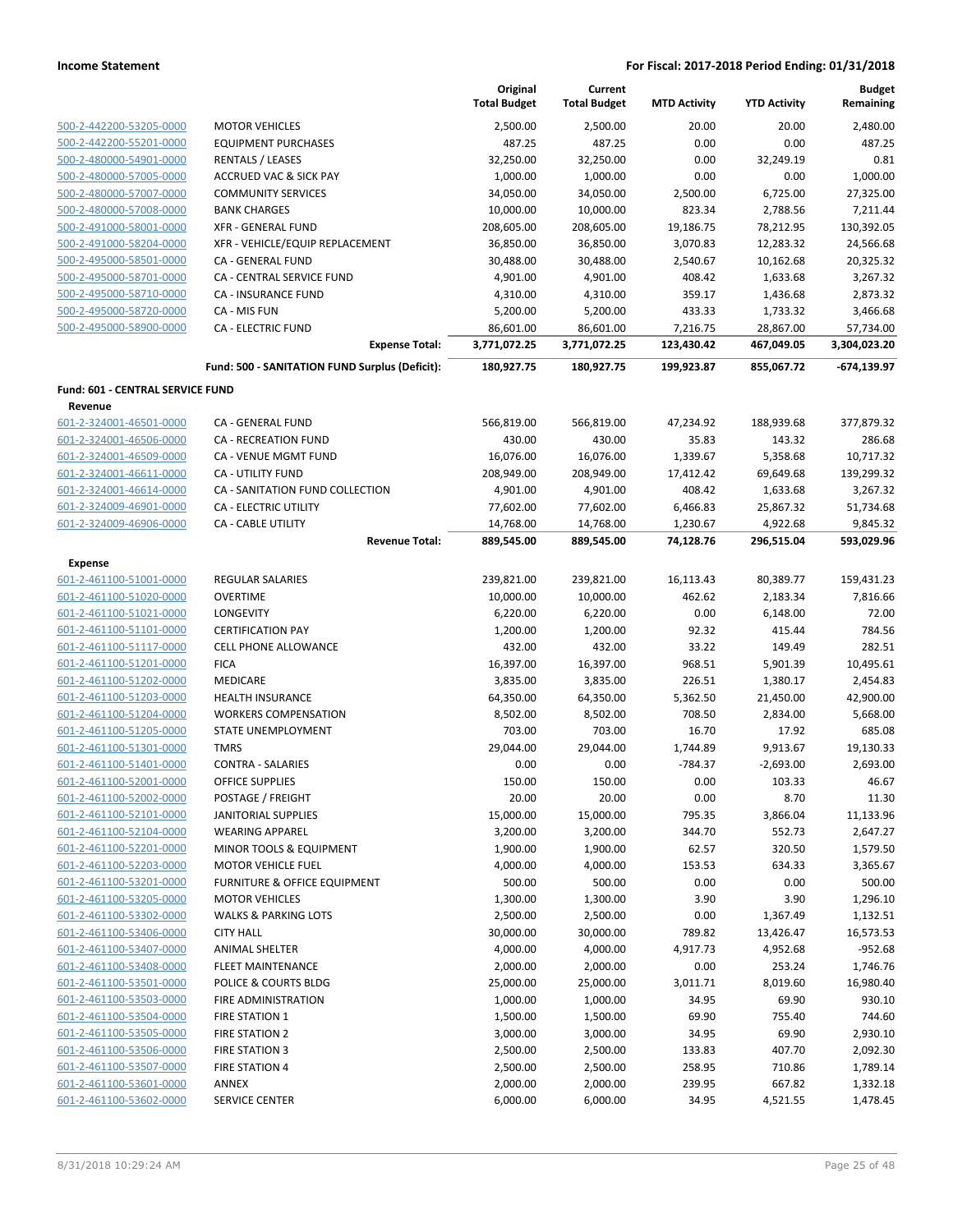|                                  |                                                | Original<br><b>Total Budget</b> | Current<br><b>Total Budget</b> | <b>MTD Activity</b> | <b>YTD Activity</b> | <b>Budget</b><br>Remaining |
|----------------------------------|------------------------------------------------|---------------------------------|--------------------------------|---------------------|---------------------|----------------------------|
| 500-2-442200-53205-0000          | <b>MOTOR VEHICLES</b>                          | 2,500.00                        | 2,500.00                       | 20.00               | 20.00               | 2,480.00                   |
| 500-2-442200-55201-0000          | <b>EQUIPMENT PURCHASES</b>                     | 487.25                          | 487.25                         | 0.00                | 0.00                | 487.25                     |
| 500-2-480000-54901-0000          | <b>RENTALS / LEASES</b>                        | 32,250.00                       | 32,250.00                      | 0.00                | 32,249.19           | 0.81                       |
| 500-2-480000-57005-0000          | <b>ACCRUED VAC &amp; SICK PAY</b>              | 1,000.00                        | 1,000.00                       | 0.00                | 0.00                | 1,000.00                   |
| 500-2-480000-57007-0000          | <b>COMMUNITY SERVICES</b>                      | 34,050.00                       | 34,050.00                      | 2,500.00            | 6,725.00            | 27,325.00                  |
| 500-2-480000-57008-0000          | <b>BANK CHARGES</b>                            | 10,000.00                       | 10,000.00                      | 823.34              | 2,788.56            | 7,211.44                   |
| 500-2-491000-58001-0000          | <b>XFR - GENERAL FUND</b>                      | 208,605.00                      | 208,605.00                     | 19,186.75           | 78,212.95           | 130,392.05                 |
| 500-2-491000-58204-0000          | XFR - VEHICLE/EQUIP REPLACEMENT                | 36,850.00                       | 36,850.00                      | 3,070.83            | 12,283.32           | 24,566.68                  |
| 500-2-495000-58501-0000          | CA - GENERAL FUND                              | 30,488.00                       | 30,488.00                      | 2,540.67            | 10,162.68           | 20,325.32                  |
| 500-2-495000-58701-0000          | CA - CENTRAL SERVICE FUND                      | 4,901.00                        | 4,901.00                       | 408.42              | 1,633.68            | 3,267.32                   |
| 500-2-495000-58710-0000          | <b>CA - INSURANCE FUND</b>                     | 4,310.00                        | 4,310.00                       | 359.17              | 1,436.68            | 2,873.32                   |
| 500-2-495000-58720-0000          | CA - MIS FUN                                   | 5,200.00                        | 5,200.00                       | 433.33              | 1,733.32            | 3,466.68                   |
| 500-2-495000-58900-0000          | <b>CA - ELECTRIC FUND</b>                      | 86,601.00                       | 86,601.00                      | 7,216.75            | 28,867.00           | 57,734.00                  |
|                                  | <b>Expense Total:</b>                          | 3,771,072.25                    | 3,771,072.25                   | 123,430.42          | 467,049.05          | 3,304,023.20               |
|                                  | Fund: 500 - SANITATION FUND Surplus (Deficit): | 180,927.75                      | 180,927.75                     | 199,923.87          | 855,067.72          | $-674, 139.97$             |
| Fund: 601 - CENTRAL SERVICE FUND |                                                |                                 |                                |                     |                     |                            |
| Revenue                          |                                                |                                 |                                |                     |                     |                            |
| 601-2-324001-46501-0000          | CA - GENERAL FUND                              | 566,819.00                      | 566,819.00                     | 47,234.92           | 188,939.68          | 377,879.32                 |
| 601-2-324001-46506-0000          | CA - RECREATION FUND                           | 430.00                          | 430.00                         | 35.83               | 143.32              | 286.68                     |
| 601-2-324001-46509-0000          | CA - VENUE MGMT FUND                           | 16,076.00                       | 16,076.00                      | 1,339.67            | 5,358.68            | 10,717.32                  |
| 601-2-324001-46611-0000          | CA - UTILITY FUND                              | 208,949.00                      | 208,949.00                     | 17,412.42           | 69,649.68           | 139,299.32                 |
| 601-2-324001-46614-0000          | CA - SANITATION FUND COLLECTION                | 4,901.00                        | 4,901.00                       | 408.42              | 1,633.68            | 3,267.32                   |
| 601-2-324009-46901-0000          | CA - ELECTRIC UTILITY                          | 77,602.00                       | 77,602.00                      | 6,466.83            | 25,867.32           | 51,734.68                  |
| 601-2-324009-46906-0000          | CA - CABLE UTILITY                             | 14,768.00                       | 14,768.00                      | 1,230.67            | 4,922.68            | 9,845.32                   |
|                                  | <b>Revenue Total:</b>                          | 889,545.00                      | 889,545.00                     | 74,128.76           | 296,515.04          | 593,029.96                 |
| <b>Expense</b>                   |                                                |                                 |                                |                     |                     |                            |
| 601-2-461100-51001-0000          | REGULAR SALARIES                               | 239,821.00                      | 239,821.00                     | 16,113.43           | 80,389.77           | 159,431.23                 |
| 601-2-461100-51020-0000          | <b>OVERTIME</b>                                | 10,000.00                       | 10,000.00                      | 462.62              | 2,183.34            | 7,816.66                   |
| 601-2-461100-51021-0000          | LONGEVITY                                      | 6,220.00                        | 6,220.00                       | 0.00                | 6,148.00            | 72.00                      |
| 601-2-461100-51101-0000          | <b>CERTIFICATION PAY</b>                       | 1,200.00                        | 1,200.00                       | 92.32               | 415.44              | 784.56                     |
| 601-2-461100-51117-0000          | <b>CELL PHONE ALLOWANCE</b>                    | 432.00                          | 432.00                         | 33.22               | 149.49              | 282.51                     |
| 601-2-461100-51201-0000          | <b>FICA</b>                                    | 16,397.00                       | 16,397.00                      | 968.51              | 5,901.39            | 10,495.61                  |
| 601-2-461100-51202-0000          | MEDICARE                                       | 3,835.00                        | 3,835.00                       | 226.51              | 1,380.17            | 2,454.83                   |
| 601-2-461100-51203-0000          | <b>HEALTH INSURANCE</b>                        | 64,350.00                       | 64,350.00                      | 5,362.50            | 21,450.00           | 42,900.00                  |
| 601-2-461100-51204-0000          | <b>WORKERS COMPENSATION</b>                    | 8,502.00                        | 8,502.00                       | 708.50              | 2,834.00            | 5,668.00                   |
| 601-2-461100-51205-0000          | STATE UNEMPLOYMENT                             | 703.00                          | 703.00                         | 16.70               | 17.92               | 685.08                     |
| 601-2-461100-51301-0000          | <b>TMRS</b>                                    | 29,044.00                       | 29,044.00                      | 1,744.89            | 9,913.67            | 19,130.33                  |
| 601-2-461100-51401-0000          | <b>CONTRA - SALARIES</b>                       | 0.00                            | 0.00                           | $-784.37$           | $-2,693.00$         | 2,693.00                   |
| 601-2-461100-52001-0000          | <b>OFFICE SUPPLIES</b>                         | 150.00                          | 150.00                         | 0.00                | 103.33              | 46.67                      |
| 601-2-461100-52002-0000          | POSTAGE / FREIGHT                              | 20.00                           | 20.00                          | 0.00                | 8.70                | 11.30                      |
| 601-2-461100-52101-0000          | JANITORIAL SUPPLIES                            | 15,000.00                       | 15,000.00                      | 795.35              | 3,866.04            | 11,133.96                  |
| 601-2-461100-52104-0000          | <b>WEARING APPAREL</b>                         | 3,200.00                        | 3,200.00                       | 344.70              | 552.73              | 2,647.27                   |
| 601-2-461100-52201-0000          | MINOR TOOLS & EQUIPMENT                        | 1,900.00                        | 1,900.00                       | 62.57               | 320.50              | 1,579.50                   |
| 601-2-461100-52203-0000          | <b>MOTOR VEHICLE FUEL</b>                      | 4,000.00                        | 4,000.00                       | 153.53              | 634.33              | 3,365.67                   |
| 601-2-461100-53201-0000          | FURNITURE & OFFICE EQUIPMENT                   | 500.00                          | 500.00                         | 0.00                | 0.00                | 500.00                     |
| 601-2-461100-53205-0000          | <b>MOTOR VEHICLES</b>                          | 1,300.00                        | 1,300.00                       | 3.90                | 3.90                | 1,296.10                   |
| 601-2-461100-53302-0000          | <b>WALKS &amp; PARKING LOTS</b>                | 2,500.00                        | 2,500.00                       | 0.00                | 1,367.49            | 1,132.51                   |
| 601-2-461100-53406-0000          | <b>CITY HALL</b>                               | 30,000.00                       | 30,000.00                      | 789.82              | 13,426.47           | 16,573.53                  |
| 601-2-461100-53407-0000          | ANIMAL SHELTER                                 | 4,000.00                        | 4,000.00                       | 4,917.73            | 4,952.68            | $-952.68$                  |
| 601-2-461100-53408-0000          | <b>FLEET MAINTENANCE</b>                       | 2,000.00                        | 2,000.00                       | 0.00                | 253.24              | 1,746.76                   |
| 601-2-461100-53501-0000          | POLICE & COURTS BLDG                           | 25,000.00                       | 25,000.00                      | 3,011.71            | 8,019.60            | 16,980.40                  |
| 601-2-461100-53503-0000          | FIRE ADMINISTRATION                            | 1,000.00                        | 1,000.00                       | 34.95               | 69.90               | 930.10                     |
| 601-2-461100-53504-0000          | <b>FIRE STATION 1</b>                          | 1,500.00                        | 1,500.00                       | 69.90               | 755.40              | 744.60                     |
| 601-2-461100-53505-0000          | FIRE STATION 2                                 | 3,000.00                        | 3,000.00                       | 34.95               | 69.90               | 2,930.10                   |
| 601-2-461100-53506-0000          | <b>FIRE STATION 3</b>                          | 2,500.00                        | 2,500.00                       | 133.83              | 407.70              | 2,092.30                   |
| 601-2-461100-53507-0000          | <b>FIRE STATION 4</b>                          | 2,500.00                        | 2,500.00                       | 258.95              | 710.86              | 1,789.14                   |
| 601-2-461100-53601-0000          | ANNEX                                          | 2,000.00                        | 2,000.00                       | 239.95              | 667.82              | 1,332.18                   |
| 601-2-461100-53602-0000          | <b>SERVICE CENTER</b>                          | 6,000.00                        | 6,000.00                       | 34.95               | 4,521.55            | 1,478.45                   |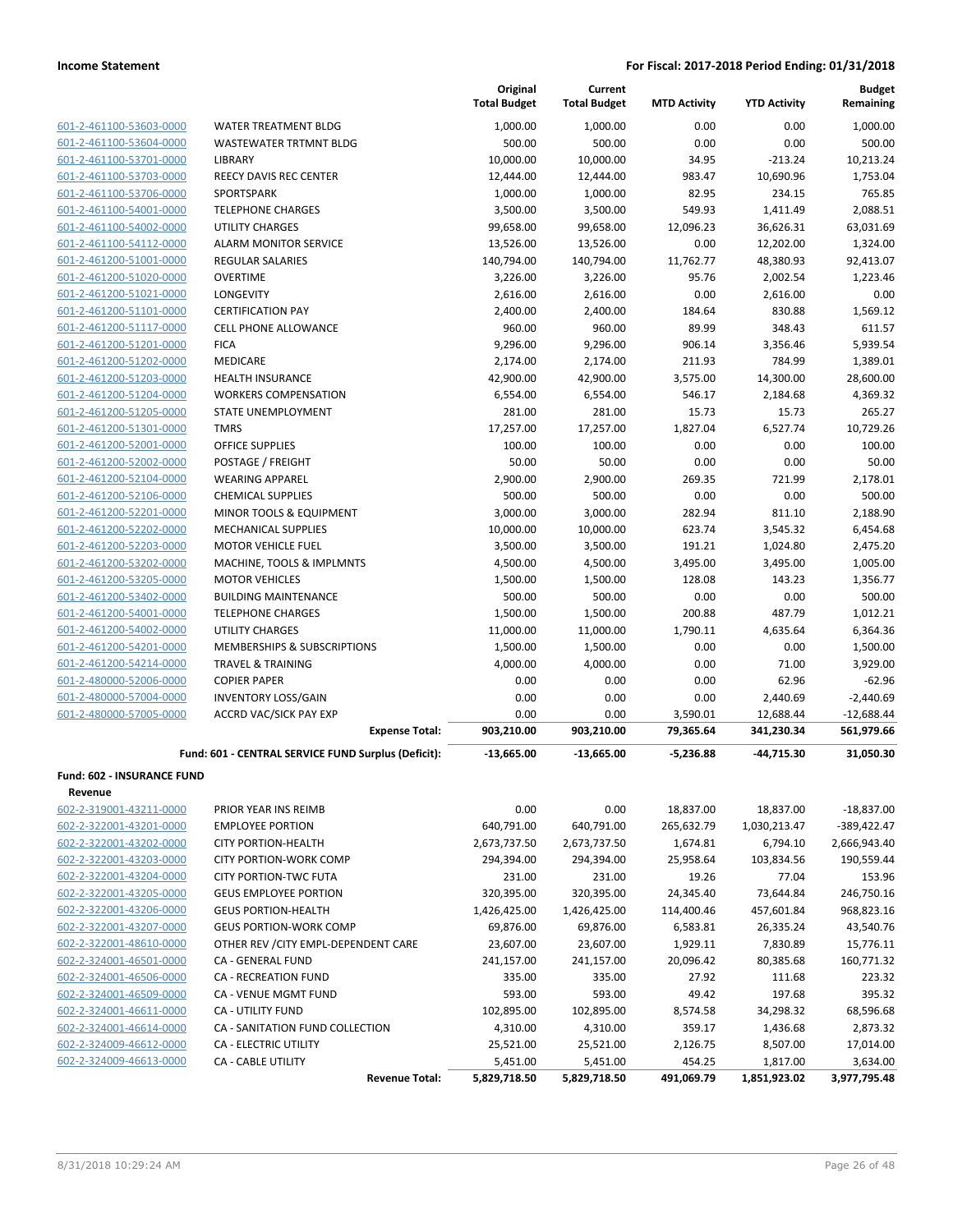|                                              |                                                        | Original<br><b>Total Budget</b> | Current<br><b>Total Budget</b> | <b>MTD Activity</b> | <b>YTD Activity</b> | <b>Budget</b><br>Remaining |
|----------------------------------------------|--------------------------------------------------------|---------------------------------|--------------------------------|---------------------|---------------------|----------------------------|
| 601-2-461100-53603-0000                      | WATER TREATMENT BLDG                                   | 1,000.00                        | 1,000.00                       | 0.00                | 0.00                | 1,000.00                   |
| 601-2-461100-53604-0000                      | <b>WASTEWATER TRTMNT BLDG</b>                          | 500.00                          | 500.00                         | 0.00                | 0.00                | 500.00                     |
| 601-2-461100-53701-0000                      | LIBRARY                                                | 10,000.00                       | 10,000.00                      | 34.95               | $-213.24$           | 10,213.24                  |
| 601-2-461100-53703-0000                      | REECY DAVIS REC CENTER                                 | 12,444.00                       | 12,444.00                      | 983.47              | 10,690.96           | 1,753.04                   |
| 601-2-461100-53706-0000                      | SPORTSPARK                                             | 1,000.00                        | 1,000.00                       | 82.95               | 234.15              | 765.85                     |
| 601-2-461100-54001-0000                      | <b>TELEPHONE CHARGES</b>                               | 3,500.00                        | 3,500.00                       | 549.93              | 1,411.49            | 2,088.51                   |
| 601-2-461100-54002-0000                      | UTILITY CHARGES                                        | 99,658.00                       | 99,658.00                      | 12,096.23           | 36,626.31           | 63,031.69                  |
| 601-2-461100-54112-0000                      | <b>ALARM MONITOR SERVICE</b>                           | 13,526.00                       | 13,526.00                      | 0.00                | 12,202.00           | 1,324.00                   |
| 601-2-461200-51001-0000                      | <b>REGULAR SALARIES</b>                                | 140,794.00                      | 140,794.00                     | 11,762.77           | 48,380.93           | 92,413.07                  |
| 601-2-461200-51020-0000                      | <b>OVERTIME</b>                                        | 3,226.00                        | 3,226.00                       | 95.76               | 2,002.54            | 1,223.46                   |
| 601-2-461200-51021-0000                      | <b>LONGEVITY</b>                                       | 2,616.00                        | 2,616.00                       | 0.00                | 2,616.00            | 0.00                       |
| 601-2-461200-51101-0000                      | <b>CERTIFICATION PAY</b>                               | 2,400.00                        | 2,400.00                       | 184.64              | 830.88              | 1,569.12                   |
| 601-2-461200-51117-0000                      | <b>CELL PHONE ALLOWANCE</b>                            | 960.00                          | 960.00                         | 89.99               | 348.43              | 611.57                     |
| 601-2-461200-51201-0000                      | <b>FICA</b>                                            | 9,296.00                        | 9,296.00                       | 906.14              | 3,356.46            | 5,939.54                   |
| 601-2-461200-51202-0000                      | <b>MEDICARE</b>                                        | 2,174.00                        | 2,174.00                       | 211.93              | 784.99              | 1,389.01                   |
| 601-2-461200-51203-0000                      | <b>HEALTH INSURANCE</b>                                | 42,900.00                       | 42,900.00                      | 3,575.00            | 14,300.00           | 28,600.00                  |
| 601-2-461200-51204-0000                      | <b>WORKERS COMPENSATION</b>                            | 6,554.00                        | 6,554.00                       | 546.17              | 2,184.68            | 4,369.32                   |
| 601-2-461200-51205-0000                      | <b>STATE UNEMPLOYMENT</b>                              | 281.00                          | 281.00                         | 15.73               | 15.73               | 265.27                     |
| 601-2-461200-51301-0000                      | <b>TMRS</b>                                            | 17,257.00                       | 17,257.00                      | 1,827.04            | 6,527.74            | 10.729.26                  |
| 601-2-461200-52001-0000                      | <b>OFFICE SUPPLIES</b>                                 | 100.00                          | 100.00                         | 0.00                | 0.00                | 100.00                     |
| 601-2-461200-52002-0000                      | POSTAGE / FREIGHT                                      | 50.00                           | 50.00                          | 0.00                | 0.00                | 50.00                      |
| 601-2-461200-52104-0000                      | <b>WEARING APPAREL</b>                                 | 2,900.00                        | 2,900.00                       | 269.35              | 721.99              | 2,178.01                   |
| 601-2-461200-52106-0000                      | <b>CHEMICAL SUPPLIES</b>                               | 500.00                          | 500.00                         | 0.00                | 0.00                | 500.00                     |
| 601-2-461200-52201-0000                      | MINOR TOOLS & EQUIPMENT                                | 3,000.00                        | 3,000.00                       | 282.94              | 811.10              | 2.188.90                   |
| 601-2-461200-52202-0000                      | <b>MECHANICAL SUPPLIES</b>                             | 10,000.00                       | 10,000.00                      | 623.74              | 3,545.32            | 6,454.68                   |
| 601-2-461200-52203-0000                      | <b>MOTOR VEHICLE FUEL</b>                              | 3,500.00                        | 3,500.00                       | 191.21              | 1,024.80            | 2,475.20                   |
| 601-2-461200-53202-0000                      | MACHINE, TOOLS & IMPLMNTS                              | 4,500.00                        | 4,500.00                       | 3,495.00            | 3,495.00            | 1,005.00                   |
| 601-2-461200-53205-0000                      | <b>MOTOR VEHICLES</b>                                  | 1,500.00                        | 1,500.00                       | 128.08              | 143.23              | 1,356.77                   |
| 601-2-461200-53402-0000                      | <b>BUILDING MAINTENANCE</b>                            | 500.00                          | 500.00                         | 0.00                | 0.00                | 500.00                     |
| 601-2-461200-54001-0000                      | <b>TELEPHONE CHARGES</b>                               | 1,500.00                        | 1,500.00                       | 200.88              | 487.79              | 1,012.21                   |
| 601-2-461200-54002-0000                      | <b>UTILITY CHARGES</b>                                 | 11,000.00                       | 11,000.00                      | 1,790.11            | 4,635.64            | 6,364.36                   |
| 601-2-461200-54201-0000                      | <b>MEMBERSHIPS &amp; SUBSCRIPTIONS</b>                 | 1,500.00                        | 1,500.00                       | 0.00                | 0.00                | 1,500.00                   |
| 601-2-461200-54214-0000                      | <b>TRAVEL &amp; TRAINING</b>                           | 4,000.00                        | 4,000.00                       | 0.00                | 71.00               | 3,929.00                   |
| 601-2-480000-52006-0000                      | <b>COPIER PAPER</b>                                    | 0.00                            | 0.00                           | 0.00                | 62.96               | $-62.96$                   |
| 601-2-480000-57004-0000                      | <b>INVENTORY LOSS/GAIN</b>                             | 0.00                            | 0.00                           | 0.00                | 2,440.69            | $-2,440.69$                |
| 601-2-480000-57005-0000                      | <b>ACCRD VAC/SICK PAY EXP</b><br><b>Expense Total:</b> | 0.00                            | 0.00                           | 3,590.01            | 12,688.44           | $-12,688.44$               |
|                                              |                                                        | 903,210.00                      | 903,210.00                     | 79,365.64           | 341,230.34          | 561,979.66                 |
|                                              | Fund: 601 - CENTRAL SERVICE FUND Surplus (Deficit):    | $-13,665.00$                    | $-13,665.00$                   | $-5.236.88$         | -44,715.30          | 31,050.30                  |
| <b>Fund: 602 - INSURANCE FUND</b><br>Revenue |                                                        |                                 |                                |                     |                     |                            |
| 602-2-319001-43211-0000                      | PRIOR YEAR INS REIMB                                   | 0.00                            | 0.00                           | 18,837.00           | 18,837.00           | $-18,837.00$               |
| 602-2-322001-43201-0000                      | <b>EMPLOYEE PORTION</b>                                | 640,791.00                      | 640,791.00                     | 265,632.79          | 1,030,213.47        | $-389,422.47$              |
| 602-2-322001-43202-0000                      | <b>CITY PORTION-HEALTH</b>                             | 2,673,737.50                    | 2,673,737.50                   | 1,674.81            | 6,794.10            | 2,666,943.40               |
| 602-2-322001-43203-0000                      | <b>CITY PORTION-WORK COMP</b>                          | 294,394.00                      | 294,394.00                     | 25,958.64           | 103,834.56          | 190,559.44                 |
| 602-2-322001-43204-0000                      | <b>CITY PORTION-TWC FUTA</b>                           | 231.00                          | 231.00                         | 19.26               | 77.04               | 153.96                     |
| 602-2-322001-43205-0000                      | <b>GEUS EMPLOYEE PORTION</b>                           | 320,395.00                      | 320,395.00                     | 24,345.40           | 73,644.84           | 246,750.16                 |
| 602-2-322001-43206-0000                      | <b>GEUS PORTION-HEALTH</b>                             | 1,426,425.00                    | 1,426,425.00                   | 114,400.46          | 457,601.84          | 968,823.16                 |
| 602-2-322001-43207-0000                      | <b>GEUS PORTION-WORK COMP</b>                          | 69,876.00                       | 69,876.00                      | 6,583.81            | 26,335.24           | 43,540.76                  |
| 602-2-322001-48610-0000                      | OTHER REV / CITY EMPL-DEPENDENT CARE                   | 23,607.00                       | 23,607.00                      | 1,929.11            | 7,830.89            | 15,776.11                  |
| 602-2-324001-46501-0000                      | CA - GENERAL FUND                                      | 241,157.00                      | 241,157.00                     | 20,096.42           | 80,385.68           | 160,771.32                 |
| 602-2-324001-46506-0000                      | <b>CA - RECREATION FUND</b>                            | 335.00                          | 335.00                         | 27.92               | 111.68              | 223.32                     |
| 602-2-324001-46509-0000                      | CA - VENUE MGMT FUND                                   | 593.00                          | 593.00                         | 49.42               | 197.68              | 395.32                     |
| 602-2-324001-46611-0000                      | <b>CA - UTILITY FUND</b>                               | 102,895.00                      | 102,895.00                     | 8,574.58            | 34,298.32           | 68,596.68                  |
| 602-2-324001-46614-0000                      | CA - SANITATION FUND COLLECTION                        | 4,310.00                        | 4,310.00                       | 359.17              | 1,436.68            | 2,873.32                   |
| 602-2-324009-46612-0000                      | <b>CA - ELECTRIC UTILITY</b>                           | 25,521.00                       | 25,521.00                      | 2,126.75            | 8,507.00            | 17,014.00                  |
| 602-2-324009-46613-0000                      | <b>CA - CABLE UTILITY</b>                              | 5,451.00                        | 5,451.00                       | 454.25              | 1,817.00            | 3,634.00                   |
|                                              | <b>Revenue Total:</b>                                  | 5,829,718.50                    | 5,829,718.50                   | 491,069.79          | 1,851,923.02        | 3,977,795.48               |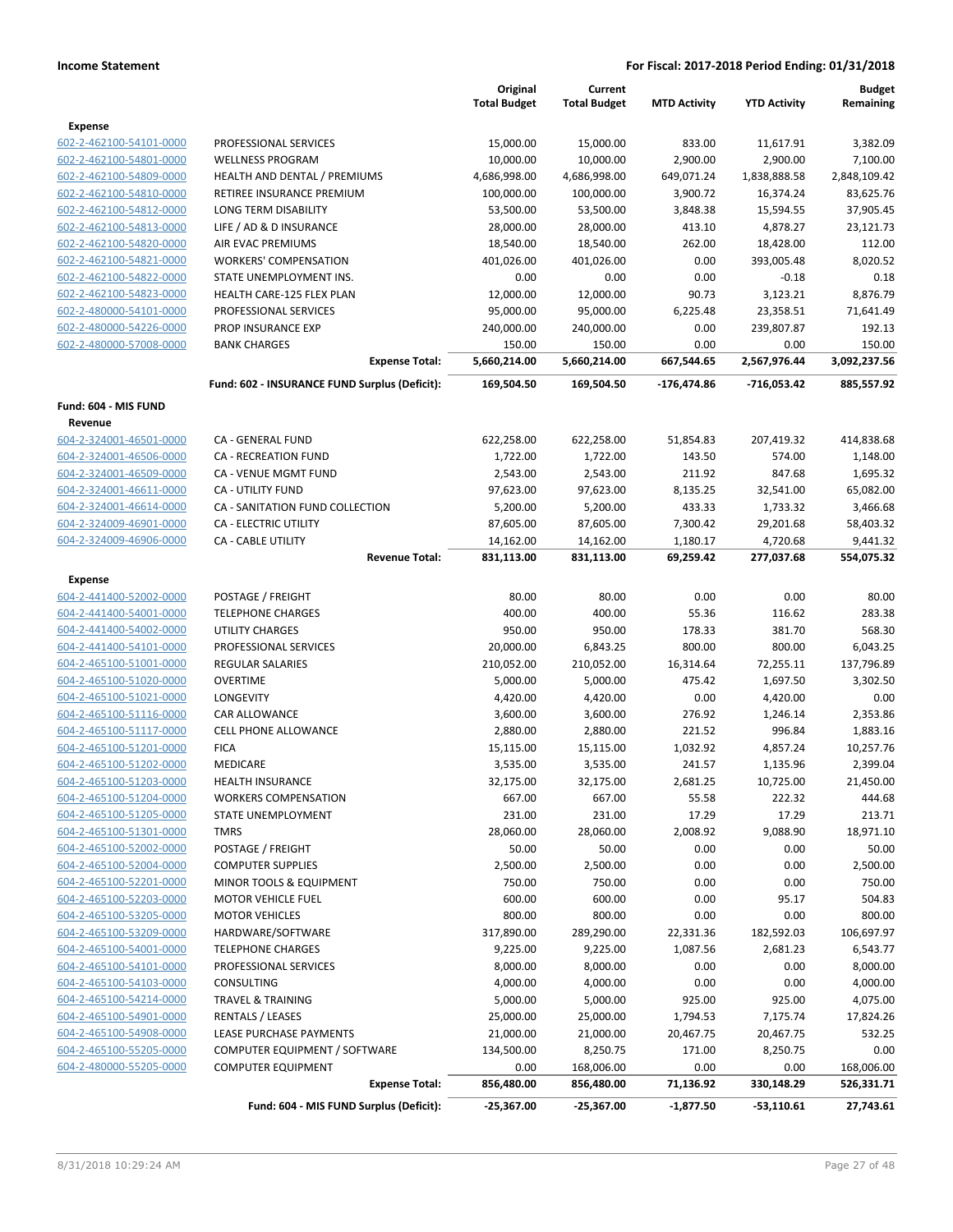|                                                    |                                                      | Original            | Current             |                     |                     | <b>Budget</b>    |
|----------------------------------------------------|------------------------------------------------------|---------------------|---------------------|---------------------|---------------------|------------------|
|                                                    |                                                      | <b>Total Budget</b> | <b>Total Budget</b> | <b>MTD Activity</b> | <b>YTD Activity</b> | Remaining        |
| Expense                                            |                                                      |                     |                     |                     |                     |                  |
| 602-2-462100-54101-0000                            | PROFESSIONAL SERVICES                                | 15,000.00           | 15,000.00           | 833.00              | 11,617.91           | 3,382.09         |
| 602-2-462100-54801-0000                            | <b>WELLNESS PROGRAM</b>                              | 10,000.00           | 10,000.00           | 2,900.00            | 2,900.00            | 7,100.00         |
| 602-2-462100-54809-0000                            | HEALTH AND DENTAL / PREMIUMS                         | 4,686,998.00        | 4,686,998.00        | 649,071.24          | 1,838,888.58        | 2,848,109.42     |
| 602-2-462100-54810-0000                            | RETIREE INSURANCE PREMIUM                            | 100,000.00          | 100,000.00          | 3,900.72            | 16,374.24           | 83,625.76        |
| 602-2-462100-54812-0000                            | LONG TERM DISABILITY                                 | 53,500.00           | 53,500.00           | 3,848.38            | 15,594.55           | 37,905.45        |
| 602-2-462100-54813-0000                            | LIFE / AD & D INSURANCE                              | 28,000.00           | 28,000.00           | 413.10              | 4,878.27            | 23,121.73        |
| 602-2-462100-54820-0000                            | <b>AIR EVAC PREMIUMS</b>                             | 18,540.00           | 18,540.00           | 262.00              | 18,428.00           | 112.00           |
| 602-2-462100-54821-0000                            | <b>WORKERS' COMPENSATION</b>                         | 401,026.00          | 401,026.00          | 0.00<br>0.00        | 393,005.48          | 8,020.52         |
| 602-2-462100-54822-0000<br>602-2-462100-54823-0000 | STATE UNEMPLOYMENT INS.<br>HEALTH CARE-125 FLEX PLAN | 0.00<br>12,000.00   | 0.00<br>12,000.00   | 90.73               | $-0.18$<br>3,123.21 | 0.18<br>8,876.79 |
| 602-2-480000-54101-0000                            | PROFESSIONAL SERVICES                                | 95,000.00           | 95,000.00           | 6,225.48            | 23,358.51           | 71,641.49        |
| 602-2-480000-54226-0000                            | PROP INSURANCE EXP                                   | 240,000.00          | 240,000.00          | 0.00                | 239,807.87          | 192.13           |
| 602-2-480000-57008-0000                            | <b>BANK CHARGES</b>                                  | 150.00              | 150.00              | 0.00                | 0.00                | 150.00           |
|                                                    | <b>Expense Total:</b>                                | 5,660,214.00        | 5,660,214.00        | 667,544.65          | 2,567,976.44        | 3,092,237.56     |
|                                                    | Fund: 602 - INSURANCE FUND Surplus (Deficit):        | 169,504.50          | 169,504.50          | -176,474.86         | -716,053.42         | 885,557.92       |
| Fund: 604 - MIS FUND                               |                                                      |                     |                     |                     |                     |                  |
| Revenue                                            |                                                      |                     |                     |                     |                     |                  |
| 604-2-324001-46501-0000                            | CA - GENERAL FUND                                    | 622,258.00          | 622,258.00          | 51,854.83           | 207,419.32          | 414,838.68       |
| 604-2-324001-46506-0000                            | <b>CA - RECREATION FUND</b>                          | 1,722.00            | 1,722.00            | 143.50              | 574.00              | 1,148.00         |
| 604-2-324001-46509-0000                            | CA - VENUE MGMT FUND                                 | 2,543.00            | 2,543.00            | 211.92              | 847.68              | 1,695.32         |
| 604-2-324001-46611-0000                            | <b>CA - UTILITY FUND</b>                             | 97,623.00           | 97,623.00           | 8,135.25            | 32,541.00           | 65,082.00        |
| 604-2-324001-46614-0000                            | CA - SANITATION FUND COLLECTION                      | 5,200.00            | 5,200.00            | 433.33              | 1,733.32            | 3,466.68         |
| 604-2-324009-46901-0000                            | <b>CA - ELECTRIC UTILITY</b>                         | 87,605.00           | 87,605.00           | 7,300.42            | 29,201.68           | 58,403.32        |
| 604-2-324009-46906-0000                            | <b>CA - CABLE UTILITY</b>                            | 14,162.00           | 14,162.00           | 1,180.17            | 4,720.68            | 9,441.32         |
|                                                    | <b>Revenue Total:</b>                                | 831,113.00          | 831,113.00          | 69,259.42           | 277,037.68          | 554,075.32       |
| Expense                                            |                                                      |                     |                     |                     |                     |                  |
| 604-2-441400-52002-0000                            | POSTAGE / FREIGHT                                    | 80.00               | 80.00               | 0.00                | 0.00                | 80.00            |
| 604-2-441400-54001-0000                            | <b>TELEPHONE CHARGES</b>                             | 400.00              | 400.00              | 55.36               | 116.62              | 283.38           |
| 604-2-441400-54002-0000                            | <b>UTILITY CHARGES</b>                               | 950.00              | 950.00              | 178.33              | 381.70              | 568.30           |
| 604-2-441400-54101-0000                            | PROFESSIONAL SERVICES                                | 20,000.00           | 6,843.25            | 800.00              | 800.00              | 6,043.25         |
| 604-2-465100-51001-0000                            | <b>REGULAR SALARIES</b>                              | 210,052.00          | 210,052.00          | 16,314.64           | 72,255.11           | 137,796.89       |
| 604-2-465100-51020-0000                            | <b>OVERTIME</b>                                      | 5,000.00            | 5,000.00            | 475.42              | 1,697.50            | 3,302.50         |
| 604-2-465100-51021-0000                            | LONGEVITY                                            | 4,420.00            | 4,420.00            | 0.00                | 4,420.00            | 0.00             |
| 604-2-465100-51116-0000                            | <b>CAR ALLOWANCE</b>                                 | 3,600.00            | 3,600.00            | 276.92              | 1,246.14            | 2,353.86         |
| 604-2-465100-51117-0000                            | <b>CELL PHONE ALLOWANCE</b>                          | 2,880.00            | 2,880.00            | 221.52              | 996.84              | 1,883.16         |
| 604-2-465100-51201-0000                            | <b>FICA</b>                                          | 15,115.00           | 15,115.00           | 1,032.92            | 4,857.24            | 10,257.76        |
| 604-2-465100-51202-0000                            | <b>MEDICARE</b>                                      | 3,535.00            | 3,535.00            | 241.57              | 1,135.96            | 2,399.04         |
| 604-2-465100-51203-0000                            | <b>HEALTH INSURANCE</b>                              | 32,175.00           | 32,175.00           | 2,681.25            | 10,725.00           | 21,450.00        |
| 604-2-465100-51204-0000                            | <b>WORKERS COMPENSATION</b>                          | 667.00              | 667.00              | 55.58               | 222.32              | 444.68           |
| 604-2-465100-51205-0000                            | STATE UNEMPLOYMENT                                   | 231.00              | 231.00              | 17.29               | 17.29               | 213.71           |
| 604-2-465100-51301-0000                            | TMRS                                                 | 28,060.00           | 28,060.00           | 2,008.92            | 9,088.90            | 18,971.10        |
| 604-2-465100-52002-0000<br>604-2-465100-52004-0000 | POSTAGE / FREIGHT                                    | 50.00               | 50.00               | 0.00                | 0.00                | 50.00            |
| 604-2-465100-52201-0000                            | <b>COMPUTER SUPPLIES</b><br>MINOR TOOLS & EQUIPMENT  | 2,500.00            | 2,500.00            | 0.00                | 0.00                | 2,500.00         |
| 604-2-465100-52203-0000                            | <b>MOTOR VEHICLE FUEL</b>                            | 750.00<br>600.00    | 750.00<br>600.00    | 0.00<br>0.00        | 0.00<br>95.17       | 750.00<br>504.83 |
| 604-2-465100-53205-0000                            | <b>MOTOR VEHICLES</b>                                | 800.00              | 800.00              | 0.00                | 0.00                | 800.00           |
| 604-2-465100-53209-0000                            | HARDWARE/SOFTWARE                                    | 317,890.00          | 289,290.00          | 22,331.36           | 182,592.03          | 106,697.97       |
| 604-2-465100-54001-0000                            | <b>TELEPHONE CHARGES</b>                             | 9,225.00            | 9,225.00            | 1,087.56            | 2,681.23            | 6,543.77         |
| 604-2-465100-54101-0000                            | PROFESSIONAL SERVICES                                | 8,000.00            | 8,000.00            | 0.00                | 0.00                | 8,000.00         |
| 604-2-465100-54103-0000                            | <b>CONSULTING</b>                                    | 4,000.00            | 4,000.00            | 0.00                | 0.00                | 4,000.00         |
| 604-2-465100-54214-0000                            | <b>TRAVEL &amp; TRAINING</b>                         | 5,000.00            | 5,000.00            | 925.00              | 925.00              | 4,075.00         |
| 604-2-465100-54901-0000                            | RENTALS / LEASES                                     | 25,000.00           | 25,000.00           | 1,794.53            | 7,175.74            | 17,824.26        |
| 604-2-465100-54908-0000                            | LEASE PURCHASE PAYMENTS                              | 21,000.00           | 21,000.00           | 20,467.75           | 20,467.75           | 532.25           |
| 604-2-465100-55205-0000                            | COMPUTER EQUIPMENT / SOFTWARE                        | 134,500.00          | 8,250.75            | 171.00              | 8,250.75            | 0.00             |
| 604-2-480000-55205-0000                            | <b>COMPUTER EQUIPMENT</b>                            | 0.00                | 168,006.00          | 0.00                | 0.00                | 168,006.00       |
|                                                    | <b>Expense Total:</b>                                | 856,480.00          | 856,480.00          | 71,136.92           | 330,148.29          | 526,331.71       |
|                                                    | Fund: 604 - MIS FUND Surplus (Deficit):              | $-25,367.00$        | $-25,367.00$        | $-1,877.50$         | $-53,110.61$        | 27,743.61        |
|                                                    |                                                      |                     |                     |                     |                     |                  |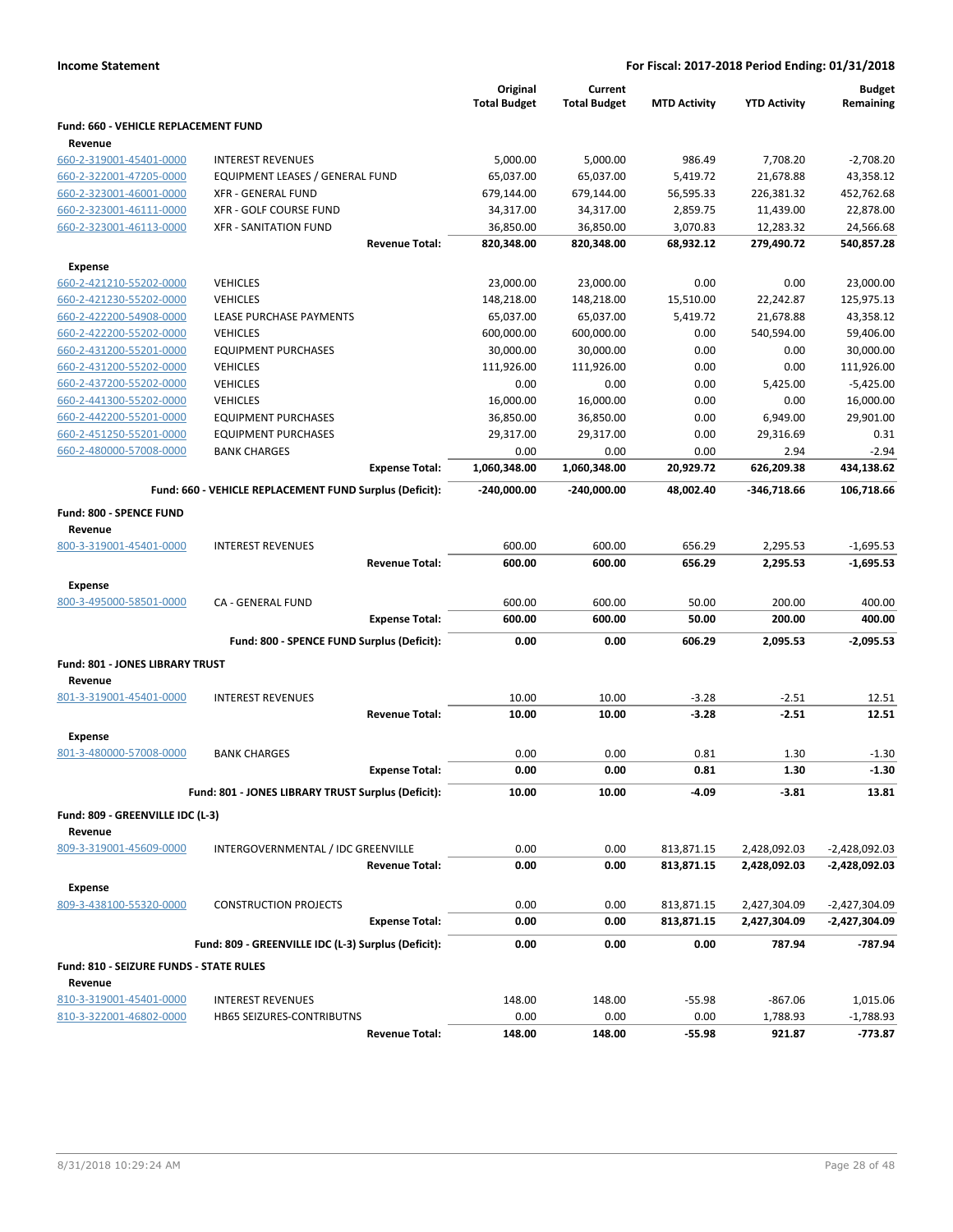| <b>Income Statement</b><br>For Fiscal: 2017-2018 Period Ending: 01/31/2018 |                                                         |                       |                                 |                                |                     |                     |                            |
|----------------------------------------------------------------------------|---------------------------------------------------------|-----------------------|---------------------------------|--------------------------------|---------------------|---------------------|----------------------------|
|                                                                            |                                                         |                       | Original<br><b>Total Budget</b> | Current<br><b>Total Budget</b> | <b>MTD Activity</b> | <b>YTD Activity</b> | <b>Budget</b><br>Remaining |
| Fund: 660 - VEHICLE REPLACEMENT FUND<br>Revenue                            |                                                         |                       |                                 |                                |                     |                     |                            |
| 660-2-319001-45401-0000                                                    | <b>INTEREST REVENUES</b>                                |                       | 5,000.00                        | 5,000.00                       | 986.49              | 7,708.20            | $-2,708.20$                |
| 660-2-322001-47205-0000                                                    | EQUIPMENT LEASES / GENERAL FUND                         |                       | 65,037.00                       | 65,037.00                      | 5,419.72            | 21,678.88           | 43,358.12                  |
| 660-2-323001-46001-0000                                                    | <b>XFR - GENERAL FUND</b>                               |                       | 679,144.00                      | 679,144.00                     | 56,595.33           | 226,381.32          | 452,762.68                 |
| 660-2-323001-46111-0000                                                    | XFR - GOLF COURSE FUND                                  |                       | 34,317.00                       | 34,317.00                      | 2,859.75            | 11,439.00           | 22,878.00                  |
| 660-2-323001-46113-0000                                                    | <b>XFR - SANITATION FUND</b>                            |                       | 36,850.00                       | 36,850.00                      | 3,070.83            | 12,283.32           | 24,566.68                  |
|                                                                            |                                                         | <b>Revenue Total:</b> | 820,348.00                      | 820,348.00                     | 68,932.12           | 279,490.72          | 540,857.28                 |
| <b>Expense</b>                                                             |                                                         |                       |                                 |                                |                     |                     |                            |
| 660-2-421210-55202-0000                                                    | <b>VEHICLES</b>                                         |                       | 23,000.00                       | 23,000.00                      | 0.00                | 0.00                | 23,000.00                  |
| 660-2-421230-55202-0000                                                    | <b>VEHICLES</b>                                         |                       | 148,218.00                      | 148,218.00                     | 15,510.00           | 22,242.87           | 125,975.13                 |
| 660-2-422200-54908-0000                                                    | LEASE PURCHASE PAYMENTS                                 |                       | 65,037.00                       | 65,037.00                      | 5,419.72            | 21,678.88           | 43,358.12                  |
| 660-2-422200-55202-0000                                                    | <b>VEHICLES</b>                                         |                       | 600,000.00                      | 600,000.00                     | 0.00                | 540,594.00          | 59,406.00                  |
| 660-2-431200-55201-0000                                                    | <b>EQUIPMENT PURCHASES</b>                              |                       | 30,000.00                       | 30,000.00                      | 0.00                | 0.00                | 30,000.00                  |
| 660-2-431200-55202-0000                                                    | <b>VEHICLES</b>                                         |                       | 111,926.00                      | 111,926.00                     | 0.00                | 0.00                | 111,926.00                 |
| 660-2-437200-55202-0000                                                    | <b>VEHICLES</b>                                         |                       | 0.00                            | 0.00                           | 0.00                | 5,425.00            | $-5,425.00$                |
| 660-2-441300-55202-0000                                                    | <b>VEHICLES</b>                                         |                       | 16,000.00                       | 16,000.00                      | 0.00                | 0.00                | 16,000.00                  |
| 660-2-442200-55201-0000                                                    | <b>EQUIPMENT PURCHASES</b>                              |                       | 36,850.00                       | 36,850.00                      | 0.00                | 6,949.00            | 29,901.00                  |
| 660-2-451250-55201-0000                                                    | <b>EQUIPMENT PURCHASES</b>                              |                       | 29,317.00                       | 29,317.00                      | 0.00                | 29,316.69           | 0.31                       |
| 660-2-480000-57008-0000                                                    | <b>BANK CHARGES</b>                                     |                       | 0.00                            | 0.00                           | 0.00                | 2.94                | $-2.94$                    |
|                                                                            |                                                         | <b>Expense Total:</b> | 1,060,348.00                    | 1,060,348.00                   | 20,929.72           | 626,209.38          | 434,138.62                 |
|                                                                            | Fund: 660 - VEHICLE REPLACEMENT FUND Surplus (Deficit): |                       | $-240,000.00$                   | -240,000.00                    | 48,002.40           | -346,718.66         | 106,718.66                 |
| Fund: 800 - SPENCE FUND                                                    |                                                         |                       |                                 |                                |                     |                     |                            |
| Revenue                                                                    |                                                         |                       |                                 |                                |                     |                     |                            |
| 800-3-319001-45401-0000                                                    | <b>INTEREST REVENUES</b>                                |                       | 600.00                          | 600.00                         | 656.29              | 2,295.53            | $-1,695.53$                |
|                                                                            |                                                         | <b>Revenue Total:</b> | 600.00                          | 600.00                         | 656.29              | 2,295.53            | $-1,695.53$                |
| <b>Expense</b>                                                             |                                                         |                       |                                 |                                |                     |                     |                            |
| 800-3-495000-58501-0000                                                    | CA - GENERAL FUND                                       |                       | 600.00                          | 600.00                         | 50.00               | 200.00              | 400.00                     |
|                                                                            |                                                         | <b>Expense Total:</b> | 600.00                          | 600.00                         | 50.00               | 200.00              | 400.00                     |
|                                                                            | Fund: 800 - SPENCE FUND Surplus (Deficit):              |                       | 0.00                            | 0.00                           | 606.29              | 2,095.53            | $-2,095.53$                |
| Fund: 801 - JONES LIBRARY TRUST                                            |                                                         |                       |                                 |                                |                     |                     |                            |
| Revenue                                                                    |                                                         |                       |                                 |                                |                     |                     |                            |
| 801-3-319001-45401-0000                                                    | <b>INTEREST REVENUES</b>                                |                       | 10.00                           | 10.00                          | $-3.28$             | $-2.51$             | 12.51                      |
|                                                                            |                                                         | <b>Revenue Total:</b> | 10.00                           | 10.00                          | $-3.28$             | $-2.51$             | 12.51                      |
|                                                                            |                                                         |                       |                                 |                                |                     |                     |                            |
| <b>Expense</b><br>801-3-480000-57008-0000                                  | <b>BANK CHARGES</b>                                     |                       | 0.00                            | 0.00                           | 0.81                | 1.30                | $-1.30$                    |
|                                                                            |                                                         | <b>Expense Total:</b> | 0.00                            | 0.00                           | 0.81                | 1.30                | $-1.30$                    |
|                                                                            | Fund: 801 - JONES LIBRARY TRUST Surplus (Deficit):      |                       | 10.00                           | 10.00                          | -4.09               | $-3.81$             | 13.81                      |
|                                                                            |                                                         |                       |                                 |                                |                     |                     |                            |
| Fund: 809 - GREENVILLE IDC (L-3)                                           |                                                         |                       |                                 |                                |                     |                     |                            |
| Revenue                                                                    |                                                         |                       |                                 |                                |                     |                     |                            |
| 809-3-319001-45609-0000                                                    | INTERGOVERNMENTAL / IDC GREENVILLE                      |                       | 0.00                            | 0.00                           | 813,871.15          | 2,428,092.03        | $-2,428,092.03$            |
|                                                                            |                                                         | <b>Revenue Total:</b> | 0.00                            | 0.00                           | 813,871.15          | 2,428,092.03        | -2,428,092.03              |
| <b>Expense</b>                                                             |                                                         |                       |                                 |                                |                     |                     |                            |
| 809-3-438100-55320-0000                                                    | <b>CONSTRUCTION PROJECTS</b>                            |                       | 0.00                            | 0.00                           | 813,871.15          | 2,427,304.09        | $-2,427,304.09$            |
|                                                                            |                                                         | <b>Expense Total:</b> | 0.00                            | 0.00                           | 813,871.15          | 2,427,304.09        | -2,427,304.09              |
|                                                                            | Fund: 809 - GREENVILLE IDC (L-3) Surplus (Deficit):     |                       | 0.00                            | 0.00                           | 0.00                | 787.94              | -787.94                    |
| Fund: 810 - SEIZURE FUNDS - STATE RULES                                    |                                                         |                       |                                 |                                |                     |                     |                            |
| Revenue                                                                    |                                                         |                       |                                 |                                |                     |                     |                            |
| 810-3-319001-45401-0000                                                    | <b>INTEREST REVENUES</b>                                |                       | 148.00                          | 148.00                         | $-55.98$            | -867.06             | 1,015.06                   |
| 810-3-322001-46802-0000                                                    | <b>HB65 SEIZURES-CONTRIBUTNS</b>                        |                       | 0.00                            | 0.00                           | 0.00                | 1,788.93            | -1,788.93                  |
|                                                                            |                                                         | <b>Revenue Total:</b> | 148.00                          | 148.00                         | $-55.98$            | 921.87              | -773.87                    |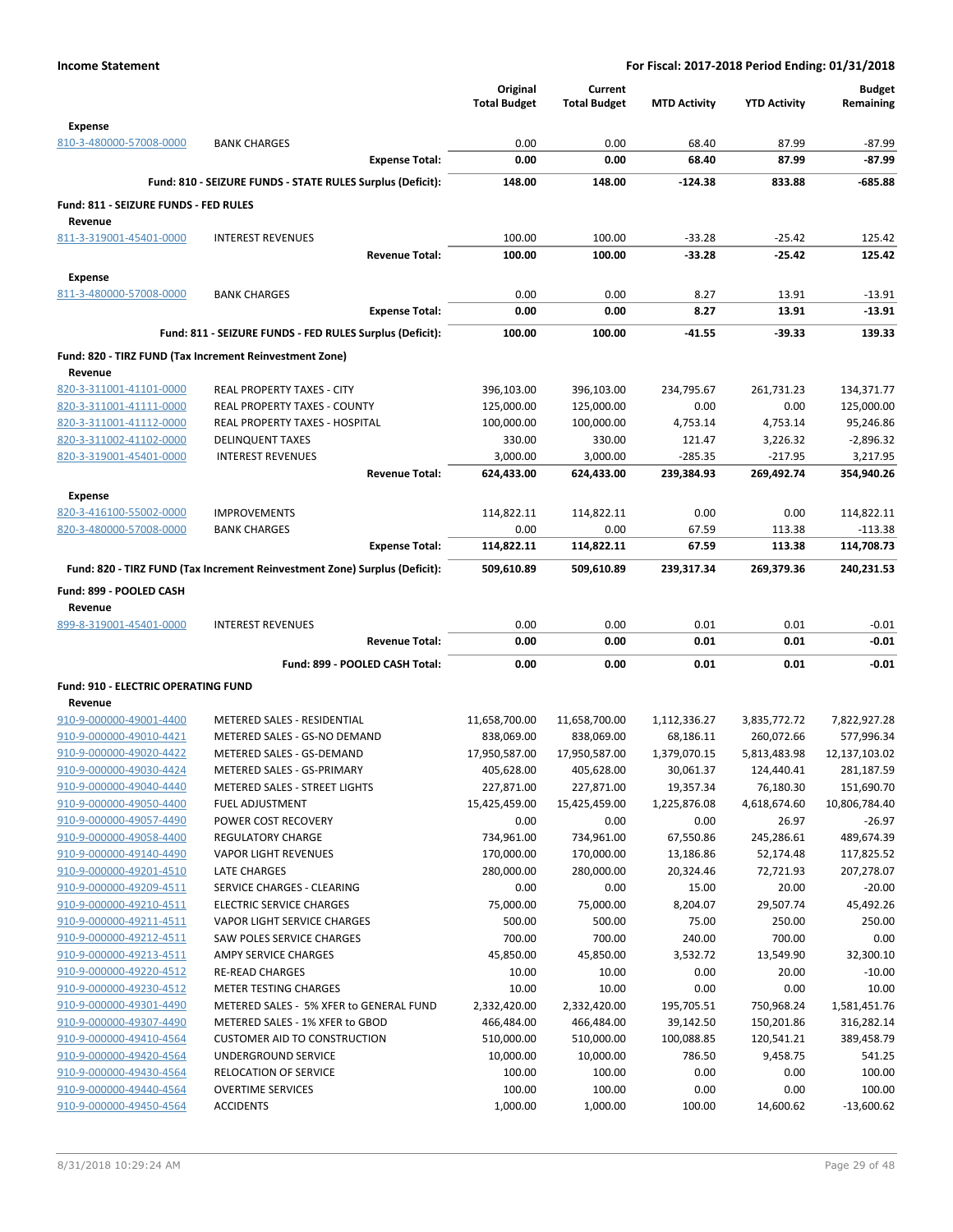|                                            |                                                                            | Original<br><b>Total Budget</b> | Current<br><b>Total Budget</b> | <b>MTD Activity</b> | <b>YTD Activity</b> | <b>Budget</b><br>Remaining |
|--------------------------------------------|----------------------------------------------------------------------------|---------------------------------|--------------------------------|---------------------|---------------------|----------------------------|
| <b>Expense</b><br>810-3-480000-57008-0000  | <b>BANK CHARGES</b>                                                        | 0.00                            | 0.00                           | 68.40               | 87.99               | $-87.99$                   |
|                                            | <b>Expense Total:</b>                                                      | 0.00                            | 0.00                           | 68.40               | 87.99               | $-87.99$                   |
|                                            | Fund: 810 - SEIZURE FUNDS - STATE RULES Surplus (Deficit):                 | 148.00                          | 148.00                         | $-124.38$           | 833.88              | -685.88                    |
| Fund: 811 - SEIZURE FUNDS - FED RULES      |                                                                            |                                 |                                |                     |                     |                            |
| Revenue                                    |                                                                            |                                 |                                |                     |                     |                            |
| 811-3-319001-45401-0000                    | <b>INTEREST REVENUES</b>                                                   | 100.00                          | 100.00                         | $-33.28$            | $-25.42$            | 125.42                     |
|                                            | <b>Revenue Total:</b>                                                      | 100.00                          | 100.00                         | $-33.28$            | -25.42              | 125.42                     |
| <b>Expense</b>                             |                                                                            |                                 |                                |                     |                     |                            |
| 811-3-480000-57008-0000                    | <b>BANK CHARGES</b>                                                        | 0.00                            | 0.00                           | 8.27                | 13.91               | $-13.91$                   |
|                                            | <b>Expense Total:</b>                                                      | 0.00                            | 0.00                           | 8.27                | 13.91               | $-13.91$                   |
|                                            | Fund: 811 - SEIZURE FUNDS - FED RULES Surplus (Deficit):                   | 100.00                          | 100.00                         | $-41.55$            | -39.33              | 139.33                     |
|                                            | Fund: 820 - TIRZ FUND (Tax Increment Reinvestment Zone)                    |                                 |                                |                     |                     |                            |
| Revenue                                    |                                                                            |                                 |                                |                     |                     |                            |
| 820-3-311001-41101-0000                    | REAL PROPERTY TAXES - CITY                                                 | 396,103.00                      | 396,103.00                     | 234,795.67          | 261,731.23          | 134,371.77                 |
| 820-3-311001-41111-0000                    | REAL PROPERTY TAXES - COUNTY                                               | 125,000.00                      | 125,000.00                     | 0.00                | 0.00                | 125,000.00                 |
| 820-3-311001-41112-0000                    | REAL PROPERTY TAXES - HOSPITAL                                             | 100,000.00                      | 100,000.00                     | 4,753.14            | 4,753.14            | 95,246.86                  |
| 820-3-311002-41102-0000                    | <b>DELINQUENT TAXES</b>                                                    | 330.00                          | 330.00                         | 121.47              | 3,226.32            | $-2,896.32$                |
| 820-3-319001-45401-0000                    | <b>INTEREST REVENUES</b>                                                   | 3,000.00                        | 3,000.00                       | $-285.35$           | $-217.95$           | 3,217.95                   |
|                                            | <b>Revenue Total:</b>                                                      | 624,433.00                      | 624,433.00                     | 239,384.93          | 269,492.74          | 354,940.26                 |
| <b>Expense</b>                             |                                                                            |                                 |                                |                     |                     |                            |
| 820-3-416100-55002-0000                    | <b>IMPROVEMENTS</b>                                                        | 114,822.11                      | 114,822.11                     | 0.00                | 0.00                | 114,822.11                 |
| 820-3-480000-57008-0000                    | <b>BANK CHARGES</b>                                                        | 0.00                            | 0.00                           | 67.59               | 113.38              | $-113.38$                  |
|                                            | <b>Expense Total:</b>                                                      | 114,822.11                      | 114,822.11                     | 67.59               | 113.38              | 114,708.73                 |
|                                            | Fund: 820 - TIRZ FUND (Tax Increment Reinvestment Zone) Surplus (Deficit): | 509,610.89                      | 509,610.89                     | 239,317.34          | 269,379.36          | 240,231.53                 |
| Fund: 899 - POOLED CASH                    |                                                                            |                                 |                                |                     |                     |                            |
| Revenue                                    |                                                                            |                                 |                                |                     |                     |                            |
| 899-8-319001-45401-0000                    | <b>INTEREST REVENUES</b>                                                   | 0.00                            | 0.00                           | 0.01                | 0.01                | $-0.01$                    |
|                                            | <b>Revenue Total:</b>                                                      | 0.00                            | 0.00                           | 0.01                | 0.01                | $-0.01$                    |
|                                            | Fund: 899 - POOLED CASH Total:                                             | 0.00                            | 0.00                           | 0.01                | 0.01                | $-0.01$                    |
| <b>Fund: 910 - ELECTRIC OPERATING FUND</b> |                                                                            |                                 |                                |                     |                     |                            |
| Revenue                                    |                                                                            |                                 |                                |                     |                     |                            |
| 910-9-000000-49001-4400                    | METERED SALES - RESIDENTIAL                                                | 11,658,700.00                   | 11,658,700.00                  | 1,112,336.27        | 3,835,772.72        | 7,822,927.28               |
| 910-9-000000-49010-4421                    | METERED SALES - GS-NO DEMAND                                               | 838,069.00                      | 838,069.00                     | 68,186.11           | 260,072.66          | 577,996.34                 |
| 910-9-000000-49020-4422                    | METERED SALES - GS-DEMAND                                                  | 17,950,587.00                   | 17,950,587.00                  | 1,379,070.15        | 5,813,483.98        | 12,137,103.02              |
| 910-9-000000-49030-4424                    | METERED SALES - GS-PRIMARY                                                 | 405,628.00                      | 405,628.00                     | 30,061.37           | 124,440.41          | 281,187.59                 |
| 910-9-000000-49040-4440                    | METERED SALES - STREET LIGHTS                                              | 227,871.00                      | 227,871.00                     | 19,357.34           | 76,180.30           | 151,690.70                 |
| 910-9-000000-49050-4400                    | <b>FUEL ADJUSTMENT</b>                                                     | 15,425,459.00                   | 15,425,459.00                  | 1,225,876.08        | 4,618,674.60        | 10,806,784.40              |
| 910-9-000000-49057-4490                    | POWER COST RECOVERY                                                        | 0.00                            | 0.00                           | 0.00                | 26.97               | $-26.97$                   |
| 910-9-000000-49058-4400                    | <b>REGULATORY CHARGE</b>                                                   | 734,961.00                      | 734,961.00                     | 67,550.86           | 245,286.61          | 489,674.39                 |
| 910-9-000000-49140-4490                    | <b>VAPOR LIGHT REVENUES</b>                                                | 170,000.00                      | 170,000.00                     | 13,186.86           | 52,174.48           | 117,825.52                 |
| 910-9-000000-49201-4510                    | LATE CHARGES                                                               | 280,000.00                      | 280,000.00                     | 20,324.46           | 72,721.93           | 207,278.07                 |
| 910-9-000000-49209-4511                    | SERVICE CHARGES - CLEARING                                                 | 0.00                            | 0.00                           | 15.00               | 20.00               | $-20.00$                   |
| 910-9-000000-49210-4511                    | <b>ELECTRIC SERVICE CHARGES</b>                                            | 75,000.00                       | 75,000.00                      | 8,204.07            | 29,507.74           | 45,492.26                  |
| 910-9-000000-49211-4511                    | VAPOR LIGHT SERVICE CHARGES                                                | 500.00                          | 500.00                         | 75.00               | 250.00              | 250.00                     |
| 910-9-000000-49212-4511                    | SAW POLES SERVICE CHARGES                                                  | 700.00                          | 700.00                         | 240.00              | 700.00              | 0.00                       |
| 910-9-000000-49213-4511                    | AMPY SERVICE CHARGES                                                       | 45,850.00                       | 45,850.00                      | 3,532.72            | 13,549.90           | 32,300.10                  |
| 910-9-000000-49220-4512                    | <b>RE-READ CHARGES</b>                                                     | 10.00                           | 10.00                          | 0.00                | 20.00               | $-10.00$                   |
| 910-9-000000-49230-4512                    | <b>METER TESTING CHARGES</b>                                               | 10.00                           | 10.00                          | 0.00                | 0.00                | 10.00                      |
| 910-9-000000-49301-4490                    | METERED SALES - 5% XFER to GENERAL FUND                                    | 2,332,420.00                    | 2,332,420.00                   | 195,705.51          | 750,968.24          | 1,581,451.76               |
| 910-9-000000-49307-4490                    | METERED SALES - 1% XFER to GBOD                                            | 466,484.00                      | 466,484.00                     | 39,142.50           | 150,201.86          | 316,282.14                 |
| 910-9-000000-49410-4564                    | <b>CUSTOMER AID TO CONSTRUCTION</b>                                        | 510,000.00                      | 510,000.00                     | 100,088.85          | 120,541.21          | 389,458.79                 |
| 910-9-000000-49420-4564                    | UNDERGROUND SERVICE                                                        | 10,000.00                       | 10,000.00                      | 786.50              | 9,458.75            | 541.25                     |
| 910-9-000000-49430-4564                    | <b>RELOCATION OF SERVICE</b>                                               | 100.00                          | 100.00                         | 0.00                | 0.00                | 100.00                     |
| 910-9-000000-49440-4564                    | <b>OVERTIME SERVICES</b>                                                   | 100.00                          | 100.00                         | 0.00                | 0.00                | 100.00                     |
| 910-9-000000-49450-4564                    | <b>ACCIDENTS</b>                                                           | 1,000.00                        | 1,000.00                       | 100.00              | 14,600.62           | $-13,600.62$               |
|                                            |                                                                            |                                 |                                |                     |                     |                            |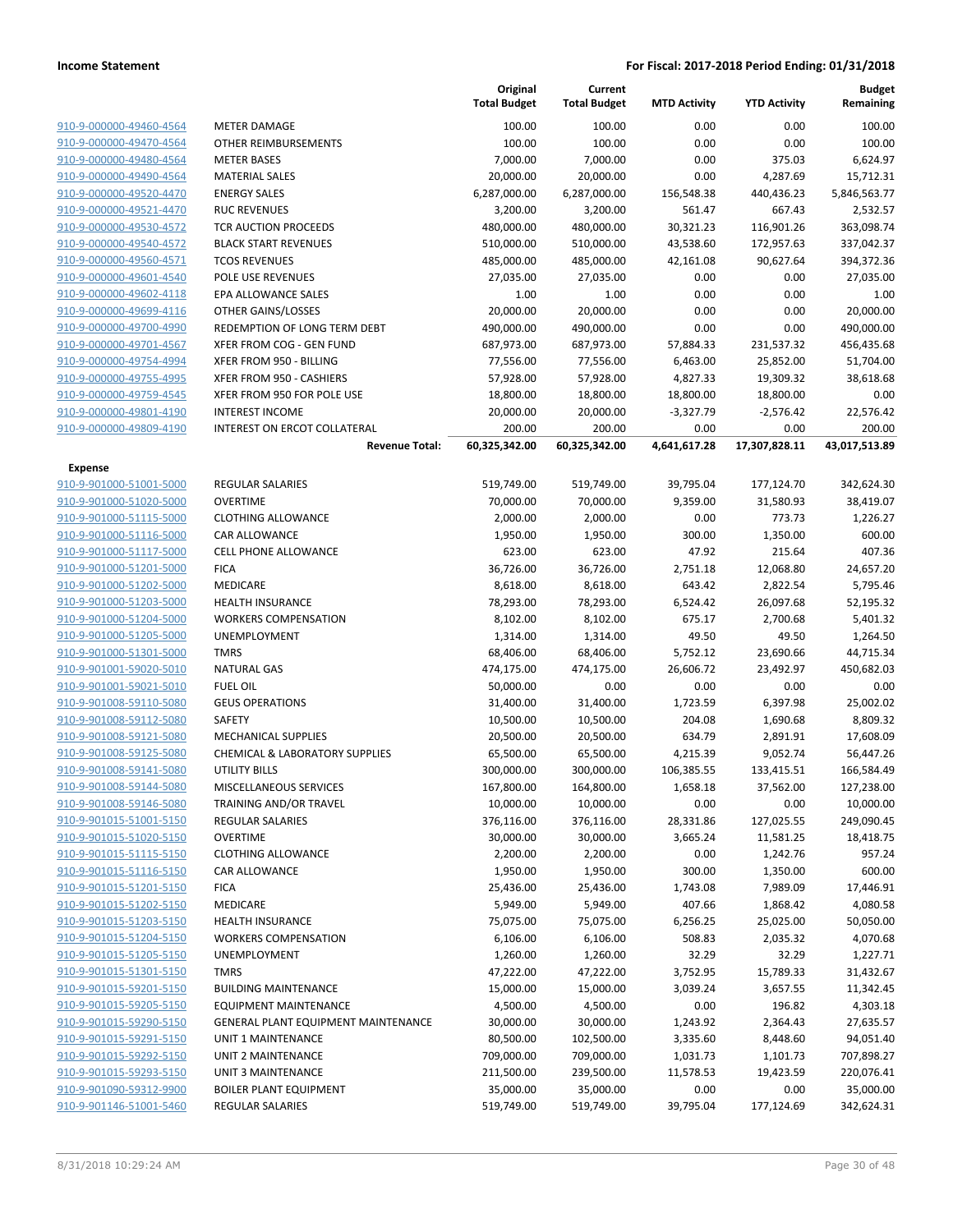| 910-9-000000-49460-4564 |  |
|-------------------------|--|
| 910-9-000000-49470-4564 |  |
| 910-9-000000-49480-4564 |  |
| 910-9-000000-49490-4564 |  |
| 910-9-000000-49520-4470 |  |
| 910-9-000000-49521-4470 |  |
| 910-9-000000-49530-4572 |  |
| 910-9-000000-49540-4572 |  |
| 910-9-000000-49560-4571 |  |
| 910-9-000000-49601-4540 |  |
| 910-9-000000-49602-4118 |  |
| 910-9-000000-49699-4116 |  |
| 910-9-000000-49700-4990 |  |
| 910-9-000000-49701-4567 |  |
| 910-9-000000-49754-4994 |  |
| 910-9-000000-49755-4995 |  |
| 910-9-000000-49759-4545 |  |
| 910-9-000000-49801-4190 |  |
| 910-9-000000-49809-4190 |  |

# **Expense**

| <b>Income Statement</b>                            | For Fiscal: 2017-2018 Period Ending: 01/31/2018 |                                 |                                |                        |                      |                            |  |
|----------------------------------------------------|-------------------------------------------------|---------------------------------|--------------------------------|------------------------|----------------------|----------------------------|--|
|                                                    |                                                 | Original<br><b>Total Budget</b> | Current<br><b>Total Budget</b> | <b>MTD Activity</b>    | <b>YTD Activity</b>  | <b>Budget</b><br>Remaining |  |
| 910-9-000000-49460-4564                            | <b>METER DAMAGE</b>                             | 100.00                          | 100.00                         | 0.00                   | 0.00                 | 100.00                     |  |
| 910-9-000000-49470-4564                            | OTHER REIMBURSEMENTS                            | 100.00                          | 100.00                         | 0.00                   | 0.00                 | 100.00                     |  |
| 910-9-000000-49480-4564                            | <b>METER BASES</b>                              | 7,000.00                        | 7,000.00                       | 0.00                   | 375.03               | 6,624.97                   |  |
| 910-9-000000-49490-4564                            | <b>MATERIAL SALES</b>                           | 20,000.00                       | 20,000.00                      | 0.00                   | 4,287.69             | 15,712.31                  |  |
| 910-9-000000-49520-4470                            | <b>ENERGY SALES</b>                             | 6,287,000.00                    | 6,287,000.00                   | 156,548.38             | 440,436.23           | 5,846,563.77               |  |
| 910-9-000000-49521-4470                            | <b>RUC REVENUES</b>                             | 3,200.00                        | 3,200.00                       | 561.47                 | 667.43               | 2,532.57                   |  |
| 910-9-000000-49530-4572                            | TCR AUCTION PROCEEDS                            | 480,000.00                      | 480,000.00                     | 30,321.23              | 116,901.26           | 363,098.74                 |  |
| 910-9-000000-49540-4572                            | <b>BLACK START REVENUES</b>                     | 510,000.00                      | 510,000.00                     | 43,538.60              | 172,957.63           | 337,042.37                 |  |
| 910-9-000000-49560-4571                            | <b>TCOS REVENUES</b>                            | 485,000.00                      | 485,000.00                     | 42,161.08              | 90,627.64            | 394,372.36                 |  |
| 910-9-000000-49601-4540                            | POLE USE REVENUES                               | 27,035.00                       | 27,035.00                      | 0.00                   | 0.00                 | 27,035.00                  |  |
| 910-9-000000-49602-4118                            | EPA ALLOWANCE SALES                             | 1.00                            | 1.00                           | 0.00                   | 0.00                 | 1.00                       |  |
| 910-9-000000-49699-4116                            | OTHER GAINS/LOSSES                              | 20,000.00                       | 20,000.00                      | 0.00                   | 0.00                 | 20,000.00                  |  |
| 910-9-000000-49700-4990                            | REDEMPTION OF LONG TERM DEBT                    | 490,000.00                      | 490,000.00                     | 0.00                   | 0.00                 | 490,000.00                 |  |
| 910-9-000000-49701-4567                            | XFER FROM COG - GEN FUND                        | 687,973.00                      | 687,973.00                     | 57,884.33              | 231,537.32           | 456,435.68                 |  |
| 910-9-000000-49754-4994                            | XFER FROM 950 - BILLING                         | 77,556.00                       | 77,556.00                      | 6,463.00               | 25,852.00            | 51,704.00                  |  |
| 910-9-000000-49755-4995                            | XFER FROM 950 - CASHIERS                        | 57,928.00                       | 57,928.00                      | 4,827.33               | 19,309.32            | 38,618.68                  |  |
| 910-9-000000-49759-4545                            | XFER FROM 950 FOR POLE USE                      | 18,800.00                       | 18,800.00                      | 18,800.00              | 18,800.00            | 0.00                       |  |
| 910-9-000000-49801-4190                            | <b>INTEREST INCOME</b>                          | 20,000.00                       | 20,000.00                      | $-3,327.79$            | $-2,576.42$          | 22,576.42                  |  |
| 910-9-000000-49809-4190                            | INTEREST ON ERCOT COLLATERAL                    | 200.00                          | 200.00                         | 0.00                   | 0.00                 | 200.00                     |  |
|                                                    | <b>Revenue Total:</b>                           | 60,325,342.00                   | 60,325,342.00                  | 4,641,617.28           | 17,307,828.11        | 43,017,513.89              |  |
| <b>Expense</b>                                     |                                                 |                                 |                                |                        |                      |                            |  |
| 910-9-901000-51001-5000                            | REGULAR SALARIES                                | 519,749.00                      | 519,749.00                     | 39,795.04              | 177,124.70           | 342,624.30                 |  |
| 910-9-901000-51020-5000                            | <b>OVERTIME</b>                                 | 70,000.00                       | 70,000.00                      | 9,359.00               | 31,580.93            | 38,419.07                  |  |
| 910-9-901000-51115-5000                            | <b>CLOTHING ALLOWANCE</b>                       | 2,000.00                        | 2,000.00                       | 0.00                   | 773.73               | 1,226.27                   |  |
| 910-9-901000-51116-5000                            | CAR ALLOWANCE                                   | 1,950.00                        | 1,950.00                       | 300.00                 | 1,350.00             | 600.00                     |  |
| 910-9-901000-51117-5000                            | <b>CELL PHONE ALLOWANCE</b>                     | 623.00                          | 623.00                         | 47.92                  | 215.64               | 407.36                     |  |
| 910-9-901000-51201-5000                            | <b>FICA</b>                                     | 36,726.00                       | 36,726.00                      | 2,751.18               | 12,068.80            | 24,657.20                  |  |
| 910-9-901000-51202-5000                            | MEDICARE                                        | 8,618.00                        | 8,618.00                       | 643.42                 | 2,822.54             | 5,795.46                   |  |
| 910-9-901000-51203-5000                            | <b>HEALTH INSURANCE</b>                         | 78,293.00                       | 78,293.00                      | 6,524.42               | 26,097.68            | 52,195.32                  |  |
| 910-9-901000-51204-5000                            | <b>WORKERS COMPENSATION</b>                     | 8,102.00                        | 8,102.00                       | 675.17                 | 2,700.68             | 5,401.32                   |  |
| 910-9-901000-51205-5000                            | <b>UNEMPLOYMENT</b>                             | 1,314.00                        | 1,314.00                       | 49.50                  | 49.50                | 1,264.50                   |  |
| 910-9-901000-51301-5000                            | <b>TMRS</b>                                     | 68,406.00                       | 68,406.00                      | 5,752.12               | 23,690.66            | 44,715.34                  |  |
| 910-9-901001-59020-5010                            | <b>NATURAL GAS</b>                              | 474,175.00                      | 474,175.00                     | 26,606.72              | 23,492.97            | 450,682.03                 |  |
| 910-9-901001-59021-5010                            | <b>FUEL OIL</b>                                 | 50,000.00                       | 0.00                           | 0.00                   | 0.00                 | 0.00                       |  |
| 910-9-901008-59110-5080                            | <b>GEUS OPERATIONS</b>                          | 31,400.00                       | 31,400.00                      | 1,723.59               | 6,397.98             | 25,002.02                  |  |
| 910-9-901008-59112-5080                            | SAFETY                                          | 10,500.00                       | 10,500.00                      | 204.08                 |                      | 8,809.32                   |  |
| 910-9-901008-59121-5080                            | <b>MECHANICAL SUPPLIES</b>                      |                                 |                                |                        | 1,690.68             | 17,608.09                  |  |
|                                                    | <b>CHEMICAL &amp; LABORATORY SUPPLIES</b>       | 20,500.00<br>65,500.00          | 20,500.00<br>65,500.00         | 634.79<br>4,215.39     | 2,891.91<br>9,052.74 | 56,447.26                  |  |
| 910-9-901008-59125-5080<br>910-9-901008-59141-5080 | <b>UTILITY BILLS</b>                            |                                 |                                |                        |                      |                            |  |
| 910-9-901008-59144-5080                            |                                                 | 300,000.00                      | 300,000.00                     | 106,385.55<br>1,658.18 | 133,415.51           | 166,584.49                 |  |
| 910-9-901008-59146-5080                            | MISCELLANEOUS SERVICES                          | 167,800.00<br>10,000.00         | 164,800.00                     |                        | 37,562.00            | 127,238.00                 |  |
|                                                    | TRAINING AND/OR TRAVEL                          |                                 | 10,000.00                      | 0.00                   | 0.00                 | 10,000.00                  |  |
| 910-9-901015-51001-5150                            | REGULAR SALARIES                                | 376,116.00                      | 376,116.00                     | 28,331.86              | 127,025.55           | 249,090.45                 |  |
| 910-9-901015-51020-5150                            | <b>OVERTIME</b>                                 | 30,000.00                       | 30,000.00                      | 3,665.24               | 11,581.25            | 18,418.75                  |  |
| 910-9-901015-51115-5150                            | <b>CLOTHING ALLOWANCE</b>                       | 2,200.00                        | 2,200.00                       | 0.00                   | 1,242.76             | 957.24                     |  |
| 910-9-901015-51116-5150                            | CAR ALLOWANCE                                   | 1,950.00                        | 1,950.00                       | 300.00                 | 1,350.00             | 600.00                     |  |
| 910-9-901015-51201-5150                            | <b>FICA</b>                                     | 25,436.00                       | 25,436.00                      | 1,743.08               | 7,989.09             | 17,446.91                  |  |
| 910-9-901015-51202-5150                            | MEDICARE                                        | 5,949.00                        | 5,949.00                       | 407.66                 | 1,868.42             | 4,080.58                   |  |
| 910-9-901015-51203-5150                            | <b>HEALTH INSURANCE</b>                         | 75,075.00                       | 75,075.00                      | 6,256.25               | 25,025.00            | 50,050.00                  |  |
| 910-9-901015-51204-5150                            | <b>WORKERS COMPENSATION</b>                     | 6,106.00                        | 6,106.00                       | 508.83                 | 2,035.32             | 4,070.68                   |  |
| 910-9-901015-51205-5150                            | UNEMPLOYMENT                                    | 1,260.00                        | 1,260.00                       | 32.29                  | 32.29                | 1,227.71                   |  |
| 910-9-901015-51301-5150                            | <b>TMRS</b>                                     | 47,222.00                       | 47,222.00                      | 3,752.95               | 15,789.33            | 31,432.67                  |  |
| 910-9-901015-59201-5150                            | <b>BUILDING MAINTENANCE</b>                     | 15,000.00                       | 15,000.00                      | 3,039.24               | 3,657.55             | 11,342.45                  |  |
| 910-9-901015-59205-5150                            | <b>EQUIPMENT MAINTENANCE</b>                    | 4,500.00                        | 4,500.00                       | 0.00                   | 196.82               | 4,303.18                   |  |
| 910-9-901015-59290-5150                            | GENERAL PLANT EQUIPMENT MAINTENANCE             | 30,000.00                       | 30,000.00                      | 1,243.92               | 2,364.43             | 27,635.57                  |  |
| 910-9-901015-59291-5150                            | <b>UNIT 1 MAINTENANCE</b>                       | 80,500.00                       | 102,500.00                     | 3,335.60               | 8,448.60             | 94,051.40                  |  |
| 910-9-901015-59292-5150                            | UNIT 2 MAINTENANCE                              | 709,000.00                      | 709,000.00                     | 1,031.73               | 1,101.73             | 707,898.27                 |  |
| 910-9-901015-59293-5150                            | UNIT 3 MAINTENANCE                              | 211,500.00                      | 239,500.00                     | 11,578.53              | 19,423.59            | 220,076.41                 |  |
| 910-9-901090-59312-9900                            | <b>BOILER PLANT EQUIPMENT</b>                   | 35,000.00                       | 35,000.00                      | 0.00                   | 0.00                 | 35,000.00                  |  |
| 910-9-901146-51001-5460                            | REGULAR SALARIES                                | 519,749.00                      | 519,749.00                     | 39,795.04              | 177,124.69           | 342,624.31                 |  |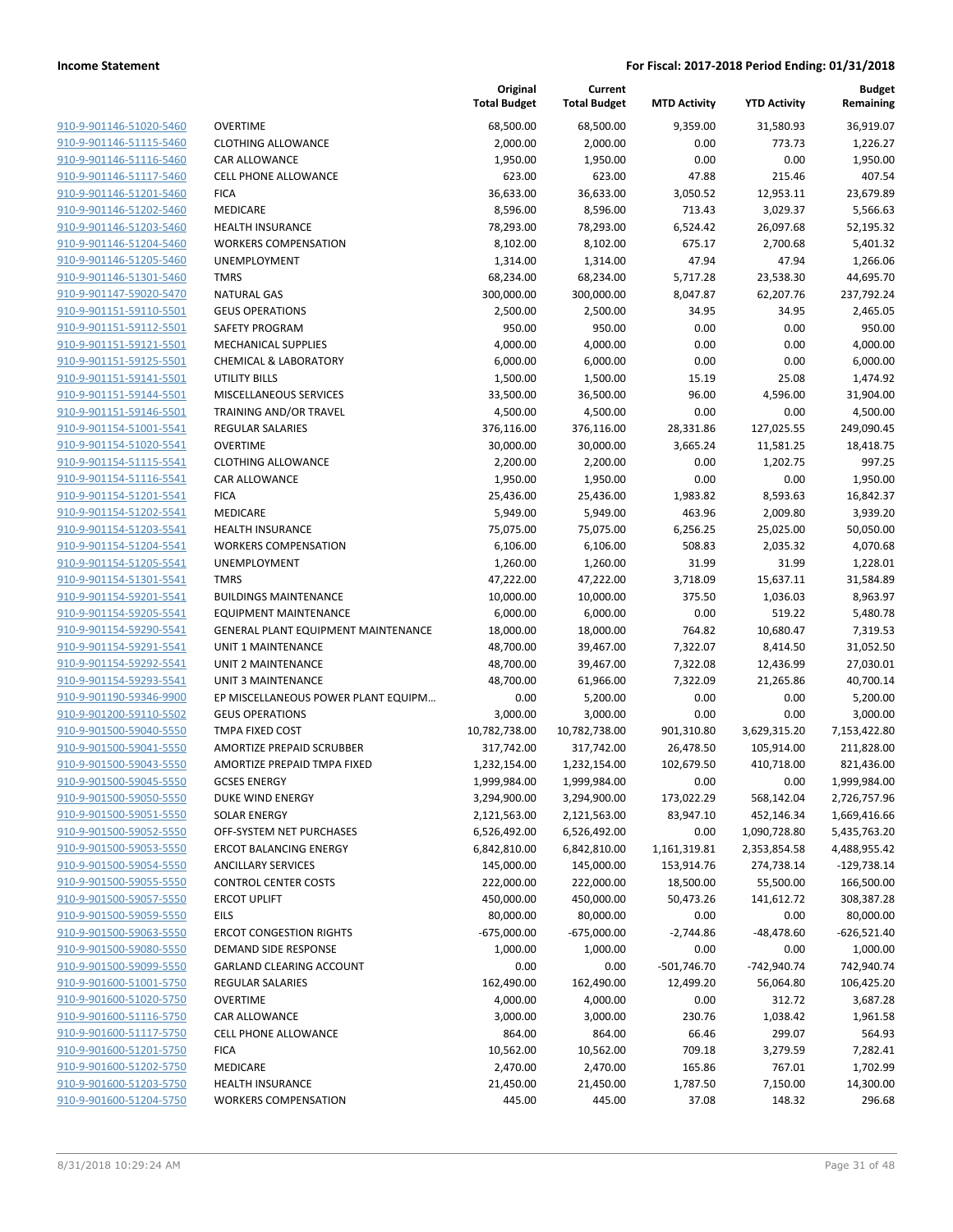**Current**

**Original**

**Budget Remaining**

|                                |                                            | <b>Total Budget</b> | <b>Total Budget</b> | <b>MTD Activity</b> | <b>YTD Activity</b> | Remaining     |
|--------------------------------|--------------------------------------------|---------------------|---------------------|---------------------|---------------------|---------------|
| 910-9-901146-51020-5460        | <b>OVERTIME</b>                            | 68,500.00           | 68,500.00           | 9,359.00            | 31,580.93           | 36,919.07     |
| 910-9-901146-51115-5460        | <b>CLOTHING ALLOWANCE</b>                  | 2,000.00            | 2,000.00            | 0.00                | 773.73              | 1,226.27      |
| 910-9-901146-51116-5460        | <b>CAR ALLOWANCE</b>                       | 1,950.00            | 1,950.00            | 0.00                | 0.00                | 1,950.00      |
| 910-9-901146-51117-5460        | <b>CELL PHONE ALLOWANCE</b>                | 623.00              | 623.00              | 47.88               | 215.46              | 407.54        |
| 910-9-901146-51201-5460        | <b>FICA</b>                                | 36,633.00           | 36,633.00           | 3,050.52            | 12,953.11           | 23,679.89     |
| 910-9-901146-51202-5460        | MEDICARE                                   | 8,596.00            | 8,596.00            | 713.43              | 3,029.37            | 5,566.63      |
| 910-9-901146-51203-5460        | <b>HEALTH INSURANCE</b>                    | 78,293.00           | 78,293.00           | 6,524.42            | 26,097.68           | 52,195.32     |
| 910-9-901146-51204-5460        | <b>WORKERS COMPENSATION</b>                | 8,102.00            | 8,102.00            | 675.17              | 2,700.68            | 5,401.32      |
| 910-9-901146-51205-5460        | <b>UNEMPLOYMENT</b>                        | 1,314.00            | 1,314.00            | 47.94               | 47.94               | 1,266.06      |
| 910-9-901146-51301-5460        | <b>TMRS</b>                                | 68,234.00           | 68,234.00           | 5,717.28            | 23,538.30           | 44,695.70     |
| 910-9-901147-59020-5470        | <b>NATURAL GAS</b>                         | 300,000.00          | 300,000.00          | 8,047.87            | 62,207.76           | 237,792.24    |
| 910-9-901151-59110-5501        | <b>GEUS OPERATIONS</b>                     | 2,500.00            | 2,500.00            | 34.95               | 34.95               | 2,465.05      |
| 910-9-901151-59112-5501        | SAFETY PROGRAM                             | 950.00              | 950.00              | 0.00                | 0.00                | 950.00        |
| 910-9-901151-59121-5501        | <b>MECHANICAL SUPPLIES</b>                 | 4,000.00            | 4,000.00            | 0.00                | 0.00                | 4,000.00      |
| 910-9-901151-59125-5501        | <b>CHEMICAL &amp; LABORATORY</b>           | 6,000.00            | 6,000.00            | 0.00                | 0.00                | 6,000.00      |
| 910-9-901151-59141-5501        | UTILITY BILLS                              | 1,500.00            | 1,500.00            | 15.19               | 25.08               | 1,474.92      |
| 910-9-901151-59144-5501        | MISCELLANEOUS SERVICES                     | 33,500.00           | 36,500.00           | 96.00               | 4,596.00            | 31,904.00     |
| 910-9-901151-59146-5501        | <b>TRAINING AND/OR TRAVEL</b>              | 4,500.00            | 4,500.00            | 0.00                | 0.00                | 4,500.00      |
| 910-9-901154-51001-5541        | <b>REGULAR SALARIES</b>                    | 376,116.00          | 376,116.00          | 28,331.86           | 127,025.55          | 249,090.45    |
| 910-9-901154-51020-5541        | <b>OVERTIME</b>                            | 30,000.00           | 30,000.00           | 3,665.24            | 11,581.25           | 18,418.75     |
| 910-9-901154-51115-5541        | <b>CLOTHING ALLOWANCE</b>                  | 2,200.00            | 2,200.00            | 0.00                | 1,202.75            | 997.25        |
| 910-9-901154-51116-5541        | CAR ALLOWANCE                              | 1,950.00            | 1,950.00            | 0.00                | 0.00                | 1,950.00      |
| 910-9-901154-51201-5541        | <b>FICA</b>                                | 25,436.00           | 25,436.00           | 1,983.82            | 8,593.63            | 16,842.37     |
| 910-9-901154-51202-5541        | <b>MEDICARE</b>                            | 5,949.00            | 5,949.00            | 463.96              | 2,009.80            | 3,939.20      |
| 910-9-901154-51203-5541        | <b>HEALTH INSURANCE</b>                    | 75,075.00           | 75,075.00           | 6,256.25            | 25,025.00           | 50,050.00     |
| 910-9-901154-51204-5541        | <b>WORKERS COMPENSATION</b>                | 6,106.00            | 6,106.00            | 508.83              | 2,035.32            | 4,070.68      |
| 910-9-901154-51205-5541        | UNEMPLOYMENT                               | 1,260.00            | 1,260.00            | 31.99               | 31.99               | 1,228.01      |
| 910-9-901154-51301-5541        | <b>TMRS</b>                                | 47,222.00           | 47,222.00           | 3,718.09            | 15,637.11           | 31,584.89     |
| 910-9-901154-59201-5541        | <b>BUILDINGS MAINTENANCE</b>               | 10,000.00           | 10,000.00           | 375.50              | 1,036.03            | 8,963.97      |
| 910-9-901154-59205-5541        | <b>EQUIPMENT MAINTENANCE</b>               | 6,000.00            | 6,000.00            | 0.00                | 519.22              | 5,480.78      |
| 910-9-901154-59290-5541        | <b>GENERAL PLANT EQUIPMENT MAINTENANCE</b> | 18,000.00           | 18,000.00           | 764.82              | 10,680.47           | 7,319.53      |
| 910-9-901154-59291-5541        | UNIT 1 MAINTENANCE                         | 48,700.00           | 39,467.00           | 7,322.07            | 8,414.50            | 31,052.50     |
| 910-9-901154-59292-5541        | UNIT 2 MAINTENANCE                         | 48,700.00           | 39,467.00           | 7,322.08            | 12,436.99           | 27,030.01     |
| 910-9-901154-59293-5541        | UNIT 3 MAINTENANCE                         | 48,700.00           | 61,966.00           | 7,322.09            | 21,265.86           | 40,700.14     |
| 910-9-901190-59346-9900        | EP MISCELLANEOUS POWER PLANT EQUIPM        | 0.00                | 5,200.00            | 0.00                | 0.00                | 5,200.00      |
| 910-9-901200-59110-5502        | <b>GEUS OPERATIONS</b>                     | 3,000.00            | 3,000.00            | 0.00                | 0.00                | 3,000.00      |
| 910-9-901500-59040-5550        | TMPA FIXED COST                            | 10,782,738.00       | 10,782,738.00       | 901,310.80          | 3,629,315.20        | 7,153,422.80  |
| 910-9-901500-59041-5550        | AMORTIZE PREPAID SCRUBBER                  | 317,742.00          | 317,742.00          | 26,478.50           | 105,914.00          | 211,828.00    |
| 910-9-901500-59043-5550        | AMORTIZE PREPAID TMPA FIXED                | 1,232,154.00        | 1,232,154.00        | 102,679.50          | 410,718.00          | 821,436.00    |
| 910-9-901500-59045-5550        | <b>GCSES ENERGY</b>                        | 1,999,984.00        | 1,999,984.00        | 0.00                | 0.00                | 1,999,984.00  |
| <u>910-9-901500-59050-5550</u> | DUKE WIND ENERGY                           | 3,294,900.00        | 3,294,900.00        | 173,022.29          | 568,142.04          | 2,726,757.96  |
| 910-9-901500-59051-5550        | <b>SOLAR ENERGY</b>                        | 2,121,563.00        | 2,121,563.00        | 83,947.10           | 452,146.34          | 1,669,416.66  |
| 910-9-901500-59052-5550        | OFF-SYSTEM NET PURCHASES                   | 6,526,492.00        | 6,526,492.00        | 0.00                | 1,090,728.80        | 5,435,763.20  |
| 910-9-901500-59053-5550        | <b>ERCOT BALANCING ENERGY</b>              | 6,842,810.00        | 6,842,810.00        | 1,161,319.81        | 2,353,854.58        | 4,488,955.42  |
| 910-9-901500-59054-5550        | <b>ANCILLARY SERVICES</b>                  | 145,000.00          | 145,000.00          | 153,914.76          | 274,738.14          | $-129,738.14$ |
| 910-9-901500-59055-5550        | <b>CONTROL CENTER COSTS</b>                | 222,000.00          | 222,000.00          | 18,500.00           | 55,500.00           | 166,500.00    |
| 910-9-901500-59057-5550        | <b>ERCOT UPLIFT</b>                        | 450,000.00          | 450,000.00          | 50,473.26           | 141,612.72          | 308,387.28    |
| 910-9-901500-59059-5550        | <b>EILS</b>                                | 80,000.00           | 80,000.00           | 0.00                | 0.00                | 80,000.00     |
| 910-9-901500-59063-5550        | <b>ERCOT CONGESTION RIGHTS</b>             | $-675,000.00$       | $-675,000.00$       | $-2,744.86$         | $-48,478.60$        | $-626,521.40$ |
| 910-9-901500-59080-5550        | <b>DEMAND SIDE RESPONSE</b>                | 1,000.00            | 1,000.00            | 0.00                | 0.00                | 1,000.00      |
| 910-9-901500-59099-5550        | <b>GARLAND CLEARING ACCOUNT</b>            | 0.00                | 0.00                | $-501,746.70$       | -742,940.74         | 742,940.74    |
| 910-9-901600-51001-5750        | <b>REGULAR SALARIES</b>                    | 162,490.00          | 162,490.00          | 12,499.20           | 56,064.80           | 106,425.20    |
| 910-9-901600-51020-5750        | <b>OVERTIME</b>                            | 4,000.00            | 4,000.00            | 0.00                | 312.72              | 3,687.28      |
| 910-9-901600-51116-5750        | <b>CAR ALLOWANCE</b>                       | 3,000.00            | 3,000.00            | 230.76              | 1,038.42            | 1,961.58      |
| 910-9-901600-51117-5750        | <b>CELL PHONE ALLOWANCE</b>                | 864.00              | 864.00              | 66.46               | 299.07              | 564.93        |
| 910-9-901600-51201-5750        | <b>FICA</b>                                | 10,562.00           | 10,562.00           | 709.18              | 3,279.59            | 7,282.41      |
| 910-9-901600-51202-5750        | MEDICARE                                   | 2,470.00            | 2,470.00            | 165.86              | 767.01              | 1,702.99      |
| 910-9-901600-51203-5750        | HEALTH INSURANCE                           | 21,450.00           | 21,450.00           | 1,787.50            | 7,150.00            | 14,300.00     |
| 910-9-901600-51204-5750        | <b>WORKERS COMPENSATION</b>                | 445.00              | 445.00              | 37.08               | 148.32              | 296.68        |
|                                |                                            |                     |                     |                     |                     |               |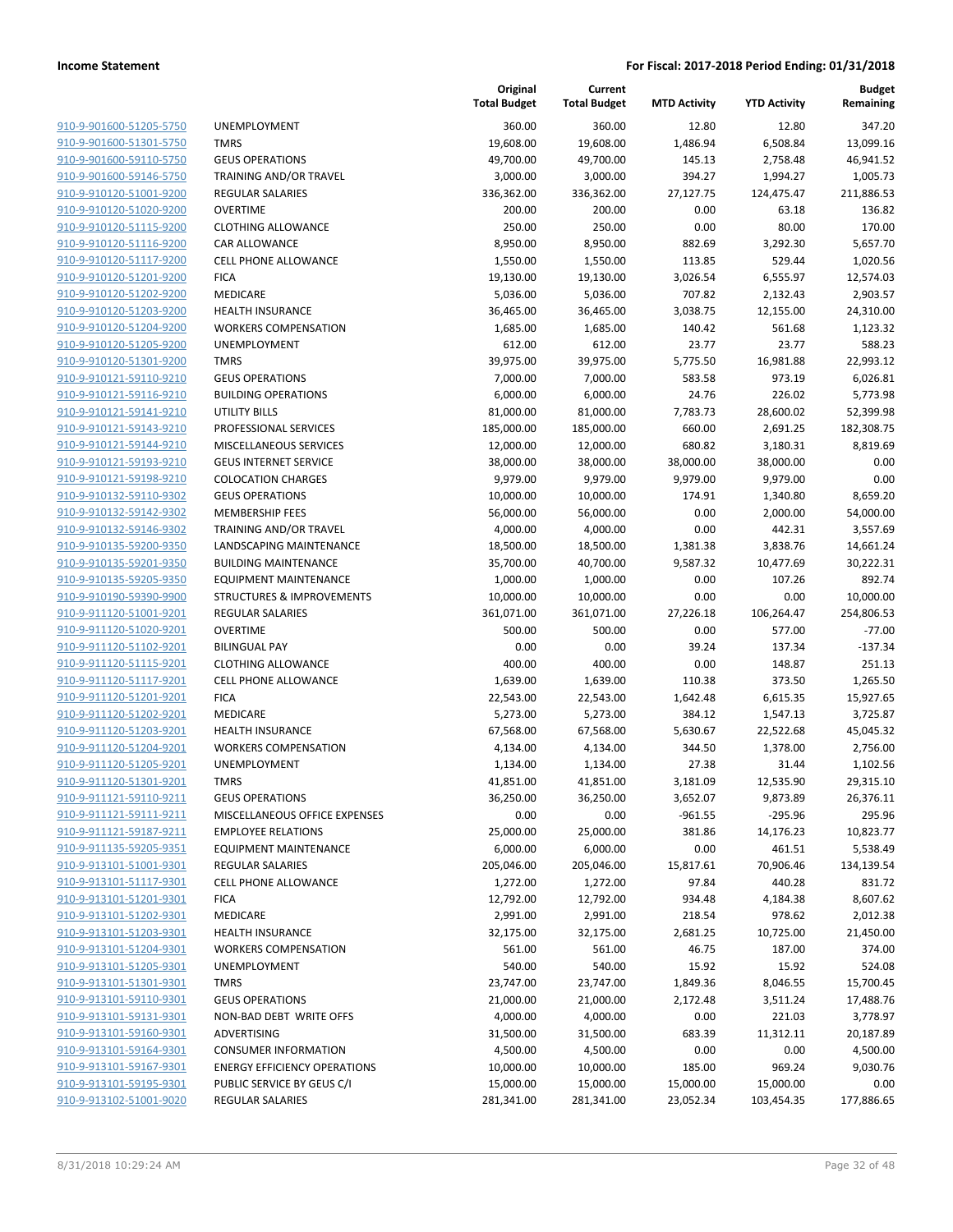**Budget Remaining**

| 910-9-901600-51205-5750                            |
|----------------------------------------------------|
| 910-9-901600-51301-5750                            |
| 910-9-901600-59110-5750                            |
| 910-9-901600-59146-5750                            |
| <u>910-9-910120-51001-9200</u>                     |
| 910-9-910120-51020-9200                            |
| 910-9-910120-51115-9200                            |
| 910-9-910120-51116-9200                            |
| 910-9-910120-51117-9200                            |
| <u>910-9-910120-51201-9200</u>                     |
| 910-9-910120-51202-9200                            |
| 910-9-910120-51203-9200                            |
| 910-9-910120-51204-9200                            |
| 910-9-910120-51205-9200                            |
| 910-9-910120-51301-9200                            |
| 910-9-910121-59110-9210                            |
| 910-9-910121-59116-9210                            |
| 910-9-910121-59141-9210                            |
| 910-9-910121-59143-9210                            |
| 910-9-910121-59144-9210                            |
| 910-9-910121-59193-9210                            |
| 910-9-910121-59198-9210                            |
| 910-9-910132-59110-9302                            |
| 910-9-910132-59142-9302                            |
| 910-9-910132-59146-9302                            |
| 910-9-910135-59200-9350                            |
| 910-9-910135-59201-9350                            |
| 910-9-910135-59205-9350                            |
| 910-9-910190-59390-9900                            |
| 910-9-911120-51001-9201                            |
| 910-9-911120-51020-9201                            |
| 910-9-911120-51102-9201                            |
| 910-9-911120-51115-9201                            |
| 910-9-911120-51117-9201                            |
| 910-9-911120-51201-9201                            |
| 910-9-911120-51202-9201                            |
| 910-9-911120-51203-9201                            |
| 910-9-911120-51204-9201                            |
| 910-9-911120-51205-9201                            |
| 910-9-911120-51301-9201                            |
| 910-9-911121-59110-9211                            |
| <u>910-9-911121-59111-9211</u>                     |
| 910-9-911121-59187-9211                            |
| 910-9-911135-59205-9351                            |
| 910-9-913101-51001-9301                            |
| 910-9-913101-51117-9301                            |
| <u>910-9-913101-51201-9301</u>                     |
| 910-9-913101-51202-9301                            |
| 910-9-913101-51203-9301                            |
| 910-9-913101-51204-9301                            |
| 910-9-913101-51205-9301                            |
| <u>910-9-913101-51301-9301</u>                     |
| 910-9-913101-59110-9301<br>910-9-913101-59131-9301 |
|                                                    |
| 910-9-913101-59160-9301<br>910-9-913101-59164-9301 |
| 910-9-913101-59167-9301                            |
| 910-9-913101-59195-9301                            |
| 910-9-913102-51001-9020                            |
|                                                    |

|                                                    |                                            | Original<br><b>Total Budget</b> | Current<br><b>Total Budget</b> | <b>MTD Activity</b> | <b>YTD Activity</b>  | <b>Budget</b><br>Remaining |
|----------------------------------------------------|--------------------------------------------|---------------------------------|--------------------------------|---------------------|----------------------|----------------------------|
| 910-9-901600-51205-5750                            | UNEMPLOYMENT                               | 360.00                          | 360.00                         | 12.80               | 12.80                | 347.20                     |
| 910-9-901600-51301-5750                            | <b>TMRS</b>                                | 19,608.00                       | 19,608.00                      | 1,486.94            | 6,508.84             | 13,099.16                  |
| 910-9-901600-59110-5750                            | <b>GEUS OPERATIONS</b>                     | 49,700.00                       | 49,700.00                      | 145.13              | 2,758.48             | 46,941.52                  |
| 910-9-901600-59146-5750                            | TRAINING AND/OR TRAVEL                     | 3,000.00                        | 3,000.00                       | 394.27              | 1,994.27             | 1.005.73                   |
| 910-9-910120-51001-9200                            | <b>REGULAR SALARIES</b>                    | 336,362.00                      | 336,362.00                     | 27,127.75           | 124,475.47           | 211,886.53                 |
| 910-9-910120-51020-9200                            | <b>OVERTIME</b>                            | 200.00                          | 200.00                         | 0.00                | 63.18                | 136.82                     |
| 910-9-910120-51115-9200                            | <b>CLOTHING ALLOWANCE</b>                  | 250.00                          | 250.00                         | 0.00                | 80.00                | 170.00                     |
| 910-9-910120-51116-9200                            | <b>CAR ALLOWANCE</b>                       | 8,950.00                        | 8,950.00                       | 882.69              | 3,292.30             | 5,657.70                   |
| 910-9-910120-51117-9200                            | <b>CELL PHONE ALLOWANCE</b>                | 1,550.00                        | 1,550.00                       | 113.85              | 529.44               | 1,020.56                   |
| 910-9-910120-51201-9200                            | <b>FICA</b>                                | 19,130.00                       | 19,130.00                      | 3,026.54            | 6,555.97             | 12,574.03                  |
| 910-9-910120-51202-9200                            | MEDICARE                                   | 5,036.00                        | 5,036.00                       | 707.82              | 2,132.43             | 2,903.57                   |
| 910-9-910120-51203-9200                            | HEALTH INSURANCE                           | 36,465.00                       | 36,465.00                      | 3,038.75            | 12,155.00            | 24,310.00                  |
| 910-9-910120-51204-9200                            | <b>WORKERS COMPENSATION</b>                | 1,685.00                        | 1,685.00                       | 140.42              | 561.68               | 1,123.32                   |
| 910-9-910120-51205-9200                            | UNEMPLOYMENT                               | 612.00                          | 612.00                         | 23.77               | 23.77                | 588.23                     |
| 910-9-910120-51301-9200                            | <b>TMRS</b>                                | 39,975.00                       | 39,975.00                      | 5,775.50            | 16,981.88            | 22,993.12                  |
| 910-9-910121-59110-9210                            | <b>GEUS OPERATIONS</b>                     | 7,000.00                        | 7,000.00                       | 583.58              | 973.19               | 6,026.81                   |
| 910-9-910121-59116-9210                            | <b>BUILDING OPERATIONS</b>                 | 6,000.00                        | 6,000.00                       | 24.76               | 226.02               | 5,773.98                   |
| 910-9-910121-59141-9210                            | <b>UTILITY BILLS</b>                       | 81,000.00                       | 81,000.00                      | 7,783.73            | 28,600.02            | 52,399.98                  |
| 910-9-910121-59143-9210                            | PROFESSIONAL SERVICES                      | 185,000.00                      | 185,000.00                     | 660.00              | 2,691.25             | 182,308.75                 |
| 910-9-910121-59144-9210                            | MISCELLANEOUS SERVICES                     | 12,000.00                       | 12,000.00                      | 680.82              | 3,180.31             | 8,819.69                   |
| 910-9-910121-59193-9210                            | <b>GEUS INTERNET SERVICE</b>               | 38,000.00                       | 38,000.00                      | 38,000.00           | 38,000.00            | 0.00                       |
| 910-9-910121-59198-9210                            | <b>COLOCATION CHARGES</b>                  | 9,979.00                        | 9,979.00                       | 9,979.00            | 9,979.00             | 0.00                       |
| 910-9-910132-59110-9302                            | <b>GEUS OPERATIONS</b>                     | 10,000.00                       | 10,000.00                      | 174.91              | 1,340.80             | 8,659.20                   |
| 910-9-910132-59142-9302                            | <b>MEMBERSHIP FEES</b>                     | 56,000.00                       | 56,000.00                      | 0.00                | 2,000.00             | 54,000.00                  |
| 910-9-910132-59146-9302                            | <b>TRAINING AND/OR TRAVEL</b>              | 4,000.00                        | 4,000.00                       | 0.00                | 442.31               | 3,557.69                   |
| 910-9-910135-59200-9350                            | LANDSCAPING MAINTENANCE                    | 18,500.00                       | 18,500.00                      | 1,381.38            | 3,838.76             | 14,661.24                  |
| 910-9-910135-59201-9350                            | <b>BUILDING MAINTENANCE</b>                | 35,700.00                       | 40,700.00                      | 9,587.32            | 10,477.69            | 30,222.31                  |
| 910-9-910135-59205-9350                            | <b>EQUIPMENT MAINTENANCE</b>               | 1,000.00                        | 1,000.00                       | 0.00                | 107.26               | 892.74                     |
| 910-9-910190-59390-9900<br>910-9-911120-51001-9201 | <b>STRUCTURES &amp; IMPROVEMENTS</b>       | 10,000.00                       | 10,000.00                      | 0.00                | 0.00                 | 10,000.00                  |
| 910-9-911120-51020-9201                            | <b>REGULAR SALARIES</b><br><b>OVERTIME</b> | 361,071.00<br>500.00            | 361,071.00<br>500.00           | 27,226.18<br>0.00   | 106,264.47<br>577.00 | 254,806.53<br>$-77.00$     |
| 910-9-911120-51102-9201                            | <b>BILINGUAL PAY</b>                       | 0.00                            | 0.00                           | 39.24               | 137.34               | $-137.34$                  |
| 910-9-911120-51115-9201                            | <b>CLOTHING ALLOWANCE</b>                  | 400.00                          | 400.00                         | 0.00                | 148.87               | 251.13                     |
| 910-9-911120-51117-9201                            | <b>CELL PHONE ALLOWANCE</b>                | 1,639.00                        | 1,639.00                       | 110.38              | 373.50               | 1,265.50                   |
| 910-9-911120-51201-9201                            | <b>FICA</b>                                | 22,543.00                       | 22,543.00                      | 1,642.48            | 6,615.35             | 15,927.65                  |
| 910-9-911120-51202-9201                            | MEDICARE                                   | 5,273.00                        | 5,273.00                       | 384.12              | 1,547.13             | 3,725.87                   |
| 910-9-911120-51203-9201                            | HEALTH INSURANCE                           | 67,568.00                       | 67,568.00                      | 5,630.67            | 22,522.68            | 45,045.32                  |
| 910-9-911120-51204-9201                            | <b>WORKERS COMPENSATION</b>                | 4,134.00                        | 4,134.00                       | 344.50              | 1,378.00             | 2,756.00                   |
| 910-9-911120-51205-9201                            | <b>UNEMPLOYMENT</b>                        | 1,134.00                        | 1,134.00                       | 27.38               | 31.44                | 1,102.56                   |
| 910-9-911120-51301-9201                            | TMRS                                       | 41,851.00                       | 41,851.00                      | 3,181.09            | 12,535.90            | 29,315.10                  |
| 910-9-911121-59110-9211                            | <b>GEUS OPERATIONS</b>                     | 36,250.00                       | 36,250.00                      | 3,652.07            | 9,873.89             | 26,376.11                  |
| 910-9-911121-59111-9211                            | MISCELLANEOUS OFFICE EXPENSES              | 0.00                            | 0.00                           | $-961.55$           | $-295.96$            | 295.96                     |
| 910-9-911121-59187-9211                            | <b>EMPLOYEE RELATIONS</b>                  | 25,000.00                       | 25,000.00                      | 381.86              | 14,176.23            | 10,823.77                  |
| 910-9-911135-59205-9351                            | <b>EQUIPMENT MAINTENANCE</b>               | 6,000.00                        | 6,000.00                       | 0.00                | 461.51               | 5,538.49                   |
| 910-9-913101-51001-9301                            | <b>REGULAR SALARIES</b>                    | 205,046.00                      | 205,046.00                     | 15,817.61           | 70,906.46            | 134,139.54                 |
| 910-9-913101-51117-9301                            | <b>CELL PHONE ALLOWANCE</b>                | 1,272.00                        | 1,272.00                       | 97.84               | 440.28               | 831.72                     |
| 910-9-913101-51201-9301                            | <b>FICA</b>                                | 12,792.00                       | 12,792.00                      | 934.48              | 4,184.38             | 8,607.62                   |
| 910-9-913101-51202-9301                            | MEDICARE                                   | 2,991.00                        | 2,991.00                       | 218.54              | 978.62               | 2,012.38                   |
| 910-9-913101-51203-9301                            | <b>HEALTH INSURANCE</b>                    | 32,175.00                       | 32,175.00                      | 2,681.25            | 10,725.00            | 21,450.00                  |
| 910-9-913101-51204-9301                            | <b>WORKERS COMPENSATION</b>                | 561.00                          | 561.00                         | 46.75               | 187.00               | 374.00                     |
| 910-9-913101-51205-9301                            | UNEMPLOYMENT                               | 540.00                          | 540.00                         | 15.92               | 15.92                | 524.08                     |
| 910-9-913101-51301-9301                            | <b>TMRS</b>                                | 23,747.00                       | 23,747.00                      | 1,849.36            | 8,046.55             | 15,700.45                  |
| 910-9-913101-59110-9301                            | <b>GEUS OPERATIONS</b>                     | 21,000.00                       | 21,000.00                      | 2,172.48            | 3,511.24             | 17,488.76                  |
| 910-9-913101-59131-9301                            | NON-BAD DEBT WRITE OFFS                    | 4,000.00                        | 4,000.00                       | 0.00                | 221.03               | 3,778.97                   |
| 910-9-913101-59160-9301                            | ADVERTISING                                | 31,500.00                       | 31,500.00                      | 683.39              | 11,312.11            | 20,187.89                  |
| 910-9-913101-59164-9301                            | <b>CONSUMER INFORMATION</b>                | 4,500.00                        | 4,500.00                       | 0.00                | 0.00                 | 4,500.00                   |
| 910-9-913101-59167-9301                            | <b>ENERGY EFFICIENCY OPERATIONS</b>        | 10,000.00                       | 10,000.00                      | 185.00              | 969.24               | 9,030.76                   |
| 910-9-913101-59195-9301                            | PUBLIC SERVICE BY GEUS C/I                 | 15,000.00                       | 15,000.00                      | 15,000.00           | 15,000.00            | 0.00                       |
| 910-9-913102-51001-9020                            | <b>REGULAR SALARIES</b>                    | 281,341.00                      | 281,341.00                     | 23,052.34           | 103,454.35           | 177,886.65                 |

| 18.00 | 19,608.00  | 1,486.94  | 6,508.84   | 13,099.16  |
|-------|------------|-----------|------------|------------|
| 10.00 | 49,700.00  | 145.13    | 2,758.48   | 46,941.52  |
| 10.00 | 3,000.00   | 394.27    | 1,994.27   | 1,005.73   |
| 2.00  | 336,362.00 | 27,127.75 | 124,475.47 | 211,886.53 |
| 10.00 | 200.00     | 0.00      | 63.18      | 136.82     |
| 0.00  | 250.00     | 0.00      | 80.00      | 170.00     |
| 0.00  | 8,950.00   | 882.69    | 3,292.30   | 5,657.70   |
| 0.00  | 1,550.00   | 113.85    | 529.44     | 1,020.56   |
| 0.00; | 19,130.00  | 3,026.54  | 6,555.97   | 12,574.03  |
| 6.00  | 5,036.00   | 707.82    | 2,132.43   | 2,903.57   |
| 5.00( | 36,465.00  | 3,038.75  | 12,155.00  | 24,310.00  |
|       |            |           |            |            |
| 15.00 | 1,685.00   | 140.42    | 561.68     | 1,123.32   |
| .2.00 | 612.00     | 23.77     | 23.77      | 588.23     |
| '5.00 | 39,975.00  | 5,775.50  | 16,981.88  | 22,993.12  |
| 10.00 | 7,000.00   | 583.58    | 973.19     | 6,026.81   |
| 10.00 | 6,000.00   | 24.76     | 226.02     | 5,773.98   |
| 10.00 | 81,000.00  | 7,783.73  | 28,600.02  | 52,399.98  |
| 10.00 | 185,000.00 | 660.00    | 2,691.25   | 182,308.75 |
| 10.00 | 12,000.00  | 680.82    | 3,180.31   | 8,819.69   |
| 10.00 | 38,000.00  | 38,000.00 | 38,000.00  | 0.00       |
| '9.00 | 9,979.00   | 9,979.00  | 9,979.00   | 0.00       |
| 0.00  | 10,000.00  | 174.91    | 1,340.80   | 8,659.20   |
| 10.00 | 56,000.00  | 0.00      | 2,000.00   | 54,000.00  |
| 10.00 | 4,000.00   | 0.00      | 442.31     | 3,557.69   |
| 10.00 | 18,500.00  | 1,381.38  | 3,838.76   | 14,661.24  |
| 10.00 | 40,700.00  | 9,587.32  | 10,477.69  | 30,222.31  |
| 10.00 | 1,000.00   | 0.00      | 107.26     | 892.74     |
| 10.00 | 10,000.00  | 0.00      | 0.00       | 10,000.00  |
| '1.00 | 361,071.00 | 27,226.18 | 106,264.47 | 254,806.53 |
| 10.00 | 500.00     | 0.00      | 577.00     | $-77.00$   |
| 0.00  | 0.00       | 39.24     | 137.34     | $-137.34$  |
| 10.00 | 400.00     | 0.00      | 148.87     | 251.13     |
| 9.00؛ | 1,639.00   | 110.38    | 373.50     | 1,265.50   |
| 13.00 | 22,543.00  | 1,642.48  | 6,615.35   | 15,927.65  |
| '3.00 | 5,273.00   | 384.12    | 1,547.13   | 3,725.87   |
| 8.00  | 67,568.00  | 5,630.67  | 22,522.68  | 45,045.32  |
| 4.00  | 4,134.00   | 344.50    | 1,378.00   | 2,756.00   |
| 4.00  | 1,134.00   | 27.38     | 31.44      | 1,102.56   |
| i1.00 | 41,851.00  | 3,181.09  | 12,535.90  | 29,315.10  |
| 0.00  | 36,250.00  |           |            |            |
|       |            | 3,652.07  | 9,873.89   | 26,376.11  |
| 0.00  | 0.00       | $-961.55$ | -295.96    | 295.96     |
| 10.00 | 25,000.00  | 381.86    | 14,176.23  | 10,823.77  |
| 10.00 | 6,000.00   | 0.00      | 461.51     | 5,538.49   |
| 16.00 | 205,046.00 | 15,817.61 | 70,906.46  | 134,139.54 |
| '2.00 | 1,272.00   | 97.84     | 440.28     | 831.72     |
| 12.00 | 12,792.00  | 934.48    | 4,184.38   | 8,607.62   |
| 1.00  | 2,991.00   | 218.54    | 978.62     | 2,012.38   |
| '5.00 | 32,175.00  | 2,681.25  | 10,725.00  | 21,450.00  |
| i1.00 | 561.00     | 46.75     | 187.00     | 374.00     |
| 0.00  | 540.00     | 15.92     | 15.92      | 524.08     |
| 7.00  | 23,747.00  | 1,849.36  | 8,046.55   | 15,700.45  |
| 10.00 | 21,000.00  | 2,172.48  | 3,511.24   | 17,488.76  |
| 10.00 | 4,000.00   | 0.00      | 221.03     | 3,778.97   |
| 10.00 | 31,500.00  | 683.39    | 11,312.11  | 20,187.89  |
| 10.00 | 4,500.00   | 0.00      | 0.00       | 4,500.00   |
| 10.00 | 10,000.00  | 185.00    | 969.24     | 9,030.76   |
| 10.00 | 15,000.00  | 15,000.00 | 15,000.00  | 0.00       |
| 1.00  | 281,341.00 | 23,052.34 | 103,454.35 | 177,886.65 |
|       |            |           |            |            |
|       |            |           |            |            |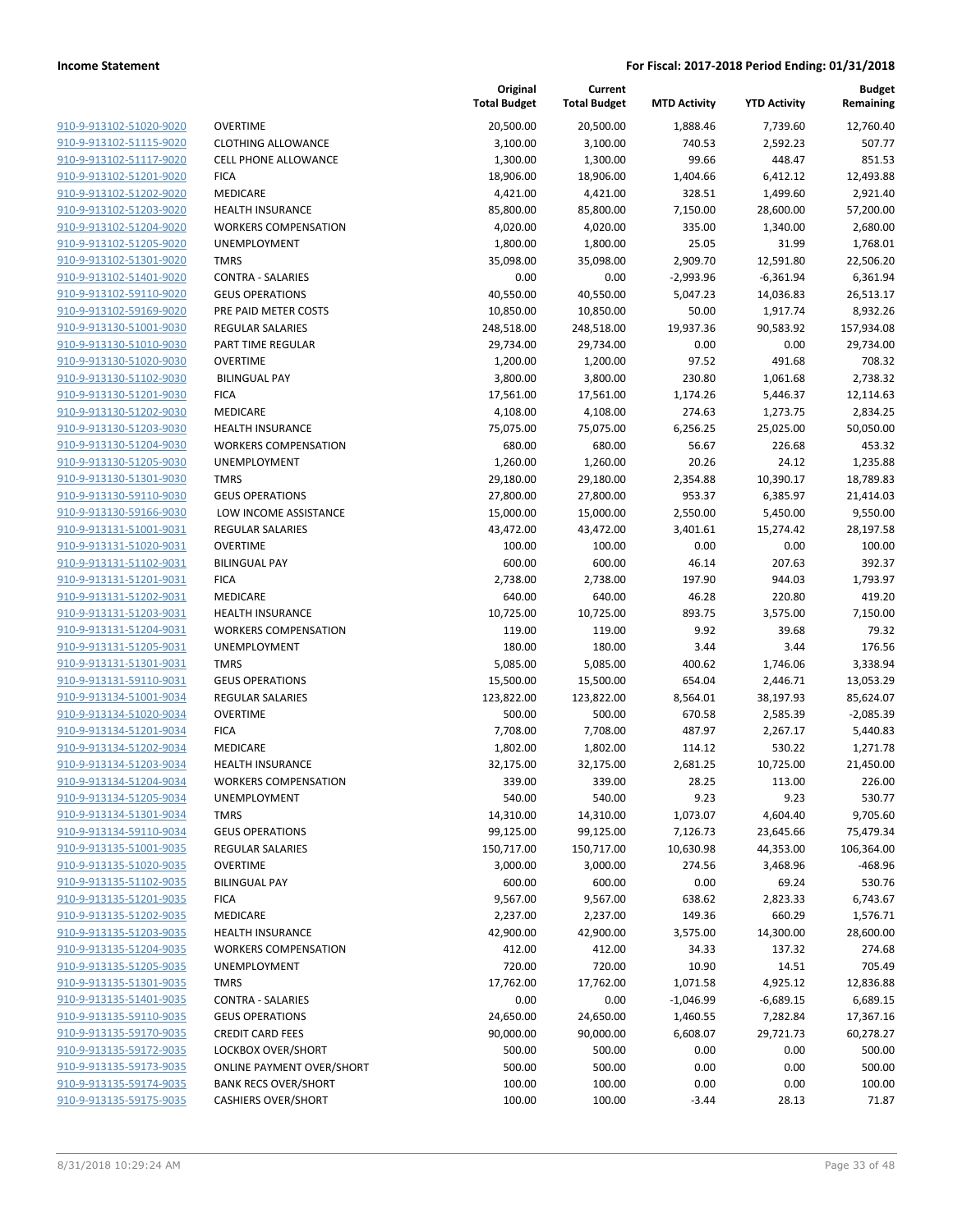| 910-9-913102-51020-9020                            |
|----------------------------------------------------|
| 910-9-913102-51115-9020                            |
| <u>910-9-913102-51117-9020</u>                     |
| 910-9-913102-51201-9020                            |
| 910-9-913102-51202-9020                            |
| 910-9-913102-51203-9020                            |
| 910-9-913102-51204-9020                            |
| <u>910-9-913102-51205-9020</u>                     |
| 910-9-913102-51301-9020                            |
| 910-9-913102-51401-9020                            |
| 910-9-913102-59110-9020                            |
| 910-9-913102-59169-9020                            |
| 910-9-913130-51001-9030                            |
| 910-9-913130-51010-9030                            |
| 910-9-913130-51020-9030                            |
| 910-9-913130-51102-9030                            |
| 910-9-913130-51201-9030                            |
| <u>910-9-913130-51202-9030</u>                     |
| 910-9-913130-51203-9030                            |
| 910-9-913130-51204-9030                            |
| 910-9-913130-51205-9030                            |
| 910-9-913130-51301-9030                            |
| 910-9-913130-59110-9030                            |
| 910-9-913130-59166-9030                            |
| 910-9-913131-51001-9031                            |
| 910-9-913131-51020-9031                            |
| 910-9-913131-51102-9031                            |
| <u>910-9-913131-51201-9031</u>                     |
| 910-9-913131-51202-9031                            |
| 910-9-913131-51203-9031                            |
| 910-9-913131-51204-9031                            |
| 910-9-913131-51205-9031                            |
| <u>910-9-913131-51301-9031</u>                     |
| 910-9-913131-59110-9031                            |
| 910-9-913134-51001-9034                            |
| 910-9-913134-51020-9034                            |
| 910-9-913134-51201-9034                            |
| 910-9-913134-51202-9034                            |
| 910-9-913134-51203-9034                            |
| 910-9-913134-51204-9034<br>910-9-913134-51205-9034 |
| 910-9-913134-51301-9034                            |
| <u>910-9-913134-59110-9034</u>                     |
| 910-9-913135-51001-9035                            |
| 910-9-913135-51020-9035                            |
| 910-9-913135-51102-9035                            |
| 910-9-913135-51201-9035                            |
| 910-9-913135-51202-9035                            |
| 910-9-913135-51203-9035                            |
| 910-9-913135-51204-9035                            |
| 910-9-913135-51205-9035                            |
| 910-9-913135-51301-9035                            |
| 910-9-913135-51401-9035                            |
| 910-9-913135-59110-9035                            |
| 910-9-913135-59170-9035                            |
| 910-9-913135-59172-9035                            |
| 910-9-913135-59173-9035                            |
| <u>910-9-913135-59174-9035</u>                     |
| 910-9-913135-59175-9035                            |
|                                                    |

| <b>OVERTIME</b>                                  |
|--------------------------------------------------|
| <b>CLOTHING ALLOWANCE</b>                        |
| <b>CELL PHONE ALLOWANCE</b>                      |
| <b>FICA</b>                                      |
| <b>MEDICARE</b>                                  |
| <b>HEALTH INSURANCE</b>                          |
| <b>WORKERS COMPENSATION</b>                      |
| <b>UNEMPLOYMENT</b>                              |
| TMRS<br><b>CONTRA - SALARIES</b>                 |
| <b>GEUS OPERATIONS</b>                           |
| PRE PAID METER COSTS                             |
| <b>REGULAR SALARIES</b>                          |
| PART TIME REGULAR                                |
| OVERTIME                                         |
| <b>BILINGUAL PAY</b>                             |
| <b>FICA</b>                                      |
| <b>MEDICARE</b>                                  |
| <b>HEALTH INSURANCE</b>                          |
| <b>WORKERS COMPENSATION</b>                      |
| <b>UNEMPLOYMENT</b>                              |
| <b>TMRS</b>                                      |
| <b>GEUS OPERATIONS</b>                           |
| LOW INCOME ASSISTANCE<br><b>REGULAR SALARIES</b> |
| OVERTIME                                         |
| <b>BILINGUAL PAY</b>                             |
| <b>FICA</b>                                      |
| <b>MEDICARE</b>                                  |
| <b>HEALTH INSURANCE</b>                          |
| <b>WORKERS COMPENSATION</b>                      |
| <b>UNEMPLOYMENT</b>                              |
| <b>TMRS</b>                                      |
| <b>GEUS OPERATIONS</b>                           |
| <b>REGULAR SALARIES</b>                          |
| <b>OVERTIME</b>                                  |
| <b>FICA</b>                                      |
| <b>MEDICARE</b>                                  |
| <b>HEALTH INSURANCE</b>                          |
| <b>WORKERS COMPENSATION</b>                      |
| <b>UNEMPLOYMENT</b><br><b>TMRS</b>               |
| <b>GEUS OPERATIONS</b>                           |
| <b>REGULAR SALARIES</b>                          |
| <b>OVERTIME</b>                                  |
| <b>BILINGUAL PAY</b>                             |
| <b>FICA</b>                                      |
| <b>MEDICARE</b>                                  |
| <b>HEALTH INSURANCE</b>                          |
| <b>WORKERS COMPENSATION</b>                      |
| <b>UNEMPLOYMENT</b>                              |
| <b>TMRS</b>                                      |
| <b>CONTRA - SALARIES</b>                         |
| <b>GEUS OPERATIONS</b>                           |
| <b>CREDIT CARD FEES</b>                          |
| <b>LOCKBOX OVER/SHORT</b>                        |
| <b>ONLINE PAYMENT OVER/SHORT</b>                 |
| <b>BANK RECS OVER/SHORT</b>                      |
| <b>CASHIERS OVER/SHORT</b>                       |

|                         |                                  | Original<br><b>Total Budget</b> | Current<br><b>Total Budget</b> | <b>MTD Activity</b> | <b>YTD Activity</b> | Budget<br>Remaining |
|-------------------------|----------------------------------|---------------------------------|--------------------------------|---------------------|---------------------|---------------------|
| 910-9-913102-51020-9020 | <b>OVERTIME</b>                  | 20,500.00                       | 20,500.00                      | 1,888.46            | 7,739.60            | 12,760.40           |
| 910-9-913102-51115-9020 | <b>CLOTHING ALLOWANCE</b>        | 3,100.00                        | 3,100.00                       | 740.53              | 2,592.23            | 507.77              |
| 910-9-913102-51117-9020 | <b>CELL PHONE ALLOWANCE</b>      | 1,300.00                        | 1,300.00                       | 99.66               | 448.47              | 851.53              |
| 910-9-913102-51201-9020 | <b>FICA</b>                      | 18,906.00                       | 18,906.00                      | 1,404.66            | 6,412.12            | 12,493.88           |
| 910-9-913102-51202-9020 | MEDICARE                         | 4,421.00                        | 4,421.00                       | 328.51              | 1,499.60            | 2,921.40            |
| 910-9-913102-51203-9020 | <b>HEALTH INSURANCE</b>          | 85,800.00                       | 85,800.00                      | 7,150.00            | 28,600.00           | 57,200.00           |
| 910-9-913102-51204-9020 | <b>WORKERS COMPENSATION</b>      | 4,020.00                        | 4,020.00                       | 335.00              | 1,340.00            | 2,680.00            |
| 910-9-913102-51205-9020 | UNEMPLOYMENT                     | 1,800.00                        | 1,800.00                       | 25.05               | 31.99               | 1,768.01            |
| 910-9-913102-51301-9020 | <b>TMRS</b>                      | 35,098.00                       | 35,098.00                      | 2,909.70            | 12,591.80           | 22,506.20           |
| 910-9-913102-51401-9020 | <b>CONTRA - SALARIES</b>         | 0.00                            | 0.00                           | $-2,993.96$         | $-6,361.94$         | 6,361.94            |
| 910-9-913102-59110-9020 | <b>GEUS OPERATIONS</b>           | 40,550.00                       | 40,550.00                      | 5,047.23            | 14,036.83           | 26,513.17           |
| 910-9-913102-59169-9020 | PRE PAID METER COSTS             | 10,850.00                       | 10,850.00                      | 50.00               | 1,917.74            | 8,932.26            |
| 910-9-913130-51001-9030 | REGULAR SALARIES                 | 248,518.00                      | 248,518.00                     | 19,937.36           | 90,583.92           | 157,934.08          |
| 910-9-913130-51010-9030 | PART TIME REGULAR                | 29,734.00                       | 29,734.00                      | 0.00                | 0.00                | 29,734.00           |
| 910-9-913130-51020-9030 | <b>OVERTIME</b>                  | 1,200.00                        | 1,200.00                       | 97.52               | 491.68              | 708.32              |
| 910-9-913130-51102-9030 | <b>BILINGUAL PAY</b>             | 3,800.00                        | 3,800.00                       | 230.80              | 1,061.68            | 2,738.32            |
| 910-9-913130-51201-9030 | <b>FICA</b>                      | 17,561.00                       | 17,561.00                      | 1,174.26            | 5,446.37            | 12,114.63           |
| 910-9-913130-51202-9030 | MEDICARE                         | 4,108.00                        | 4,108.00                       | 274.63              | 1,273.75            | 2,834.25            |
| 910-9-913130-51203-9030 | <b>HEALTH INSURANCE</b>          | 75,075.00                       | 75,075.00                      | 6,256.25            | 25,025.00           | 50,050.00           |
| 910-9-913130-51204-9030 | <b>WORKERS COMPENSATION</b>      | 680.00                          | 680.00                         | 56.67               | 226.68              | 453.32              |
| 910-9-913130-51205-9030 | UNEMPLOYMENT                     | 1,260.00                        | 1,260.00                       | 20.26               | 24.12               | 1,235.88            |
| 910-9-913130-51301-9030 | <b>TMRS</b>                      | 29,180.00                       | 29,180.00                      | 2,354.88            | 10,390.17           | 18,789.83           |
| 910-9-913130-59110-9030 | <b>GEUS OPERATIONS</b>           | 27,800.00                       | 27,800.00                      | 953.37              | 6,385.97            | 21,414.03           |
| 910-9-913130-59166-9030 | LOW INCOME ASSISTANCE            | 15,000.00                       | 15,000.00                      | 2,550.00            | 5,450.00            | 9,550.00            |
| 910-9-913131-51001-9031 | REGULAR SALARIES                 | 43,472.00                       | 43,472.00                      | 3,401.61            | 15,274.42           | 28,197.58           |
| 910-9-913131-51020-9031 | <b>OVERTIME</b>                  | 100.00                          | 100.00                         | 0.00                | 0.00                | 100.00              |
| 910-9-913131-51102-9031 | <b>BILINGUAL PAY</b>             | 600.00                          | 600.00                         | 46.14               | 207.63              | 392.37              |
| 910-9-913131-51201-9031 | <b>FICA</b>                      | 2,738.00                        | 2,738.00                       | 197.90              | 944.03              | 1,793.97            |
| 910-9-913131-51202-9031 | MEDICARE                         | 640.00                          | 640.00                         | 46.28               | 220.80              | 419.20              |
| 910-9-913131-51203-9031 | <b>HEALTH INSURANCE</b>          | 10,725.00                       | 10,725.00                      | 893.75              | 3,575.00            | 7,150.00            |
| 910-9-913131-51204-9031 | <b>WORKERS COMPENSATION</b>      | 119.00                          | 119.00                         | 9.92                | 39.68               | 79.32               |
| 910-9-913131-51205-9031 | UNEMPLOYMENT                     | 180.00                          | 180.00                         | 3.44                | 3.44                | 176.56              |
| 910-9-913131-51301-9031 | <b>TMRS</b>                      | 5,085.00                        | 5,085.00                       | 400.62              | 1,746.06            | 3,338.94            |
| 910-9-913131-59110-9031 | <b>GEUS OPERATIONS</b>           | 15,500.00                       | 15,500.00                      | 654.04              | 2,446.71            | 13,053.29           |
| 910-9-913134-51001-9034 | <b>REGULAR SALARIES</b>          | 123,822.00                      | 123,822.00                     | 8,564.01            | 38,197.93           | 85,624.07           |
| 910-9-913134-51020-9034 | <b>OVERTIME</b>                  | 500.00                          | 500.00                         | 670.58              | 2,585.39            | $-2,085.39$         |
| 910-9-913134-51201-9034 | <b>FICA</b>                      | 7,708.00                        | 7,708.00                       | 487.97              | 2,267.17            | 5,440.83            |
| 910-9-913134-51202-9034 | MEDICARE                         | 1,802.00                        | 1,802.00                       | 114.12              | 530.22              | 1,271.78            |
| 910-9-913134-51203-9034 | <b>HEALTH INSURANCE</b>          | 32,175.00                       | 32,175.00                      | 2,681.25            | 10,725.00           | 21,450.00           |
| 910-9-913134-51204-9034 | <b>WORKERS COMPENSATION</b>      | 339.00                          | 339.00                         | 28.25               | 113.00              | 226.00              |
| 910-9-913134-51205-9034 | UNEMPLOYMENT                     | 540.00                          | 540.00                         | 9.23                | 9.23                | 530.77              |
| 910-9-913134-51301-9034 | <b>TMRS</b>                      | 14,310.00                       | 14,310.00                      | 1,073.07            | 4,604.40            | 9,705.60            |
| 910-9-913134-59110-9034 | <b>GEUS OPERATIONS</b>           | 99,125.00                       | 99,125.00                      | 7,126.73            | 23,645.66           | 75,479.34           |
| 910-9-913135-51001-9035 | REGULAR SALARIES                 | 150,717.00                      | 150,717.00                     | 10,630.98           | 44,353.00           | 106,364.00          |
| 910-9-913135-51020-9035 | <b>OVERTIME</b>                  | 3,000.00                        | 3,000.00                       | 274.56              | 3,468.96            | $-468.96$           |
| 910-9-913135-51102-9035 | <b>BILINGUAL PAY</b>             | 600.00                          | 600.00                         | 0.00                | 69.24               | 530.76              |
| 910-9-913135-51201-9035 | <b>FICA</b>                      | 9,567.00                        | 9,567.00                       | 638.62              | 2,823.33            | 6,743.67            |
| 910-9-913135-51202-9035 | MEDICARE                         | 2,237.00                        | 2,237.00                       | 149.36              | 660.29              | 1,576.71            |
| 910-9-913135-51203-9035 | <b>HEALTH INSURANCE</b>          | 42,900.00                       | 42,900.00                      | 3,575.00            | 14,300.00           | 28,600.00           |
| 910-9-913135-51204-9035 | <b>WORKERS COMPENSATION</b>      | 412.00                          | 412.00                         | 34.33               | 137.32              | 274.68              |
| 910-9-913135-51205-9035 | UNEMPLOYMENT                     | 720.00                          | 720.00                         | 10.90               | 14.51               | 705.49              |
| 910-9-913135-51301-9035 | <b>TMRS</b>                      | 17,762.00                       | 17,762.00                      | 1,071.58            | 4,925.12            | 12,836.88           |
| 910-9-913135-51401-9035 | <b>CONTRA - SALARIES</b>         | 0.00                            | 0.00                           | $-1,046.99$         | $-6,689.15$         | 6,689.15            |
| 910-9-913135-59110-9035 | <b>GEUS OPERATIONS</b>           | 24,650.00                       | 24,650.00                      | 1,460.55            | 7,282.84            | 17,367.16           |
| 910-9-913135-59170-9035 | <b>CREDIT CARD FEES</b>          | 90,000.00                       | 90,000.00                      | 6,608.07            | 29,721.73           | 60,278.27           |
| 910-9-913135-59172-9035 | LOCKBOX OVER/SHORT               | 500.00                          | 500.00                         | 0.00                | 0.00                | 500.00              |
| 910-9-913135-59173-9035 | <b>ONLINE PAYMENT OVER/SHORT</b> | 500.00                          | 500.00                         | 0.00                | 0.00                | 500.00              |
| 910-9-913135-59174-9035 | <b>BANK RECS OVER/SHORT</b>      | 100.00                          | 100.00                         | 0.00                | 0.00                | 100.00              |
| 910-9-913135-59175-9035 | <b>CASHIERS OVER/SHORT</b>       | 100.00                          | 100.00                         | $-3.44$             | 28.13               | 71.87               |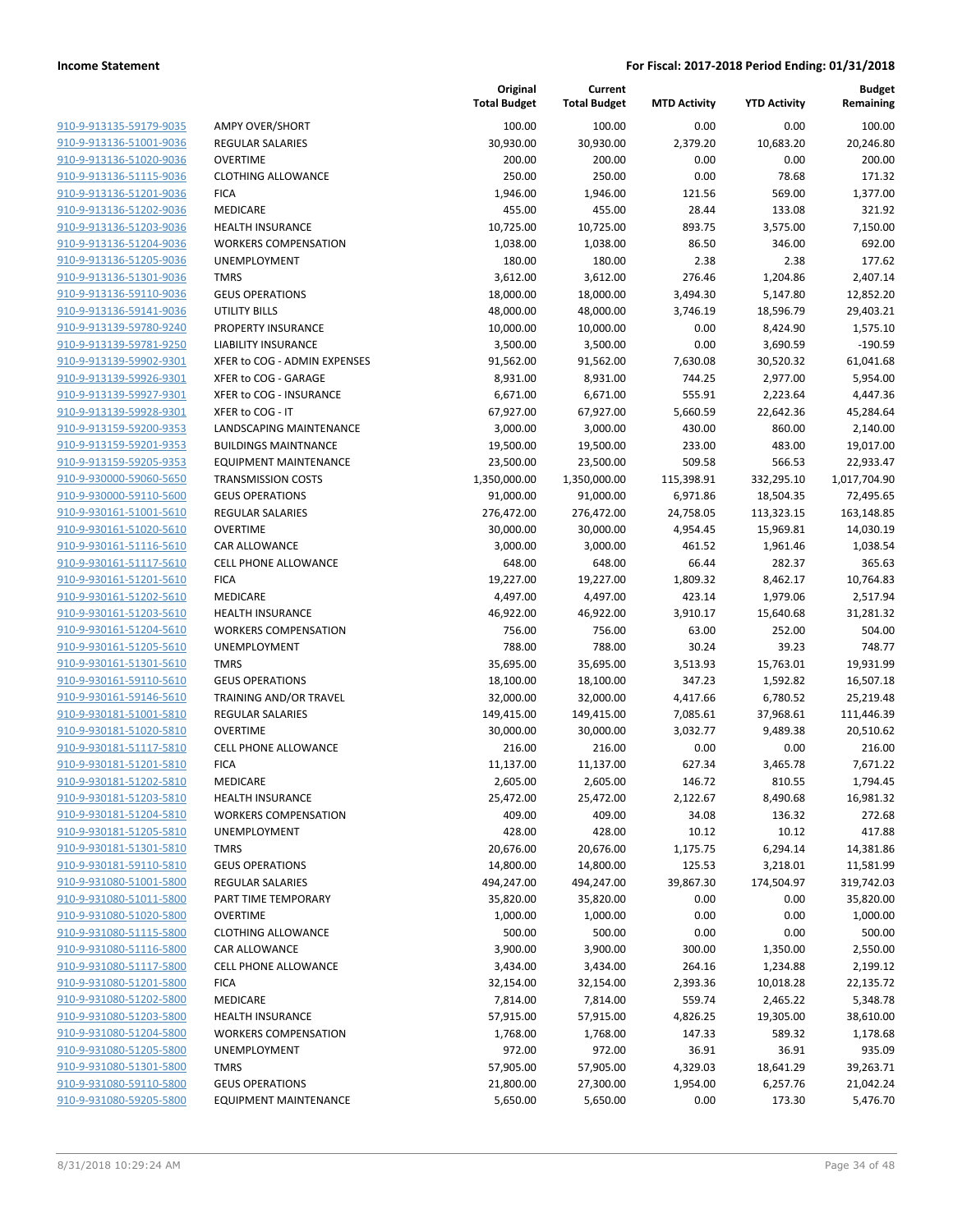| 910-9-913135-59179-9035                                   |
|-----------------------------------------------------------|
| 910-9-913136-51001-9036                                   |
| 910-9-913136-51020-9036                                   |
| 910-9-913136-51115-9036                                   |
| 910-9-913136-51201-9036                                   |
| 910-9-913136-51202-9036                                   |
| 910-9-913136-51203-9036                                   |
| 910-9-913136-51204-9036                                   |
| <u>910-9-913136-51205-9036</u>                            |
| 910-9-913136-51301-9036                                   |
| 910-9-913136-59110-9036                                   |
| 910-9-913136-59141-9036                                   |
| 910-9-913139-59780-9240                                   |
| 910-9-913139-59781-9250                                   |
| 910-9-913139-59902-9301                                   |
| 910-9-913139-59926-9301                                   |
| 910-9-913139-59927-9301                                   |
| 910-9-913139-59928-9301                                   |
| 910-9-913159-59200-9353                                   |
| 910-9-913159-59201-9353                                   |
| 910-9-913159-59205-9353                                   |
| 910-9-930000-59060-5650                                   |
| 910-9-930000-59110-5600                                   |
| <u>910-9-930161-51001-5610</u>                            |
|                                                           |
| <u>910-9-930161-51020-5610</u><br>910-9-930161-51116-5610 |
| 910-9-930161-51117-5610                                   |
|                                                           |
| 910-9-930161-51201-5610                                   |
| <u>910-9-930161-51202-5610</u>                            |
| 910-9-930161-51203-5610                                   |
| 910-9-930161-51204-5610                                   |
| 910-9-930161-51205-5610                                   |
| 910-9-930161-51301-5610                                   |
| 910-9-930161-59110-5610                                   |
| <u>910-9-930161-59146-5610</u>                            |
| 910-9-930181-51001-5810                                   |
| 910-9-930181-51020-5810                                   |
| 910-9-930181-51117-5810                                   |
| 910-9-930181-51201-5810                                   |
| 910-9-930181-51202-5810                                   |
| 910-9-930181-51203-5810                                   |
| 910-9-930181-51204-5810                                   |
| 910-9-930181-51205-5810                                   |
| 910-9-930181-51301-5810                                   |
| <u>910-9-930181-59110-5810</u>                            |
| 910-9-931080-51001-5800                                   |
| <u>910-9-931080-51011-5800</u>                            |
| 910-9-931080-51020-5800                                   |
| <u>910-9-931080-51115-5800</u>                            |
| <u>910-9-931080-51116-5800</u>                            |
| 910-9-931080-51117-5800                                   |
| 910-9-931080-51201-5800                                   |
| 910-9-931080-51202-5800                                   |
| 910-9-931080-51203-5800                                   |
| <u>910-9-931080-51204-5800</u>                            |
| <u>910-9-931080-51205-5800</u>                            |
| 910-9-931080-51301-5800                                   |
| 910-9-931080-59110-5800                                   |
| 910-9-931080-59205-5800                                   |
|                                                           |

|                                            | То                      |
|--------------------------------------------|-------------------------|
| <b>AMPY OVER/SHORT</b>                     |                         |
| <b>REGULAR SALARIES</b>                    |                         |
| <b>OVERTIME</b>                            |                         |
| <b>CLOTHING ALLOWANCE</b>                  |                         |
| <b>FICA</b>                                |                         |
| <b>MEDICARE</b>                            |                         |
| <b>HEALTH INSURANCE</b>                    |                         |
| <b>WORKERS COMPENSATION</b>                |                         |
| UNEMPLOYMENT                               |                         |
| <b>TMRS</b>                                |                         |
| <b>GEUS OPERATIONS</b>                     |                         |
| <b>UTILITY BILLS</b>                       |                         |
| PROPERTY INSURANCE                         |                         |
| <b>LIABILITY INSURANCE</b>                 |                         |
| XFER to COG - ADMIN EXPENSES               |                         |
| XFER to COG - GARAGE                       |                         |
| XFER to COG - INSURANCE                    |                         |
| XFER to COG - IT                           |                         |
| LANDSCAPING MAINTENANCE                    |                         |
| <b>BUILDINGS MAINTNANCE</b>                |                         |
| <b>EQUIPMENT MAINTENANCE</b>               |                         |
| <b>TRANSMISSION COSTS</b>                  | 1,                      |
| <b>GEUS OPERATIONS</b>                     |                         |
| <b>REGULAR SALARIES</b>                    | í                       |
| <b>OVERTIME</b>                            |                         |
| CAR ALLOWANCE                              |                         |
| <b>CELL PHONE ALLOWANCE</b><br><b>FICA</b> |                         |
| <b>MEDICARE</b>                            |                         |
| <b>HEALTH INSURANCE</b>                    |                         |
| <b>WORKERS COMPENSATION</b>                |                         |
| UNEMPLOYMENT                               |                         |
| <b>TMRS</b>                                |                         |
| <b>GEUS OPERATIONS</b>                     |                         |
| <b>TRAINING AND/OR TRAVEL</b>              |                         |
| <b>REGULAR SALARIES</b>                    |                         |
| <b>OVERTIME</b>                            |                         |
| <b>CELL PHONE ALLOWANCE</b>                |                         |
| <b>FICA</b>                                |                         |
| <b>MEDICARE</b>                            |                         |
| <b>HEALTH INSURANCE</b>                    |                         |
| <b>WORKERS COMPENSATION</b>                |                         |
| <b>UNEMPLOYMENT</b>                        |                         |
| <b>TMRS</b>                                |                         |
| <b>GEUS OPERATIONS</b>                     |                         |
| <b>REGULAR SALARIES</b>                    | $\overline{\mathbf{r}}$ |
| PART TIME TEMPORARY                        |                         |
| <b>OVERTIME</b>                            |                         |
| <b>CLOTHING ALLOWANCE</b>                  |                         |
| CAR ALLOWANCE                              |                         |
| <b>CELL PHONE ALLOWANCE</b>                |                         |
| <b>FICA</b>                                |                         |
| <b>MEDICARE</b>                            |                         |
| <b>HEALTH INSURANCE</b>                    |                         |
| <b>WORKERS COMPENSATION</b>                |                         |
| <b>UNEMPLOYMENT</b>                        |                         |
| <b>TMRS</b>                                |                         |
| <b>GEUS OPERATIONS</b>                     |                         |
| <b>EQUIPMENT MAINTENANCE</b>               |                         |

|                                                    |                                                        | Original<br><b>Total Budget</b> | Current<br><b>Total Budget</b> | <b>MTD Activity</b> | <b>YTD Activity</b>  | <b>Budget</b><br>Remaining |
|----------------------------------------------------|--------------------------------------------------------|---------------------------------|--------------------------------|---------------------|----------------------|----------------------------|
| 910-9-913135-59179-9035                            | <b>AMPY OVER/SHORT</b>                                 | 100.00                          | 100.00                         | 0.00                | 0.00                 | 100.00                     |
| 910-9-913136-51001-9036                            | <b>REGULAR SALARIES</b>                                | 30,930.00                       | 30,930.00                      | 2,379.20            | 10,683.20            | 20,246.80                  |
| 910-9-913136-51020-9036                            | <b>OVERTIME</b>                                        | 200.00                          | 200.00                         | 0.00                | 0.00                 | 200.00                     |
| 910-9-913136-51115-9036                            | <b>CLOTHING ALLOWANCE</b>                              | 250.00                          | 250.00                         | 0.00                | 78.68                | 171.32                     |
| 910-9-913136-51201-9036                            | <b>FICA</b>                                            | 1,946.00                        | 1,946.00                       | 121.56              | 569.00               | 1,377.00                   |
| 910-9-913136-51202-9036                            | MEDICARE                                               | 455.00                          | 455.00                         | 28.44               | 133.08               | 321.92                     |
| 910-9-913136-51203-9036                            | <b>HEALTH INSURANCE</b>                                | 10,725.00                       | 10,725.00                      | 893.75              | 3,575.00             | 7,150.00                   |
| 910-9-913136-51204-9036                            | <b>WORKERS COMPENSATION</b>                            | 1,038.00                        | 1,038.00                       | 86.50               | 346.00               | 692.00                     |
| 910-9-913136-51205-9036                            | UNEMPLOYMENT                                           | 180.00                          | 180.00                         | 2.38                | 2.38                 | 177.62                     |
| 910-9-913136-51301-9036                            | <b>TMRS</b>                                            | 3,612.00                        | 3,612.00                       | 276.46              | 1,204.86             | 2,407.14                   |
| 910-9-913136-59110-9036                            | <b>GEUS OPERATIONS</b>                                 | 18,000.00                       | 18,000.00                      | 3,494.30            | 5,147.80             | 12,852.20                  |
| 910-9-913136-59141-9036                            | UTILITY BILLS                                          | 48,000.00                       | 48,000.00                      | 3,746.19            | 18,596.79            | 29,403.21                  |
| 910-9-913139-59780-9240                            | PROPERTY INSURANCE                                     | 10,000.00                       | 10,000.00                      | 0.00                | 8,424.90             | 1,575.10                   |
| 910-9-913139-59781-9250                            | <b>LIABILITY INSURANCE</b>                             | 3,500.00                        | 3,500.00                       | 0.00                | 3,690.59             | $-190.59$                  |
| 910-9-913139-59902-9301                            | XFER to COG - ADMIN EXPENSES                           | 91,562.00                       | 91,562.00                      | 7,630.08            | 30,520.32            | 61,041.68                  |
| 910-9-913139-59926-9301                            | XFER to COG - GARAGE                                   | 8,931.00                        | 8,931.00                       | 744.25              | 2,977.00             | 5,954.00                   |
| 910-9-913139-59927-9301                            | XFER to COG - INSURANCE                                | 6,671.00                        | 6,671.00                       | 555.91              | 2,223.64             | 4,447.36                   |
| 910-9-913139-59928-9301                            | XFER to COG - IT                                       | 67,927.00                       | 67,927.00                      | 5,660.59            | 22,642.36            | 45,284.64                  |
| 910-9-913159-59200-9353                            | <b>LANDSCAPING MAINTENANCE</b>                         | 3,000.00                        | 3,000.00                       | 430.00              | 860.00               | 2,140.00                   |
| 910-9-913159-59201-9353                            | <b>BUILDINGS MAINTNANCE</b>                            | 19,500.00                       | 19,500.00                      | 233.00              | 483.00               | 19,017.00                  |
| 910-9-913159-59205-9353                            | <b>EQUIPMENT MAINTENANCE</b>                           | 23,500.00                       | 23,500.00                      | 509.58              | 566.53               | 22,933.47                  |
| 910-9-930000-59060-5650                            | <b>TRANSMISSION COSTS</b>                              | 1,350,000.00                    | 1,350,000.00                   | 115,398.91          | 332,295.10           | 1,017,704.90               |
| 910-9-930000-59110-5600                            | <b>GEUS OPERATIONS</b>                                 | 91,000.00                       | 91,000.00                      | 6,971.86            | 18,504.35            | 72,495.65                  |
| 910-9-930161-51001-5610                            | <b>REGULAR SALARIES</b>                                | 276,472.00                      | 276,472.00                     | 24,758.05           | 113,323.15           | 163,148.85                 |
| 910-9-930161-51020-5610                            | <b>OVERTIME</b>                                        | 30,000.00                       | 30,000.00                      | 4,954.45            | 15,969.81            | 14,030.19                  |
| 910-9-930161-51116-5610                            | CAR ALLOWANCE                                          | 3,000.00                        | 3,000.00                       | 461.52              | 1,961.46             | 1,038.54                   |
| 910-9-930161-51117-5610                            | <b>CELL PHONE ALLOWANCE</b>                            | 648.00                          | 648.00                         | 66.44               | 282.37               | 365.63                     |
| 910-9-930161-51201-5610                            | <b>FICA</b>                                            | 19,227.00                       | 19,227.00                      | 1,809.32            | 8,462.17             | 10,764.83                  |
| 910-9-930161-51202-5610                            | MEDICARE                                               | 4,497.00                        | 4,497.00                       | 423.14              | 1,979.06             | 2,517.94                   |
| 910-9-930161-51203-5610                            | <b>HEALTH INSURANCE</b>                                | 46,922.00                       | 46,922.00                      | 3,910.17            | 15,640.68            | 31,281.32                  |
| 910-9-930161-51204-5610                            | <b>WORKERS COMPENSATION</b>                            | 756.00                          | 756.00                         | 63.00               | 252.00               | 504.00                     |
| 910-9-930161-51205-5610                            | UNEMPLOYMENT                                           | 788.00                          | 788.00                         | 30.24               | 39.23                | 748.77                     |
| 910-9-930161-51301-5610                            | <b>TMRS</b>                                            | 35,695.00                       | 35,695.00                      | 3,513.93            | 15,763.01            | 19,931.99                  |
| 910-9-930161-59110-5610                            | <b>GEUS OPERATIONS</b>                                 | 18,100.00                       | 18,100.00                      | 347.23              | 1,592.82             | 16,507.18                  |
| 910-9-930161-59146-5610                            | TRAINING AND/OR TRAVEL                                 | 32,000.00                       | 32,000.00                      | 4,417.66            | 6,780.52             | 25,219.48                  |
| 910-9-930181-51001-5810                            | <b>REGULAR SALARIES</b>                                | 149,415.00                      | 149,415.00                     | 7,085.61            | 37,968.61            | 111,446.39                 |
| 910-9-930181-51020-5810                            | <b>OVERTIME</b>                                        | 30,000.00                       | 30,000.00                      | 3,032.77            | 9,489.38             | 20,510.62                  |
| 910-9-930181-51117-5810                            | <b>CELL PHONE ALLOWANCE</b>                            | 216.00                          | 216.00                         | 0.00                | 0.00                 | 216.00                     |
| 910-9-930181-51201-5810                            | <b>FICA</b>                                            | 11,137.00                       | 11,137.00                      | 627.34              | 3,465.78             | 7,671.22                   |
| 910-9-930181-51202-5810                            | <b>MEDICARE</b>                                        | 2,605.00                        | 2,605.00                       | 146.72              | 810.55               | 1,794.45                   |
| 910-9-930181-51203-5810                            | <b>HEALTH INSURANCE</b><br><b>WORKERS COMPENSATION</b> | 25,472.00                       | 25,472.00                      | 2,122.67            | 8,490.68             | 16,981.32                  |
| 910-9-930181-51204-5810                            |                                                        | 409.00                          | 409.00                         | 34.08               | 136.32               | 272.68                     |
| 910-9-930181-51205-5810<br>910-9-930181-51301-5810 | UNEMPLOYMENT<br><b>TMRS</b>                            | 428.00                          | 428.00                         | 10.12               | 10.12                | 417.88                     |
| 910-9-930181-59110-5810                            | <b>GEUS OPERATIONS</b>                                 | 20,676.00<br>14,800.00          | 20,676.00<br>14,800.00         | 1,175.75<br>125.53  | 6,294.14<br>3,218.01 | 14,381.86<br>11,581.99     |
| 910-9-931080-51001-5800                            | REGULAR SALARIES                                       | 494,247.00                      | 494,247.00                     | 39,867.30           | 174,504.97           | 319,742.03                 |
| 910-9-931080-51011-5800                            | PART TIME TEMPORARY                                    | 35,820.00                       | 35,820.00                      | 0.00                | 0.00                 | 35,820.00                  |
| 910-9-931080-51020-5800                            | <b>OVERTIME</b>                                        | 1,000.00                        | 1,000.00                       | 0.00                | 0.00                 | 1,000.00                   |
| 910-9-931080-51115-5800                            | <b>CLOTHING ALLOWANCE</b>                              | 500.00                          | 500.00                         | 0.00                | 0.00                 | 500.00                     |
| 910-9-931080-51116-5800                            | CAR ALLOWANCE                                          | 3,900.00                        | 3,900.00                       | 300.00              | 1,350.00             | 2,550.00                   |
| 910-9-931080-51117-5800                            | <b>CELL PHONE ALLOWANCE</b>                            | 3,434.00                        | 3,434.00                       | 264.16              | 1,234.88             | 2,199.12                   |
| 910-9-931080-51201-5800                            | <b>FICA</b>                                            | 32,154.00                       | 32,154.00                      | 2,393.36            | 10,018.28            | 22,135.72                  |
| 910-9-931080-51202-5800                            | MEDICARE                                               | 7,814.00                        | 7,814.00                       | 559.74              | 2,465.22             | 5,348.78                   |
| 910-9-931080-51203-5800                            | <b>HEALTH INSURANCE</b>                                | 57,915.00                       | 57,915.00                      | 4,826.25            | 19,305.00            | 38,610.00                  |
| 910-9-931080-51204-5800                            | <b>WORKERS COMPENSATION</b>                            | 1,768.00                        | 1,768.00                       | 147.33              | 589.32               | 1,178.68                   |
| 910-9-931080-51205-5800                            | UNEMPLOYMENT                                           | 972.00                          | 972.00                         | 36.91               | 36.91                | 935.09                     |
| 910-9-931080-51301-5800                            | <b>TMRS</b>                                            | 57,905.00                       | 57,905.00                      | 4,329.03            | 18,641.29            | 39,263.71                  |
| 910-9-931080-59110-5800                            | <b>GEUS OPERATIONS</b>                                 | 21,800.00                       | 27,300.00                      | 1,954.00            | 6,257.76             | 21,042.24                  |
| 910-9-931080-59205-5800                            | <b>EQUIPMENT MAINTENANCE</b>                           | 5,650.00                        | 5,650.00                       | 0.00                | 173.30               | 5,476.70                   |
|                                                    |                                                        |                                 |                                |                     |                      |                            |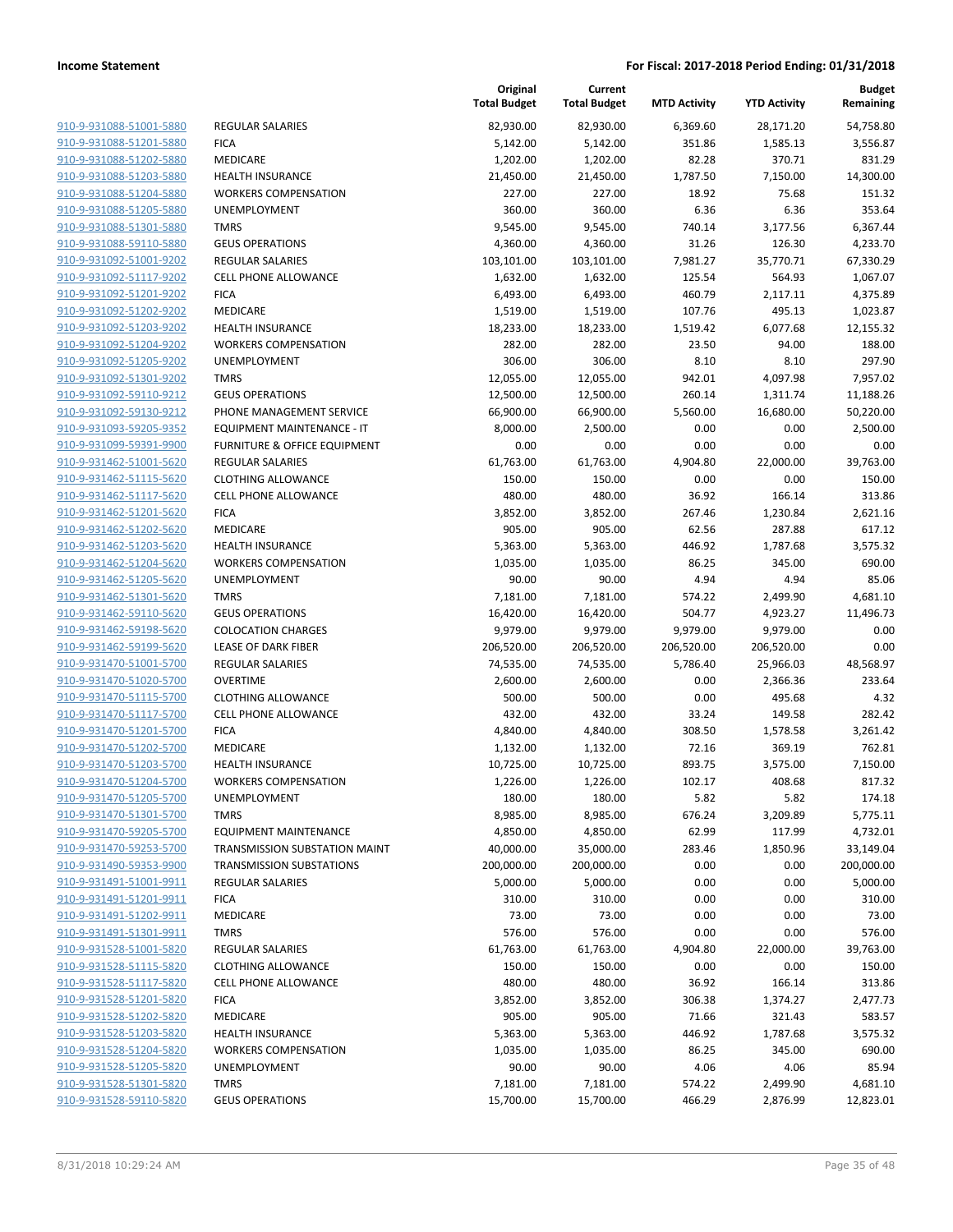| 910-9-931088-51001-5880        |
|--------------------------------|
| 910-9-931088-51201-5880        |
| 910-9-931088-51202-5880        |
| 910-9-931088-51203-5880        |
| 910-9-931088-51204-5880        |
| 910-9-931088-51205-5880        |
| 910-9-931088-51301-5880        |
| 910-9-931088-59110-5880        |
| 910-9-931092-51001-9202        |
| 910-9-931092-51117-9202        |
| 910-9-931092-51201-9202        |
| 910-9-931092-51202-9202        |
| 910-9-931092-51203-9202        |
| 910-9-931092-51204-9202        |
| 910-9-931092-51205-9202        |
| 910-9-931092-51301-9202        |
| 910-9-931092-59110-9212        |
| 910-9-931092-59130-9212        |
| 910-9-931093-59205-9352        |
| 910-9-931099-59391-9900        |
| 910-9-931462-51001-5620        |
| 910-9-931462-51115-5620        |
| 910-9-931462-51117-5620        |
| 910-9-931462-51201-5620        |
| 910-9-931462-51202-5620        |
| 910-9-931462-51203-5620        |
| 910-9-931462-51204-5620        |
| 910-9-931462-51205-5620        |
| 910-9-931462-51301-5620        |
| 910-9-931462-59110-5620        |
| 910-9-931462-59198-5620        |
| 910-9-931462-59199-5620        |
| 910-9-931470-51001-5700        |
| 910-9-931470-51020-5700        |
| 910-9-931470-51115-5700        |
| 910-9-931470-51117-5700        |
| 910-9-931470-51201-5700        |
| 910-9-931470-51202-5700        |
| 910-9-931470-51203-5700        |
| 910-9-931470-51204-5700        |
| 910-9-931470-51205-5700        |
| 910-9-931470-51301-5700        |
| 910-9-931470-59205-5700        |
| 910-9-931470-59253-5700        |
| 910-9-931490-59353-9900        |
| <u>910-9-931491-51001-9911</u> |
| 910-9-931491-51201-9911        |
| 910-9-931491-51202-9911        |
| 910-9-931491-51301-9911        |
| 910-9-931528-51001-5820        |
| 910-9-931528-51115-5820        |
| 910-9-931528-51117-5820        |
| 910-9-931528-51201-5820        |
| 910-9-931528-51202-5820        |
| 910-9-931528-51203-5820        |
| 910-9-931528-51204-5820        |
| 910-9-931528-51205-5820        |
| 910-9-931528-51301-5820        |
| 910-9-931528-59110-5820        |
|                                |

|                         |                                   | Original<br><b>Total Budget</b> | Current<br><b>Total Budget</b> | <b>MTD Activity</b> | <b>YTD Activity</b> | <b>Budget</b><br>Remaining |
|-------------------------|-----------------------------------|---------------------------------|--------------------------------|---------------------|---------------------|----------------------------|
| 910-9-931088-51001-5880 | <b>REGULAR SALARIES</b>           | 82,930.00                       | 82,930.00                      | 6,369.60            | 28,171.20           | 54,758.80                  |
| 910-9-931088-51201-5880 | <b>FICA</b>                       | 5,142.00                        | 5,142.00                       | 351.86              | 1,585.13            | 3,556.87                   |
| 910-9-931088-51202-5880 | <b>MEDICARE</b>                   | 1,202.00                        | 1,202.00                       | 82.28               | 370.71              | 831.29                     |
| 910-9-931088-51203-5880 | <b>HEALTH INSURANCE</b>           | 21,450.00                       | 21,450.00                      | 1,787.50            | 7,150.00            | 14,300.00                  |
| 910-9-931088-51204-5880 | <b>WORKERS COMPENSATION</b>       | 227.00                          | 227.00                         | 18.92               | 75.68               | 151.32                     |
| 910-9-931088-51205-5880 | <b>UNEMPLOYMENT</b>               | 360.00                          | 360.00                         | 6.36                | 6.36                | 353.64                     |
| 910-9-931088-51301-5880 | <b>TMRS</b>                       | 9,545.00                        | 9,545.00                       | 740.14              | 3,177.56            | 6,367.44                   |
| 910-9-931088-59110-5880 | <b>GEUS OPERATIONS</b>            | 4,360.00                        | 4,360.00                       | 31.26               | 126.30              | 4,233.70                   |
| 910-9-931092-51001-9202 | <b>REGULAR SALARIES</b>           | 103,101.00                      | 103,101.00                     | 7,981.27            | 35,770.71           | 67,330.29                  |
| 910-9-931092-51117-9202 | <b>CELL PHONE ALLOWANCE</b>       | 1,632.00                        | 1,632.00                       | 125.54              | 564.93              | 1,067.07                   |
| 910-9-931092-51201-9202 | <b>FICA</b>                       | 6,493.00                        | 6,493.00                       | 460.79              | 2,117.11            | 4,375.89                   |
| 910-9-931092-51202-9202 | <b>MEDICARE</b>                   | 1,519.00                        | 1,519.00                       | 107.76              | 495.13              | 1,023.87                   |
| 910-9-931092-51203-9202 | HEALTH INSURANCE                  | 18,233.00                       | 18,233.00                      | 1,519.42            | 6,077.68            | 12,155.32                  |
| 910-9-931092-51204-9202 | <b>WORKERS COMPENSATION</b>       | 282.00                          | 282.00                         | 23.50               | 94.00               | 188.00                     |
| 910-9-931092-51205-9202 | UNEMPLOYMENT                      | 306.00                          | 306.00                         | 8.10                | 8.10                | 297.90                     |
| 910-9-931092-51301-9202 | <b>TMRS</b>                       | 12,055.00                       | 12,055.00                      | 942.01              | 4,097.98            | 7,957.02                   |
| 910-9-931092-59110-9212 | <b>GEUS OPERATIONS</b>            | 12,500.00                       | 12,500.00                      | 260.14              | 1,311.74            | 11,188.26                  |
| 910-9-931092-59130-9212 | PHONE MANAGEMENT SERVICE          | 66,900.00                       | 66,900.00                      | 5,560.00            | 16,680.00           | 50,220.00                  |
| 910-9-931093-59205-9352 | <b>EQUIPMENT MAINTENANCE - IT</b> | 8,000.00                        | 2,500.00                       | 0.00                | 0.00                | 2,500.00                   |
| 910-9-931099-59391-9900 | FURNITURE & OFFICE EQUIPMENT      | 0.00                            | 0.00                           | 0.00                | 0.00                | 0.00                       |
| 910-9-931462-51001-5620 | <b>REGULAR SALARIES</b>           | 61,763.00                       | 61,763.00                      | 4,904.80            | 22,000.00           | 39,763.00                  |
| 910-9-931462-51115-5620 | <b>CLOTHING ALLOWANCE</b>         | 150.00                          | 150.00                         | 0.00                | 0.00                | 150.00                     |
| 910-9-931462-51117-5620 | <b>CELL PHONE ALLOWANCE</b>       | 480.00                          | 480.00                         | 36.92               | 166.14              | 313.86                     |
| 910-9-931462-51201-5620 | <b>FICA</b>                       | 3,852.00                        | 3,852.00                       | 267.46              | 1,230.84            | 2,621.16                   |
| 910-9-931462-51202-5620 | <b>MEDICARE</b>                   | 905.00                          | 905.00                         | 62.56               | 287.88              | 617.12                     |
| 910-9-931462-51203-5620 | <b>HEALTH INSURANCE</b>           | 5,363.00                        | 5,363.00                       | 446.92              | 1,787.68            | 3,575.32                   |
| 910-9-931462-51204-5620 | <b>WORKERS COMPENSATION</b>       | 1,035.00                        | 1,035.00                       | 86.25               | 345.00              | 690.00                     |
| 910-9-931462-51205-5620 | UNEMPLOYMENT                      | 90.00                           | 90.00                          | 4.94                | 4.94                | 85.06                      |
| 910-9-931462-51301-5620 | <b>TMRS</b>                       | 7,181.00                        | 7,181.00                       | 574.22              | 2,499.90            | 4,681.10                   |
| 910-9-931462-59110-5620 | <b>GEUS OPERATIONS</b>            | 16,420.00                       | 16,420.00                      | 504.77              | 4,923.27            | 11,496.73                  |
| 910-9-931462-59198-5620 | <b>COLOCATION CHARGES</b>         | 9,979.00                        | 9,979.00                       | 9,979.00            | 9,979.00            | 0.00                       |
| 910-9-931462-59199-5620 | <b>LEASE OF DARK FIBER</b>        | 206,520.00                      | 206,520.00                     | 206,520.00          | 206,520.00          | 0.00                       |
| 910-9-931470-51001-5700 | <b>REGULAR SALARIES</b>           | 74,535.00                       | 74,535.00                      | 5,786.40            | 25,966.03           | 48,568.97                  |
| 910-9-931470-51020-5700 | <b>OVERTIME</b>                   | 2,600.00                        | 2,600.00                       | 0.00                | 2,366.36            | 233.64                     |
| 910-9-931470-51115-5700 | <b>CLOTHING ALLOWANCE</b>         | 500.00                          | 500.00                         | 0.00                | 495.68              | 4.32                       |
| 910-9-931470-51117-5700 | <b>CELL PHONE ALLOWANCE</b>       | 432.00                          | 432.00                         | 33.24               | 149.58              | 282.42                     |
| 910-9-931470-51201-5700 | <b>FICA</b>                       | 4,840.00                        | 4,840.00                       | 308.50              | 1,578.58            | 3,261.42                   |
| 910-9-931470-51202-5700 | <b>MEDICARE</b>                   | 1,132.00                        | 1,132.00                       | 72.16               | 369.19              | 762.81                     |
| 910-9-931470-51203-5700 | <b>HEALTH INSURANCE</b>           | 10,725.00                       | 10,725.00                      | 893.75              | 3,575.00            | 7,150.00                   |
| 910-9-931470-51204-5700 | <b>WORKERS COMPENSATION</b>       | 1,226.00                        | 1,226.00                       | 102.17              | 408.68              | 817.32                     |
| 910-9-931470-51205-5700 | <b>UNEMPLOYMENT</b>               | 180.00                          | 180.00                         | 5.82                | 5.82                | 174.18                     |
| 910-9-931470-51301-5700 | <b>TMRS</b>                       | 8,985.00                        | 8,985.00                       | 676.24              | 3,209.89            | 5,775.11                   |
| 910-9-931470-59205-5700 | <b>EQUIPMENT MAINTENANCE</b>      | 4,850.00                        | 4,850.00                       | 62.99               | 117.99              | 4,732.01                   |
| 910-9-931470-59253-5700 | TRANSMISSION SUBSTATION MAINT     | 40,000.00                       | 35,000.00                      | 283.46              | 1,850.96            | 33,149.04                  |
| 910-9-931490-59353-9900 | <b>TRANSMISSION SUBSTATIONS</b>   | 200,000.00                      | 200,000.00                     | 0.00                | 0.00                | 200,000.00                 |
| 910-9-931491-51001-9911 | <b>REGULAR SALARIES</b>           | 5,000.00                        | 5,000.00                       | 0.00                | 0.00                | 5,000.00                   |
| 910-9-931491-51201-9911 | <b>FICA</b>                       | 310.00                          | 310.00                         | 0.00                | 0.00                | 310.00                     |
| 910-9-931491-51202-9911 | <b>MEDICARE</b>                   | 73.00                           | 73.00                          | 0.00                | 0.00                | 73.00                      |
| 910-9-931491-51301-9911 | <b>TMRS</b>                       | 576.00                          | 576.00                         | 0.00                | 0.00                | 576.00                     |
| 910-9-931528-51001-5820 | REGULAR SALARIES                  | 61,763.00                       | 61,763.00                      | 4,904.80            | 22,000.00           | 39,763.00                  |
| 910-9-931528-51115-5820 | <b>CLOTHING ALLOWANCE</b>         | 150.00                          | 150.00                         | 0.00                | 0.00                | 150.00                     |
| 910-9-931528-51117-5820 | <b>CELL PHONE ALLOWANCE</b>       | 480.00                          | 480.00                         | 36.92               | 166.14              | 313.86                     |
| 910-9-931528-51201-5820 | <b>FICA</b>                       | 3,852.00                        | 3,852.00                       | 306.38              | 1,374.27            | 2,477.73                   |
| 910-9-931528-51202-5820 | <b>MEDICARE</b>                   | 905.00                          | 905.00                         | 71.66               | 321.43              | 583.57                     |
| 910-9-931528-51203-5820 | <b>HEALTH INSURANCE</b>           | 5,363.00                        | 5,363.00                       | 446.92              | 1,787.68            | 3,575.32                   |
| 910-9-931528-51204-5820 | <b>WORKERS COMPENSATION</b>       | 1,035.00                        | 1,035.00                       | 86.25               | 345.00              | 690.00                     |
| 910-9-931528-51205-5820 | UNEMPLOYMENT                      | 90.00                           | 90.00                          | 4.06                | 4.06                | 85.94                      |
| 910-9-931528-51301-5820 | <b>TMRS</b>                       | 7,181.00                        | 7,181.00                       | 574.22              | 2,499.90            | 4,681.10                   |
| 910-9-931528-59110-5820 | <b>GEUS OPERATIONS</b>            | 15,700.00                       | 15,700.00                      | 466.29              | 2,876.99            | 12,823.01                  |
|                         |                                   |                                 |                                |                     |                     |                            |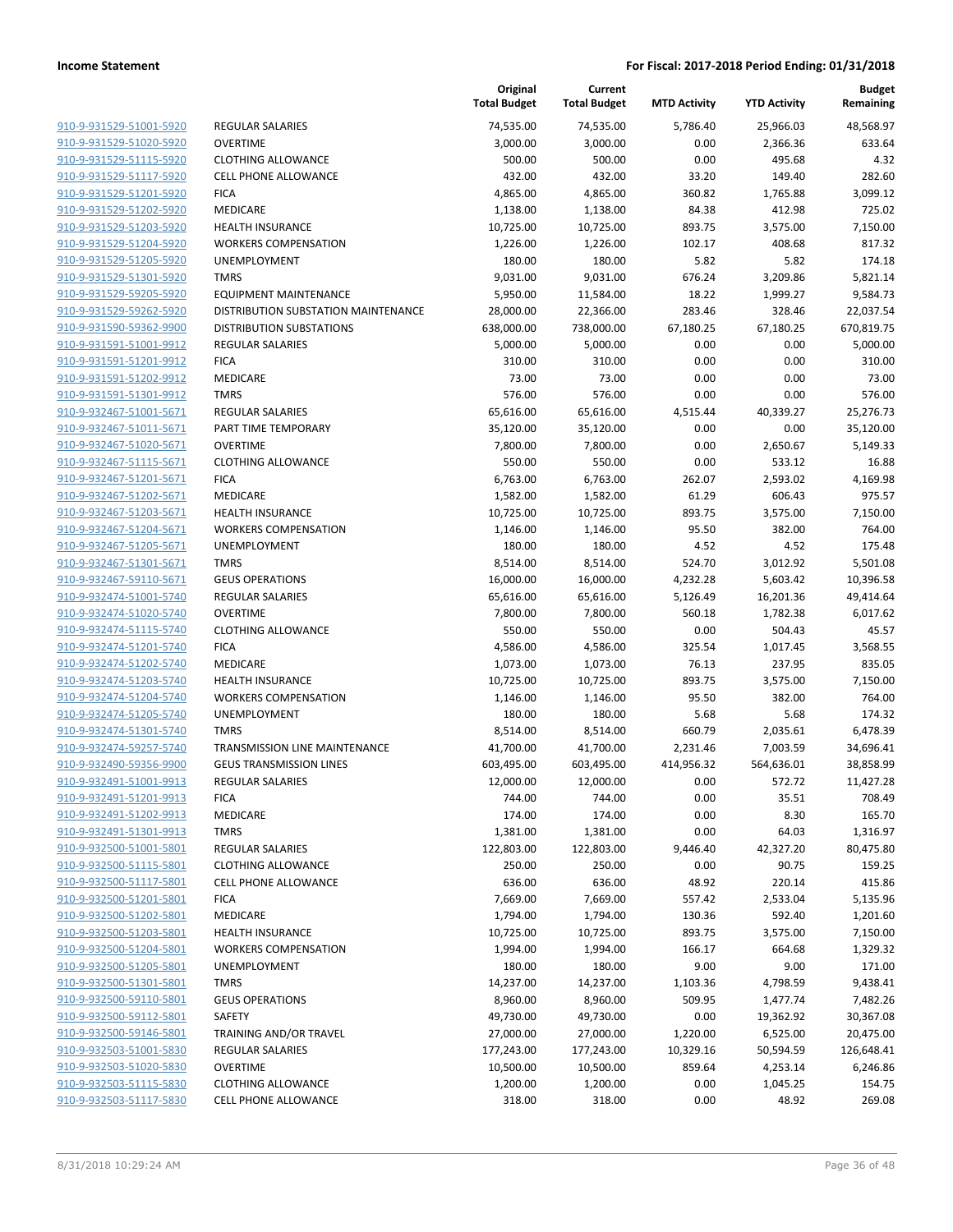|                         |                                      | Original<br><b>Total Budget</b> | Current<br><b>Total Budget</b> | <b>MTD Activity</b> | <b>YTD Activity</b> | <b>Budget</b><br>Remaining |
|-------------------------|--------------------------------------|---------------------------------|--------------------------------|---------------------|---------------------|----------------------------|
| 910-9-931529-51001-5920 | <b>REGULAR SALARIES</b>              | 74,535.00                       | 74,535.00                      | 5,786.40            | 25,966.03           | 48,568.97                  |
| 910-9-931529-51020-5920 | <b>OVERTIME</b>                      | 3,000.00                        | 3,000.00                       | 0.00                | 2,366.36            | 633.64                     |
| 910-9-931529-51115-5920 | <b>CLOTHING ALLOWANCE</b>            | 500.00                          | 500.00                         | 0.00                | 495.68              | 4.32                       |
| 910-9-931529-51117-5920 | <b>CELL PHONE ALLOWANCE</b>          | 432.00                          | 432.00                         | 33.20               | 149.40              | 282.60                     |
| 910-9-931529-51201-5920 | <b>FICA</b>                          | 4,865.00                        | 4,865.00                       | 360.82              | 1,765.88            | 3,099.12                   |
| 910-9-931529-51202-5920 | MEDICARE                             | 1,138.00                        | 1,138.00                       | 84.38               | 412.98              | 725.02                     |
| 910-9-931529-51203-5920 | <b>HEALTH INSURANCE</b>              | 10,725.00                       | 10,725.00                      | 893.75              | 3,575.00            | 7,150.00                   |
| 910-9-931529-51204-5920 | <b>WORKERS COMPENSATION</b>          | 1,226.00                        | 1,226.00                       | 102.17              | 408.68              | 817.32                     |
| 910-9-931529-51205-5920 | UNEMPLOYMENT                         | 180.00                          | 180.00                         | 5.82                | 5.82                | 174.18                     |
| 910-9-931529-51301-5920 | <b>TMRS</b>                          | 9,031.00                        | 9,031.00                       | 676.24              | 3,209.86            | 5,821.14                   |
| 910-9-931529-59205-5920 | <b>EQUIPMENT MAINTENANCE</b>         | 5,950.00                        | 11,584.00                      | 18.22               | 1,999.27            | 9,584.73                   |
| 910-9-931529-59262-5920 | DISTRIBUTION SUBSTATION MAINTENANCE  | 28,000.00                       | 22,366.00                      | 283.46              | 328.46              | 22,037.54                  |
| 910-9-931590-59362-9900 | <b>DISTRIBUTION SUBSTATIONS</b>      | 638,000.00                      | 738,000.00                     | 67,180.25           | 67,180.25           | 670,819.75                 |
| 910-9-931591-51001-9912 | <b>REGULAR SALARIES</b>              | 5,000.00                        | 5,000.00                       | 0.00                | 0.00                | 5,000.00                   |
| 910-9-931591-51201-9912 | <b>FICA</b>                          | 310.00                          | 310.00                         | 0.00                | 0.00                | 310.00                     |
| 910-9-931591-51202-9912 | <b>MEDICARE</b>                      | 73.00                           | 73.00                          | 0.00                | 0.00                | 73.00                      |
| 910-9-931591-51301-9912 | <b>TMRS</b>                          | 576.00                          | 576.00                         | 0.00                | 0.00                | 576.00                     |
| 910-9-932467-51001-5671 | REGULAR SALARIES                     | 65,616.00                       | 65,616.00                      | 4,515.44            | 40,339.27           | 25,276.73                  |
| 910-9-932467-51011-5671 | PART TIME TEMPORARY                  | 35,120.00                       | 35,120.00                      | 0.00                | 0.00                | 35,120.00                  |
| 910-9-932467-51020-5671 | <b>OVERTIME</b>                      | 7,800.00                        | 7,800.00                       | 0.00                | 2,650.67            | 5,149.33                   |
| 910-9-932467-51115-5671 | <b>CLOTHING ALLOWANCE</b>            | 550.00                          | 550.00                         | 0.00                | 533.12              | 16.88                      |
| 910-9-932467-51201-5671 | <b>FICA</b>                          | 6,763.00                        | 6,763.00                       | 262.07              | 2,593.02            | 4,169.98                   |
| 910-9-932467-51202-5671 | MEDICARE                             | 1,582.00                        | 1,582.00                       | 61.29               | 606.43              | 975.57                     |
| 910-9-932467-51203-5671 | <b>HEALTH INSURANCE</b>              | 10,725.00                       | 10,725.00                      | 893.75              | 3,575.00            | 7,150.00                   |
| 910-9-932467-51204-5671 | <b>WORKERS COMPENSATION</b>          | 1,146.00                        | 1,146.00                       | 95.50               | 382.00              | 764.00                     |
| 910-9-932467-51205-5671 | UNEMPLOYMENT                         | 180.00                          | 180.00                         | 4.52                | 4.52                | 175.48                     |
| 910-9-932467-51301-5671 | <b>TMRS</b>                          | 8,514.00                        | 8,514.00                       | 524.70              | 3,012.92            | 5,501.08                   |
| 910-9-932467-59110-5671 | <b>GEUS OPERATIONS</b>               | 16,000.00                       | 16,000.00                      | 4,232.28            | 5,603.42            | 10,396.58                  |
| 910-9-932474-51001-5740 | <b>REGULAR SALARIES</b>              | 65,616.00                       | 65,616.00                      | 5,126.49            | 16,201.36           | 49,414.64                  |
| 910-9-932474-51020-5740 | <b>OVERTIME</b>                      | 7,800.00                        | 7,800.00                       | 560.18              | 1,782.38            | 6,017.62                   |
| 910-9-932474-51115-5740 | <b>CLOTHING ALLOWANCE</b>            | 550.00                          | 550.00                         | 0.00                | 504.43              | 45.57                      |
| 910-9-932474-51201-5740 | <b>FICA</b>                          | 4,586.00                        | 4,586.00                       | 325.54              | 1,017.45            | 3,568.55                   |
| 910-9-932474-51202-5740 | MEDICARE                             | 1,073.00                        | 1,073.00                       | 76.13               | 237.95              | 835.05                     |
| 910-9-932474-51203-5740 | <b>HEALTH INSURANCE</b>              | 10,725.00                       | 10,725.00                      | 893.75              | 3,575.00            | 7,150.00                   |
| 910-9-932474-51204-5740 | <b>WORKERS COMPENSATION</b>          | 1,146.00                        | 1,146.00                       | 95.50               | 382.00              | 764.00                     |
| 910-9-932474-51205-5740 | UNEMPLOYMENT                         | 180.00                          | 180.00                         | 5.68                | 5.68                | 174.32                     |
| 910-9-932474-51301-5740 | <b>TMRS</b>                          | 8,514.00                        | 8,514.00                       | 660.79              | 2,035.61            | 6,478.39                   |
| 910-9-932474-59257-5740 | <b>TRANSMISSION LINE MAINTENANCE</b> | 41,700.00                       | 41,700.00                      | 2,231.46            | 7,003.59            | 34,696.41                  |
| 910-9-932490-59356-9900 | <b>GEUS TRANSMISSION LINES</b>       | 603,495.00                      | 603,495.00                     | 414,956.32          | 564,636.01          | 38,858.99                  |
| 910-9-932491-51001-9913 | <b>REGULAR SALARIES</b>              | 12,000.00                       | 12,000.00                      | 0.00                | 572.72              | 11,427.28                  |
| 910-9-932491-51201-9913 | <b>FICA</b>                          | 744.00                          | 744.00                         | 0.00                | 35.51               | 708.49                     |
| 910-9-932491-51202-9913 | MEDICARE                             | 174.00                          | 174.00                         | 0.00                | 8.30                | 165.70                     |
| 910-9-932491-51301-9913 | <b>TMRS</b>                          | 1,381.00                        | 1,381.00                       | 0.00                | 64.03               | 1,316.97                   |
| 910-9-932500-51001-5801 | <b>REGULAR SALARIES</b>              | 122,803.00                      | 122,803.00                     | 9,446.40            | 42,327.20           | 80,475.80                  |
| 910-9-932500-51115-5801 | <b>CLOTHING ALLOWANCE</b>            | 250.00                          | 250.00                         | 0.00                | 90.75               | 159.25                     |
| 910-9-932500-51117-5801 | <b>CELL PHONE ALLOWANCE</b>          | 636.00                          | 636.00                         | 48.92               | 220.14              | 415.86                     |
| 910-9-932500-51201-5801 | <b>FICA</b>                          | 7,669.00                        | 7,669.00                       | 557.42              | 2,533.04            | 5,135.96                   |
| 910-9-932500-51202-5801 | MEDICARE                             | 1,794.00                        | 1,794.00                       | 130.36              | 592.40              | 1,201.60                   |
| 910-9-932500-51203-5801 | <b>HEALTH INSURANCE</b>              | 10,725.00                       | 10,725.00                      | 893.75              | 3,575.00            | 7,150.00                   |
| 910-9-932500-51204-5801 | <b>WORKERS COMPENSATION</b>          | 1,994.00                        | 1,994.00                       | 166.17              | 664.68              | 1,329.32                   |
| 910-9-932500-51205-5801 | UNEMPLOYMENT                         | 180.00                          | 180.00                         | 9.00                | 9.00                | 171.00                     |
| 910-9-932500-51301-5801 | <b>TMRS</b>                          | 14,237.00                       | 14,237.00                      | 1,103.36            | 4,798.59            | 9,438.41                   |
| 910-9-932500-59110-5801 | <b>GEUS OPERATIONS</b>               | 8,960.00                        | 8,960.00                       | 509.95              | 1,477.74            | 7,482.26                   |
| 910-9-932500-59112-5801 | SAFETY                               | 49,730.00                       | 49,730.00                      | 0.00                | 19,362.92           | 30,367.08                  |
| 910-9-932500-59146-5801 | TRAINING AND/OR TRAVEL               | 27,000.00                       | 27,000.00                      | 1,220.00            | 6,525.00            | 20,475.00                  |
| 910-9-932503-51001-5830 | REGULAR SALARIES                     | 177,243.00                      | 177,243.00                     | 10,329.16           | 50,594.59           | 126,648.41                 |
| 910-9-932503-51020-5830 | <b>OVERTIME</b>                      | 10,500.00                       | 10,500.00                      | 859.64              | 4,253.14            | 6,246.86                   |
| 910-9-932503-51115-5830 | <b>CLOTHING ALLOWANCE</b>            | 1,200.00                        | 1,200.00                       | 0.00                | 1,045.25            | 154.75                     |
| 910-9-932503-51117-5830 | CELL PHONE ALLOWANCE                 | 318.00                          | 318.00                         | 0.00                | 48.92               | 269.08                     |
|                         |                                      |                                 |                                |                     |                     |                            |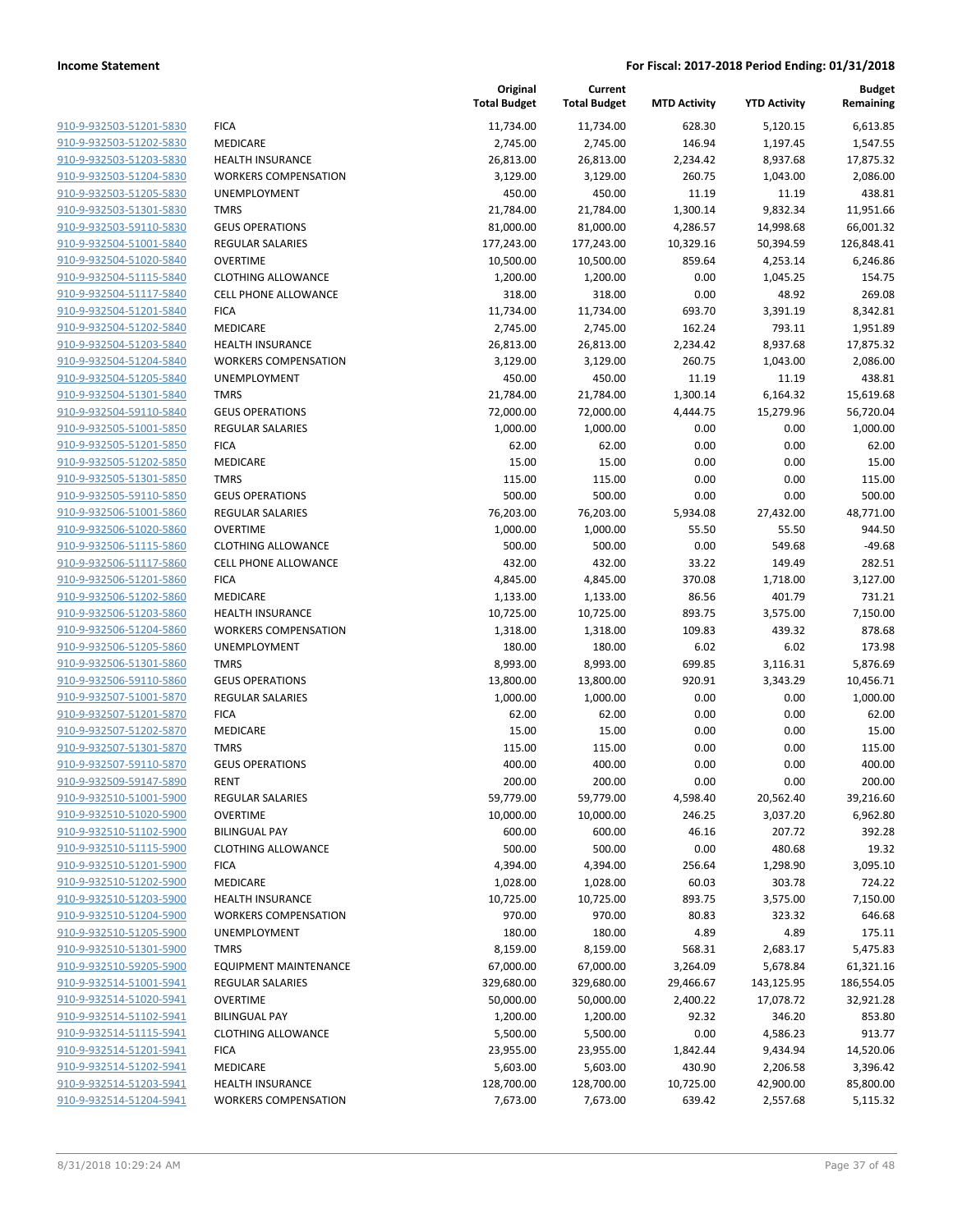|                         |                              | Original<br><b>Total Budget</b> | Current<br><b>Total Budget</b> | <b>MTD Activity</b> | <b>YTD Activity</b> | <b>Budget</b><br>Remaining |
|-------------------------|------------------------------|---------------------------------|--------------------------------|---------------------|---------------------|----------------------------|
| 910-9-932503-51201-5830 | <b>FICA</b>                  | 11,734.00                       | 11,734.00                      | 628.30              | 5,120.15            | 6,613.85                   |
| 910-9-932503-51202-5830 | MEDICARE                     | 2,745.00                        | 2,745.00                       | 146.94              | 1,197.45            | 1,547.55                   |
| 910-9-932503-51203-5830 | <b>HEALTH INSURANCE</b>      | 26,813.00                       | 26,813.00                      | 2,234.42            | 8,937.68            | 17,875.32                  |
| 910-9-932503-51204-5830 | <b>WORKERS COMPENSATION</b>  | 3,129.00                        | 3,129.00                       | 260.75              | 1,043.00            | 2,086.00                   |
| 910-9-932503-51205-5830 | <b>UNEMPLOYMENT</b>          | 450.00                          | 450.00                         | 11.19               | 11.19               | 438.81                     |
| 910-9-932503-51301-5830 | <b>TMRS</b>                  | 21,784.00                       | 21,784.00                      | 1,300.14            | 9,832.34            | 11,951.66                  |
| 910-9-932503-59110-5830 | <b>GEUS OPERATIONS</b>       | 81,000.00                       | 81,000.00                      | 4,286.57            | 14,998.68           | 66,001.32                  |
| 910-9-932504-51001-5840 | REGULAR SALARIES             | 177,243.00                      | 177,243.00                     | 10,329.16           | 50,394.59           | 126,848.41                 |
| 910-9-932504-51020-5840 | <b>OVERTIME</b>              | 10,500.00                       | 10,500.00                      | 859.64              | 4,253.14            | 6,246.86                   |
| 910-9-932504-51115-5840 | <b>CLOTHING ALLOWANCE</b>    | 1,200.00                        | 1,200.00                       | 0.00                | 1,045.25            | 154.75                     |
| 910-9-932504-51117-5840 | <b>CELL PHONE ALLOWANCE</b>  | 318.00                          | 318.00                         | 0.00                | 48.92               | 269.08                     |
| 910-9-932504-51201-5840 | <b>FICA</b>                  | 11,734.00                       | 11,734.00                      | 693.70              | 3,391.19            | 8,342.81                   |
| 910-9-932504-51202-5840 | MEDICARE                     | 2,745.00                        | 2,745.00                       | 162.24              | 793.11              | 1,951.89                   |
| 910-9-932504-51203-5840 | <b>HEALTH INSURANCE</b>      | 26,813.00                       | 26,813.00                      | 2,234.42            | 8,937.68            | 17,875.32                  |
| 910-9-932504-51204-5840 | <b>WORKERS COMPENSATION</b>  | 3,129.00                        | 3,129.00                       | 260.75              | 1,043.00            | 2,086.00                   |
| 910-9-932504-51205-5840 | UNEMPLOYMENT                 | 450.00                          | 450.00                         | 11.19               | 11.19               | 438.81                     |
| 910-9-932504-51301-5840 | <b>TMRS</b>                  | 21,784.00                       | 21,784.00                      | 1,300.14            | 6,164.32            | 15,619.68                  |
| 910-9-932504-59110-5840 | <b>GEUS OPERATIONS</b>       | 72,000.00                       | 72,000.00                      | 4,444.75            | 15,279.96           | 56,720.04                  |
| 910-9-932505-51001-5850 | <b>REGULAR SALARIES</b>      | 1,000.00                        | 1,000.00                       | 0.00                | 0.00                | 1,000.00                   |
| 910-9-932505-51201-5850 | <b>FICA</b>                  | 62.00                           | 62.00                          | 0.00                | 0.00                | 62.00                      |
| 910-9-932505-51202-5850 | <b>MEDICARE</b>              | 15.00                           | 15.00                          | 0.00                | 0.00                | 15.00                      |
| 910-9-932505-51301-5850 | <b>TMRS</b>                  | 115.00                          | 115.00                         | 0.00                | 0.00                | 115.00                     |
| 910-9-932505-59110-5850 | <b>GEUS OPERATIONS</b>       | 500.00                          | 500.00                         | 0.00                | 0.00                | 500.00                     |
| 910-9-932506-51001-5860 | <b>REGULAR SALARIES</b>      | 76,203.00                       | 76,203.00                      | 5,934.08            | 27,432.00           | 48,771.00                  |
| 910-9-932506-51020-5860 | <b>OVERTIME</b>              | 1,000.00                        | 1,000.00                       | 55.50               | 55.50               | 944.50                     |
| 910-9-932506-51115-5860 | <b>CLOTHING ALLOWANCE</b>    | 500.00                          | 500.00                         | 0.00                | 549.68              | $-49.68$                   |
| 910-9-932506-51117-5860 | CELL PHONE ALLOWANCE         | 432.00                          | 432.00                         | 33.22               | 149.49              | 282.51                     |
| 910-9-932506-51201-5860 | <b>FICA</b>                  | 4,845.00                        | 4,845.00                       | 370.08              | 1,718.00            | 3,127.00                   |
| 910-9-932506-51202-5860 | MEDICARE                     | 1,133.00                        | 1,133.00                       | 86.56               | 401.79              | 731.21                     |
| 910-9-932506-51203-5860 | <b>HEALTH INSURANCE</b>      | 10,725.00                       | 10,725.00                      | 893.75              | 3,575.00            | 7,150.00                   |
| 910-9-932506-51204-5860 | <b>WORKERS COMPENSATION</b>  | 1,318.00                        | 1,318.00                       | 109.83              | 439.32              | 878.68                     |
| 910-9-932506-51205-5860 | UNEMPLOYMENT                 | 180.00                          | 180.00                         | 6.02                | 6.02                | 173.98                     |
| 910-9-932506-51301-5860 | <b>TMRS</b>                  | 8,993.00                        | 8,993.00                       | 699.85              | 3,116.31            | 5,876.69                   |
| 910-9-932506-59110-5860 | <b>GEUS OPERATIONS</b>       | 13,800.00                       | 13,800.00                      | 920.91              | 3,343.29            | 10,456.71                  |
| 910-9-932507-51001-5870 | <b>REGULAR SALARIES</b>      | 1,000.00                        | 1,000.00                       | 0.00                | 0.00                | 1,000.00                   |
| 910-9-932507-51201-5870 | <b>FICA</b>                  | 62.00                           | 62.00                          | 0.00                | 0.00                | 62.00                      |
| 910-9-932507-51202-5870 | MEDICARE                     | 15.00                           | 15.00                          | 0.00                | 0.00                | 15.00                      |
| 910-9-932507-51301-5870 | <b>TMRS</b>                  | 115.00                          | 115.00                         | 0.00                | 0.00                | 115.00                     |
| 910-9-932507-59110-5870 | <b>GEUS OPERATIONS</b>       | 400.00                          | 400.00                         | 0.00                | 0.00                | 400.00                     |
| 910-9-932509-59147-5890 | <b>RENT</b>                  | 200.00                          | 200.00                         | 0.00                | 0.00                | 200.00                     |
| 910-9-932510-51001-5900 | <b>REGULAR SALARIES</b>      | 59,779.00                       | 59,779.00                      | 4,598.40            | 20,562.40           | 39,216.60                  |
| 910-9-932510-51020-5900 | <b>OVERTIME</b>              | 10,000.00                       | 10,000.00                      | 246.25              | 3,037.20            | 6,962.80                   |
| 910-9-932510-51102-5900 | <b>BILINGUAL PAY</b>         | 600.00                          | 600.00                         | 46.16               | 207.72              | 392.28                     |
| 910-9-932510-51115-5900 | <b>CLOTHING ALLOWANCE</b>    | 500.00                          | 500.00                         | 0.00                | 480.68              | 19.32                      |
| 910-9-932510-51201-5900 | <b>FICA</b>                  | 4,394.00                        | 4,394.00                       | 256.64              | 1,298.90            | 3,095.10                   |
| 910-9-932510-51202-5900 | <b>MEDICARE</b>              | 1,028.00                        | 1,028.00                       | 60.03               | 303.78              | 724.22                     |
| 910-9-932510-51203-5900 | <b>HEALTH INSURANCE</b>      | 10,725.00                       | 10,725.00                      | 893.75              | 3,575.00            | 7,150.00                   |
| 910-9-932510-51204-5900 | <b>WORKERS COMPENSATION</b>  | 970.00                          | 970.00                         | 80.83               | 323.32              | 646.68                     |
| 910-9-932510-51205-5900 | UNEMPLOYMENT                 | 180.00                          | 180.00                         | 4.89                | 4.89                | 175.11                     |
| 910-9-932510-51301-5900 | <b>TMRS</b>                  | 8,159.00                        | 8,159.00                       | 568.31              | 2,683.17            | 5,475.83                   |
| 910-9-932510-59205-5900 | <b>EQUIPMENT MAINTENANCE</b> | 67,000.00                       | 67,000.00                      | 3,264.09            | 5,678.84            | 61,321.16                  |
| 910-9-932514-51001-5941 | <b>REGULAR SALARIES</b>      | 329,680.00                      | 329,680.00                     | 29,466.67           | 143,125.95          | 186,554.05                 |
| 910-9-932514-51020-5941 | <b>OVERTIME</b>              | 50,000.00                       | 50,000.00                      | 2,400.22            | 17,078.72           | 32,921.28                  |
| 910-9-932514-51102-5941 | <b>BILINGUAL PAY</b>         | 1,200.00                        | 1,200.00                       | 92.32               | 346.20              | 853.80                     |
| 910-9-932514-51115-5941 | <b>CLOTHING ALLOWANCE</b>    | 5,500.00                        | 5,500.00                       | 0.00                | 4,586.23            | 913.77                     |
| 910-9-932514-51201-5941 | <b>FICA</b>                  | 23,955.00                       | 23,955.00                      | 1,842.44            | 9,434.94            | 14,520.06                  |
| 910-9-932514-51202-5941 | MEDICARE                     | 5,603.00                        | 5,603.00                       | 430.90              | 2,206.58            | 3,396.42                   |
| 910-9-932514-51203-5941 | HEALTH INSURANCE             | 128,700.00                      | 128,700.00                     | 10,725.00           | 42,900.00           | 85,800.00                  |
| 910-9-932514-51204-5941 | <b>WORKERS COMPENSATION</b>  | 7,673.00                        | 7,673.00                       | 639.42              | 2,557.68            | 5,115.32                   |
|                         |                              |                                 |                                |                     |                     |                            |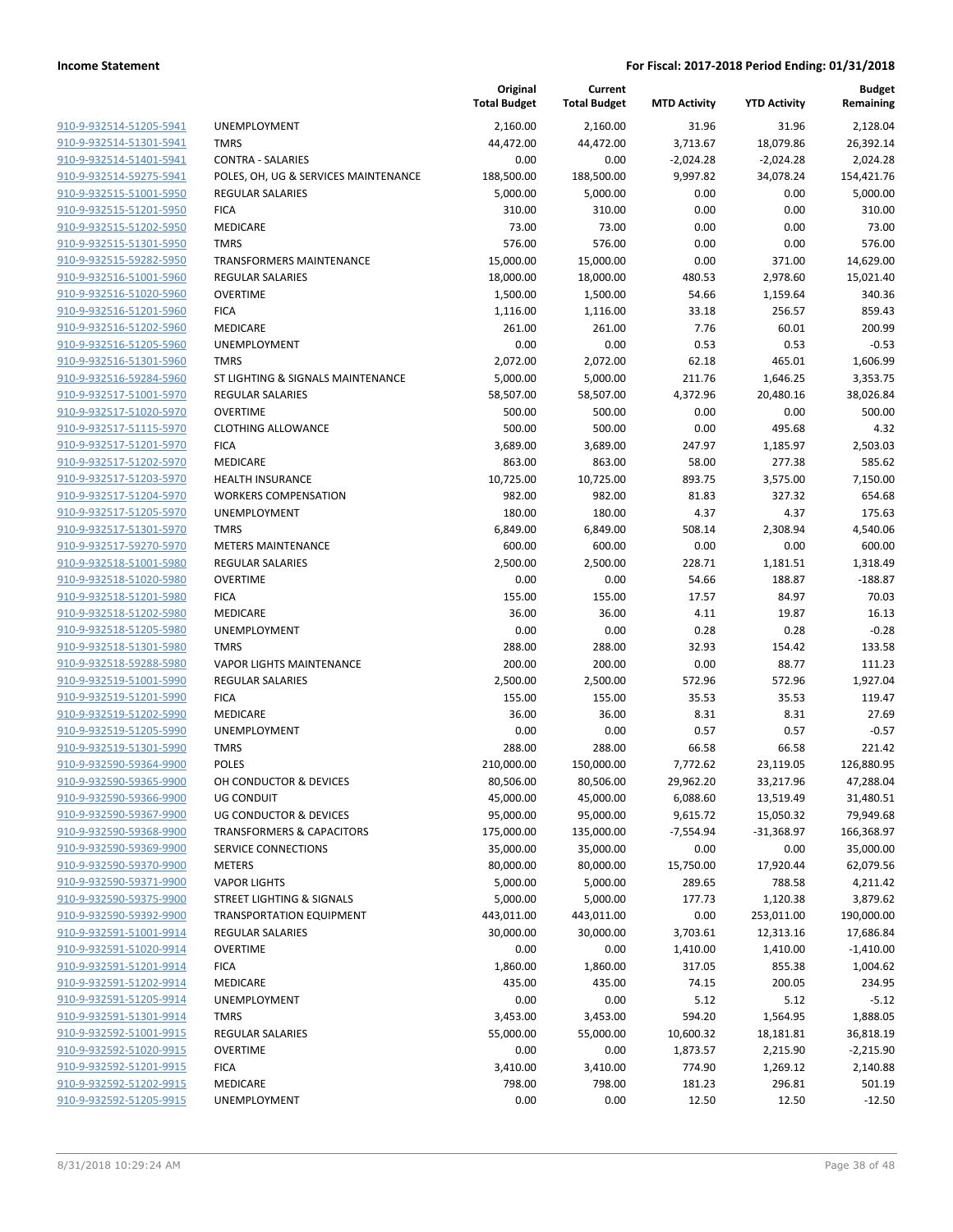|                                                    |                                                             | Original<br><b>Total Budget</b> | Current<br><b>Total Budget</b> | <b>MTD Activity</b> | <b>YTD Activity</b> | <b>Budget</b><br>Remaining |
|----------------------------------------------------|-------------------------------------------------------------|---------------------------------|--------------------------------|---------------------|---------------------|----------------------------|
| 910-9-932514-51205-5941                            | UNEMPLOYMENT                                                | 2,160.00                        | 2,160.00                       | 31.96               | 31.96               | 2,128.04                   |
| 910-9-932514-51301-5941                            | <b>TMRS</b>                                                 | 44,472.00                       | 44,472.00                      | 3,713.67            | 18,079.86           | 26,392.14                  |
| 910-9-932514-51401-5941                            | <b>CONTRA - SALARIES</b>                                    | 0.00                            | 0.00                           | $-2,024.28$         | $-2,024.28$         | 2,024.28                   |
| 910-9-932514-59275-5941                            | POLES, OH, UG & SERVICES MAINTENANCE                        | 188,500.00                      | 188,500.00                     | 9,997.82            | 34,078.24           | 154,421.76                 |
| 910-9-932515-51001-5950                            | <b>REGULAR SALARIES</b>                                     | 5,000.00                        | 5,000.00                       | 0.00                | 0.00                | 5,000.00                   |
| 910-9-932515-51201-5950                            | <b>FICA</b>                                                 | 310.00                          | 310.00                         | 0.00                | 0.00                | 310.00                     |
| 910-9-932515-51202-5950                            | MEDICARE                                                    | 73.00                           | 73.00                          | 0.00                | 0.00                | 73.00                      |
| 910-9-932515-51301-5950                            | <b>TMRS</b>                                                 | 576.00                          | 576.00                         | 0.00                | 0.00                | 576.00                     |
| 910-9-932515-59282-5950                            | TRANSFORMERS MAINTENANCE                                    | 15,000.00                       | 15,000.00                      | 0.00                | 371.00              | 14,629.00                  |
| 910-9-932516-51001-5960                            | <b>REGULAR SALARIES</b>                                     | 18,000.00                       | 18,000.00                      | 480.53              | 2,978.60            | 15,021.40                  |
| 910-9-932516-51020-5960                            | <b>OVERTIME</b>                                             | 1,500.00                        | 1,500.00                       | 54.66               | 1,159.64            | 340.36                     |
| 910-9-932516-51201-5960                            | <b>FICA</b>                                                 | 1,116.00                        | 1,116.00                       | 33.18               | 256.57              | 859.43                     |
| 910-9-932516-51202-5960                            | MEDICARE                                                    | 261.00                          | 261.00                         | 7.76                | 60.01               | 200.99                     |
| 910-9-932516-51205-5960                            | UNEMPLOYMENT                                                | 0.00                            | 0.00                           | 0.53                | 0.53                | $-0.53$                    |
| 910-9-932516-51301-5960                            | <b>TMRS</b>                                                 | 2,072.00                        | 2,072.00                       | 62.18               | 465.01              | 1,606.99                   |
| 910-9-932516-59284-5960                            | ST LIGHTING & SIGNALS MAINTENANCE                           | 5,000.00                        | 5,000.00                       | 211.76              | 1,646.25            | 3,353.75                   |
| 910-9-932517-51001-5970                            | REGULAR SALARIES                                            | 58,507.00                       | 58,507.00                      | 4,372.96            | 20,480.16           | 38,026.84                  |
| 910-9-932517-51020-5970                            | <b>OVERTIME</b>                                             | 500.00                          | 500.00                         | 0.00                | 0.00                | 500.00                     |
| 910-9-932517-51115-5970                            | <b>CLOTHING ALLOWANCE</b>                                   | 500.00                          | 500.00                         | 0.00                | 495.68              | 4.32                       |
| 910-9-932517-51201-5970                            | <b>FICA</b>                                                 | 3,689.00                        | 3,689.00                       | 247.97              | 1,185.97            | 2,503.03                   |
| 910-9-932517-51202-5970                            | <b>MEDICARE</b>                                             | 863.00                          | 863.00                         | 58.00               | 277.38              | 585.62                     |
| 910-9-932517-51203-5970                            | <b>HEALTH INSURANCE</b>                                     | 10,725.00                       | 10,725.00                      | 893.75              | 3,575.00            | 7,150.00                   |
| 910-9-932517-51204-5970                            | <b>WORKERS COMPENSATION</b>                                 | 982.00                          | 982.00                         | 81.83               | 327.32              | 654.68                     |
| 910-9-932517-51205-5970                            | UNEMPLOYMENT                                                | 180.00                          | 180.00                         | 4.37                | 4.37                | 175.63                     |
| 910-9-932517-51301-5970                            | <b>TMRS</b>                                                 | 6,849.00                        | 6,849.00                       | 508.14              | 2,308.94            | 4,540.06                   |
| 910-9-932517-59270-5970                            | <b>METERS MAINTENANCE</b>                                   | 600.00                          | 600.00                         | 0.00                | 0.00                | 600.00                     |
| 910-9-932518-51001-5980                            | REGULAR SALARIES                                            | 2,500.00                        | 2,500.00                       | 228.71              | 1,181.51            | 1,318.49                   |
| 910-9-932518-51020-5980                            | <b>OVERTIME</b>                                             | 0.00                            | 0.00                           | 54.66               | 188.87              | $-188.87$                  |
| 910-9-932518-51201-5980                            | <b>FICA</b>                                                 | 155.00                          | 155.00                         | 17.57               | 84.97               | 70.03                      |
| 910-9-932518-51202-5980                            | MEDICARE                                                    | 36.00                           | 36.00                          | 4.11                | 19.87               | 16.13                      |
| 910-9-932518-51205-5980                            | UNEMPLOYMENT                                                | 0.00                            | 0.00                           | 0.28                | 0.28                | $-0.28$                    |
| 910-9-932518-51301-5980                            | <b>TMRS</b>                                                 | 288.00                          | 288.00                         | 32.93               | 154.42              | 133.58                     |
| 910-9-932518-59288-5980                            | <b>VAPOR LIGHTS MAINTENANCE</b>                             | 200.00                          | 200.00                         | 0.00                | 88.77               | 111.23                     |
| 910-9-932519-51001-5990                            | <b>REGULAR SALARIES</b>                                     | 2,500.00                        | 2,500.00                       | 572.96              | 572.96              | 1,927.04                   |
| 910-9-932519-51201-5990                            | <b>FICA</b>                                                 | 155.00                          | 155.00                         | 35.53               | 35.53               | 119.47                     |
| 910-9-932519-51202-5990                            | MEDICARE                                                    | 36.00                           | 36.00                          | 8.31                | 8.31                | 27.69                      |
| 910-9-932519-51205-5990                            | <b>UNEMPLOYMENT</b>                                         | 0.00                            | 0.00                           | 0.57                | 0.57                | $-0.57$                    |
| 910-9-932519-51301-5990                            | <b>TMRS</b>                                                 | 288.00                          | 288.00                         | 66.58               | 66.58               | 221.42                     |
| 910-9-932590-59364-9900<br>910-9-932590-59365-9900 | <b>POLES</b>                                                | 210,000.00                      | 150,000.00                     | 7,772.62            | 23,119.05           | 126.880.95                 |
|                                                    | OH CONDUCTOR & DEVICES                                      | 80,506.00                       | 80,506.00                      | 29,962.20           | 33,217.96           | 47,288.04                  |
| 910-9-932590-59366-9900                            | <b>UG CONDUIT</b>                                           | 45,000.00                       | 45,000.00                      | 6,088.60            | 13,519.49           | 31,480.51                  |
| 910-9-932590-59367-9900<br>910-9-932590-59368-9900 | UG CONDUCTOR & DEVICES                                      | 95,000.00                       | 95,000.00                      | 9,615.72            | 15,050.32           | 79,949.68                  |
|                                                    | <b>TRANSFORMERS &amp; CAPACITORS</b>                        | 175,000.00                      | 135,000.00                     | $-7,554.94$         | $-31,368.97$        | 166,368.97                 |
| 910-9-932590-59369-9900                            | <b>SERVICE CONNECTIONS</b>                                  | 35,000.00                       | 35,000.00                      | 0.00                | 0.00                | 35,000.00                  |
| 910-9-932590-59370-9900                            | <b>METERS</b>                                               | 80,000.00                       | 80,000.00                      | 15,750.00           | 17,920.44           | 62,079.56                  |
| 910-9-932590-59371-9900<br>910-9-932590-59375-9900 | <b>VAPOR LIGHTS</b><br><b>STREET LIGHTING &amp; SIGNALS</b> | 5,000.00                        | 5,000.00                       | 289.65              | 788.58              | 4,211.42                   |
| 910-9-932590-59392-9900                            | <b>TRANSPORTATION EQUIPMENT</b>                             | 5,000.00                        | 5,000.00                       | 177.73              | 1,120.38            | 3,879.62                   |
| 910-9-932591-51001-9914                            | <b>REGULAR SALARIES</b>                                     | 443,011.00                      | 443,011.00<br>30,000.00        | 0.00                | 253,011.00          | 190,000.00                 |
| 910-9-932591-51020-9914                            | <b>OVERTIME</b>                                             | 30,000.00                       |                                | 3,703.61            | 12,313.16           | 17,686.84                  |
| 910-9-932591-51201-9914                            | <b>FICA</b>                                                 | 0.00                            | 0.00                           | 1,410.00            | 1,410.00            | $-1,410.00$                |
| 910-9-932591-51202-9914                            | MEDICARE                                                    | 1,860.00                        | 1,860.00                       | 317.05              | 855.38              | 1,004.62                   |
|                                                    |                                                             | 435.00                          | 435.00                         | 74.15               | 200.05              | 234.95                     |
| 910-9-932591-51205-9914                            | UNEMPLOYMENT                                                | 0.00                            | 0.00                           | 5.12                | 5.12                | $-5.12$                    |
| 910-9-932591-51301-9914                            | <b>TMRS</b>                                                 | 3,453.00                        | 3,453.00                       | 594.20              | 1,564.95            | 1,888.05                   |
| 910-9-932592-51001-9915                            | <b>REGULAR SALARIES</b>                                     | 55,000.00                       | 55,000.00                      | 10,600.32           | 18,181.81           | 36,818.19                  |
| 910-9-932592-51020-9915                            | <b>OVERTIME</b>                                             | 0.00                            | 0.00                           | 1,873.57            | 2,215.90            | $-2,215.90$                |
| 910-9-932592-51201-9915                            | <b>FICA</b>                                                 | 3,410.00                        | 3,410.00                       | 774.90              | 1,269.12            | 2,140.88                   |
| 910-9-932592-51202-9915                            | MEDICARE                                                    | 798.00                          | 798.00                         | 181.23              | 296.81              | 501.19                     |
| 910-9-932592-51205-9915                            | UNEMPLOYMENT                                                | 0.00                            | 0.00                           | 12.50               | 12.50               | $-12.50$                   |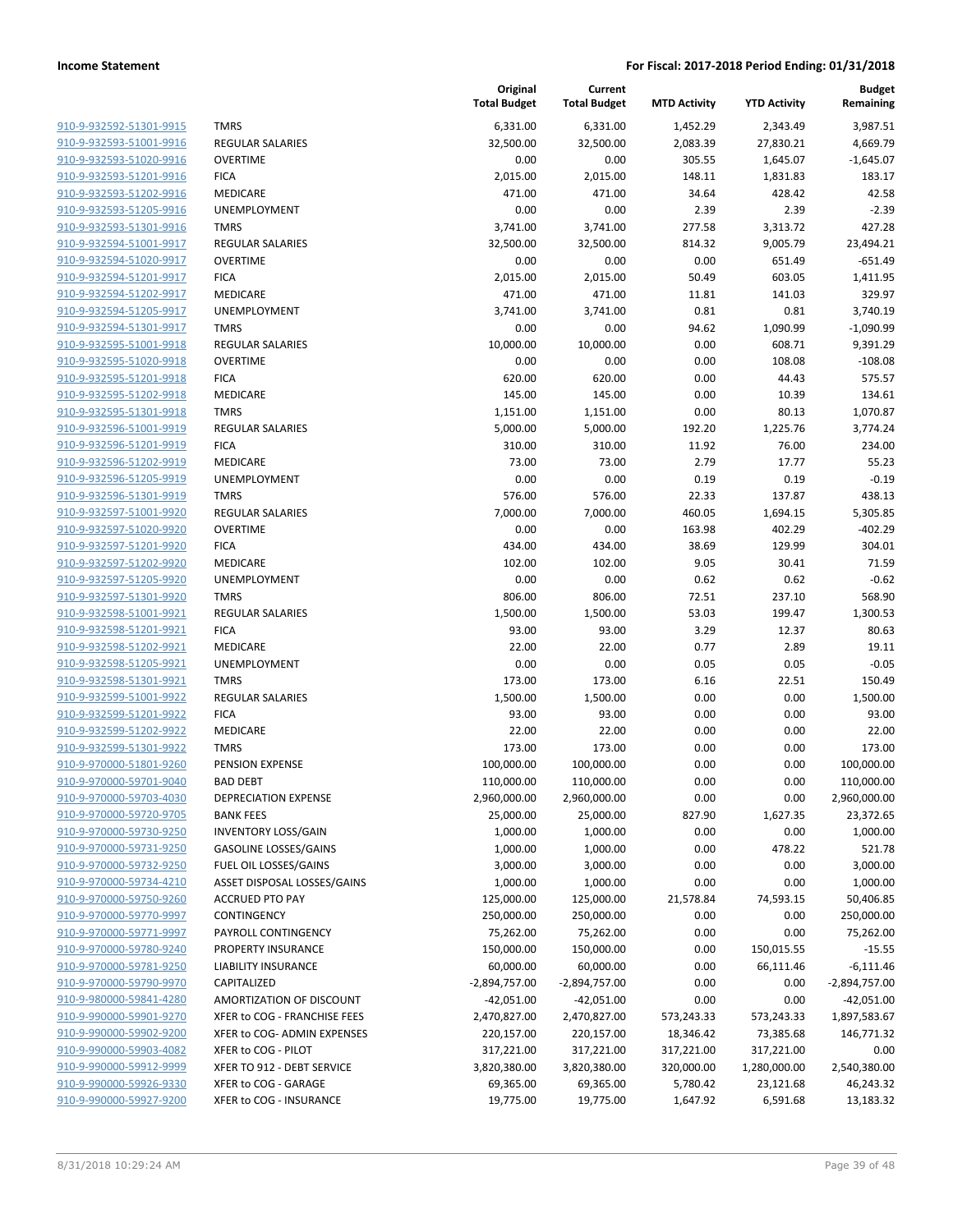| 910-9-932592-51301-9915                            |
|----------------------------------------------------|
| 910-9-932593-51001-9916                            |
| 910-9-932593-51020-9916                            |
| 910-9-932593-51201-9916                            |
| 910-9-932593-51202-9916                            |
| 910-9-932593-51205-9916                            |
| <u>910-9-932593-51301-9916</u>                     |
| <u>910-9-932594-51001-9917</u>                     |
| 910-9-932594-51020-9917                            |
| 910-9-932594-51201-9917                            |
| 910-9-932594-51202-9917                            |
| <u>910-9-932594-51205-9917</u>                     |
| 910-9-932594-51301-9917                            |
| 910-9-932595-51001-9918                            |
| 910-9-932595-51020-9918                            |
| 910-9-932595-51201-9918                            |
| <u>910-9-932595-51202-9918</u>                     |
| 910-9-932595-51301-9918                            |
| 910-9-932596-51001-9919                            |
|                                                    |
| 910-9-932596-51201-9919                            |
| 910-9-932596-51202-9919                            |
| <u>910-9-932596-51205-9919</u>                     |
| 910-9-932596-51301-9919                            |
| 910-9-932597-51001-9920                            |
| 910-9-932597-51020-9920                            |
| <u>910-9-932597-51201-9920</u>                     |
| <u>910-9-932597-51202-9920</u>                     |
| <u>910-9-932597-51205-9920</u>                     |
| 910-9-932597-51301-9920                            |
| 910-9-932598-51001-9921                            |
| 910-9-932598-51201-9921                            |
| 910-9-932598-51202-9921                            |
| <u>910-9-932598-51205-9921</u>                     |
| 910-9-932598-51301-9921                            |
| 910-9-932599-51001-9922                            |
| 910-9-932599-51201-9922                            |
| 910-9-932599-51202-9922                            |
| 910-9-932599-51301-9922                            |
| 910-9-970000-51801-9260                            |
| 910-9-970000-59701-9040                            |
| <u>910-9-970000-59703-4030</u>                     |
| 910-9-970000-59720-9705                            |
| 910-9-970000-59730-9250                            |
| 910-9-970000-59731-9250                            |
| 910-9-970000-59732-9250                            |
| 910-9-970000-59734-4210                            |
| 910-9-970000-59750-9260                            |
| 910-9-970000-59770-9997                            |
| 910-9-970000-59771-9997                            |
| 910-9-970000-59780-9240                            |
| 910-9-970000-59781-9250                            |
| 910-9-970000-59790-9970                            |
| 910-9-980000-59841-4280                            |
| 910-9-990000-59901-9270                            |
| 910-9-990000-59902-9200                            |
| 910-9-990000-59903-4082                            |
| <u>910-9-990000-59912-9999</u>                     |
|                                                    |
| 910-9-990000-59926-9330<br>910-9-990000-59927-9200 |
|                                                    |

|                         |                              | Original<br><b>Total Budget</b> | Current<br><b>Total Budget</b> | <b>MTD Activity</b> | <b>YTD Activity</b> | <b>Budget</b><br>Remaining |
|-------------------------|------------------------------|---------------------------------|--------------------------------|---------------------|---------------------|----------------------------|
| 910-9-932592-51301-9915 | <b>TMRS</b>                  | 6,331.00                        | 6,331.00                       | 1,452.29            | 2,343.49            | 3,987.51                   |
| 910-9-932593-51001-9916 | <b>REGULAR SALARIES</b>      | 32,500.00                       | 32,500.00                      | 2,083.39            | 27,830.21           | 4,669.79                   |
| 910-9-932593-51020-9916 | <b>OVERTIME</b>              | 0.00                            | 0.00                           | 305.55              | 1,645.07            | $-1,645.07$                |
| 910-9-932593-51201-9916 | <b>FICA</b>                  | 2,015.00                        | 2,015.00                       | 148.11              | 1,831.83            | 183.17                     |
| 910-9-932593-51202-9916 | <b>MEDICARE</b>              | 471.00                          | 471.00                         | 34.64               | 428.42              | 42.58                      |
| 910-9-932593-51205-9916 | <b>UNEMPLOYMENT</b>          | 0.00                            | 0.00                           | 2.39                | 2.39                | $-2.39$                    |
| 910-9-932593-51301-9916 | <b>TMRS</b>                  | 3,741.00                        | 3,741.00                       | 277.58              | 3,313.72            | 427.28                     |
| 910-9-932594-51001-9917 | <b>REGULAR SALARIES</b>      | 32,500.00                       | 32,500.00                      | 814.32              | 9,005.79            | 23,494.21                  |
| 910-9-932594-51020-9917 | <b>OVERTIME</b>              | 0.00                            | 0.00                           | 0.00                | 651.49              | $-651.49$                  |
| 910-9-932594-51201-9917 | <b>FICA</b>                  | 2,015.00                        | 2,015.00                       | 50.49               | 603.05              | 1,411.95                   |
| 910-9-932594-51202-9917 | <b>MEDICARE</b>              | 471.00                          | 471.00                         | 11.81               | 141.03              | 329.97                     |
| 910-9-932594-51205-9917 | <b>UNEMPLOYMENT</b>          | 3,741.00                        | 3,741.00                       | 0.81                | 0.81                | 3,740.19                   |
| 910-9-932594-51301-9917 | <b>TMRS</b>                  | 0.00                            | 0.00                           | 94.62               | 1,090.99            | $-1,090.99$                |
| 910-9-932595-51001-9918 | <b>REGULAR SALARIES</b>      | 10,000.00                       | 10,000.00                      | 0.00                | 608.71              | 9,391.29                   |
| 910-9-932595-51020-9918 | <b>OVERTIME</b>              | 0.00                            | 0.00                           | 0.00                | 108.08              | $-108.08$                  |
| 910-9-932595-51201-9918 | <b>FICA</b>                  | 620.00                          | 620.00                         | 0.00                | 44.43               | 575.57                     |
| 910-9-932595-51202-9918 | MEDICARE                     | 145.00                          | 145.00                         | 0.00                | 10.39               | 134.61                     |
| 910-9-932595-51301-9918 | <b>TMRS</b>                  | 1,151.00                        | 1,151.00                       | 0.00                | 80.13               | 1,070.87                   |
| 910-9-932596-51001-9919 | <b>REGULAR SALARIES</b>      | 5,000.00                        | 5,000.00                       | 192.20              | 1,225.76            | 3,774.24                   |
| 910-9-932596-51201-9919 | <b>FICA</b>                  | 310.00                          | 310.00                         | 11.92               | 76.00               | 234.00                     |
| 910-9-932596-51202-9919 | <b>MEDICARE</b>              | 73.00                           | 73.00                          | 2.79                | 17.77               | 55.23                      |
| 910-9-932596-51205-9919 | <b>UNEMPLOYMENT</b>          | 0.00                            | 0.00                           | 0.19                | 0.19                | $-0.19$                    |
| 910-9-932596-51301-9919 | <b>TMRS</b>                  | 576.00                          | 576.00                         | 22.33               | 137.87              | 438.13                     |
| 910-9-932597-51001-9920 | <b>REGULAR SALARIES</b>      | 7,000.00                        | 7,000.00                       | 460.05              | 1,694.15            | 5,305.85                   |
| 910-9-932597-51020-9920 | <b>OVERTIME</b>              | 0.00                            | 0.00                           | 163.98              | 402.29              | $-402.29$                  |
| 910-9-932597-51201-9920 | <b>FICA</b>                  | 434.00                          | 434.00                         | 38.69               | 129.99              | 304.01                     |
| 910-9-932597-51202-9920 | MEDICARE                     | 102.00                          | 102.00                         | 9.05                | 30.41               | 71.59                      |
| 910-9-932597-51205-9920 | UNEMPLOYMENT                 | 0.00                            | 0.00                           | 0.62                | 0.62                | $-0.62$                    |
| 910-9-932597-51301-9920 | <b>TMRS</b>                  | 806.00                          | 806.00                         | 72.51               | 237.10              | 568.90                     |
| 910-9-932598-51001-9921 | <b>REGULAR SALARIES</b>      | 1,500.00                        | 1,500.00                       | 53.03               | 199.47              | 1,300.53                   |
| 910-9-932598-51201-9921 | <b>FICA</b>                  | 93.00                           | 93.00                          | 3.29                | 12.37               | 80.63                      |
| 910-9-932598-51202-9921 | MEDICARE                     | 22.00                           | 22.00                          | 0.77                | 2.89                | 19.11                      |
| 910-9-932598-51205-9921 | UNEMPLOYMENT                 | 0.00                            | 0.00                           | 0.05                | 0.05                | $-0.05$                    |
| 910-9-932598-51301-9921 | <b>TMRS</b>                  | 173.00                          | 173.00                         | 6.16                | 22.51               | 150.49                     |
| 910-9-932599-51001-9922 | <b>REGULAR SALARIES</b>      | 1,500.00                        | 1,500.00                       | 0.00                | 0.00                | 1,500.00                   |
| 910-9-932599-51201-9922 | <b>FICA</b>                  | 93.00                           | 93.00                          | 0.00                | 0.00                | 93.00                      |
| 910-9-932599-51202-9922 | <b>MEDICARE</b>              | 22.00                           | 22.00                          | 0.00                | 0.00                | 22.00                      |
| 910-9-932599-51301-9922 | <b>TMRS</b>                  | 173.00                          | 173.00                         | 0.00                | 0.00                | 173.00                     |
| 910-9-970000-51801-9260 | PENSION EXPENSE              | 100,000.00                      | 100,000.00                     | 0.00                | 0.00                | 100,000.00                 |
| 910-9-970000-59701-9040 | <b>BAD DEBT</b>              | 110,000.00                      | 110,000.00                     | 0.00                | 0.00                | 110,000.00                 |
| 910-9-970000-59703-4030 | DEPRECIATION EXPENSE         | 2,960,000.00                    | 2,960,000.00                   | 0.00                | 0.00                | 2,960,000.00               |
| 910-9-970000-59720-9705 | <b>BANK FEES</b>             | 25,000.00                       | 25,000.00                      | 827.90              | 1,627.35            | 23,372.65                  |
| 910-9-970000-59730-9250 | <b>INVENTORY LOSS/GAIN</b>   | 1,000.00                        | 1,000.00                       | 0.00                | 0.00                | 1,000.00                   |
| 910-9-970000-59731-9250 | <b>GASOLINE LOSSES/GAINS</b> | 1,000.00                        | 1,000.00                       | 0.00                | 478.22              | 521.78                     |
| 910-9-970000-59732-9250 | FUEL OIL LOSSES/GAINS        | 3,000.00                        | 3,000.00                       | 0.00                | 0.00                | 3,000.00                   |
| 910-9-970000-59734-4210 | ASSET DISPOSAL LOSSES/GAINS  | 1,000.00                        | 1,000.00                       | 0.00                | 0.00                | 1,000.00                   |
| 910-9-970000-59750-9260 | <b>ACCRUED PTO PAY</b>       | 125,000.00                      | 125,000.00                     | 21,578.84           | 74,593.15           | 50,406.85                  |
| 910-9-970000-59770-9997 | CONTINGENCY                  | 250,000.00                      | 250,000.00                     | 0.00                | 0.00                | 250,000.00                 |
| 910-9-970000-59771-9997 | PAYROLL CONTINGENCY          | 75,262.00                       | 75,262.00                      | 0.00                | 0.00                | 75,262.00                  |
| 910-9-970000-59780-9240 | PROPERTY INSURANCE           | 150,000.00                      | 150,000.00                     | 0.00                | 150,015.55          | $-15.55$                   |
| 910-9-970000-59781-9250 | <b>LIABILITY INSURANCE</b>   | 60,000.00                       | 60,000.00                      | 0.00                | 66,111.46           | $-6,111.46$                |
| 910-9-970000-59790-9970 | CAPITALIZED                  | $-2,894,757.00$                 | $-2,894,757.00$                | 0.00                | 0.00                | $-2,894,757.00$            |
| 910-9-980000-59841-4280 | AMORTIZATION OF DISCOUNT     | $-42,051.00$                    | $-42,051.00$                   | 0.00                | 0.00                | $-42,051.00$               |
| 910-9-990000-59901-9270 | XFER to COG - FRANCHISE FEES | 2,470,827.00                    | 2,470,827.00                   | 573,243.33          | 573,243.33          | 1,897,583.67               |
| 910-9-990000-59902-9200 | XFER to COG- ADMIN EXPENSES  | 220,157.00                      | 220,157.00                     | 18,346.42           | 73,385.68           | 146,771.32                 |
| 910-9-990000-59903-4082 | XFER to COG - PILOT          | 317,221.00                      | 317,221.00                     | 317,221.00          | 317,221.00          | 0.00                       |
| 910-9-990000-59912-9999 | XFER TO 912 - DEBT SERVICE   | 3,820,380.00                    | 3,820,380.00                   | 320,000.00          | 1,280,000.00        | 2,540,380.00               |
| 910-9-990000-59926-9330 | XFER to COG - GARAGE         | 69,365.00                       | 69,365.00                      | 5,780.42            | 23,121.68           | 46,243.32                  |
| 910-9-990000-59927-9200 | XFER to COG - INSURANCE      | 19,775.00                       | 19,775.00                      | 1,647.92            | 6,591.68            | 13,183.32                  |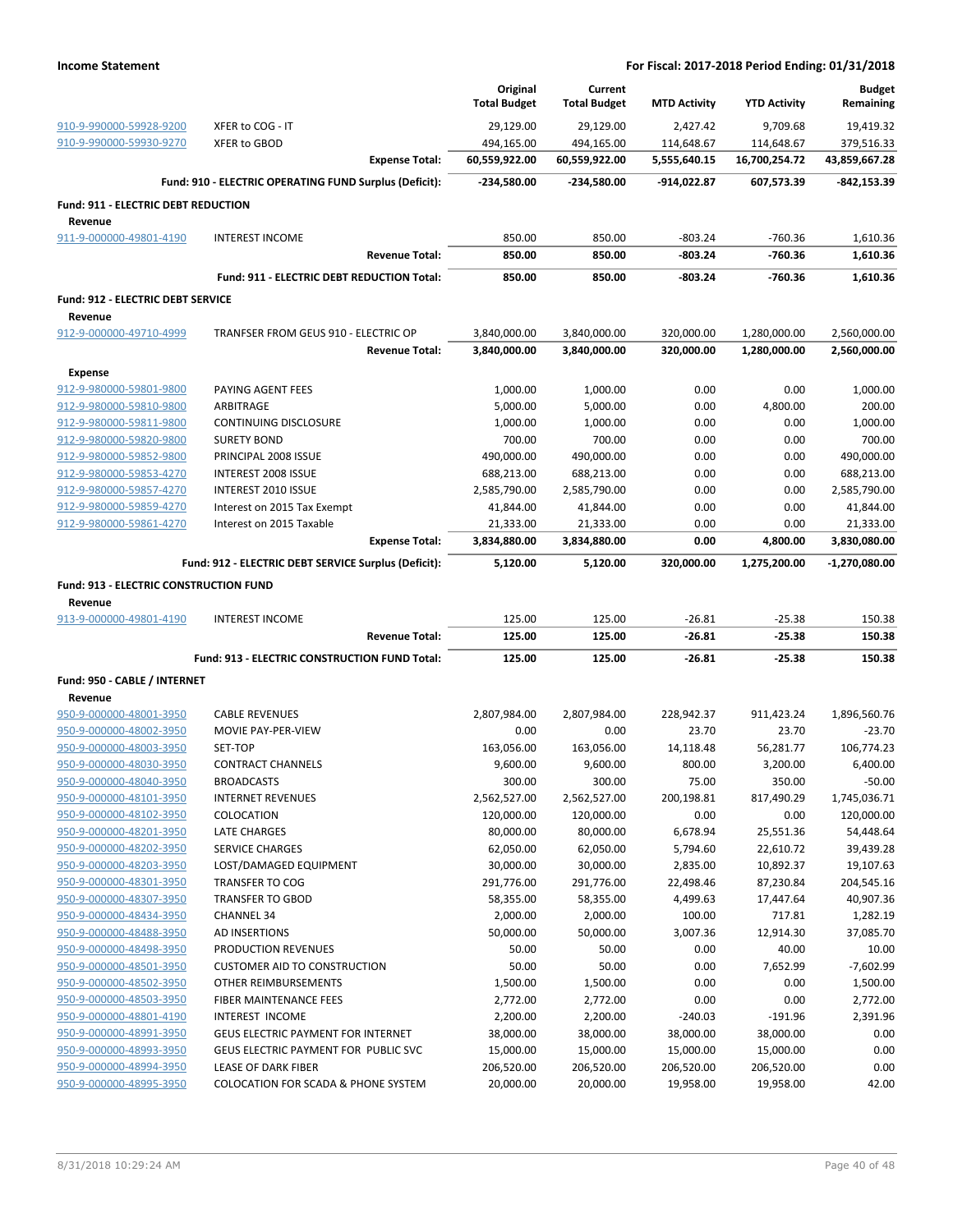|                                               |                                                        | Original<br><b>Total Budget</b> | Current<br><b>Total Budget</b> | <b>MTD Activity</b> | <b>YTD Activity</b> | <b>Budget</b><br>Remaining |
|-----------------------------------------------|--------------------------------------------------------|---------------------------------|--------------------------------|---------------------|---------------------|----------------------------|
| 910-9-990000-59928-9200                       | XFER to COG - IT                                       | 29,129.00                       | 29,129.00                      | 2,427.42            | 9,709.68            | 19,419.32                  |
| 910-9-990000-59930-9270                       | <b>XFER to GBOD</b>                                    | 494,165.00                      | 494,165.00                     | 114,648.67          | 114,648.67          | 379,516.33                 |
|                                               | <b>Expense Total:</b>                                  | 60,559,922.00                   | 60,559,922.00                  | 5,555,640.15        | 16,700,254.72       | 43,859,667.28              |
|                                               | Fund: 910 - ELECTRIC OPERATING FUND Surplus (Deficit): | -234,580.00                     | -234,580.00                    | -914,022.87         | 607,573.39          | $-842, 153.39$             |
| Fund: 911 - ELECTRIC DEBT REDUCTION           |                                                        |                                 |                                |                     |                     |                            |
| Revenue                                       |                                                        |                                 |                                |                     |                     |                            |
| 911-9-000000-49801-4190                       | <b>INTEREST INCOME</b>                                 | 850.00                          | 850.00                         | $-803.24$           | $-760.36$           | 1,610.36                   |
|                                               | <b>Revenue Total:</b>                                  | 850.00                          | 850.00                         | -803.24             | $-760.36$           | 1,610.36                   |
|                                               | Fund: 911 - ELECTRIC DEBT REDUCTION Total:             | 850.00                          | 850.00                         | $-803.24$           | $-760.36$           | 1,610.36                   |
| <b>Fund: 912 - ELECTRIC DEBT SERVICE</b>      |                                                        |                                 |                                |                     |                     |                            |
| Revenue                                       |                                                        |                                 |                                |                     |                     |                            |
| 912-9-000000-49710-4999                       | TRANFSER FROM GEUS 910 - ELECTRIC OP                   | 3,840,000.00                    | 3,840,000.00                   | 320,000.00          | 1,280,000.00        | 2,560,000.00               |
|                                               | <b>Revenue Total:</b>                                  | 3,840,000.00                    | 3,840,000.00                   | 320,000.00          | 1,280,000.00        | 2,560,000.00               |
| Expense                                       |                                                        |                                 |                                |                     |                     |                            |
| 912-9-980000-59801-9800                       | PAYING AGENT FEES                                      | 1,000.00                        | 1,000.00                       | 0.00                | 0.00                | 1,000.00                   |
| 912-9-980000-59810-9800                       | ARBITRAGE                                              | 5,000.00                        | 5,000.00                       | 0.00                | 4,800.00            | 200.00                     |
| 912-9-980000-59811-9800                       | <b>CONTINUING DISCLOSURE</b>                           | 1,000.00                        | 1,000.00                       | 0.00                | 0.00                | 1,000.00                   |
| 912-9-980000-59820-9800                       | <b>SURETY BOND</b>                                     | 700.00                          | 700.00                         | 0.00                | 0.00                | 700.00                     |
| 912-9-980000-59852-9800                       | PRINCIPAL 2008 ISSUE                                   | 490,000.00                      | 490,000.00                     | 0.00                | 0.00                | 490,000.00                 |
| 912-9-980000-59853-4270                       | <b>INTEREST 2008 ISSUE</b>                             | 688,213.00                      | 688,213.00                     | 0.00                | 0.00                | 688,213.00                 |
| 912-9-980000-59857-4270                       | INTEREST 2010 ISSUE                                    | 2,585,790.00                    | 2,585,790.00                   | 0.00                | 0.00                | 2,585,790.00               |
| 912-9-980000-59859-4270                       | Interest on 2015 Tax Exempt                            | 41,844.00                       | 41,844.00                      | 0.00                | 0.00                | 41,844.00                  |
| 912-9-980000-59861-4270                       | Interest on 2015 Taxable                               | 21,333.00                       | 21,333.00                      | 0.00                | 0.00                | 21,333.00                  |
|                                               | <b>Expense Total:</b>                                  | 3,834,880.00                    | 3,834,880.00                   | 0.00                | 4,800.00            | 3,830,080.00               |
|                                               | Fund: 912 - ELECTRIC DEBT SERVICE Surplus (Deficit):   | 5,120.00                        | 5,120.00                       | 320,000.00          | 1,275,200.00        | $-1,270,080.00$            |
| <b>Fund: 913 - ELECTRIC CONSTRUCTION FUND</b> |                                                        |                                 |                                |                     |                     |                            |
| Revenue                                       |                                                        |                                 |                                |                     |                     |                            |
| 913-9-000000-49801-4190                       | <b>INTEREST INCOME</b>                                 | 125.00                          | 125.00                         | $-26.81$            | $-25.38$            | 150.38                     |
|                                               | <b>Revenue Total:</b>                                  | 125.00                          | 125.00                         | $-26.81$            | $-25.38$            | 150.38                     |
|                                               | Fund: 913 - ELECTRIC CONSTRUCTION FUND Total:          | 125.00                          | 125.00                         | $-26.81$            | $-25.38$            | 150.38                     |
| Fund: 950 - CABLE / INTERNET                  |                                                        |                                 |                                |                     |                     |                            |
| Revenue                                       |                                                        |                                 |                                |                     |                     |                            |
| 950-9-000000-48001-3950                       | <b>CABLE REVENUES</b>                                  | 2,807,984.00                    | 2,807,984.00                   | 228,942.37          | 911,423.24          | 1,896,560.76               |
| 950-9-000000-48002-3950                       | MOVIE PAY-PER-VIEW                                     | 0.00                            | 0.00                           | 23.70               | 23.70               | $-23.70$                   |
| 950-9-000000-48003-3950                       | SET-TOP                                                | 163,056.00                      | 163,056.00                     | 14,118.48           | 56,281.77           | 106,774.23                 |
| 950-9-000000-48030-3950                       | <b>CONTRACT CHANNELS</b>                               | 9,600.00                        | 9,600.00                       | 800.00              | 3,200.00            | 6,400.00                   |
| 950-9-000000-48040-3950                       | <b>BROADCASTS</b>                                      | 300.00                          | 300.00                         | 75.00               | 350.00              | $-50.00$                   |
| 950-9-000000-48101-3950                       | <b>INTERNET REVENUES</b>                               | 2,562,527.00                    | 2,562,527.00                   | 200,198.81          | 817,490.29          | 1,745,036.71               |
| 950-9-000000-48102-3950                       | COLOCATION                                             | 120,000.00                      | 120,000.00                     | 0.00                | 0.00                | 120,000.00                 |
| 950-9-000000-48201-3950                       | LATE CHARGES                                           | 80,000.00                       | 80,000.00                      | 6,678.94            | 25,551.36           | 54,448.64                  |
| 950-9-000000-48202-3950                       | <b>SERVICE CHARGES</b>                                 | 62,050.00                       | 62,050.00                      | 5,794.60            | 22,610.72           | 39,439.28                  |
| 950-9-000000-48203-3950                       | LOST/DAMAGED EQUIPMENT                                 | 30,000.00                       | 30,000.00                      | 2,835.00            | 10,892.37           | 19,107.63                  |
| 950-9-000000-48301-3950                       | TRANSFER TO COG                                        | 291,776.00                      | 291,776.00                     | 22,498.46           | 87,230.84           | 204,545.16                 |
| 950-9-000000-48307-3950                       | <b>TRANSFER TO GBOD</b>                                | 58,355.00                       | 58,355.00                      | 4,499.63            | 17,447.64           | 40,907.36                  |
| 950-9-000000-48434-3950                       | <b>CHANNEL 34</b>                                      | 2,000.00                        | 2,000.00                       | 100.00              | 717.81              | 1,282.19                   |
| 950-9-000000-48488-3950                       | AD INSERTIONS                                          | 50,000.00                       | 50,000.00                      | 3,007.36            | 12,914.30           | 37,085.70                  |
| 950-9-000000-48498-3950                       | PRODUCTION REVENUES                                    | 50.00                           | 50.00                          | 0.00                | 40.00               | 10.00                      |
| 950-9-000000-48501-3950                       | <b>CUSTOMER AID TO CONSTRUCTION</b>                    | 50.00                           | 50.00                          | 0.00                | 7,652.99            | $-7,602.99$                |
| 950-9-000000-48502-3950                       | OTHER REIMBURSEMENTS                                   | 1,500.00                        | 1,500.00                       | 0.00                | 0.00                | 1,500.00                   |
| 950-9-000000-48503-3950                       | FIBER MAINTENANCE FEES                                 | 2,772.00                        | 2,772.00                       | 0.00                | 0.00                | 2,772.00                   |
| 950-9-000000-48801-4190                       | INTEREST INCOME                                        | 2,200.00                        | 2,200.00                       | $-240.03$           | $-191.96$           | 2,391.96                   |
| 950-9-000000-48991-3950                       | GEUS ELECTRIC PAYMENT FOR INTERNET                     | 38,000.00                       | 38,000.00                      | 38,000.00           | 38,000.00           | 0.00                       |
| 950-9-000000-48993-3950                       | GEUS ELECTRIC PAYMENT FOR PUBLIC SVC                   | 15,000.00                       | 15,000.00                      | 15,000.00           | 15,000.00           | 0.00                       |
| 950-9-000000-48994-3950                       | LEASE OF DARK FIBER                                    | 206,520.00                      | 206,520.00                     | 206,520.00          | 206,520.00          | 0.00                       |
| 950-9-000000-48995-3950                       | COLOCATION FOR SCADA & PHONE SYSTEM                    | 20,000.00                       | 20,000.00                      | 19,958.00           | 19,958.00           | 42.00                      |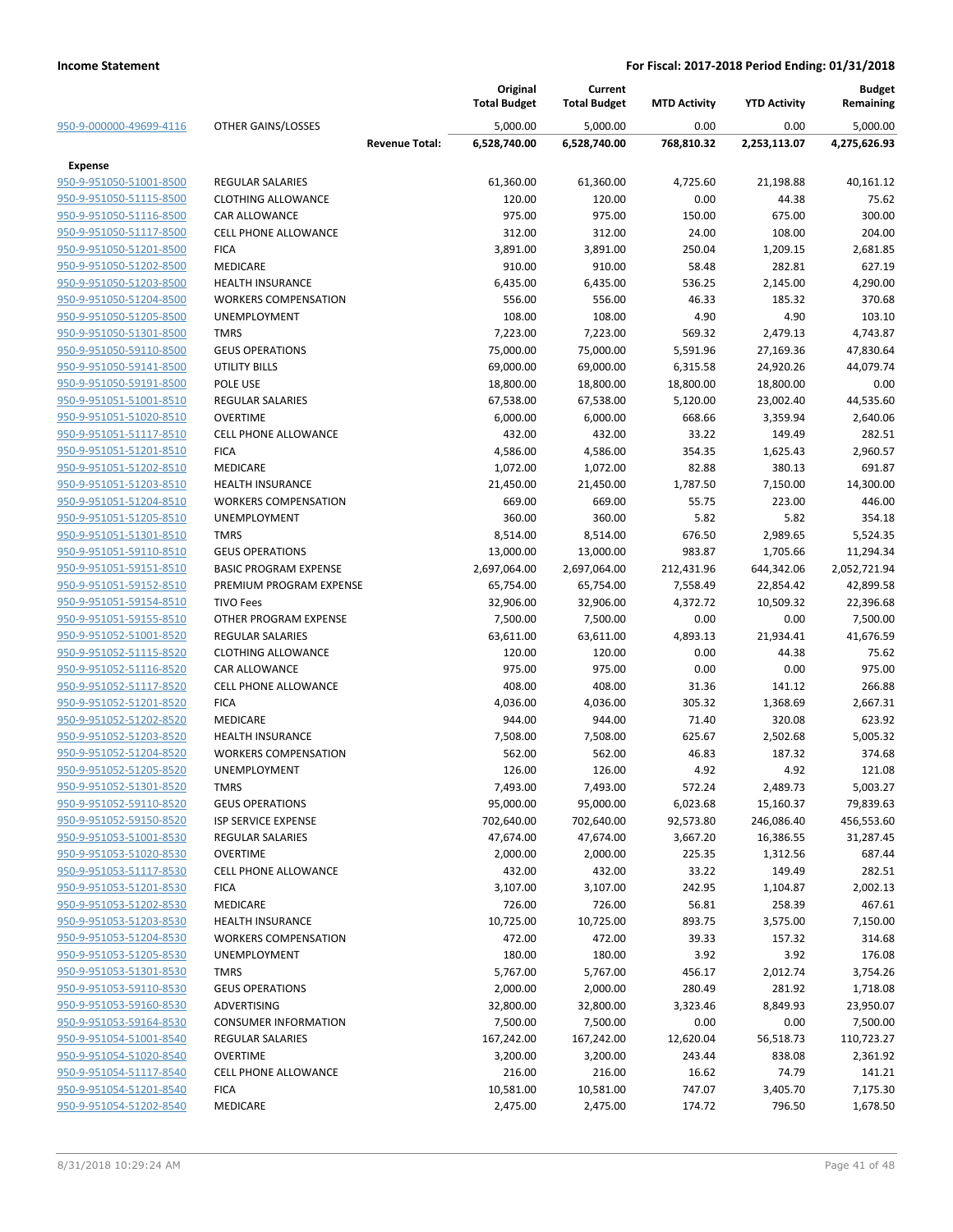|                                                    |                                             |                       | Original<br><b>Total Budget</b> | Current<br><b>Total Budget</b> | <b>MTD Activity</b> | <b>YTD Activity</b> | <b>Budget</b><br>Remaining |
|----------------------------------------------------|---------------------------------------------|-----------------------|---------------------------------|--------------------------------|---------------------|---------------------|----------------------------|
| 950-9-000000-49699-4116                            | OTHER GAINS/LOSSES                          |                       | 5,000.00                        | 5,000.00                       | 0.00                | 0.00                | 5,000.00                   |
|                                                    |                                             | <b>Revenue Total:</b> | 6,528,740.00                    | 6,528,740.00                   | 768,810.32          | 2,253,113.07        | 4,275,626.93               |
| Expense                                            |                                             |                       |                                 |                                |                     |                     |                            |
| 950-9-951050-51001-8500                            | <b>REGULAR SALARIES</b>                     |                       | 61,360.00                       | 61,360.00                      | 4,725.60            | 21,198.88           | 40,161.12                  |
| 950-9-951050-51115-8500                            | <b>CLOTHING ALLOWANCE</b>                   |                       | 120.00                          | 120.00                         | 0.00                | 44.38               | 75.62                      |
| 950-9-951050-51116-8500                            | CAR ALLOWANCE                               |                       | 975.00                          | 975.00                         | 150.00              | 675.00              | 300.00                     |
| 950-9-951050-51117-8500                            | <b>CELL PHONE ALLOWANCE</b>                 |                       | 312.00                          | 312.00                         | 24.00               | 108.00              | 204.00                     |
| 950-9-951050-51201-8500                            | <b>FICA</b>                                 |                       | 3,891.00                        | 3,891.00                       | 250.04              | 1,209.15            | 2,681.85                   |
| 950-9-951050-51202-8500                            | <b>MEDICARE</b>                             |                       | 910.00                          | 910.00                         | 58.48               | 282.81              | 627.19                     |
| 950-9-951050-51203-8500                            | <b>HEALTH INSURANCE</b>                     |                       | 6,435.00                        | 6,435.00                       | 536.25              | 2,145.00            | 4,290.00                   |
| 950-9-951050-51204-8500                            | <b>WORKERS COMPENSATION</b>                 |                       | 556.00                          | 556.00                         | 46.33               | 185.32              | 370.68                     |
| 950-9-951050-51205-8500                            | <b>UNEMPLOYMENT</b>                         |                       | 108.00                          | 108.00                         | 4.90                | 4.90                | 103.10                     |
| 950-9-951050-51301-8500                            | <b>TMRS</b>                                 |                       | 7,223.00                        | 7,223.00                       | 569.32              | 2,479.13            | 4,743.87                   |
| 950-9-951050-59110-8500                            | <b>GEUS OPERATIONS</b>                      |                       | 75,000.00                       | 75,000.00                      | 5,591.96            | 27,169.36           | 47,830.64                  |
| 950-9-951050-59141-8500                            | UTILITY BILLS                               |                       | 69,000.00                       | 69,000.00                      | 6,315.58            | 24,920.26           | 44,079.74                  |
| 950-9-951050-59191-8500                            | POLE USE                                    |                       | 18,800.00                       | 18,800.00                      | 18,800.00           | 18,800.00           | 0.00                       |
| 950-9-951051-51001-8510                            | <b>REGULAR SALARIES</b>                     |                       | 67,538.00                       | 67,538.00                      | 5,120.00            | 23,002.40           | 44,535.60                  |
| 950-9-951051-51020-8510                            | <b>OVERTIME</b>                             |                       | 6,000.00                        | 6,000.00                       | 668.66              | 3,359.94            | 2,640.06                   |
| 950-9-951051-51117-8510                            | <b>CELL PHONE ALLOWANCE</b>                 |                       | 432.00                          | 432.00                         | 33.22               | 149.49              | 282.51                     |
| 950-9-951051-51201-8510                            | <b>FICA</b>                                 |                       | 4,586.00                        | 4,586.00                       | 354.35              | 1,625.43            | 2,960.57                   |
| 950-9-951051-51202-8510                            | <b>MEDICARE</b>                             |                       | 1,072.00                        | 1,072.00                       | 82.88               | 380.13              | 691.87                     |
| 950-9-951051-51203-8510                            | <b>HEALTH INSURANCE</b>                     |                       | 21,450.00                       | 21,450.00                      | 1,787.50            | 7,150.00            | 14,300.00                  |
| 950-9-951051-51204-8510                            | <b>WORKERS COMPENSATION</b>                 |                       | 669.00                          | 669.00                         | 55.75               | 223.00              | 446.00                     |
| 950-9-951051-51205-8510                            | <b>UNEMPLOYMENT</b>                         |                       | 360.00                          | 360.00                         | 5.82                | 5.82                | 354.18                     |
| 950-9-951051-51301-8510                            | <b>TMRS</b>                                 |                       | 8,514.00                        | 8,514.00                       | 676.50              | 2,989.65            | 5,524.35                   |
| 950-9-951051-59110-8510                            | <b>GEUS OPERATIONS</b>                      |                       | 13,000.00                       | 13,000.00                      | 983.87              | 1,705.66            | 11,294.34                  |
| 950-9-951051-59151-8510                            | <b>BASIC PROGRAM EXPENSE</b>                |                       | 2,697,064.00                    | 2,697,064.00                   | 212,431.96          | 644,342.06          | 2,052,721.94               |
| 950-9-951051-59152-8510                            | PREMIUM PROGRAM EXPENSE<br><b>TIVO Fees</b> |                       | 65,754.00                       | 65,754.00                      | 7,558.49            | 22,854.42           | 42,899.58                  |
| 950-9-951051-59154-8510<br>950-9-951051-59155-8510 | OTHER PROGRAM EXPENSE                       |                       | 32,906.00<br>7,500.00           | 32,906.00                      | 4,372.72<br>0.00    | 10,509.32<br>0.00   | 22,396.68<br>7,500.00      |
| 950-9-951052-51001-8520                            | <b>REGULAR SALARIES</b>                     |                       | 63,611.00                       | 7,500.00<br>63,611.00          | 4,893.13            | 21,934.41           | 41,676.59                  |
| 950-9-951052-51115-8520                            | <b>CLOTHING ALLOWANCE</b>                   |                       | 120.00                          | 120.00                         | 0.00                | 44.38               | 75.62                      |
| 950-9-951052-51116-8520                            | CAR ALLOWANCE                               |                       | 975.00                          | 975.00                         | 0.00                | 0.00                | 975.00                     |
| 950-9-951052-51117-8520                            | <b>CELL PHONE ALLOWANCE</b>                 |                       | 408.00                          | 408.00                         | 31.36               | 141.12              | 266.88                     |
| 950-9-951052-51201-8520                            | <b>FICA</b>                                 |                       | 4,036.00                        | 4,036.00                       | 305.32              | 1,368.69            | 2,667.31                   |
| 950-9-951052-51202-8520                            | <b>MEDICARE</b>                             |                       | 944.00                          | 944.00                         | 71.40               | 320.08              | 623.92                     |
| 950-9-951052-51203-8520                            | <b>HEALTH INSURANCE</b>                     |                       | 7,508.00                        | 7,508.00                       | 625.67              | 2,502.68            | 5,005.32                   |
| 950-9-951052-51204-8520                            | <b>WORKERS COMPENSATION</b>                 |                       | 562.00                          | 562.00                         | 46.83               | 187.32              | 374.68                     |
| 950-9-951052-51205-8520                            | <b>UNEMPLOYMENT</b>                         |                       | 126.00                          | 126.00                         | 4.92                | 4.92                | 121.08                     |
| 950-9-951052-51301-8520                            | TMRS                                        |                       | 7,493.00                        | 7,493.00                       | 572.24              | 2,489.73            | 5,003.27                   |
| 950-9-951052-59110-8520                            | <b>GEUS OPERATIONS</b>                      |                       | 95,000.00                       | 95,000.00                      | 6,023.68            | 15,160.37           | 79,839.63                  |
| 950-9-951052-59150-8520                            | <b>ISP SERVICE EXPENSE</b>                  |                       | 702,640.00                      | 702,640.00                     | 92,573.80           | 246,086.40          | 456,553.60                 |
| 950-9-951053-51001-8530                            | <b>REGULAR SALARIES</b>                     |                       | 47,674.00                       | 47,674.00                      | 3,667.20            | 16,386.55           | 31,287.45                  |
| 950-9-951053-51020-8530                            | <b>OVERTIME</b>                             |                       | 2,000.00                        | 2,000.00                       | 225.35              | 1,312.56            | 687.44                     |
| 950-9-951053-51117-8530                            | <b>CELL PHONE ALLOWANCE</b>                 |                       | 432.00                          | 432.00                         | 33.22               | 149.49              | 282.51                     |
| 950-9-951053-51201-8530                            | <b>FICA</b>                                 |                       | 3,107.00                        | 3,107.00                       | 242.95              | 1,104.87            | 2,002.13                   |
| 950-9-951053-51202-8530                            | <b>MEDICARE</b>                             |                       | 726.00                          | 726.00                         | 56.81               | 258.39              | 467.61                     |
| 950-9-951053-51203-8530                            | <b>HEALTH INSURANCE</b>                     |                       | 10,725.00                       | 10,725.00                      | 893.75              | 3,575.00            | 7,150.00                   |
| 950-9-951053-51204-8530                            | <b>WORKERS COMPENSATION</b>                 |                       | 472.00                          | 472.00                         | 39.33               | 157.32              | 314.68                     |
| 950-9-951053-51205-8530                            | <b>UNEMPLOYMENT</b>                         |                       | 180.00                          | 180.00                         | 3.92                | 3.92                | 176.08                     |
| 950-9-951053-51301-8530                            | <b>TMRS</b>                                 |                       | 5,767.00                        | 5,767.00                       | 456.17              | 2,012.74            | 3,754.26                   |
| 950-9-951053-59110-8530                            | <b>GEUS OPERATIONS</b>                      |                       | 2,000.00                        | 2,000.00                       | 280.49              | 281.92              | 1,718.08                   |
| 950-9-951053-59160-8530                            | ADVERTISING                                 |                       | 32,800.00                       | 32,800.00                      | 3,323.46            | 8,849.93            | 23,950.07                  |
| 950-9-951053-59164-8530                            | <b>CONSUMER INFORMATION</b>                 |                       | 7,500.00                        | 7,500.00                       | 0.00                | 0.00                | 7,500.00                   |
| 950-9-951054-51001-8540                            | <b>REGULAR SALARIES</b>                     |                       | 167,242.00                      | 167,242.00                     | 12,620.04           | 56,518.73           | 110,723.27                 |
| 950-9-951054-51020-8540                            | <b>OVERTIME</b>                             |                       | 3,200.00                        | 3,200.00                       | 243.44              | 838.08              | 2,361.92                   |
| 950-9-951054-51117-8540                            | <b>CELL PHONE ALLOWANCE</b>                 |                       | 216.00                          | 216.00                         | 16.62               | 74.79               | 141.21                     |
| 950-9-951054-51201-8540                            | <b>FICA</b>                                 |                       | 10,581.00                       | 10,581.00                      | 747.07              | 3,405.70            | 7,175.30                   |
| 950-9-951054-51202-8540                            | MEDICARE                                    |                       | 2,475.00                        | 2,475.00                       | 174.72              | 796.50              | 1,678.50                   |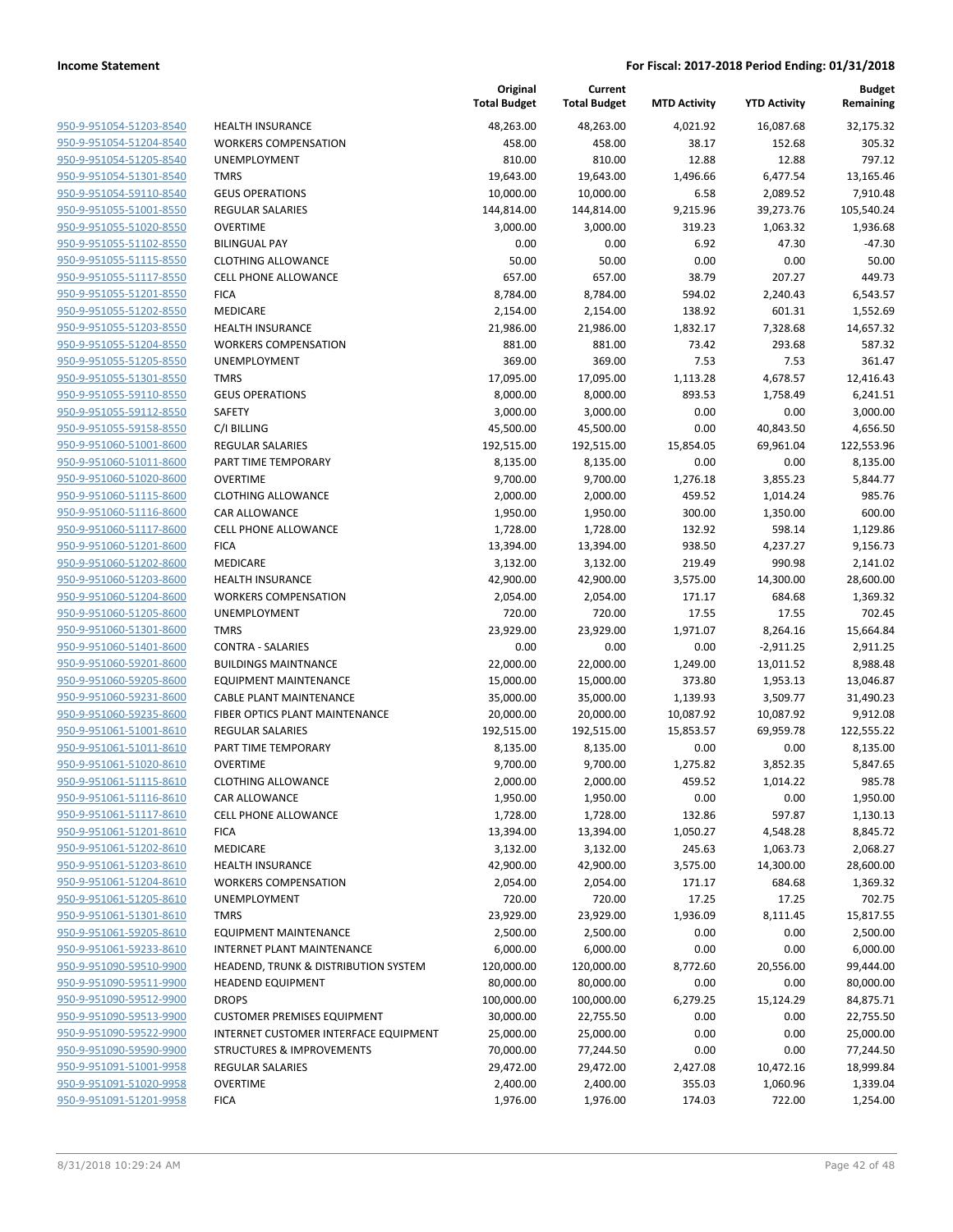**Current**

**Original**

**Budget Remaining**

| 950-9-951054-51203-8540        |
|--------------------------------|
| 950-9-951054-51204-8540        |
| 950-9-951054-51205-8540        |
| 950-9-951054-51301-8540        |
| <u>950-9-951054-59110-8540</u> |
| 950-9-951055-51001-8550        |
| 950-9-951055-51020-8550        |
| 950-9-951055-51102-8550        |
| <u>950-9-951055-51115-8550</u> |
| <u>950-9-951055-51117-8550</u> |
| 950-9-951055-51201-8550        |
| 950-9-951055-51202-8550        |
| 950-9-951055-51203-8550        |
| 950-9-951055-51204-8550        |
| <u>950-9-951055-51205-8550</u> |
|                                |
| 950-9-951055-51301-8550        |
| 950-9-951055-59110-8550        |
| 950-9-951055-59112-8550        |
| 950-9-951055-59158-8550        |
| <u>950-9-951060-51001-8600</u> |
| 950-9-951060-51011-8600        |
| 950-9-951060-51020-8600        |
| 950-9-951060-51115-8600        |
| 950-9-951060-51116-8600        |
| <u>950-9-951060-51117-8600</u> |
| 950-9-951060-51201-8600        |
| 950-9-951060-51202-8600        |
| 950-9-951060-51203-8600        |
| <u>950-9-951060-51204-8600</u> |
| <u>950-9-951060-51205-8600</u> |
| 950-9-951060-51301-8600        |
| 950-9-951060-51401-8600        |
| 950-9-951060-59201-8600        |
| 950-9-951060-59205-8600        |
| <u>950-9-951060-59231-8600</u> |
| 950-9-951060-59235-8600        |
| 950-9-951061-51001-8610        |
| 950-9-951061-51011-8610        |
|                                |
| 950-9-951061-51020-8610        |
| 950-9-951061-51115-8610        |
| 950-9-951061-51116-8610        |
| <u>950-9-951061-51117-8610</u> |
| 950-9-951061-51201-8610        |
| <u>950-9-951061-51202-8610</u> |
| <u>950-9-951061-51203-8610</u> |
| <u>950-9-951061-51204-8610</u> |
| <u>950-9-951061-51205-8610</u> |
| 950-9-951061-51301-8610        |
| <u>950-9-951061-59205-8610</u> |
| <u>950-9-951061-59233-8610</u> |
| <u>950-9-951090-59510-9900</u> |
| <u>950-9-951090-59511-9900</u> |
| 950-9-951090-59512-9900        |
| <u>950-9-951090-59513-9900</u> |
| <u>950-9-951090-59522-9900</u> |
| <u>950-9-951090-59590-9900</u> |
| <u>950-9-951091-51001-9958</u> |
| 950-9-951091-51020-9958        |
| <u>950-9-951091-51201-9958</u> |
|                                |

|                                |                                       | <b>Total Budget</b> | <b>Total Budget</b> | <b>MTD Activity</b> | <b>YTD Activity</b> | Remaining  |
|--------------------------------|---------------------------------------|---------------------|---------------------|---------------------|---------------------|------------|
| 950-9-951054-51203-8540        | <b>HEALTH INSURANCE</b>               | 48,263.00           | 48,263.00           | 4,021.92            | 16,087.68           | 32,175.32  |
| 950-9-951054-51204-8540        | <b>WORKERS COMPENSATION</b>           | 458.00              | 458.00              | 38.17               | 152.68              | 305.32     |
| 950-9-951054-51205-8540        | UNEMPLOYMENT                          | 810.00              | 810.00              | 12.88               | 12.88               | 797.12     |
| 950-9-951054-51301-8540        | <b>TMRS</b>                           | 19,643.00           | 19,643.00           | 1,496.66            | 6,477.54            | 13,165.46  |
| 950-9-951054-59110-8540        | <b>GEUS OPERATIONS</b>                | 10,000.00           | 10,000.00           | 6.58                | 2,089.52            | 7,910.48   |
| 950-9-951055-51001-8550        | <b>REGULAR SALARIES</b>               | 144,814.00          | 144,814.00          | 9,215.96            | 39,273.76           | 105,540.24 |
| 950-9-951055-51020-8550        | <b>OVERTIME</b>                       | 3,000.00            | 3,000.00            | 319.23              | 1,063.32            | 1,936.68   |
| 950-9-951055-51102-8550        | <b>BILINGUAL PAY</b>                  | 0.00                | 0.00                | 6.92                | 47.30               | $-47.30$   |
| 950-9-951055-51115-8550        | <b>CLOTHING ALLOWANCE</b>             | 50.00               | 50.00               | 0.00                | 0.00                | 50.00      |
| 950-9-951055-51117-8550        | <b>CELL PHONE ALLOWANCE</b>           | 657.00              | 657.00              | 38.79               | 207.27              | 449.73     |
| 950-9-951055-51201-8550        | <b>FICA</b>                           | 8,784.00            | 8,784.00            | 594.02              | 2,240.43            | 6,543.57   |
| 950-9-951055-51202-8550        | MEDICARE                              | 2,154.00            | 2,154.00            | 138.92              | 601.31              | 1,552.69   |
| 950-9-951055-51203-8550        | HEALTH INSURANCE                      | 21,986.00           | 21,986.00           | 1,832.17            | 7,328.68            | 14,657.32  |
| 950-9-951055-51204-8550        | <b>WORKERS COMPENSATION</b>           | 881.00              | 881.00              | 73.42               | 293.68              | 587.32     |
| 950-9-951055-51205-8550        | UNEMPLOYMENT                          | 369.00              | 369.00              | 7.53                | 7.53                | 361.47     |
| 950-9-951055-51301-8550        | <b>TMRS</b>                           | 17,095.00           | 17,095.00           | 1,113.28            | 4,678.57            | 12,416.43  |
| 950-9-951055-59110-8550        | <b>GEUS OPERATIONS</b>                | 8,000.00            | 8,000.00            | 893.53              | 1,758.49            | 6,241.51   |
| 950-9-951055-59112-8550        | SAFETY                                | 3,000.00            | 3,000.00            | 0.00                | 0.00                | 3,000.00   |
| 950-9-951055-59158-8550        | C/I BILLING                           | 45,500.00           | 45,500.00           | 0.00                | 40,843.50           | 4,656.50   |
| 950-9-951060-51001-8600        | <b>REGULAR SALARIES</b>               | 192,515.00          | 192,515.00          | 15,854.05           | 69,961.04           | 122,553.96 |
| 950-9-951060-51011-8600        | PART TIME TEMPORARY                   | 8,135.00            | 8,135.00            | 0.00                | 0.00                | 8,135.00   |
| 950-9-951060-51020-8600        | <b>OVERTIME</b>                       | 9,700.00            | 9,700.00            | 1,276.18            | 3,855.23            | 5,844.77   |
| 950-9-951060-51115-8600        | <b>CLOTHING ALLOWANCE</b>             | 2,000.00            | 2,000.00            | 459.52              | 1,014.24            | 985.76     |
| 950-9-951060-51116-8600        | <b>CAR ALLOWANCE</b>                  | 1,950.00            | 1,950.00            | 300.00              | 1,350.00            | 600.00     |
| 950-9-951060-51117-8600        | CELL PHONE ALLOWANCE                  | 1,728.00            | 1,728.00            | 132.92              | 598.14              | 1,129.86   |
| 950-9-951060-51201-8600        | <b>FICA</b>                           | 13,394.00           | 13,394.00           | 938.50              | 4,237.27            | 9,156.73   |
| 950-9-951060-51202-8600        | MEDICARE                              | 3,132.00            | 3,132.00            | 219.49              | 990.98              | 2,141.02   |
| 950-9-951060-51203-8600        | <b>HEALTH INSURANCE</b>               | 42,900.00           | 42,900.00           | 3,575.00            | 14,300.00           | 28,600.00  |
| 950-9-951060-51204-8600        | <b>WORKERS COMPENSATION</b>           | 2,054.00            | 2,054.00            | 171.17              | 684.68              | 1,369.32   |
| 950-9-951060-51205-8600        | UNEMPLOYMENT                          | 720.00              | 720.00              | 17.55               | 17.55               | 702.45     |
| 950-9-951060-51301-8600        | <b>TMRS</b>                           | 23,929.00           | 23,929.00           | 1,971.07            | 8,264.16            | 15,664.84  |
| 950-9-951060-51401-8600        | <b>CONTRA - SALARIES</b>              | 0.00                | 0.00                | 0.00                | $-2,911.25$         | 2,911.25   |
| 950-9-951060-59201-8600        | <b>BUILDINGS MAINTNANCE</b>           | 22,000.00           | 22,000.00           | 1,249.00            | 13,011.52           | 8,988.48   |
| 950-9-951060-59205-8600        | <b>EQUIPMENT MAINTENANCE</b>          | 15,000.00           | 15,000.00           | 373.80              | 1,953.13            | 13,046.87  |
| 950-9-951060-59231-8600        | CABLE PLANT MAINTENANCE               | 35,000.00           | 35,000.00           | 1,139.93            | 3,509.77            | 31,490.23  |
| 950-9-951060-59235-8600        | FIBER OPTICS PLANT MAINTENANCE        | 20,000.00           | 20,000.00           | 10,087.92           | 10,087.92           | 9,912.08   |
| 950-9-951061-51001-8610        | <b>REGULAR SALARIES</b>               | 192,515.00          | 192,515.00          | 15,853.57           | 69,959.78           | 122,555.22 |
| 950-9-951061-51011-8610        | PART TIME TEMPORARY                   | 8,135.00            | 8,135.00            | 0.00                | 0.00                | 8,135.00   |
| 950-9-951061-51020-8610        | <b>OVERTIME</b>                       | 9,700.00            | 9,700.00            | 1,275.82            | 3,852.35            | 5,847.65   |
| 950-9-951061-51115-8610        | <b>CLOTHING ALLOWANCE</b>             | 2,000.00            | 2,000.00            | 459.52              | 1,014.22            | 985.78     |
| <u>950-9-951061-51116-8610</u> | CAR ALLOWANCE                         | 1,950.00            | 1,950.00            | 0.00                | 0.00                | 1,950.00   |
| 950-9-951061-51117-8610        | <b>CELL PHONE ALLOWANCE</b>           | 1,728.00            | 1,728.00            | 132.86              | 597.87              | 1,130.13   |
| 950-9-951061-51201-8610        | <b>FICA</b>                           | 13,394.00           | 13,394.00           | 1,050.27            | 4,548.28            | 8,845.72   |
| 950-9-951061-51202-8610        | MEDICARE                              | 3,132.00            | 3,132.00            | 245.63              | 1,063.73            | 2,068.27   |
| 950-9-951061-51203-8610        | HEALTH INSURANCE                      | 42,900.00           | 42,900.00           | 3,575.00            | 14,300.00           | 28,600.00  |
| 950-9-951061-51204-8610        | <b>WORKERS COMPENSATION</b>           | 2,054.00            | 2,054.00            | 171.17              | 684.68              | 1,369.32   |
| 950-9-951061-51205-8610        | UNEMPLOYMENT                          | 720.00              | 720.00              | 17.25               | 17.25               | 702.75     |
| 950-9-951061-51301-8610        | <b>TMRS</b>                           | 23,929.00           | 23,929.00           | 1,936.09            | 8,111.45            | 15,817.55  |
| 950-9-951061-59205-8610        | <b>EQUIPMENT MAINTENANCE</b>          | 2,500.00            | 2,500.00            | 0.00                | 0.00                | 2,500.00   |
| 950-9-951061-59233-8610        | <b>INTERNET PLANT MAINTENANCE</b>     | 6,000.00            | 6,000.00            | 0.00                | 0.00                | 6,000.00   |
| 950-9-951090-59510-9900        | HEADEND, TRUNK & DISTRIBUTION SYSTEM  | 120,000.00          | 120,000.00          | 8,772.60            | 20,556.00           | 99,444.00  |
| 950-9-951090-59511-9900        | <b>HEADEND EQUIPMENT</b>              | 80,000.00           | 80,000.00           | 0.00                | 0.00                | 80,000.00  |
| 950-9-951090-59512-9900        | <b>DROPS</b>                          | 100,000.00          | 100,000.00          | 6,279.25            | 15,124.29           | 84,875.71  |
| 950-9-951090-59513-9900        | <b>CUSTOMER PREMISES EQUIPMENT</b>    | 30,000.00           | 22,755.50           | 0.00                | 0.00                | 22,755.50  |
| 950-9-951090-59522-9900        | INTERNET CUSTOMER INTERFACE EQUIPMENT | 25,000.00           | 25,000.00           | 0.00                | 0.00                | 25,000.00  |
| 950-9-951090-59590-9900        | <b>STRUCTURES &amp; IMPROVEMENTS</b>  | 70,000.00           | 77,244.50           | 0.00                | 0.00                | 77,244.50  |
| 950-9-951091-51001-9958        | <b>REGULAR SALARIES</b>               | 29,472.00           | 29,472.00           | 2,427.08            | 10,472.16           | 18,999.84  |
| 950-9-951091-51020-9958        | <b>OVERTIME</b>                       | 2,400.00            | 2,400.00            | 355.03              | 1,060.96            | 1,339.04   |
| 950-9-951091-51201-9958        | <b>FICA</b>                           | 1,976.00            | 1,976.00            | 174.03              | 722.00              | 1,254.00   |
|                                |                                       |                     |                     |                     |                     |            |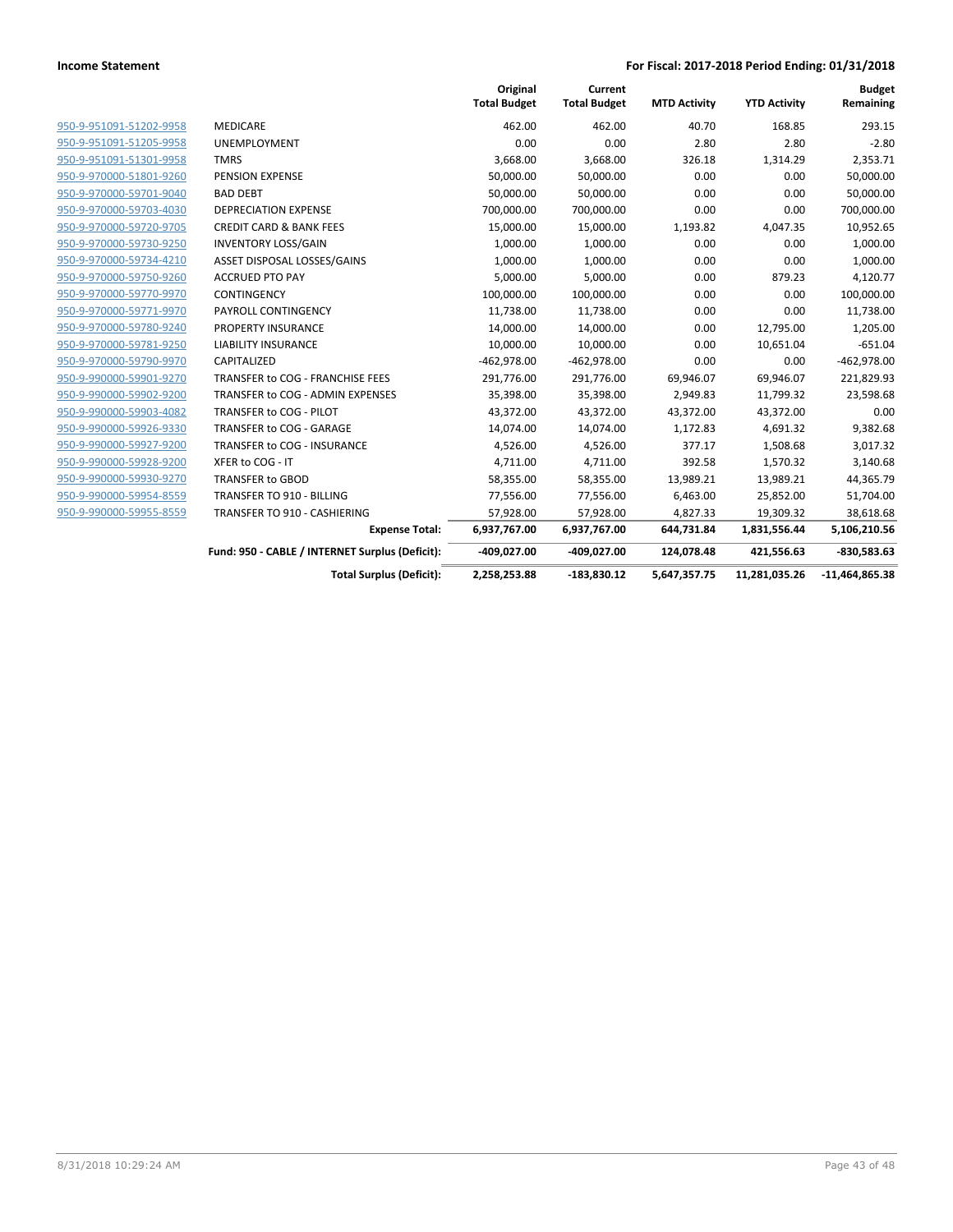|                         |                                                 | Original<br><b>Total Budget</b> | Current<br><b>Total Budget</b> | <b>MTD Activity</b> | <b>YTD Activity</b> | <b>Budget</b><br>Remaining |
|-------------------------|-------------------------------------------------|---------------------------------|--------------------------------|---------------------|---------------------|----------------------------|
| 950-9-951091-51202-9958 | <b>MEDICARE</b>                                 | 462.00                          | 462.00                         | 40.70               | 168.85              | 293.15                     |
| 950-9-951091-51205-9958 | <b>UNEMPLOYMENT</b>                             | 0.00                            | 0.00                           | 2.80                | 2.80                | $-2.80$                    |
| 950-9-951091-51301-9958 | <b>TMRS</b>                                     | 3,668.00                        | 3,668.00                       | 326.18              | 1,314.29            | 2,353.71                   |
| 950-9-970000-51801-9260 | PENSION EXPENSE                                 | 50,000.00                       | 50,000.00                      | 0.00                | 0.00                | 50,000.00                  |
| 950-9-970000-59701-9040 | <b>BAD DEBT</b>                                 | 50,000.00                       | 50,000.00                      | 0.00                | 0.00                | 50,000.00                  |
| 950-9-970000-59703-4030 | <b>DEPRECIATION EXPENSE</b>                     | 700,000.00                      | 700,000.00                     | 0.00                | 0.00                | 700,000.00                 |
| 950-9-970000-59720-9705 | <b>CREDIT CARD &amp; BANK FEES</b>              | 15,000.00                       | 15,000.00                      | 1,193.82            | 4,047.35            | 10,952.65                  |
| 950-9-970000-59730-9250 | <b>INVENTORY LOSS/GAIN</b>                      | 1,000.00                        | 1,000.00                       | 0.00                | 0.00                | 1,000.00                   |
| 950-9-970000-59734-4210 | ASSET DISPOSAL LOSSES/GAINS                     | 1,000.00                        | 1,000.00                       | 0.00                | 0.00                | 1,000.00                   |
| 950-9-970000-59750-9260 | <b>ACCRUED PTO PAY</b>                          | 5,000.00                        | 5,000.00                       | 0.00                | 879.23              | 4,120.77                   |
| 950-9-970000-59770-9970 | CONTINGENCY                                     | 100,000.00                      | 100,000.00                     | 0.00                | 0.00                | 100,000.00                 |
| 950-9-970000-59771-9970 | PAYROLL CONTINGENCY                             | 11,738.00                       | 11,738.00                      | 0.00                | 0.00                | 11,738.00                  |
| 950-9-970000-59780-9240 | PROPERTY INSURANCE                              | 14,000.00                       | 14,000.00                      | 0.00                | 12,795.00           | 1,205.00                   |
| 950-9-970000-59781-9250 | <b>LIABILITY INSURANCE</b>                      | 10,000.00                       | 10,000.00                      | 0.00                | 10,651.04           | $-651.04$                  |
| 950-9-970000-59790-9970 | CAPITALIZED                                     | $-462,978.00$                   | $-462,978.00$                  | 0.00                | 0.00                | $-462,978.00$              |
| 950-9-990000-59901-9270 | TRANSFER to COG - FRANCHISE FEES                | 291,776.00                      | 291,776.00                     | 69,946.07           | 69,946.07           | 221,829.93                 |
| 950-9-990000-59902-9200 | TRANSFER to COG - ADMIN EXPENSES                | 35,398.00                       | 35,398.00                      | 2,949.83            | 11,799.32           | 23,598.68                  |
| 950-9-990000-59903-4082 | TRANSFER to COG - PILOT                         | 43,372.00                       | 43,372.00                      | 43,372.00           | 43,372.00           | 0.00                       |
| 950-9-990000-59926-9330 | TRANSFER to COG - GARAGE                        | 14,074.00                       | 14,074.00                      | 1,172.83            | 4,691.32            | 9,382.68                   |
| 950-9-990000-59927-9200 | TRANSFER to COG - INSURANCE                     | 4,526.00                        | 4,526.00                       | 377.17              | 1,508.68            | 3,017.32                   |
| 950-9-990000-59928-9200 | XFER to COG - IT                                | 4,711.00                        | 4,711.00                       | 392.58              | 1,570.32            | 3,140.68                   |
| 950-9-990000-59930-9270 | <b>TRANSFER to GBOD</b>                         | 58,355.00                       | 58,355.00                      | 13,989.21           | 13,989.21           | 44,365.79                  |
| 950-9-990000-59954-8559 | TRANSFER TO 910 - BILLING                       | 77,556.00                       | 77,556.00                      | 6,463.00            | 25,852.00           | 51,704.00                  |
| 950-9-990000-59955-8559 | TRANSFER TO 910 - CASHIERING                    | 57,928.00                       | 57,928.00                      | 4,827.33            | 19,309.32           | 38,618.68                  |
|                         | <b>Expense Total:</b>                           | 6,937,767.00                    | 6,937,767.00                   | 644,731.84          | 1,831,556.44        | 5,106,210.56               |
|                         | Fund: 950 - CABLE / INTERNET Surplus (Deficit): | -409,027.00                     | -409,027.00                    | 124,078.48          | 421,556.63          | $-830,583.63$              |
|                         | <b>Total Surplus (Deficit):</b>                 | 2,258,253.88                    | $-183,830.12$                  | 5,647,357.75        | 11,281,035.26       | $-11,464,865.38$           |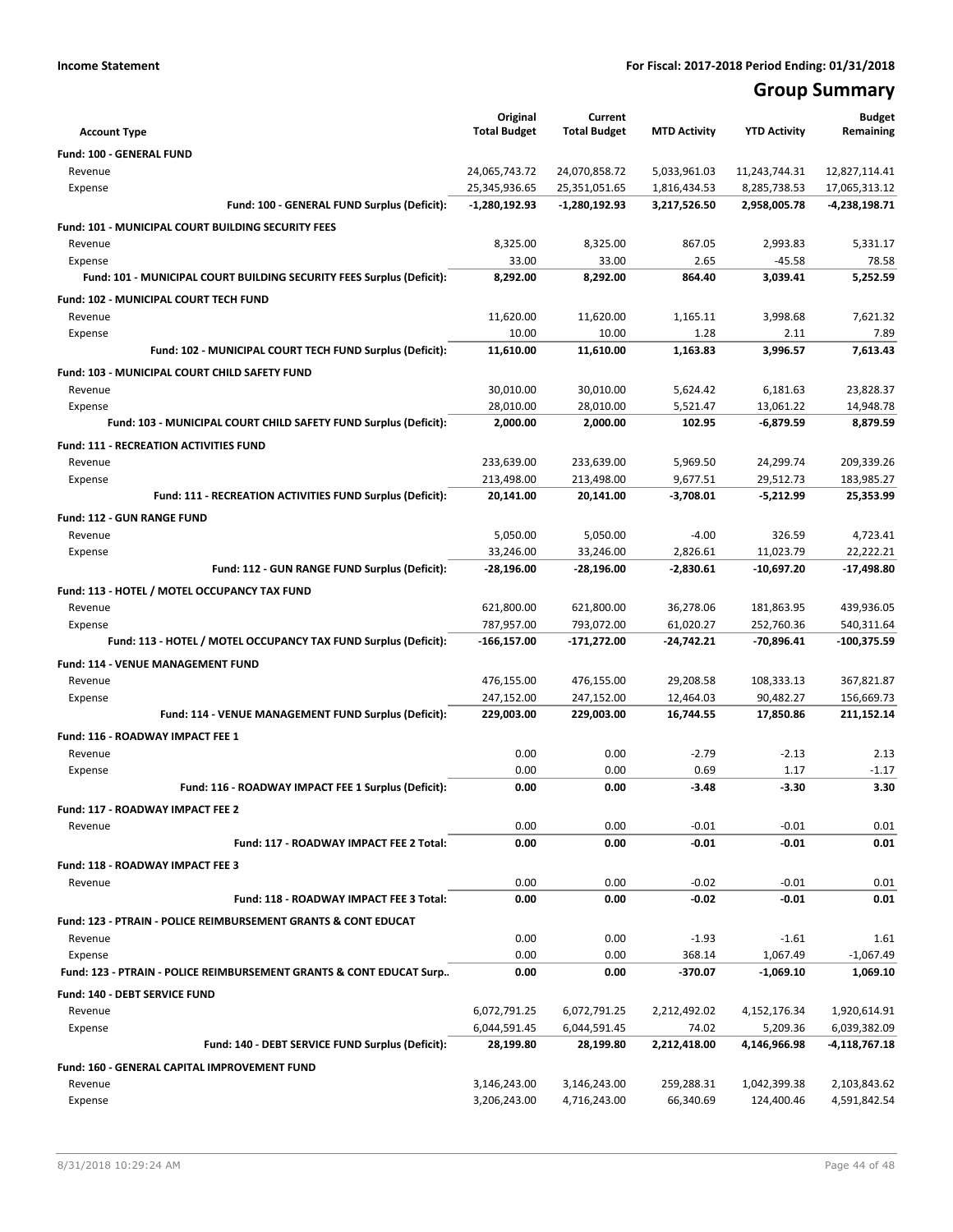# **Group Summary**

|                                                                           | Original                       | Current                        |                              |                               | <b>Budget</b>                  |
|---------------------------------------------------------------------------|--------------------------------|--------------------------------|------------------------------|-------------------------------|--------------------------------|
| <b>Account Type</b>                                                       | <b>Total Budget</b>            | <b>Total Budget</b>            | <b>MTD Activity</b>          | <b>YTD Activity</b>           | Remaining                      |
| <b>Fund: 100 - GENERAL FUND</b>                                           |                                |                                |                              |                               |                                |
| Revenue                                                                   | 24,065,743.72                  | 24,070,858.72                  | 5,033,961.03                 | 11,243,744.31<br>8,285,738.53 | 12,827,114.41                  |
| Expense<br>Fund: 100 - GENERAL FUND Surplus (Deficit):                    | 25,345,936.65<br>-1,280,192.93 | 25,351,051.65<br>-1,280,192.93 | 1,816,434.53<br>3,217,526.50 | 2,958,005.78                  | 17,065,313.12<br>-4,238,198.71 |
|                                                                           |                                |                                |                              |                               |                                |
| Fund: 101 - MUNICIPAL COURT BUILDING SECURITY FEES                        | 8,325.00                       | 8,325.00                       | 867.05                       | 2,993.83                      |                                |
| Revenue<br>Expense                                                        | 33.00                          | 33.00                          | 2.65                         | $-45.58$                      | 5,331.17<br>78.58              |
| Fund: 101 - MUNICIPAL COURT BUILDING SECURITY FEES Surplus (Deficit):     | 8,292.00                       | 8,292.00                       | 864.40                       | 3,039.41                      | 5,252.59                       |
| Fund: 102 - MUNICIPAL COURT TECH FUND                                     |                                |                                |                              |                               |                                |
| Revenue                                                                   | 11,620.00                      | 11,620.00                      | 1,165.11                     | 3,998.68                      | 7,621.32                       |
| Expense                                                                   | 10.00                          | 10.00                          | 1.28                         | 2.11                          | 7.89                           |
| Fund: 102 - MUNICIPAL COURT TECH FUND Surplus (Deficit):                  | 11,610.00                      | 11,610.00                      | 1,163.83                     | 3,996.57                      | 7,613.43                       |
| Fund: 103 - MUNICIPAL COURT CHILD SAFETY FUND                             |                                |                                |                              |                               |                                |
| Revenue                                                                   | 30,010.00                      | 30,010.00                      | 5,624.42                     | 6,181.63                      | 23,828.37                      |
| Expense                                                                   | 28,010.00                      | 28,010.00                      | 5,521.47                     | 13,061.22                     | 14,948.78                      |
| Fund: 103 - MUNICIPAL COURT CHILD SAFETY FUND Surplus (Deficit):          | 2,000.00                       | 2,000.00                       | 102.95                       | $-6,879.59$                   | 8.879.59                       |
| <b>Fund: 111 - RECREATION ACTIVITIES FUND</b>                             |                                |                                |                              |                               |                                |
| Revenue                                                                   | 233,639.00                     | 233,639.00                     | 5,969.50                     | 24,299.74                     | 209,339.26                     |
| Expense                                                                   | 213,498.00                     | 213,498.00                     | 9,677.51                     | 29,512.73                     | 183,985.27                     |
| Fund: 111 - RECREATION ACTIVITIES FUND Surplus (Deficit):                 | 20,141.00                      | 20,141.00                      | $-3,708.01$                  | $-5,212.99$                   | 25,353.99                      |
| <b>Fund: 112 - GUN RANGE FUND</b>                                         |                                |                                |                              |                               |                                |
| Revenue                                                                   | 5,050.00                       | 5,050.00                       | $-4.00$                      | 326.59                        | 4,723.41                       |
| Expense                                                                   | 33,246.00                      | 33,246.00                      | 2,826.61                     | 11.023.79                     | 22.222.21                      |
| Fund: 112 - GUN RANGE FUND Surplus (Deficit):                             | -28,196.00                     | -28,196.00                     | -2,830.61                    | $-10,697.20$                  | -17,498.80                     |
| Fund: 113 - HOTEL / MOTEL OCCUPANCY TAX FUND                              |                                |                                |                              |                               |                                |
| Revenue                                                                   | 621,800.00                     | 621,800.00                     | 36,278.06                    | 181,863.95                    | 439,936.05                     |
| Expense                                                                   | 787,957.00                     | 793,072.00                     | 61,020.27                    | 252,760.36                    | 540,311.64                     |
| Fund: 113 - HOTEL / MOTEL OCCUPANCY TAX FUND Surplus (Deficit):           | -166,157.00                    | -171,272.00                    | $-24,742.21$                 | -70,896.41                    | -100,375.59                    |
| Fund: 114 - VENUE MANAGEMENT FUND                                         |                                |                                |                              |                               |                                |
| Revenue                                                                   | 476,155.00                     | 476,155.00                     | 29,208.58                    | 108,333.13                    | 367,821.87                     |
| Expense                                                                   | 247,152.00                     | 247,152.00                     | 12,464.03                    | 90,482.27                     | 156,669.73                     |
| Fund: 114 - VENUE MANAGEMENT FUND Surplus (Deficit):                      | 229,003.00                     | 229,003.00                     | 16,744.55                    | 17,850.86                     | 211,152.14                     |
| Fund: 116 - ROADWAY IMPACT FEE 1                                          |                                |                                |                              |                               |                                |
| Revenue                                                                   | 0.00                           | 0.00                           | $-2.79$                      | $-2.13$                       | 2.13                           |
| Expense                                                                   | 0.00                           | 0.00                           | 0.69                         | 1.17                          | $-1.17$                        |
| Fund: 116 - ROADWAY IMPACT FEE 1 Surplus (Deficit):                       | 0.00                           | 0.00                           | $-3.48$                      | $-3.30$                       | 3.30                           |
| Fund: 117 - ROADWAY IMPACT FEE 2                                          |                                |                                |                              |                               |                                |
| Revenue                                                                   | 0.00                           | 0.00                           | $-0.01$                      | $-0.01$                       | 0.01                           |
| Fund: 117 - ROADWAY IMPACT FEE 2 Total:                                   | 0.00                           | 0.00                           | $-0.01$                      | $-0.01$                       | 0.01                           |
| Fund: 118 - ROADWAY IMPACT FEE 3                                          |                                |                                |                              |                               |                                |
| Revenue                                                                   | 0.00                           | 0.00                           | $-0.02$                      | $-0.01$                       | 0.01                           |
| Fund: 118 - ROADWAY IMPACT FEE 3 Total:                                   | 0.00                           | 0.00                           | $-0.02$                      | $-0.01$                       | 0.01                           |
| <b>Fund: 123 - PTRAIN - POLICE REIMBURSEMENT GRANTS &amp; CONT EDUCAT</b> |                                |                                |                              |                               |                                |
| Revenue                                                                   | 0.00                           | 0.00                           | $-1.93$                      | $-1.61$                       | 1.61                           |
| Expense                                                                   | 0.00                           | 0.00                           | 368.14                       | 1,067.49                      | $-1,067.49$                    |
| Fund: 123 - PTRAIN - POLICE REIMBURSEMENT GRANTS & CONT EDUCAT Surp       | 0.00                           | 0.00                           | $-370.07$                    | $-1,069.10$                   | 1,069.10                       |
| <b>Fund: 140 - DEBT SERVICE FUND</b>                                      |                                |                                |                              |                               |                                |
| Revenue                                                                   | 6,072,791.25                   | 6,072,791.25                   | 2,212,492.02                 | 4,152,176.34                  | 1,920,614.91                   |
| Expense<br>Fund: 140 - DEBT SERVICE FUND Surplus (Deficit):               | 6,044,591.45<br>28,199.80      | 6,044,591.45<br>28,199.80      | 74.02<br>2,212,418.00        | 5,209.36<br>4,146,966.98      | 6,039,382.09<br>-4,118,767.18  |
|                                                                           |                                |                                |                              |                               |                                |
| Fund: 160 - GENERAL CAPITAL IMPROVEMENT FUND                              |                                |                                |                              |                               |                                |
| Revenue<br>Expense                                                        | 3,146,243.00<br>3,206,243.00   | 3,146,243.00<br>4,716,243.00   | 259,288.31<br>66,340.69      | 1,042,399.38<br>124,400.46    | 2,103,843.62<br>4,591,842.54   |
|                                                                           |                                |                                |                              |                               |                                |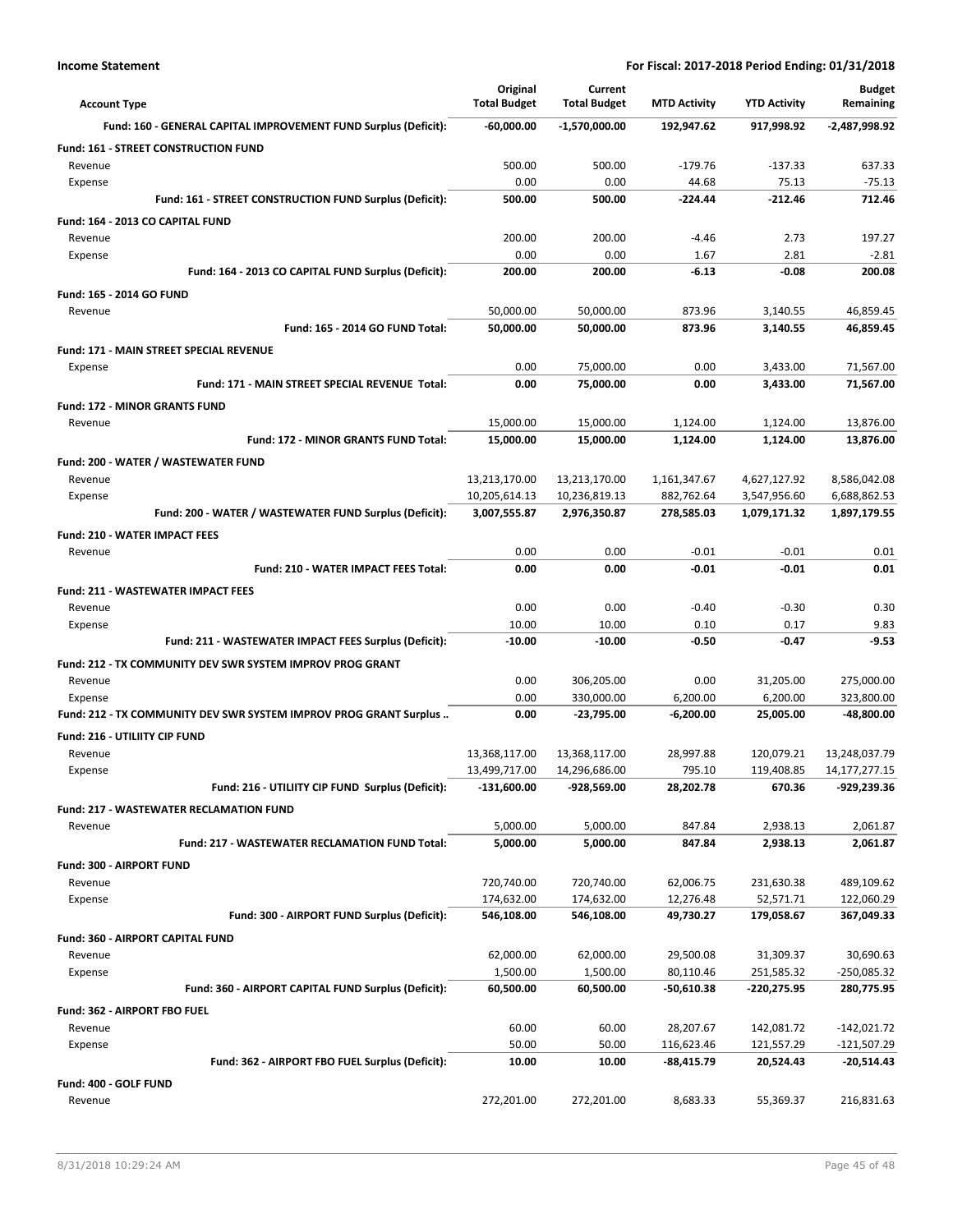| <b>Account Type</b>                                                          | Original<br><b>Total Budget</b> | Current<br><b>Total Budget</b> | <b>MTD Activity</b>      | <b>YTD Activity</b>     | <b>Budget</b><br>Remaining    |
|------------------------------------------------------------------------------|---------------------------------|--------------------------------|--------------------------|-------------------------|-------------------------------|
| Fund: 160 - GENERAL CAPITAL IMPROVEMENT FUND Surplus (Deficit):              | -60,000.00                      | $-1,570,000.00$                | 192,947.62               | 917,998.92              | -2,487,998.92                 |
| Fund: 161 - STREET CONSTRUCTION FUND                                         |                                 |                                |                          |                         |                               |
| Revenue                                                                      | 500.00                          | 500.00                         | $-179.76$                | $-137.33$               | 637.33                        |
| Expense                                                                      | 0.00                            | 0.00                           | 44.68                    | 75.13                   | $-75.13$                      |
| Fund: 161 - STREET CONSTRUCTION FUND Surplus (Deficit):                      | 500.00                          | 500.00                         | -224.44                  | -212.46                 | 712.46                        |
| Fund: 164 - 2013 CO CAPITAL FUND                                             |                                 |                                |                          |                         |                               |
| Revenue                                                                      | 200.00                          | 200.00                         | $-4.46$                  | 2.73                    | 197.27                        |
| Expense<br>Fund: 164 - 2013 CO CAPITAL FUND Surplus (Deficit):               | 0.00<br>200.00                  | 0.00<br>200.00                 | 1.67<br>$-6.13$          | 2.81<br>$-0.08$         | $-2.81$<br>200.08             |
|                                                                              |                                 |                                |                          |                         |                               |
| Fund: 165 - 2014 GO FUND<br>Revenue                                          | 50,000.00                       | 50,000.00                      | 873.96                   | 3,140.55                | 46,859.45                     |
| Fund: 165 - 2014 GO FUND Total:                                              | 50,000.00                       | 50,000.00                      | 873.96                   | 3,140.55                | 46,859.45                     |
| Fund: 171 - MAIN STREET SPECIAL REVENUE                                      |                                 |                                |                          |                         |                               |
| Expense                                                                      | 0.00                            | 75,000.00                      | 0.00                     | 3,433.00                | 71,567.00                     |
| Fund: 171 - MAIN STREET SPECIAL REVENUE Total:                               | 0.00                            | 75.000.00                      | 0.00                     | 3,433.00                | 71.567.00                     |
| <b>Fund: 172 - MINOR GRANTS FUND</b>                                         |                                 |                                |                          |                         |                               |
| Revenue                                                                      | 15,000.00                       | 15,000.00                      | 1,124.00                 | 1,124.00                | 13,876.00                     |
| <b>Fund: 172 - MINOR GRANTS FUND Total:</b>                                  | 15,000.00                       | 15,000.00                      | 1,124.00                 | 1,124.00                | 13,876.00                     |
| Fund: 200 - WATER / WASTEWATER FUND                                          |                                 |                                |                          |                         |                               |
| Revenue                                                                      | 13,213,170.00                   | 13,213,170.00                  | 1,161,347.67             | 4,627,127.92            | 8,586,042.08                  |
| Expense                                                                      | 10,205,614.13                   | 10,236,819.13                  | 882,762.64               | 3,547,956.60            | 6,688,862.53                  |
| Fund: 200 - WATER / WASTEWATER FUND Surplus (Deficit):                       | 3,007,555.87                    | 2,976,350.87                   | 278,585.03               | 1,079,171.32            | 1,897,179.55                  |
| Fund: 210 - WATER IMPACT FEES                                                |                                 |                                |                          |                         |                               |
| Revenue                                                                      | 0.00                            | 0.00                           | $-0.01$                  | $-0.01$                 | 0.01                          |
| Fund: 210 - WATER IMPACT FEES Total:                                         | 0.00                            | 0.00                           | -0.01                    | $-0.01$                 | 0.01                          |
| <b>Fund: 211 - WASTEWATER IMPACT FEES</b>                                    |                                 |                                |                          |                         |                               |
| Revenue                                                                      | 0.00                            | 0.00                           | $-0.40$                  | $-0.30$                 | 0.30                          |
| Expense                                                                      | 10.00                           | 10.00                          | 0.10                     | 0.17                    | 9.83                          |
| Fund: 211 - WASTEWATER IMPACT FEES Surplus (Deficit):                        | $-10.00$                        | $-10.00$                       | $-0.50$                  | $-0.47$                 | $-9.53$                       |
| Fund: 212 - TX COMMUNITY DEV SWR SYSTEM IMPROV PROG GRANT                    |                                 |                                |                          |                         |                               |
| Revenue                                                                      | 0.00<br>0.00                    | 306,205.00<br>330,000.00       | 0.00<br>6,200.00         | 31,205.00<br>6,200.00   | 275,000.00<br>323,800.00      |
| Expense<br>Fund: 212 - TX COMMUNITY DEV SWR SYSTEM IMPROV PROG GRANT Surplus | 0.00                            | -23,795.00                     | $-6,200.00$              | 25,005.00               | -48,800.00                    |
|                                                                              |                                 |                                |                          |                         |                               |
| Fund: 216 - UTILIITY CIP FUND<br>Revenue                                     | 13,368,117.00                   | 13,368,117.00                  | 28,997.88                | 120,079.21              | 13,248,037.79                 |
| Expense                                                                      | 13,499,717.00                   | 14,296,686.00                  | 795.10                   | 119,408.85              | 14,177,277.15                 |
| Fund: 216 - UTILIITY CIP FUND Surplus (Deficit):                             | $-131,600.00$                   | -928,569.00                    | 28,202.78                | 670.36                  | -929,239.36                   |
| <b>Fund: 217 - WASTEWATER RECLAMATION FUND</b>                               |                                 |                                |                          |                         |                               |
| Revenue                                                                      | 5,000.00                        | 5,000.00                       | 847.84                   | 2,938.13                | 2,061.87                      |
| Fund: 217 - WASTEWATER RECLAMATION FUND Total:                               | 5,000.00                        | 5,000.00                       | 847.84                   | 2,938.13                | 2,061.87                      |
| Fund: 300 - AIRPORT FUND                                                     |                                 |                                |                          |                         |                               |
| Revenue                                                                      | 720,740.00                      | 720,740.00                     | 62,006.75                | 231,630.38              | 489,109.62                    |
| Expense                                                                      | 174,632.00                      | 174,632.00                     | 12,276.48                | 52,571.71               | 122,060.29                    |
| Fund: 300 - AIRPORT FUND Surplus (Deficit):                                  | 546,108.00                      | 546,108.00                     | 49,730.27                | 179,058.67              | 367,049.33                    |
| <b>Fund: 360 - AIRPORT CAPITAL FUND</b>                                      |                                 |                                |                          |                         |                               |
| Revenue                                                                      | 62,000.00                       | 62,000.00                      | 29,500.08                | 31,309.37               | 30,690.63                     |
| Expense                                                                      | 1,500.00                        | 1,500.00                       | 80,110.46                | 251,585.32              | -250,085.32                   |
| Fund: 360 - AIRPORT CAPITAL FUND Surplus (Deficit):                          | 60,500.00                       | 60,500.00                      | $-50,610.38$             | -220,275.95             | 280,775.95                    |
| Fund: 362 - AIRPORT FBO FUEL                                                 |                                 |                                |                          |                         |                               |
| Revenue                                                                      | 60.00                           | 60.00                          | 28,207.67                | 142,081.72              | -142,021.72                   |
| Expense<br>Fund: 362 - AIRPORT FBO FUEL Surplus (Deficit):                   | 50.00<br>10.00                  | 50.00<br>10.00                 | 116,623.46<br>-88,415.79 | 121,557.29<br>20,524.43 | $-121,507.29$<br>$-20,514.43$ |
|                                                                              |                                 |                                |                          |                         |                               |
| Fund: 400 - GOLF FUND                                                        |                                 |                                |                          |                         | 216,831.63                    |
| Revenue                                                                      | 272,201.00                      | 272,201.00                     | 8,683.33                 | 55,369.37               |                               |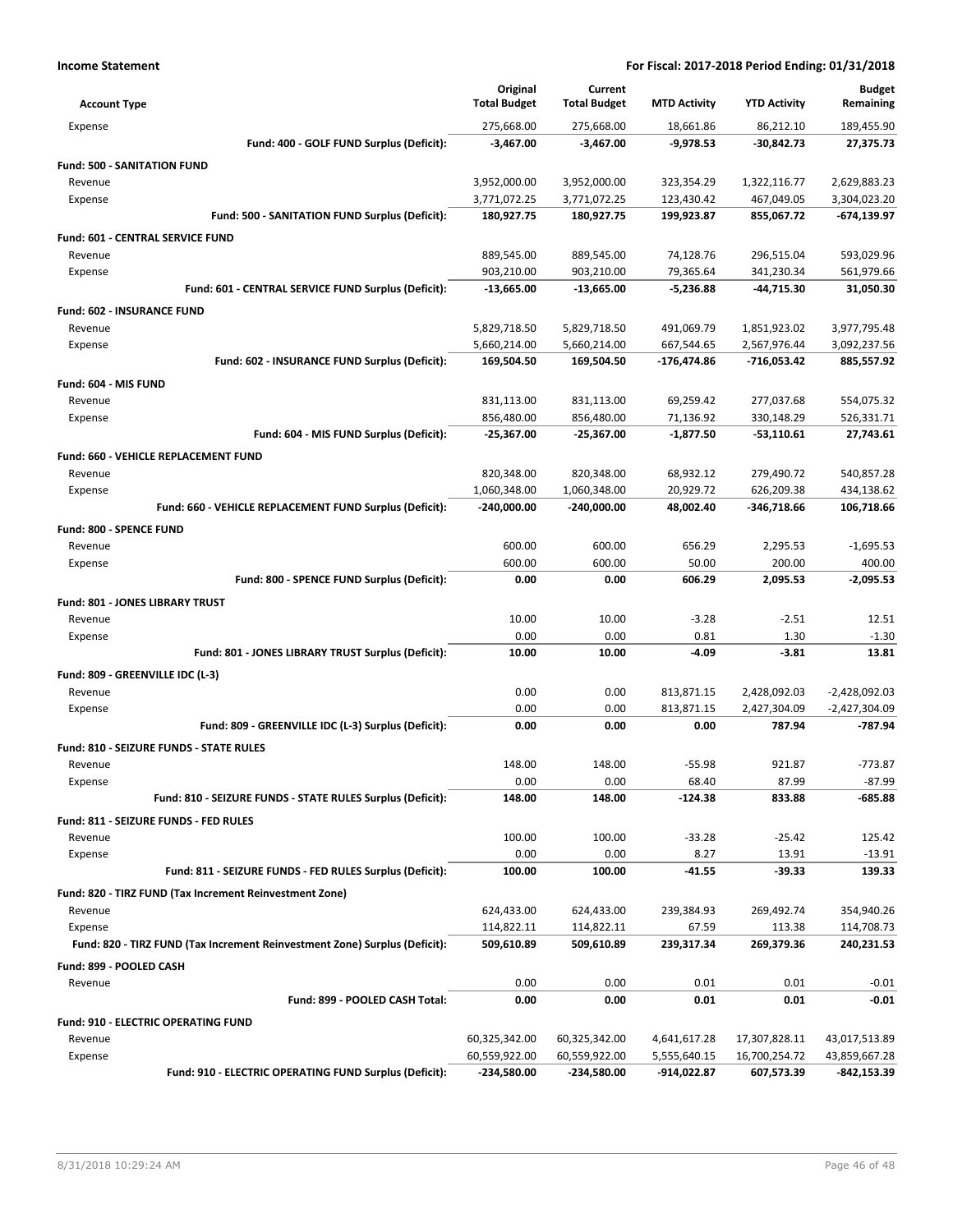| <b>Account Type</b>                        |                                                                            | Original<br><b>Total Budget</b> | Current<br><b>Total Budget</b> | <b>MTD Activity</b>    | <b>YTD Activity</b>      | <b>Budget</b><br>Remaining |
|--------------------------------------------|----------------------------------------------------------------------------|---------------------------------|--------------------------------|------------------------|--------------------------|----------------------------|
| Expense                                    |                                                                            | 275,668.00                      | 275,668.00                     | 18,661.86              | 86,212.10                | 189,455.90                 |
|                                            | Fund: 400 - GOLF FUND Surplus (Deficit):                                   | -3,467.00                       | $-3,467.00$                    | $-9,978.53$            | -30,842.73               | 27,375.73                  |
| <b>Fund: 500 - SANITATION FUND</b>         |                                                                            |                                 |                                |                        |                          |                            |
| Revenue                                    |                                                                            | 3,952,000.00                    | 3,952,000.00                   | 323,354.29             | 1,322,116.77             | 2,629,883.23               |
| Expense                                    |                                                                            | 3,771,072.25                    | 3,771,072.25                   | 123,430.42             | 467,049.05               | 3,304,023.20               |
|                                            | Fund: 500 - SANITATION FUND Surplus (Deficit):                             | 180,927.75                      | 180,927.75                     | 199,923.87             | 855,067.72               | $-674, 139.97$             |
| Fund: 601 - CENTRAL SERVICE FUND           |                                                                            |                                 |                                |                        |                          |                            |
| Revenue                                    |                                                                            | 889,545.00                      | 889,545.00                     | 74,128.76              | 296,515.04               | 593,029.96                 |
| Expense                                    |                                                                            | 903,210.00                      | 903,210.00                     | 79,365.64              | 341,230.34               | 561,979.66                 |
|                                            | Fund: 601 - CENTRAL SERVICE FUND Surplus (Deficit):                        | $-13,665.00$                    | $-13,665.00$                   | $-5,236.88$            | -44,715.30               | 31,050.30                  |
| <b>Fund: 602 - INSURANCE FUND</b>          |                                                                            |                                 |                                |                        |                          |                            |
| Revenue                                    |                                                                            | 5,829,718.50                    | 5,829,718.50                   | 491,069.79             | 1,851,923.02             | 3,977,795.48               |
| Expense                                    |                                                                            | 5,660,214.00                    | 5,660,214.00                   | 667,544.65             | 2,567,976.44             | 3,092,237.56               |
|                                            | Fund: 602 - INSURANCE FUND Surplus (Deficit):                              | 169,504.50                      | 169,504.50                     | -176,474.86            | -716,053.42              | 885,557.92                 |
|                                            |                                                                            |                                 |                                |                        |                          |                            |
| Fund: 604 - MIS FUND<br>Revenue            |                                                                            | 831,113.00                      | 831,113.00                     | 69,259.42              | 277,037.68               | 554,075.32                 |
| Expense                                    |                                                                            | 856,480.00                      | 856,480.00                     | 71,136.92              | 330,148.29               | 526,331.71                 |
|                                            | Fund: 604 - MIS FUND Surplus (Deficit):                                    | $-25,367.00$                    | $-25,367.00$                   | $-1,877.50$            | -53,110.61               | 27,743.61                  |
|                                            |                                                                            |                                 |                                |                        |                          |                            |
| Fund: 660 - VEHICLE REPLACEMENT FUND       |                                                                            |                                 |                                |                        |                          |                            |
| Revenue                                    |                                                                            | 820,348.00<br>1,060,348.00      | 820,348.00<br>1,060,348.00     | 68,932.12<br>20,929.72 | 279,490.72<br>626,209.38 | 540,857.28<br>434,138.62   |
| Expense                                    | Fund: 660 - VEHICLE REPLACEMENT FUND Surplus (Deficit):                    | $-240.000.00$                   | -240,000.00                    | 48,002.40              | -346,718.66              | 106,718.66                 |
|                                            |                                                                            |                                 |                                |                        |                          |                            |
| Fund: 800 - SPENCE FUND                    |                                                                            |                                 |                                |                        |                          |                            |
| Revenue                                    |                                                                            | 600.00                          | 600.00                         | 656.29                 | 2,295.53                 | $-1,695.53$                |
| Expense                                    |                                                                            | 600.00                          | 600.00                         | 50.00                  | 200.00                   | 400.00                     |
|                                            | Fund: 800 - SPENCE FUND Surplus (Deficit):                                 | 0.00                            | 0.00                           | 606.29                 | 2,095.53                 | $-2,095.53$                |
| Fund: 801 - JONES LIBRARY TRUST            |                                                                            |                                 |                                |                        |                          |                            |
| Revenue                                    |                                                                            | 10.00                           | 10.00                          | $-3.28$                | $-2.51$                  | 12.51                      |
| Expense                                    |                                                                            | 0.00                            | 0.00                           | 0.81                   | 1.30                     | $-1.30$                    |
|                                            | Fund: 801 - JONES LIBRARY TRUST Surplus (Deficit):                         | 10.00                           | 10.00                          | $-4.09$                | $-3.81$                  | 13.81                      |
| Fund: 809 - GREENVILLE IDC (L-3)           |                                                                            |                                 |                                |                        |                          |                            |
| Revenue                                    |                                                                            | 0.00                            | 0.00                           | 813,871.15             | 2,428,092.03             | $-2,428,092.03$            |
| Expense                                    |                                                                            | 0.00                            | 0.00                           | 813,871.15             | 2,427,304.09             | $-2,427,304.09$            |
|                                            | Fund: 809 - GREENVILLE IDC (L-3) Surplus (Deficit):                        | 0.00                            | 0.00                           | 0.00                   | 787.94                   | -787.94                    |
| Fund: 810 - SEIZURE FUNDS - STATE RULES    |                                                                            |                                 |                                |                        |                          |                            |
| Revenue                                    |                                                                            | 148.00                          | 148.00                         | $-55.98$               | 921.87                   | $-773.87$                  |
| Expense                                    |                                                                            | 0.00                            | 0.00                           | 68.40                  | 87.99                    | $-87.99$                   |
|                                            | Fund: 810 - SEIZURE FUNDS - STATE RULES Surplus (Deficit):                 | 148.00                          | 148.00                         | -124.38                | 833.88                   | -685.88                    |
| Fund: 811 - SEIZURE FUNDS - FED RULES      |                                                                            |                                 |                                |                        |                          |                            |
| Revenue                                    |                                                                            | 100.00                          | 100.00                         | $-33.28$               | $-25.42$                 | 125.42                     |
| Expense                                    |                                                                            | 0.00                            | 0.00                           | 8.27                   | 13.91                    | $-13.91$                   |
|                                            | Fund: 811 - SEIZURE FUNDS - FED RULES Surplus (Deficit):                   | 100.00                          | 100.00                         | -41.55                 | $-39.33$                 | 139.33                     |
|                                            | Fund: 820 - TIRZ FUND (Tax Increment Reinvestment Zone)                    |                                 |                                |                        |                          |                            |
| Revenue                                    |                                                                            | 624,433.00                      | 624,433.00                     | 239,384.93             | 269,492.74               | 354,940.26                 |
| Expense                                    |                                                                            | 114,822.11                      | 114,822.11                     | 67.59                  | 113.38                   | 114,708.73                 |
|                                            | Fund: 820 - TIRZ FUND (Tax Increment Reinvestment Zone) Surplus (Deficit): | 509,610.89                      | 509,610.89                     | 239,317.34             | 269,379.36               | 240,231.53                 |
| Fund: 899 - POOLED CASH                    |                                                                            |                                 |                                |                        |                          |                            |
| Revenue                                    |                                                                            | 0.00                            | 0.00                           | 0.01                   | 0.01                     | $-0.01$                    |
|                                            | Fund: 899 - POOLED CASH Total:                                             | 0.00                            | 0.00                           | 0.01                   | 0.01                     | $-0.01$                    |
| <b>Fund: 910 - ELECTRIC OPERATING FUND</b> |                                                                            |                                 |                                |                        |                          |                            |
| Revenue                                    |                                                                            | 60,325,342.00                   | 60,325,342.00                  | 4,641,617.28           | 17,307,828.11            | 43,017,513.89              |
| Expense                                    |                                                                            | 60,559,922.00                   | 60,559,922.00                  | 5,555,640.15           | 16,700,254.72            | 43,859,667.28              |
|                                            | Fund: 910 - ELECTRIC OPERATING FUND Surplus (Deficit):                     | -234,580.00                     | -234,580.00                    | -914,022.87            | 607,573.39               | -842,153.39                |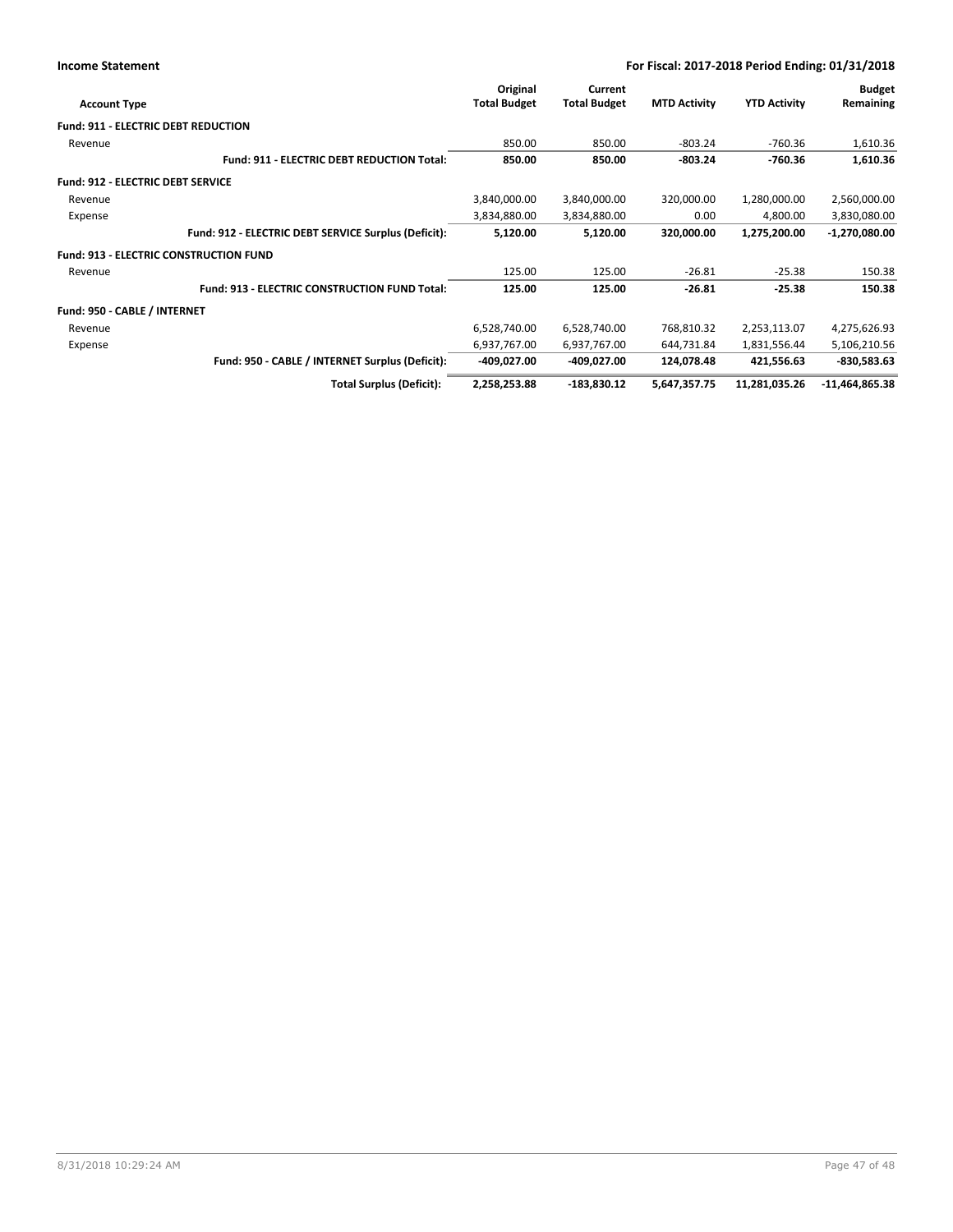|                                            |                                                      | Original            | Current             |                     |                     | <b>Budget</b>    |
|--------------------------------------------|------------------------------------------------------|---------------------|---------------------|---------------------|---------------------|------------------|
| <b>Account Type</b>                        |                                                      | <b>Total Budget</b> | <b>Total Budget</b> | <b>MTD Activity</b> | <b>YTD Activity</b> | Remaining        |
| <b>Fund: 911 - ELECTRIC DEBT REDUCTION</b> |                                                      |                     |                     |                     |                     |                  |
| Revenue                                    |                                                      | 850.00              | 850.00              | $-803.24$           | $-760.36$           | 1,610.36         |
|                                            | <b>Fund: 911 - ELECTRIC DEBT REDUCTION Total:</b>    | 850.00              | 850.00              | $-803.24$           | $-760.36$           | 1,610.36         |
| <b>Fund: 912 - ELECTRIC DEBT SERVICE</b>   |                                                      |                     |                     |                     |                     |                  |
| Revenue                                    |                                                      | 3,840,000.00        | 3,840,000.00        | 320,000.00          | 1,280,000.00        | 2,560,000.00     |
| Expense                                    |                                                      | 3,834,880.00        | 3,834,880.00        | 0.00                | 4,800.00            | 3,830,080.00     |
|                                            | Fund: 912 - ELECTRIC DEBT SERVICE Surplus (Deficit): | 5,120.00            | 5,120.00            | 320,000.00          | 1,275,200.00        | $-1,270,080.00$  |
|                                            | <b>Fund: 913 - ELECTRIC CONSTRUCTION FUND</b>        |                     |                     |                     |                     |                  |
| Revenue                                    |                                                      | 125.00              | 125.00              | $-26.81$            | $-25.38$            | 150.38           |
|                                            | <b>Fund: 913 - ELECTRIC CONSTRUCTION FUND Total:</b> | 125.00              | 125.00              | $-26.81$            | $-25.38$            | 150.38           |
| Fund: 950 - CABLE / INTERNET               |                                                      |                     |                     |                     |                     |                  |
| Revenue                                    |                                                      | 6,528,740.00        | 6,528,740.00        | 768,810.32          | 2,253,113.07        | 4,275,626.93     |
| Expense                                    |                                                      | 6,937,767.00        | 6,937,767.00        | 644,731.84          | 1,831,556.44        | 5,106,210.56     |
|                                            | Fund: 950 - CABLE / INTERNET Surplus (Deficit):      | -409,027.00         | -409,027.00         | 124,078.48          | 421,556.63          | $-830,583.63$    |
|                                            | <b>Total Surplus (Deficit):</b>                      | 2,258,253.88        | -183,830.12         | 5,647,357.75        | 11,281,035.26       | $-11,464,865.38$ |